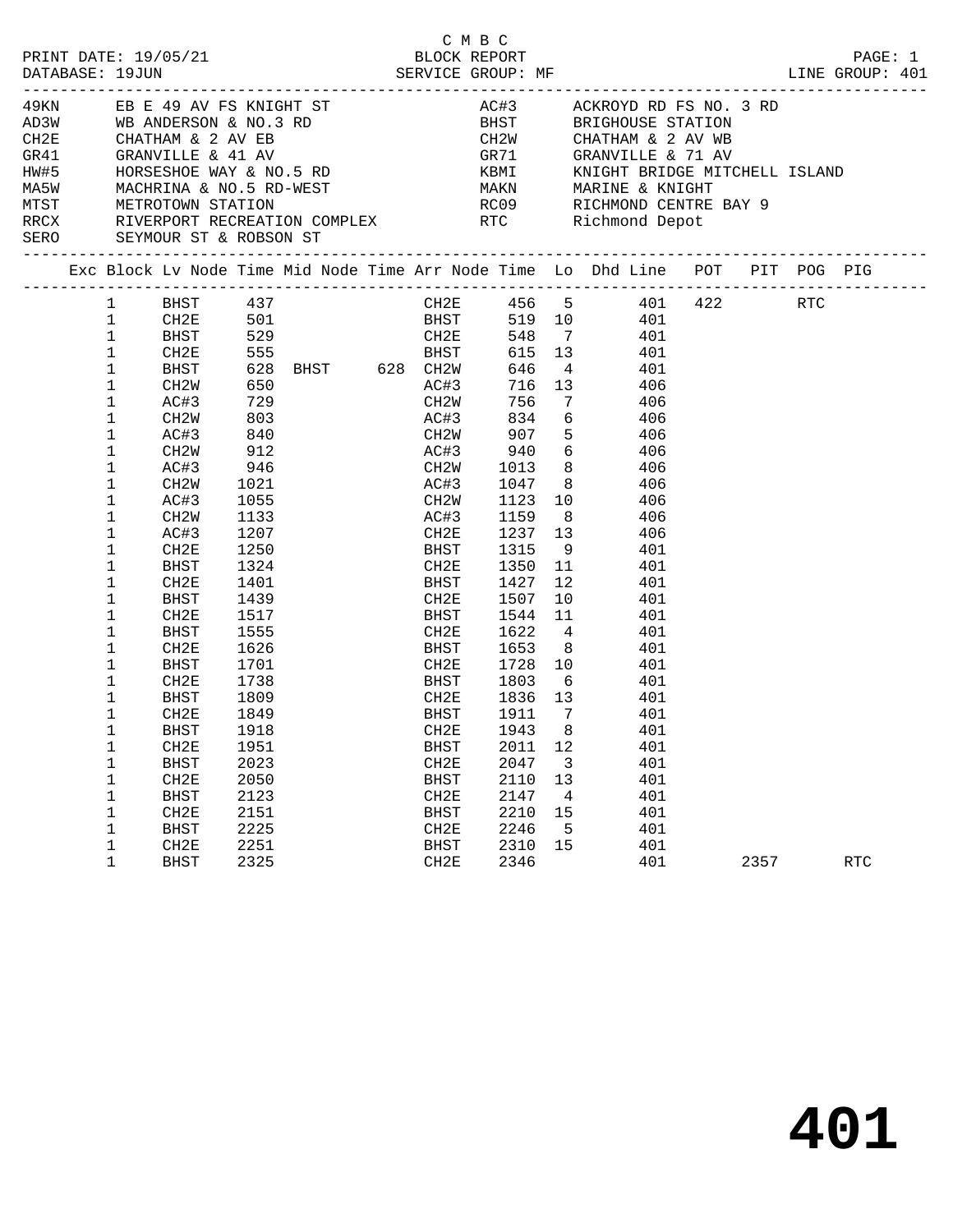| PRINT DATE: 19/05/21<br>DATABASE: 19JUN |                                                                                                                                                                                                                                                                               | 15/21                                                                                                                                                                                                                                                                                                     |                                                                                                                                                                                                                 |                                                                                         |                                                                           | C M B C<br>BLOCK KOL CONF<br>SERVICE GROUP: MF                                                                                                                                             |                          |                                                                                                                                                                                                                                                                                                                                                                                                                                                                     |      | PAGE: 1<br>LINE GROUP: 401 |
|-----------------------------------------|-------------------------------------------------------------------------------------------------------------------------------------------------------------------------------------------------------------------------------------------------------------------------------|-----------------------------------------------------------------------------------------------------------------------------------------------------------------------------------------------------------------------------------------------------------------------------------------------------------|-----------------------------------------------------------------------------------------------------------------------------------------------------------------------------------------------------------------|-----------------------------------------------------------------------------------------|---------------------------------------------------------------------------|--------------------------------------------------------------------------------------------------------------------------------------------------------------------------------------------|--------------------------|---------------------------------------------------------------------------------------------------------------------------------------------------------------------------------------------------------------------------------------------------------------------------------------------------------------------------------------------------------------------------------------------------------------------------------------------------------------------|------|----------------------------|
| SERO SEYMOUR ST & ROBSON ST             |                                                                                                                                                                                                                                                                               |                                                                                                                                                                                                                                                                                                           |                                                                                                                                                                                                                 |                                                                                         |                                                                           |                                                                                                                                                                                            |                          | 49KN EB E 49 AV FS KNIGHT ST AC#3 ACKROYD RD FS NO. 3 RD<br>BHST           BRIGHOUSE  STATION<br>CH2W           CHATHAM  &  2  AV  WB<br>CH2E CHATHAM & 2 AV EB<br>GR41 GRANVILLE & 41 AV GR71 GRANVILLE & 71 AV<br>HW#5 HORSESHOE WAY & NO.5 RD<br>MA5W MACHRINA & NO.5 RD-WEST MAKN MARINE & KNIGHT<br>METROTOWN STATION NEST ROO9 RICHMOND CENTRE BAY 9<br>RRCX RIVERPORT RECREATION COMPLEX RTC Richmond Depot                                                  |      |                            |
|                                         |                                                                                                                                                                                                                                                                               |                                                                                                                                                                                                                                                                                                           |                                                                                                                                                                                                                 |                                                                                         |                                                                           |                                                                                                                                                                                            |                          |                                                                                                                                                                                                                                                                                                                                                                                                                                                                     |      |                            |
|                                         | 1<br>$\mathbf{1}$<br>$\mathbf 1$<br>$\mathbf 1$<br>$\mathbf 1$<br>1<br>$\mathbf{1}$<br>$\mathbf 1$<br>$\mathbf 1$<br>1<br>1<br>$\mathbf 1$<br>$\mathbf 1$<br>1<br>1<br>1<br>1<br>1<br>1<br>1<br>1<br>1<br>1<br>1<br>1<br>$\mathbf{1}$<br>$\mathbf 1$<br>1<br>1<br>1<br>1<br>1 | BHST 437<br>CH2E<br>BHST<br>CH2W<br>AC#3<br>CH2W<br>AC#3<br>CH2W<br>AC#3<br>CH2W<br>AC#3<br>CH2W<br>AC#3<br>CH2E<br>BHST<br>CH2E<br>BHST<br>CH2E<br>BHST<br>CH2E<br>BHST<br>CH2E<br>BHST<br>CH2E<br><b>BHST</b><br>CH <sub>2E</sub><br><b>BHST</b><br>CH <sub>2E</sub><br><b>BHST</b><br>CH <sub>2E</sub> | 650<br>729<br>803<br>912<br>946<br>1021<br>1055<br>1133<br>1207<br>1250<br>1324<br>1401<br>1439<br>1517<br>1517<br>1555<br>1626<br>1701<br>1738<br>1809<br>1849<br>1918<br>1951<br>2023<br>2050<br>2123<br>2151 | CH2E 501<br>BHST 529 CH2E<br>CH2E 555 BHST<br>CH2E 555 BHST<br>628 BHST 628 CH2W<br>840 | CH2W<br>BHST<br><b>BHST</b><br>CH2E<br><b>BHST</b><br>CH2E<br><b>BHST</b> | BHST 1427<br>CH2E      1507   10<br>BHST      1544   11<br>CH2E       1728    10<br>BHST       1803     6<br>CH2E 1836 13<br>1911 7<br>CH2E 1943 8<br>2011<br>2047<br>2110<br>2147<br>2210 | 12<br>3<br>13<br>4<br>15 | CH2E 456 5 401 422 RTC<br>BHST 519 10 401<br>CH2E 548 7 401<br>615 13 401<br>646 4 401<br>AC#3 716 13 406<br>CH2W 756 7 406<br>$AC#3$ $834$ 6 $406$<br>CH2W 907 5 406<br>AC#3 940 6 406<br>CH2W 1013 8 406<br>AC#3 1047 8 406<br>CH2W 1123 10 406<br>AC#3 1159 8 406<br>CH2E 1237 13 406<br>BHST 1315 9 401<br>CH2E 1350 11 401<br>12 401<br>401<br>401<br>CH2E 1622 4 401<br>BHST 1653 8 401<br>401<br>401<br>401<br>401<br>401<br>401<br>401<br>401<br>401<br>401 |      |                            |
|                                         | 1<br>1<br>1                                                                                                                                                                                                                                                                   | <b>BHST</b><br>CH <sub>2E</sub><br><b>BHST</b>                                                                                                                                                                                                                                                            | 2225<br>2251<br>2325                                                                                                                                                                                            |                                                                                         | CH2E<br><b>BHST</b><br>CH2E                                               | 2246<br>2310<br>2346                                                                                                                                                                       | 5<br>15                  | 401<br>401<br>401                                                                                                                                                                                                                                                                                                                                                                                                                                                   | 2357 | $\operatorname{RTC}$       |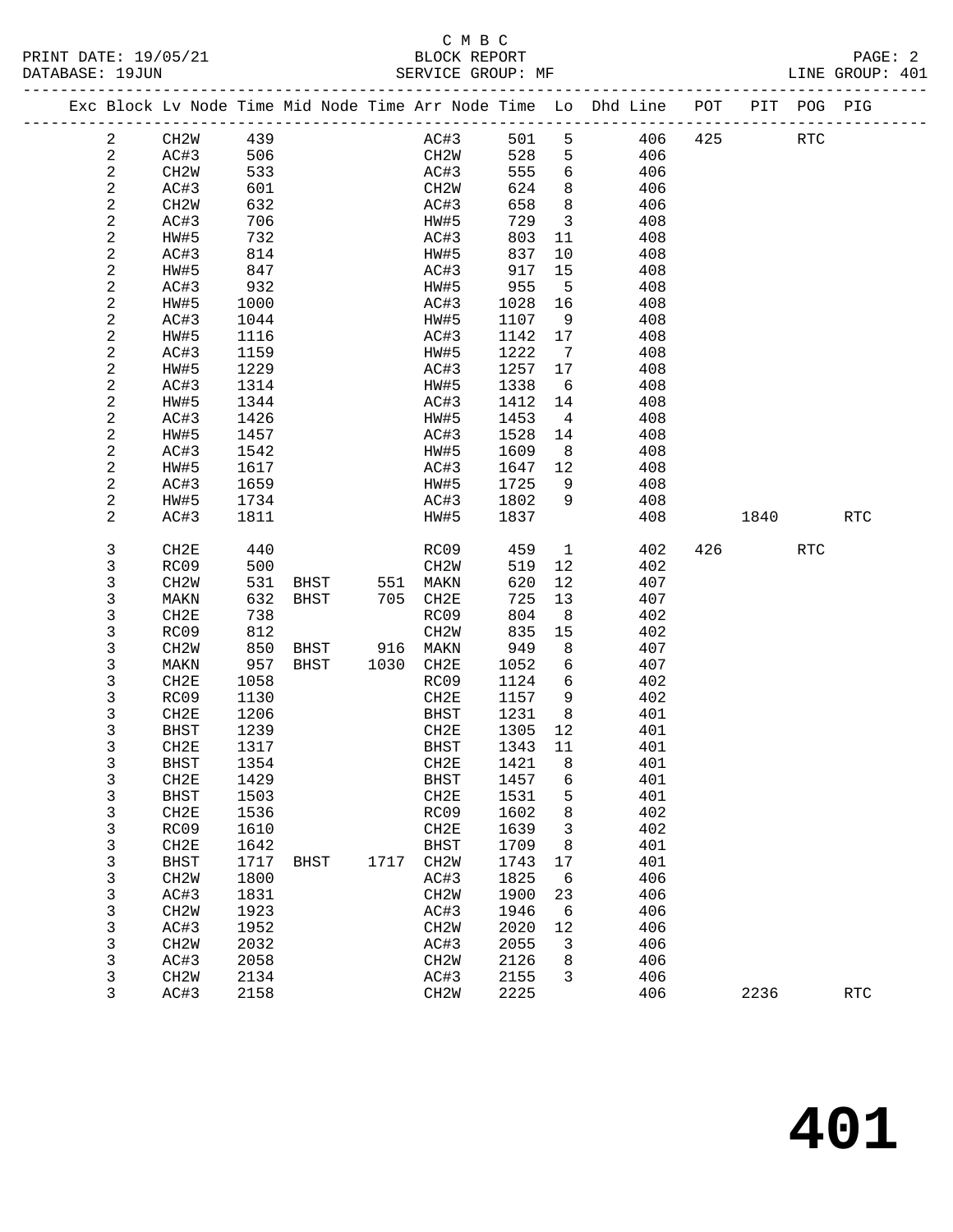## C M B C<br>BLOCK REPORT

| DAIABASL · 1900N |                |                   |      |               |      | PEKATCE GKOOL. ML |      |                         |                                                                    |     |      |             | TIME GKOOR. ANT |
|------------------|----------------|-------------------|------|---------------|------|-------------------|------|-------------------------|--------------------------------------------------------------------|-----|------|-------------|-----------------|
|                  |                |                   |      |               |      |                   |      |                         | Exc Block Lv Node Time Mid Node Time Arr Node Time Lo Dhd Line POT |     |      | PIT POG PIG |                 |
|                  | 2              | CH2W              | 439  |               |      | AC#3              | 501  | 5                       | 406                                                                | 425 |      | RTC         |                 |
|                  | 2              | AC#3              | 506  |               |      | CH2W              | 528  | 5 <sub>5</sub>          | 406                                                                |     |      |             |                 |
|                  | $\overline{c}$ | CH2W              | 533  |               |      | AC#3              | 555  |                         | 6 406                                                              |     |      |             |                 |
|                  | $\overline{c}$ | AC#3              | 601  |               |      | CH2W              | 624  |                         | 8 406                                                              |     |      |             |                 |
|                  | $\overline{c}$ | CH2W              | 632  |               |      | AC#3              | 658  | 8 <sup>8</sup>          | 406                                                                |     |      |             |                 |
|                  | 2              | AC#3              | 706  |               |      | HW#5              | 729  | $\overline{\mathbf{3}}$ | 408                                                                |     |      |             |                 |
|                  | 2              | HW#5              | 732  |               |      | AC#3              | 803  | 11                      | 408                                                                |     |      |             |                 |
|                  | 2              | AC#3              | 814  |               |      | HW#5              | 837  | 10                      | 408                                                                |     |      |             |                 |
|                  | $\overline{c}$ | HW#5              | 847  |               |      | AC#3              | 917  | 15                      | 408                                                                |     |      |             |                 |
|                  | $\overline{c}$ | AC#3              | 932  |               |      | HW#5              | 955  | $5^{\circ}$             | 408                                                                |     |      |             |                 |
|                  | 2              | HW#5              | 1000 |               |      | AC#3              | 1028 | 16                      | 408                                                                |     |      |             |                 |
|                  | $\mathbf{2}$   | AC#3              | 1044 |               |      | HW#5              | 1107 | 9                       | 408                                                                |     |      |             |                 |
|                  | 2              | HW#5              | 1116 |               |      | AC#3              | 1142 | 17                      | 408                                                                |     |      |             |                 |
|                  | $\overline{c}$ | AC#3              | 1159 |               |      | HW#5              | 1222 | $\overline{7}$          | 408                                                                |     |      |             |                 |
|                  | 2              | HW#5              | 1229 |               |      | AC#3              | 1257 | 17                      | 408                                                                |     |      |             |                 |
|                  | 2              | AC#3              | 1314 |               |      | HW#5              | 1338 | 6                       | 408                                                                |     |      |             |                 |
|                  | 2              | HW#5              | 1344 |               |      | AC#3              | 1412 | 14                      | 408                                                                |     |      |             |                 |
|                  | $\overline{c}$ | AC#3              | 1426 |               |      | HW#5              | 1453 | $\overline{4}$          | 408                                                                |     |      |             |                 |
|                  | 2              | HW#5              | 1457 |               |      | AC#3              | 1528 | 14                      | 408                                                                |     |      |             |                 |
|                  | 2              | AC#3              | 1542 |               |      | HW#5              | 1609 | 8 <sup>8</sup>          | 408                                                                |     |      |             |                 |
|                  | 2              | HW#5              | 1617 |               |      | AC#3              | 1647 | 12                      | 408                                                                |     |      |             |                 |
|                  | 2              | AC#3              | 1659 |               |      | HW#5              | 1725 | 9                       | 408                                                                |     |      |             |                 |
|                  | 2              | HW#5              | 1734 |               |      | AC#3              | 1802 | 9                       | 408                                                                |     |      |             |                 |
|                  | 2              | AC#3              | 1811 |               |      | HW#5              | 1837 |                         | 408                                                                |     | 1840 |             | <b>RTC</b>      |
|                  | 3              | CH2E              | 440  |               |      | RC09              | 459  | $\overline{1}$          | 402                                                                | 426 |      | <b>RTC</b>  |                 |
|                  | 3              | RC09              | 500  |               |      | CH2W              | 519  | 12                      | 402                                                                |     |      |             |                 |
|                  | 3              | CH <sub>2</sub> W | 531  | BHST          | 551  | MAKN              | 620  | 12                      | 407                                                                |     |      |             |                 |
|                  | 3              | MAKN              | 632  | BHST          | 705  | CH2E              | 725  | 13                      | 407                                                                |     |      |             |                 |
|                  | 3              | CH2E              | 738  |               |      | RC09              | 804  | 8 <sup>8</sup>          | 402                                                                |     |      |             |                 |
|                  | 3              | RC09              | 812  |               |      | CH2W              | 835  | 15                      | 402                                                                |     |      |             |                 |
|                  | 3              | CH <sub>2</sub> W | 850  | BHST 916 MAKN |      |                   | 949  | 8 <sup>8</sup>          | 407                                                                |     |      |             |                 |
|                  | 3              | MAKN              | 957  | BHST          | 1030 | CH2E              | 1052 | 6                       | 407                                                                |     |      |             |                 |
|                  | 3              | CH2E              | 1058 |               |      | RC09              | 1124 | 6                       | 402                                                                |     |      |             |                 |
|                  | 3              | RC09              | 1130 |               |      | CH2E              | 1157 | 9                       | 402                                                                |     |      |             |                 |
|                  | 3              | CH2E              | 1206 |               |      | BHST              | 1231 | 8                       | 401                                                                |     |      |             |                 |
|                  | 3              | <b>BHST</b>       | 1239 |               |      | CH2E              | 1305 | 12                      | 401                                                                |     |      |             |                 |
|                  | 3              | CH2E              | 1317 |               |      | BHST              | 1343 | 11                      | 401                                                                |     |      |             |                 |
|                  | 3              | <b>BHST</b>       | 1354 |               |      | CH2E              | 1421 | 8                       | 401                                                                |     |      |             |                 |
|                  | 3              | CH2E              | 1429 |               |      | <b>BHST</b>       | 1457 | 6                       | 401                                                                |     |      |             |                 |
|                  | 3              | <b>BHST</b>       | 1503 |               |      | CH2E              | 1531 | 5                       | 401                                                                |     |      |             |                 |
|                  | 3              | CH2E              | 1536 |               |      | RC09              | 1602 | 8                       | 402                                                                |     |      |             |                 |
|                  | 3              | RC09              | 1610 |               |      | CH2E              | 1639 | 3                       | 402                                                                |     |      |             |                 |
|                  | 3              | CH2E              | 1642 |               |      | <b>BHST</b>       | 1709 | 8                       | 401                                                                |     |      |             |                 |
|                  | 3              | <b>BHST</b>       | 1717 | <b>BHST</b>   | 1717 | CH <sub>2</sub> W | 1743 | 17                      | 401                                                                |     |      |             |                 |
|                  | 3              | CH2W              | 1800 |               |      | AC#3              | 1825 | 6                       | 406                                                                |     |      |             |                 |
|                  | 3              | AC#3              | 1831 |               |      | CH <sub>2</sub> W | 1900 | 23                      | 406                                                                |     |      |             |                 |
|                  | 3              | CH <sub>2</sub> M | 1923 |               |      | AC#3              | 1946 | 6                       | 406                                                                |     |      |             |                 |
|                  | 3              | AC#3              | 1952 |               |      | CH <sub>2</sub> W | 2020 | 12                      | 406                                                                |     |      |             |                 |
|                  | 3              | CH <sub>2</sub> M | 2032 |               |      | AC#3              | 2055 | 3                       | 406                                                                |     |      |             |                 |

 3 CH2W 2032 AC#3 2055 3 406 3 AC#3 2058 CH2W 2126 8 406 3 CH2W 2134 AC#3 2155 3 406

**401**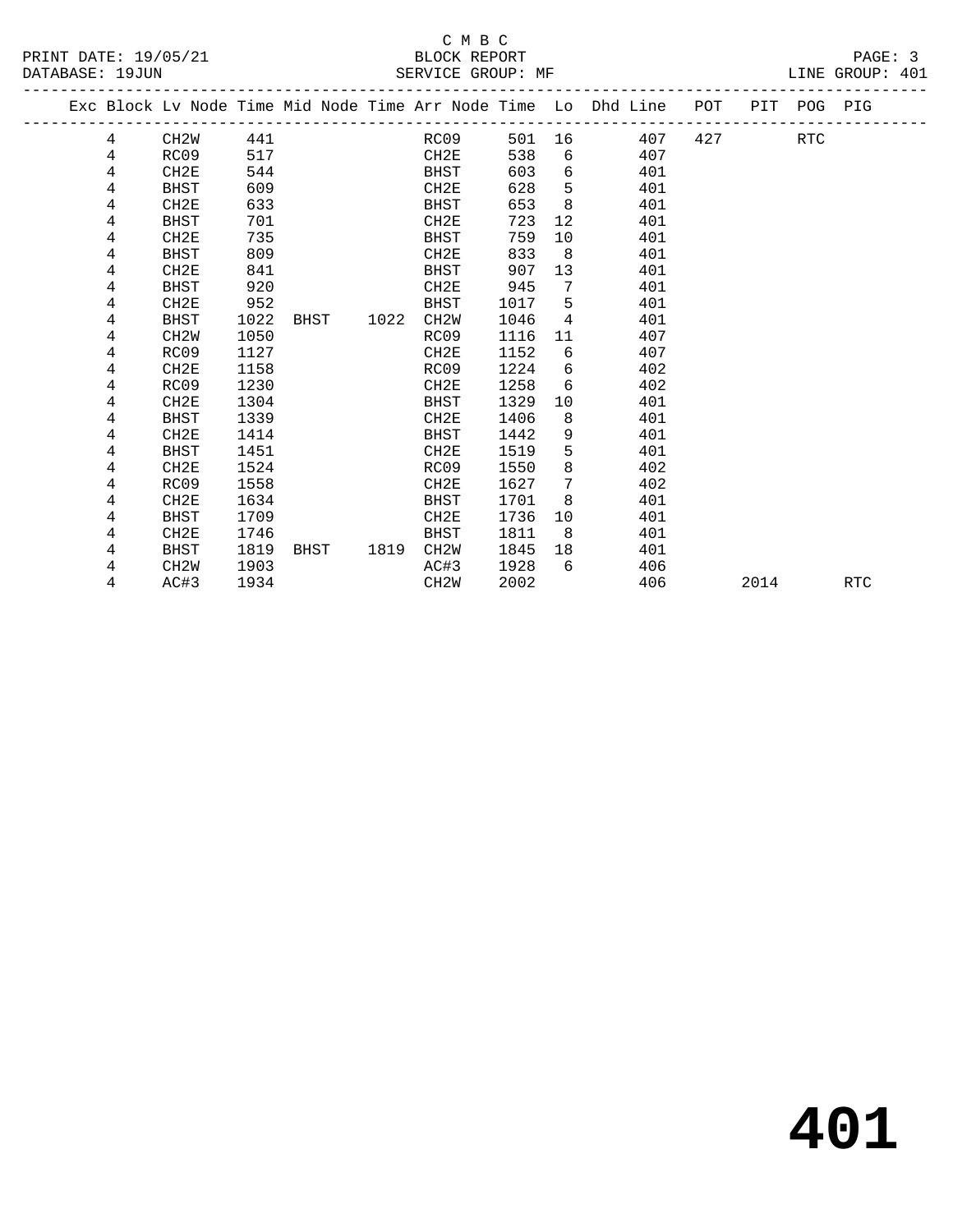|  |   | Exc Block Lv Node Time Mid Node Time Arr Node Time Lo Dhd Line POT PIT POG PIG |      |      |           |                   |      |      |                 |                  |     |     |      |     |            |
|--|---|--------------------------------------------------------------------------------|------|------|-----------|-------------------|------|------|-----------------|------------------|-----|-----|------|-----|------------|
|  | 4 | CH2W                                                                           | 441  |      |           |                   | RC09 |      |                 | 501 16           | 407 | 427 |      | RTC |            |
|  | 4 | RC09                                                                           | 517  |      |           | CH2E              |      | 538  |                 | $6 \quad \sigma$ | 407 |     |      |     |            |
|  | 4 | CH2E                                                                           | 544  |      |           | BHST              |      | 603  | 6               |                  | 401 |     |      |     |            |
|  | 4 | BHST                                                                           | 609  |      |           | CH2E              |      | 628  | 5               |                  | 401 |     |      |     |            |
|  | 4 | CH2E                                                                           | 633  |      |           | BHST              |      | 653  | 8               |                  | 401 |     |      |     |            |
|  | 4 | <b>BHST</b>                                                                    | 701  |      |           | CH2E              |      | 723  | 12              |                  | 401 |     |      |     |            |
|  | 4 | CH2E                                                                           | 735  |      |           | BHST              |      | 759  | 10              |                  | 401 |     |      |     |            |
|  | 4 | BHST                                                                           | 809  |      |           | CH2E              |      | 833  | 8 <sup>8</sup>  |                  | 401 |     |      |     |            |
|  | 4 | CH2E                                                                           | 841  |      |           | BHST              |      | 907  | 13              |                  | 401 |     |      |     |            |
|  | 4 | BHST                                                                           | 920  |      |           | CH2E              |      | 945  | 7               |                  | 401 |     |      |     |            |
|  | 4 | CH2E                                                                           | 952  |      |           | BHST              |      | 1017 | -5              |                  | 401 |     |      |     |            |
|  | 4 | BHST                                                                           | 1022 |      | BHST 1022 | CH2W              |      | 1046 | $\overline{4}$  |                  | 401 |     |      |     |            |
|  | 4 | CH <sub>2</sub> W                                                              | 1050 |      |           | RC09              |      | 1116 | 11              |                  | 407 |     |      |     |            |
|  | 4 | RC09                                                                           | 1127 |      |           | CH2E              |      | 1152 | 6               |                  | 407 |     |      |     |            |
|  | 4 | CH2E                                                                           | 1158 |      |           | RC09              |      | 1224 | 6               |                  | 402 |     |      |     |            |
|  | 4 | RC09                                                                           | 1230 |      |           | CH2E              |      | 1258 | 6               |                  | 402 |     |      |     |            |
|  | 4 | CH2E                                                                           | 1304 |      |           | BHST              |      | 1329 | 10              |                  | 401 |     |      |     |            |
|  | 4 | BHST                                                                           | 1339 |      |           | CH2E              |      | 1406 | 8               |                  | 401 |     |      |     |            |
|  | 4 | CH2E                                                                           | 1414 |      |           | BHST              |      | 1442 | 9               |                  | 401 |     |      |     |            |
|  | 4 | BHST                                                                           | 1451 |      |           | CH2E              |      | 1519 | 5               |                  | 401 |     |      |     |            |
|  | 4 | CH2E                                                                           | 1524 |      |           | RC09              |      | 1550 | 8               |                  | 402 |     |      |     |            |
|  | 4 | RC09                                                                           | 1558 |      |           | CH2E              |      | 1627 | $7\overline{ }$ |                  | 402 |     |      |     |            |
|  | 4 | CH2E                                                                           | 1634 |      |           | BHST              |      | 1701 | 8               |                  | 401 |     |      |     |            |
|  | 4 | BHST                                                                           | 1709 |      |           | CH2E              |      | 1736 | 10              |                  | 401 |     |      |     |            |
|  | 4 | CH2E                                                                           | 1746 |      |           | BHST              |      | 1811 | 8               |                  | 401 |     |      |     |            |
|  | 4 | BHST                                                                           | 1819 | BHST | 1819      | CH2W              |      | 1845 | 18              |                  | 401 |     |      |     |            |
|  | 4 | CH2W                                                                           | 1903 |      |           | AC#3              |      | 1928 | б.              |                  | 406 |     |      |     |            |
|  | 4 | AC#3                                                                           | 1934 |      |           | CH <sub>2</sub> W |      | 2002 |                 |                  | 406 |     | 2014 |     | <b>RTC</b> |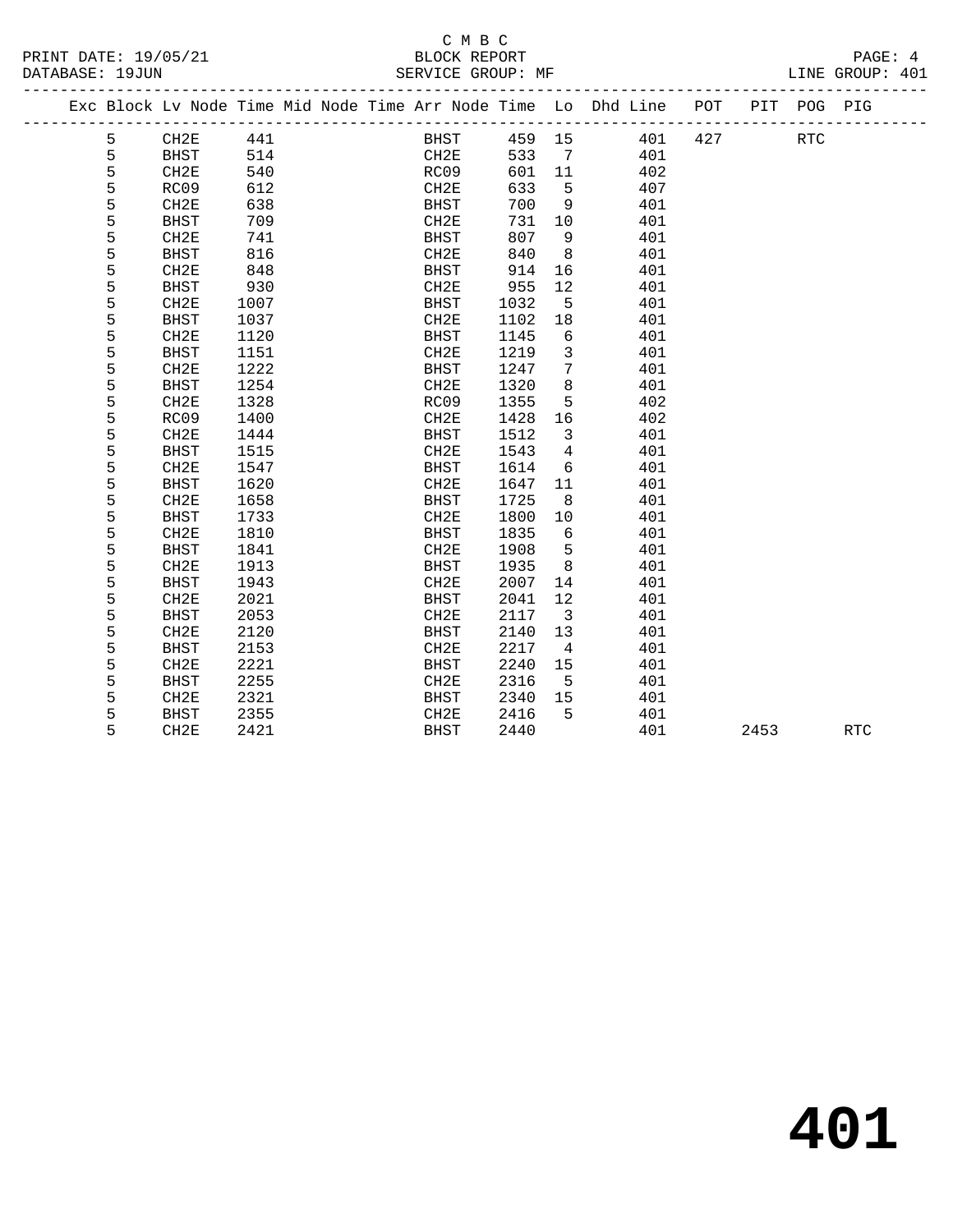## C M B C<br>BLOCK REPORT

PRINT DATE: 19/05/21 BLOCK REPORT PAGE: 4 SERVICE GROUP: MF

|   |             |      |  |             |      |                         | Exc Block Lv Node Time Mid Node Time Arr Node Time Lo Dhd Line POT |     |      | PIT POG PIG |            |
|---|-------------|------|--|-------------|------|-------------------------|--------------------------------------------------------------------|-----|------|-------------|------------|
| 5 | CH2E        | 441  |  | BHST        |      |                         | 459 15<br>401                                                      | 427 |      | RTC         |            |
| 5 | <b>BHST</b> | 514  |  | CH2E        | 533  | $\overline{7}$          | 401                                                                |     |      |             |            |
| 5 | CH2E        | 540  |  | RC09        | 601  | 11                      | 402                                                                |     |      |             |            |
| 5 | RC09        | 612  |  | CH2E        | 633  | $5^{\circ}$             | 407                                                                |     |      |             |            |
| 5 | CH2E        | 638  |  | BHST        | 700  | 9                       | 401                                                                |     |      |             |            |
| 5 | <b>BHST</b> | 709  |  | CH2E        | 731  | 10                      | 401                                                                |     |      |             |            |
| 5 | CH2E        | 741  |  | BHST        | 807  | - 9                     | 401                                                                |     |      |             |            |
| 5 | <b>BHST</b> | 816  |  | CH2E        | 840  | 8 <sup>8</sup>          | 401                                                                |     |      |             |            |
| 5 | CH2E        | 848  |  | BHST        | 914  | 16                      | 401                                                                |     |      |             |            |
| 5 | <b>BHST</b> | 930  |  | CH2E        | 955  | 12                      | 401                                                                |     |      |             |            |
| 5 | CH2E        | 1007 |  | BHST        | 1032 | $5^{\circ}$             | 401                                                                |     |      |             |            |
| 5 | <b>BHST</b> | 1037 |  | CH2E        | 1102 | 18                      | 401                                                                |     |      |             |            |
| 5 | CH2E        | 1120 |  | BHST        | 1145 | 6                       | 401                                                                |     |      |             |            |
| 5 | <b>BHST</b> | 1151 |  | CH2E        | 1219 | $\overline{\mathbf{3}}$ | 401                                                                |     |      |             |            |
| 5 | CH2E        | 1222 |  | BHST        | 1247 | $7\overline{ }$         | 401                                                                |     |      |             |            |
| 5 | <b>BHST</b> | 1254 |  | CH2E        | 1320 | 8                       | 401                                                                |     |      |             |            |
| 5 | CH2E        | 1328 |  | RC09        | 1355 | 5                       | 402                                                                |     |      |             |            |
| 5 | RC09        | 1400 |  | CH2E        | 1428 | 16                      | 402                                                                |     |      |             |            |
| 5 | CH2E        | 1444 |  | BHST        | 1512 | $\overline{\mathbf{3}}$ | 401                                                                |     |      |             |            |
| 5 | <b>BHST</b> | 1515 |  | CH2E        | 1543 | $\overline{4}$          | 401                                                                |     |      |             |            |
| 5 | CH2E        | 1547 |  | BHST        | 1614 | 6                       | 401                                                                |     |      |             |            |
| 5 | <b>BHST</b> | 1620 |  | CH2E        | 1647 | 11                      | 401                                                                |     |      |             |            |
| 5 | CH2E        | 1658 |  | BHST        | 1725 | 8                       | 401                                                                |     |      |             |            |
| 5 | <b>BHST</b> | 1733 |  | CH2E        | 1800 | 10                      | 401                                                                |     |      |             |            |
| 5 | CH2E        | 1810 |  | BHST        | 1835 | 6                       | 401                                                                |     |      |             |            |
| 5 | <b>BHST</b> | 1841 |  | CH2E        | 1908 | $-5$                    | 401                                                                |     |      |             |            |
| 5 | CH2E        | 1913 |  | BHST        | 1935 | 8                       | 401                                                                |     |      |             |            |
| 5 | <b>BHST</b> | 1943 |  | CH2E        | 2007 | 14                      | 401                                                                |     |      |             |            |
| 5 | CH2E        | 2021 |  | BHST        | 2041 | 12                      | 401                                                                |     |      |             |            |
| 5 | <b>BHST</b> | 2053 |  | CH2E        | 2117 | $\overline{\mathbf{3}}$ | 401                                                                |     |      |             |            |
| 5 | CH2E        | 2120 |  | BHST        | 2140 | 13                      | 401                                                                |     |      |             |            |
| 5 | <b>BHST</b> | 2153 |  | CH2E        | 2217 | $\overline{4}$          | 401                                                                |     |      |             |            |
| 5 | CH2E        | 2221 |  | <b>BHST</b> | 2240 | 15                      | 401                                                                |     |      |             |            |
| 5 | <b>BHST</b> | 2255 |  | CH2E        | 2316 | $5^{\circ}$             | 401                                                                |     |      |             |            |
| 5 | CH2E        | 2321 |  | BHST        | 2340 | 15                      | 401                                                                |     |      |             |            |
| 5 | <b>BHST</b> | 2355 |  | CH2E        | 2416 | $-5$                    | 401                                                                |     |      |             |            |
| 5 | CH2E        | 2421 |  | BHST        | 2440 |                         | 401                                                                |     | 2453 |             | <b>RTC</b> |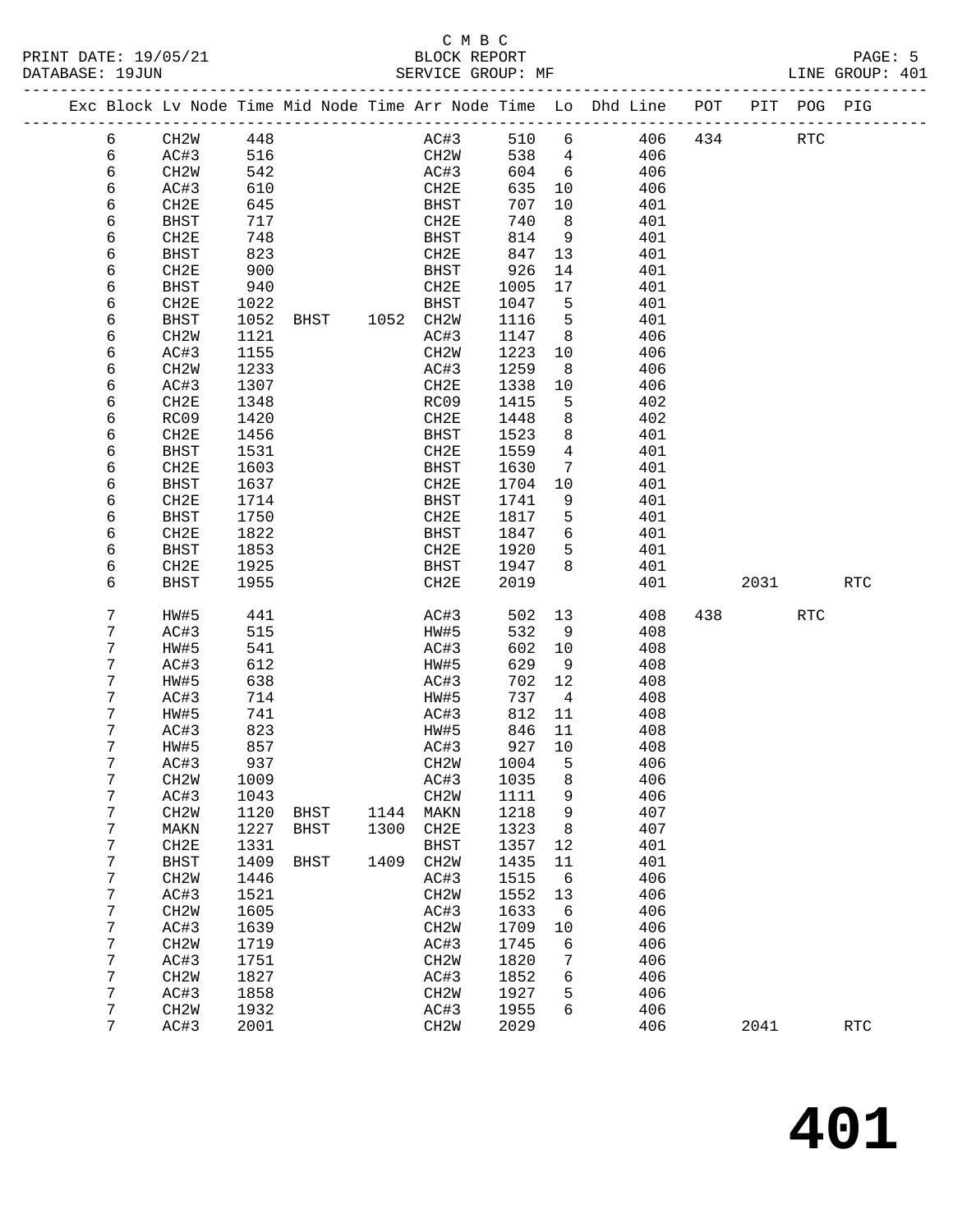### C M B C

| DATABASE: 19JUN |                 |                           |              |                |      | SERVICE GROUP: MF   |              |                        |                                                                                |             |      |         | LINE GROUP: 401      |  |
|-----------------|-----------------|---------------------------|--------------|----------------|------|---------------------|--------------|------------------------|--------------------------------------------------------------------------------|-------------|------|---------|----------------------|--|
|                 |                 |                           |              |                |      |                     |              |                        | Exc Block Lv Node Time Mid Node Time Arr Node Time Lo Dhd Line POT PIT POG PIG |             |      |         |                      |  |
|                 | 6               | CH2W 448                  |              |                |      | AC#3                | 510 6        |                        |                                                                                | 406 434 RTC |      |         |                      |  |
|                 | 6               | AC#3                      | 516          |                |      | CH2W                | 538 4        |                        | 406                                                                            |             |      |         |                      |  |
|                 | 6               | CH2W                      | 542          |                |      | AC#3                | 604 6        |                        | 406                                                                            |             |      |         |                      |  |
|                 | 6               | AC#3                      | 610          |                |      | CH2E                | 635          | 10                     | 406                                                                            |             |      |         |                      |  |
|                 | 6               | CH2E                      | 645          |                |      | BHST                | 707          | 10                     | 401                                                                            |             |      |         |                      |  |
|                 | 6               | BHST                      | 717          |                |      | CH2E                | 740          | 8 <sup>8</sup>         | 401                                                                            |             |      |         |                      |  |
|                 | 6               | CH2E                      | 748          |                |      | BHST                | 814          | $\overline{9}$         | 401                                                                            |             |      |         |                      |  |
|                 | 6               | BHST                      | 823          |                |      | CH2E                | 847          | 13                     | 401                                                                            |             |      |         |                      |  |
|                 | 6               | CH2E                      | 900          |                |      | BHST                | 926          | 14                     | 401                                                                            |             |      |         |                      |  |
|                 | 6               | BHST                      | 940          |                |      | CH2E                | 1005         | 17                     | 401                                                                            |             |      |         |                      |  |
|                 | 6               | CH2E                      | 1022         |                |      | <b>BHST</b>         | 1047         | 5                      | 401                                                                            |             |      |         |                      |  |
|                 | 6               | BHST                      | 1052         | BHST 1052 CH2W |      |                     | 1116         | $-5$<br>8 <sup>8</sup> | 401<br>406                                                                     |             |      |         |                      |  |
|                 | 6<br>6          | CH <sub>2</sub> W<br>AC#3 | 1121<br>1155 |                |      | AC#3<br>CH2W        | 1147<br>1223 | 10                     | 406                                                                            |             |      |         |                      |  |
|                 | 6               | CH2W                      | 1233         |                |      | AC#3                | 1259         | 8 <sup>8</sup>         | 406                                                                            |             |      |         |                      |  |
|                 | 6               | AC#3                      | 1307         |                |      | CH2E                | 1338         | 10                     | 406                                                                            |             |      |         |                      |  |
|                 | 6               | CH2E                      | 1348         |                |      | RC09                | 1415         | 5                      | 402                                                                            |             |      |         |                      |  |
|                 | 6               | RC09                      | 1420         |                |      | CH2E                | 1448         | 8                      | 402                                                                            |             |      |         |                      |  |
|                 | 6               | CH2E                      | 1456         |                |      | BHST                | 1523         | 8                      | 401                                                                            |             |      |         |                      |  |
|                 | 6               | BHST                      | 1531         |                |      | CH2E                | 1559         | $\overline{4}$         | 401                                                                            |             |      |         |                      |  |
|                 | 6               | CH2E                      | 1603         |                |      | BHST                | 1630         | 7                      | 401                                                                            |             |      |         |                      |  |
|                 | 6               | BHST                      | 1637         |                |      | CH2E                | 1704         | 10                     | 401                                                                            |             |      |         |                      |  |
|                 | 6               | CH2E                      | 1714         |                |      | BHST                | 1741         | 9                      | 401                                                                            |             |      |         |                      |  |
|                 | 6               | <b>BHST</b>               | 1750         |                |      | CH2E                | 1817         | 5                      | 401                                                                            |             |      |         |                      |  |
|                 | 6               | CH2E                      | 1822         |                |      | BHST                | 1847         | 6                      | 401                                                                            |             |      |         |                      |  |
|                 | 6               | BHST                      | 1853         |                |      | CH2E                | 1920         | 5                      | 401                                                                            |             |      |         |                      |  |
|                 | 6               | CH2E                      | 1925         |                |      | <b>BHST</b>         | 1947         | 8                      | 401                                                                            |             |      |         |                      |  |
|                 | 6               | BHST                      | 1955         |                |      | CH2E                | 2019         |                        | 401                                                                            |             |      | 2031 70 | RTC                  |  |
|                 | 7               | HW#5                      | 441          |                |      | AC#3                | 502          | 13                     | 408                                                                            |             | 438  | RTC     |                      |  |
|                 | 7               | AC#3                      | 515          |                |      | HW#5                | 532          | 9                      | 408                                                                            |             |      |         |                      |  |
|                 | 7               | HW#5                      | 541          |                |      | AC#3                | 602          | 10                     | 408                                                                            |             |      |         |                      |  |
|                 | 7               | AC#3                      | 612          |                |      | HW#5                | 629          | 9                      | 408                                                                            |             |      |         |                      |  |
|                 | 7               | HW#5                      | 638          |                |      | AC#3                | 702 12       |                        | 408                                                                            |             |      |         |                      |  |
|                 | 7               | AC#3                      | 714          |                |      | HW#5                | 737          | $\overline{4}$         | 408                                                                            |             |      |         |                      |  |
|                 | 7               | HW#5                      | 741          |                |      | AC#3                | 812          | 11                     | 408                                                                            |             |      |         |                      |  |
|                 | 7               | AC#3                      | 823          |                |      | HW#5                | 846          | 11                     | 408                                                                            |             |      |         |                      |  |
|                 | 7<br>7          | HW#5                      | 857          |                |      | AC#3<br>CH2W 1004 5 | 927 10       |                        | 408                                                                            |             |      |         |                      |  |
|                 |                 | AC#3                      | 937          |                |      |                     |              |                        | 406<br>406                                                                     |             |      |         |                      |  |
|                 | 7<br>7          | CH <sub>2</sub> W<br>AC#3 | 1009<br>1043 |                |      | AC#3<br>CH2W        | 1035<br>1111 | 8<br>9                 | 406                                                                            |             |      |         |                      |  |
|                 | 7               | CH <sub>2</sub> W         | 1120         | BHST           | 1144 | MAKN                | 1218         | 9                      | 407                                                                            |             |      |         |                      |  |
|                 | 7               | MAKN                      | 1227         | BHST           | 1300 | CH2E                | 1323         | 8                      | 407                                                                            |             |      |         |                      |  |
|                 | 7               | CH2E                      | 1331         |                |      | <b>BHST</b>         | 1357         | 12                     | 401                                                                            |             |      |         |                      |  |
|                 | 7               | <b>BHST</b>               | 1409         | BHST           | 1409 | CH <sub>2</sub> M   | 1435         | 11                     | 401                                                                            |             |      |         |                      |  |
|                 | 7               | CH <sub>2</sub> W         | 1446         |                |      | AC#3                | 1515         | 6                      | 406                                                                            |             |      |         |                      |  |
|                 | 7               | AC#3                      | 1521         |                |      | CH <sub>2</sub> M   | 1552         | 13                     | 406                                                                            |             |      |         |                      |  |
|                 | 7               | CH <sub>2</sub> W         | 1605         |                |      | AC#3                | 1633         | 6                      | 406                                                                            |             |      |         |                      |  |
|                 | 7               | AC#3                      | 1639         |                |      | CH <sub>2</sub> M   | 1709         | 10                     | 406                                                                            |             |      |         |                      |  |
|                 | 7               | CH <sub>2</sub> W         | 1719         |                |      | AC#3                | 1745         | 6                      | 406                                                                            |             |      |         |                      |  |
|                 | 7               | AC#3                      | 1751         |                |      | CH <sub>2</sub> M   | 1820         | 7                      | 406                                                                            |             |      |         |                      |  |
|                 | 7               | CH <sub>2</sub> W         | 1827         |                |      | AC#3                | 1852         | 6                      | 406                                                                            |             |      |         |                      |  |
|                 | 7               | AC#3                      | 1858         |                |      | CH <sub>2</sub> M   | 1927         | 5                      | 406                                                                            |             |      |         |                      |  |
|                 | 7               | CH <sub>2</sub> W         | 1932         |                |      | AC#3                | 1955         | 6                      | 406                                                                            |             |      |         |                      |  |
|                 | $7\overline{ }$ | AC#3                      | 2001         |                |      | CH2W                | 2029         |                        | 406                                                                            |             | 2041 |         | $\operatorname{RTC}$ |  |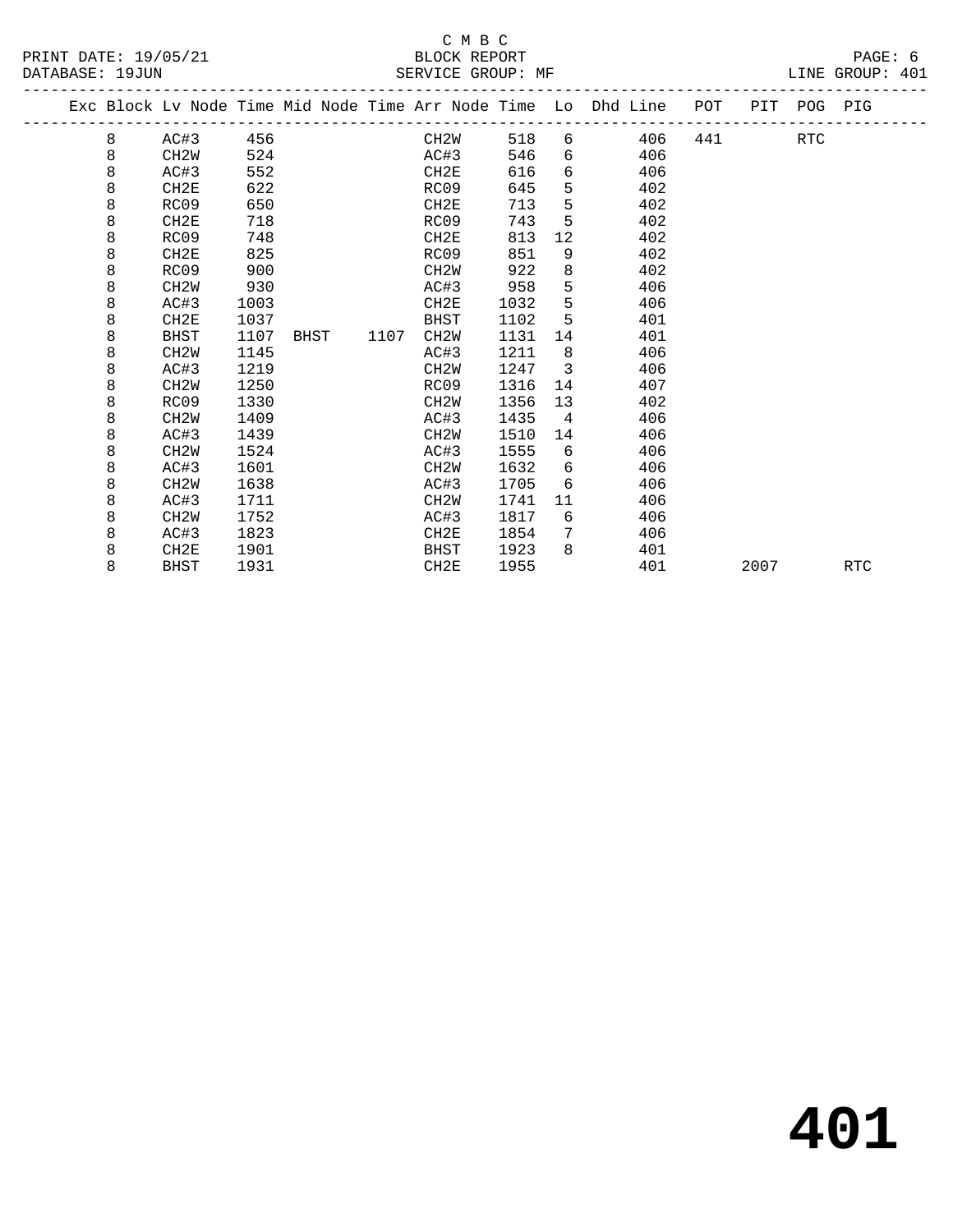|  |   |                   |      |      |      |                   |      |                           | Exc Block Lv Node Time Mid Node Time Arr Node Time Lo Dhd Line POT |     | PIT POG PIG |            |            |  |
|--|---|-------------------|------|------|------|-------------------|------|---------------------------|--------------------------------------------------------------------|-----|-------------|------------|------------|--|
|  | 8 | AC#3              | 456  |      |      | CH2W              | 518  |                           | 406<br>$6 \quad \sigma$                                            | 441 |             | <b>RTC</b> |            |  |
|  | 8 | CH2W              | 524  |      |      | AC#3              | 546  | 6                         | 406                                                                |     |             |            |            |  |
|  | 8 | AC#3              | 552  |      |      | CH2E              | 616  | 6                         | 406                                                                |     |             |            |            |  |
|  | 8 | CH2E              | 622  |      |      | RC09              | 645  | 5                         | 402                                                                |     |             |            |            |  |
|  | 8 | RC09              | 650  |      |      | CH <sub>2E</sub>  | 713  | 5                         | 402                                                                |     |             |            |            |  |
|  | 8 | CH2E              | 718  |      |      | RC09              | 743  | 5                         | 402                                                                |     |             |            |            |  |
|  | 8 | RC09              | 748  |      |      | CH2E              | 813  | 12                        | 402                                                                |     |             |            |            |  |
|  | 8 | CH2E              | 825  |      |      | RC09              | 851  | 9                         | 402                                                                |     |             |            |            |  |
|  | 8 | RC09              | 900  |      |      | CH <sub>2</sub> W | 922  | 8                         | 402                                                                |     |             |            |            |  |
|  | 8 | CH <sub>2</sub> W | 930  |      |      | AC#3              | 958  | 5                         | 406                                                                |     |             |            |            |  |
|  | 8 | AC#3              | 1003 |      |      | CH2E              | 1032 | 5                         | 406                                                                |     |             |            |            |  |
|  | 8 | CH2E              | 1037 |      |      | <b>BHST</b>       | 1102 | -5                        | 401                                                                |     |             |            |            |  |
|  | 8 | BHST              | 1107 | BHST | 1107 | CH <sub>2</sub> M | 1131 | 14                        | 401                                                                |     |             |            |            |  |
|  | 8 | CH <sub>2</sub> W | 1145 |      |      | AC#3              | 1211 | 8                         | 406                                                                |     |             |            |            |  |
|  | 8 | AC#3              | 1219 |      |      | CH2W              | 1247 | $\overline{\phantom{a}3}$ | 406                                                                |     |             |            |            |  |
|  | 8 | CH <sub>2</sub> W | 1250 |      |      | RC09              | 1316 | 14                        | 407                                                                |     |             |            |            |  |
|  | 8 | RC09              | 1330 |      |      | CH <sub>2</sub> W | 1356 | 13                        | 402                                                                |     |             |            |            |  |
|  | 8 | CH <sub>2</sub> W | 1409 |      |      | AC#3              | 1435 | $\overline{4}$            | 406                                                                |     |             |            |            |  |
|  | 8 | AC#3              | 1439 |      |      | CH2W              | 1510 | 14                        | 406                                                                |     |             |            |            |  |
|  | 8 | CH <sub>2</sub> W | 1524 |      |      | AC#3              | 1555 | 6                         | 406                                                                |     |             |            |            |  |
|  | 8 | AC#3              | 1601 |      |      | CH <sub>2</sub> W | 1632 | 6                         | 406                                                                |     |             |            |            |  |
|  | 8 | CH <sub>2</sub> W | 1638 |      |      | AC#3              | 1705 | 6                         | 406                                                                |     |             |            |            |  |
|  | 8 | AC#3              | 1711 |      |      | CH2W              | 1741 | 11                        | 406                                                                |     |             |            |            |  |
|  | 8 | CH <sub>2</sub> W | 1752 |      |      | AC#3              | 1817 | 6                         | 406                                                                |     |             |            |            |  |
|  | 8 | AC#3              | 1823 |      |      | CH2E              | 1854 | 7                         | 406                                                                |     |             |            |            |  |
|  | 8 | CH2E              | 1901 |      |      | <b>BHST</b>       | 1923 | 8                         | 401                                                                |     |             |            |            |  |
|  | 8 | <b>BHST</b>       | 1931 |      |      | CH2E              | 1955 |                           | 401                                                                |     | 2007        |            | <b>RTC</b> |  |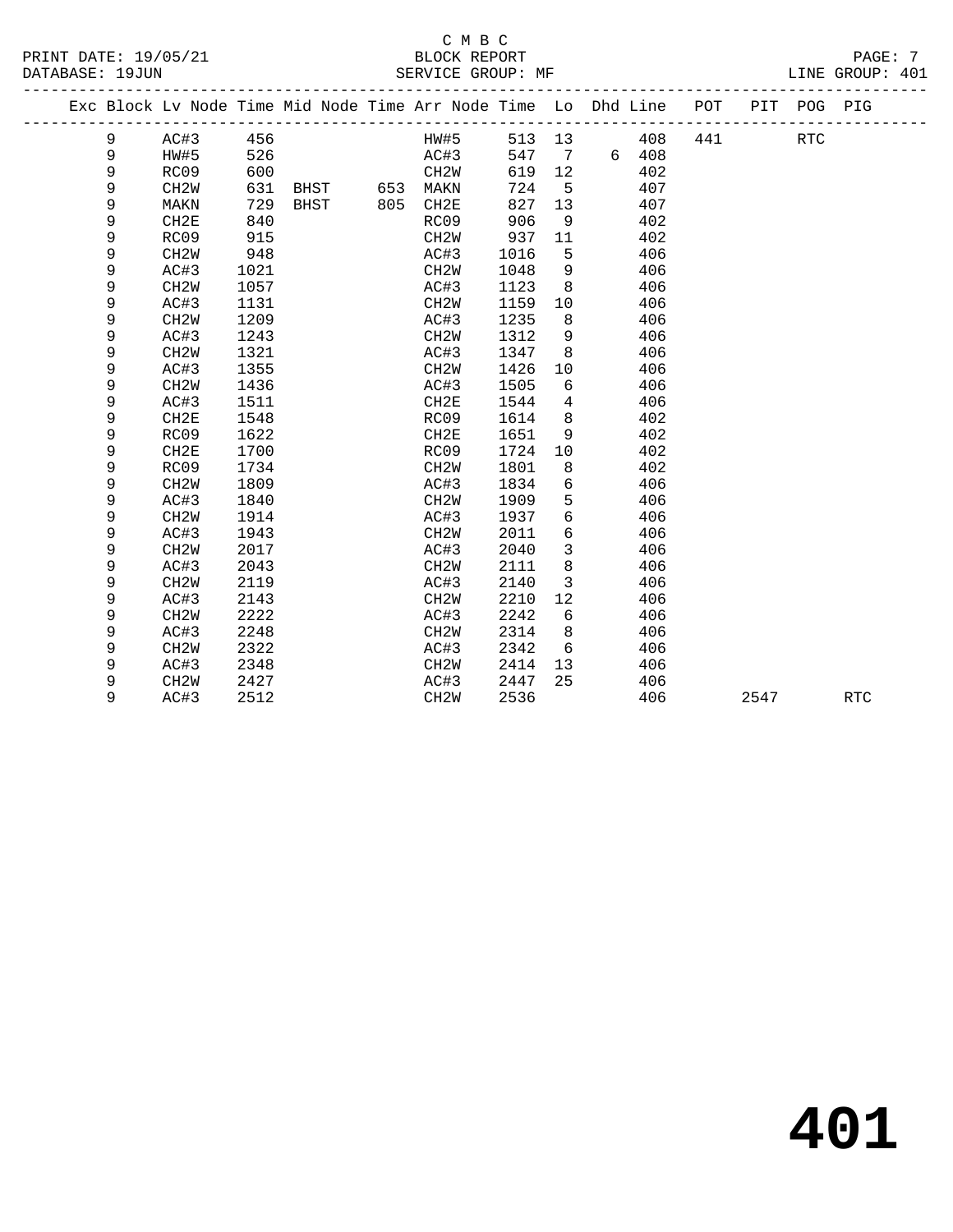#### C M B C<br>BLOCK REPORT PRINT DATE: 19/05/21 BLOCK REPORT PAGE: 7 SERVICE GROUP: MF

|  |   |                   |      | Exc Block Lv Node Time Mid Node Time Arr Node Time Lo Dhd Line POT |     |                   |        |                 |   |     |     | PIT  | POG PIG    |            |
|--|---|-------------------|------|--------------------------------------------------------------------|-----|-------------------|--------|-----------------|---|-----|-----|------|------------|------------|
|  | 9 | AC#3              | 456  |                                                                    |     | HW#5              | 513 13 |                 |   | 408 | 441 |      | <b>RTC</b> |            |
|  | 9 | HW#5              | 526  |                                                                    |     | AC#3              | 547    | $7\phantom{.0}$ | 6 | 408 |     |      |            |            |
|  | 9 | RC09              | 600  |                                                                    |     | CH <sub>2</sub> M | 619    | 12              |   | 402 |     |      |            |            |
|  | 9 | CH <sub>2</sub> W | 631  | BHST                                                               | 653 | MAKN              | 724    | 5               |   | 407 |     |      |            |            |
|  | 9 | MAKN              | 729  | <b>BHST</b>                                                        | 805 | CH2E              | 827    | 13              |   | 407 |     |      |            |            |
|  | 9 | CH2E              | 840  |                                                                    |     | RC09              | 906    | 9               |   | 402 |     |      |            |            |
|  | 9 | RC09              | 915  |                                                                    |     | CH2W              | 937    | 11              |   | 402 |     |      |            |            |
|  | 9 | CH <sub>2</sub> W | 948  |                                                                    |     | AC#3              | 1016   | 5               |   | 406 |     |      |            |            |
|  | 9 | AC#3              | 1021 |                                                                    |     | CH <sub>2</sub> W | 1048   | 9               |   | 406 |     |      |            |            |
|  | 9 | CH <sub>2</sub> W | 1057 |                                                                    |     | AC#3              | 1123   | 8               |   | 406 |     |      |            |            |
|  | 9 | AC#3              | 1131 |                                                                    |     | CH <sub>2</sub> W | 1159   | 10              |   | 406 |     |      |            |            |
|  | 9 | CH <sub>2</sub> W | 1209 |                                                                    |     | AC#3              | 1235   | 8               |   | 406 |     |      |            |            |
|  | 9 | AC#3              | 1243 |                                                                    |     | CH <sub>2</sub> W | 1312   | 9               |   | 406 |     |      |            |            |
|  | 9 | CH <sub>2</sub> W | 1321 |                                                                    |     | AC#3              | 1347   | 8               |   | 406 |     |      |            |            |
|  | 9 | AC#3              | 1355 |                                                                    |     | CH <sub>2</sub> W | 1426   | 10              |   | 406 |     |      |            |            |
|  | 9 | CH <sub>2</sub> W | 1436 |                                                                    |     | AC#3              | 1505   | 6               |   | 406 |     |      |            |            |
|  | 9 | AC#3              | 1511 |                                                                    |     | CH2E              | 1544   | 4               |   | 406 |     |      |            |            |
|  | 9 | CH2E              | 1548 |                                                                    |     | RC09              | 1614   | 8               |   | 402 |     |      |            |            |
|  | 9 | RC09              | 1622 |                                                                    |     | CH2E              | 1651   | 9               |   | 402 |     |      |            |            |
|  | 9 | CH2E              | 1700 |                                                                    |     | RC09              | 1724   | 10              |   | 402 |     |      |            |            |
|  | 9 | RC09              | 1734 |                                                                    |     | CH <sub>2</sub> W | 1801   | 8               |   | 402 |     |      |            |            |
|  | 9 | CH <sub>2</sub> W | 1809 |                                                                    |     | AC#3              | 1834   | 6               |   | 406 |     |      |            |            |
|  | 9 | AC#3              | 1840 |                                                                    |     | CH <sub>2</sub> W | 1909   | 5               |   | 406 |     |      |            |            |
|  | 9 | CH <sub>2</sub> W | 1914 |                                                                    |     | AC#3              | 1937   | 6               |   | 406 |     |      |            |            |
|  | 9 | AC#3              | 1943 |                                                                    |     | CH <sub>2</sub> W | 2011   | 6               |   | 406 |     |      |            |            |
|  | 9 | CH <sub>2</sub> W | 2017 |                                                                    |     | AC#3              | 2040   | 3               |   | 406 |     |      |            |            |
|  | 9 | AC#3              | 2043 |                                                                    |     | CH <sub>2</sub> W | 2111   | 8               |   | 406 |     |      |            |            |
|  | 9 | CH <sub>2</sub> W | 2119 |                                                                    |     | AC#3              | 2140   | 3               |   | 406 |     |      |            |            |
|  | 9 | AC#3              | 2143 |                                                                    |     | CH <sub>2</sub> W | 2210   | 12              |   | 406 |     |      |            |            |
|  | 9 | CH <sub>2</sub> W | 2222 |                                                                    |     | AC#3              | 2242   | 6               |   | 406 |     |      |            |            |
|  | 9 | AC#3              | 2248 |                                                                    |     | CH <sub>2</sub> M | 2314   | 8               |   | 406 |     |      |            |            |
|  | 9 | CH <sub>2</sub> W | 2322 |                                                                    |     | AC#3              | 2342   | 6               |   | 406 |     |      |            |            |
|  | 9 | AC#3              | 2348 |                                                                    |     | CH <sub>2</sub> W | 2414   | 13              |   | 406 |     |      |            |            |
|  | 9 | CH <sub>2</sub> W | 2427 |                                                                    |     | AC#3              | 2447   | 25              |   | 406 |     |      |            |            |
|  | 9 | AC#3              | 2512 |                                                                    |     | CH <sub>2</sub> W | 2536   |                 |   | 406 |     | 2547 |            | <b>RTC</b> |
|  |   |                   |      |                                                                    |     |                   |        |                 |   |     |     |      |            |            |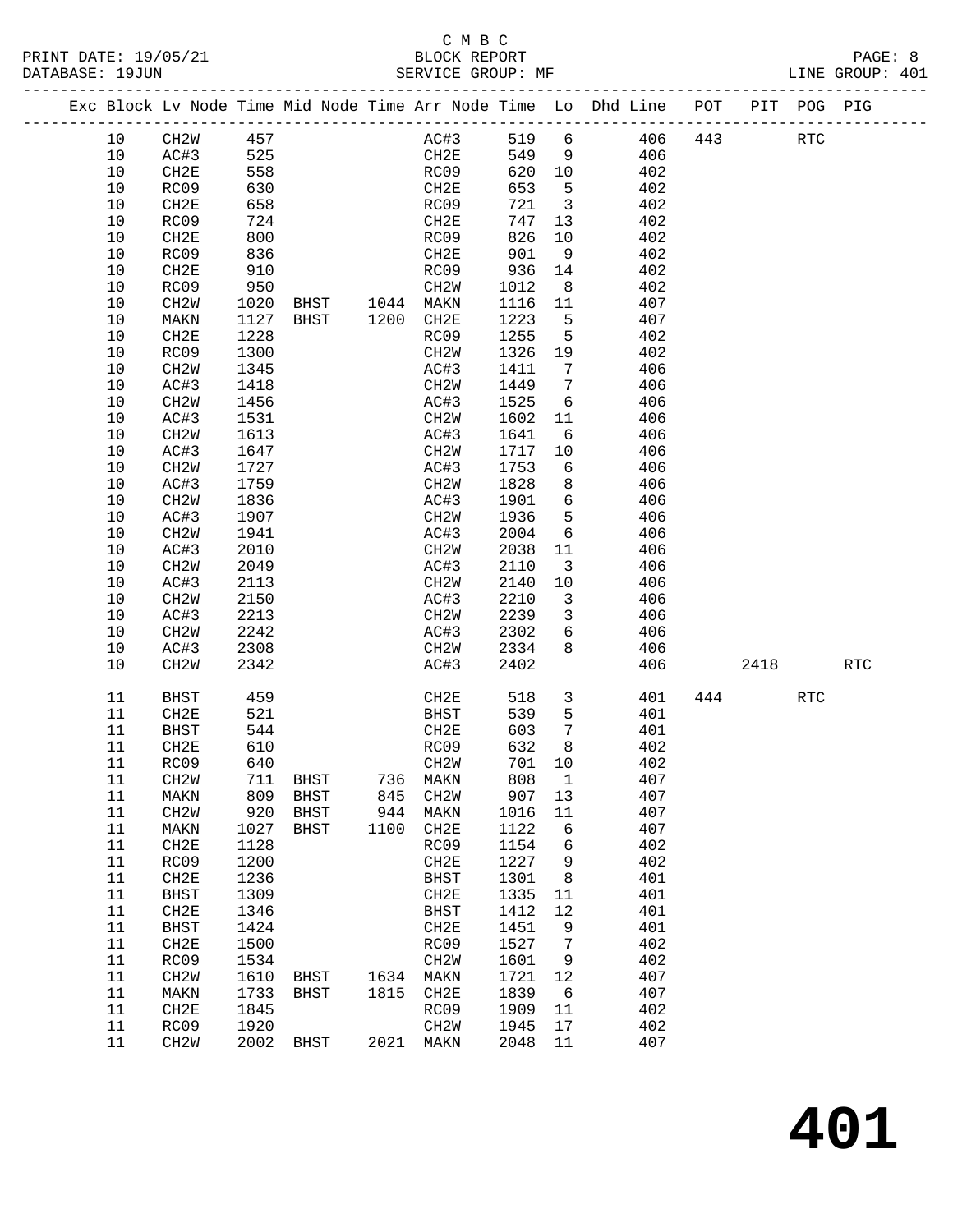#### C M B C<br>BLOCK REPORT PRINT DATE: 19/05/21 BLOCK REPORT PAGE: 8 SERVICE GROUP: MF

|  |          |                   |              | Exc Block Lv Node Time Mid Node Time Arr Node Time Lo Dhd Line POT |      |                           |      |               |                         |            |     |      | PIT POG PIG |            |
|--|----------|-------------------|--------------|--------------------------------------------------------------------|------|---------------------------|------|---------------|-------------------------|------------|-----|------|-------------|------------|
|  | 10       | CH2W              | 457          |                                                                    |      | AC#3                      |      | 519 6         |                         | 406        | 443 |      | <b>RTC</b>  |            |
|  | 10       | AC#3              | 525          |                                                                    |      | CH2E                      |      | 549 9         |                         | 406        |     |      |             |            |
|  | 10       | CH2E              | 558          |                                                                    |      | RC09                      |      | 620 10        |                         | 402        |     |      |             |            |
|  | 10       | RC09              | 630          |                                                                    |      | CH2E                      |      | 653           | $5^{\circ}$             | 402        |     |      |             |            |
|  | 10       | CH2E              | 658          |                                                                    |      | RC09                      |      | 721           | $\overline{\mathbf{3}}$ | 402        |     |      |             |            |
|  | 10       | RC09              | 724          |                                                                    |      | CH2E                      |      | 747           | 13                      | 402        |     |      |             |            |
|  | 10       | CH2E              | 800          |                                                                    |      | RC09                      |      | 826           | 10                      | 402        |     |      |             |            |
|  | 10       | RC09              | 836          |                                                                    |      | CH2E                      |      | 901           | 9                       | 402        |     |      |             |            |
|  | 10       | CH2E              | 910          |                                                                    |      | RC09                      |      | 936           | 14                      | 402        |     |      |             |            |
|  | 10       | RC09              | 950          |                                                                    |      | CH2W                      |      | 1012          | 8 <sup>8</sup>          | 402        |     |      |             |            |
|  | 10       | CH2W              | 1020         | BHST 1044 MAKN                                                     |      |                           |      | 1116 11       |                         | 407        |     |      |             |            |
|  | 10       | MAKN              | 1127         | BHST 1200 CH2E                                                     |      |                           |      | 1223          | $5^{\circ}$             | 407        |     |      |             |            |
|  | 10       | CH2E              | 1228         |                                                                    |      | RC09                      |      | 1255          | $5^{\circ}$             | 402        |     |      |             |            |
|  | 10       | RC09              | 1300         |                                                                    |      | CH2W                      |      | 1326          | 19                      | 402        |     |      |             |            |
|  | 10       | CH2W              | 1345         |                                                                    |      | AC#3                      |      | 1411          | $7\phantom{0}$          | 406        |     |      |             |            |
|  | 10       | AC#3              | 1418         |                                                                    |      | CH2W                      |      | 1449          | $\overline{7}$          | 406        |     |      |             |            |
|  | 10       | CH2W              | 1456         |                                                                    |      | AC#3                      |      | 1525          | 6                       | 406        |     |      |             |            |
|  | 10<br>10 | AC#3<br>CH2W      | 1531<br>1613 |                                                                    |      | CH2W<br>AC#3              |      | 1602<br>1641  | 11<br>6                 | 406<br>406 |     |      |             |            |
|  | 10       | AC#3              | 1647         |                                                                    |      | CH2W                      |      | 1717          | 10                      | 406        |     |      |             |            |
|  | 10       | CH2W              | 1727         |                                                                    |      | AC#3                      |      | 1753          | 6                       | 406        |     |      |             |            |
|  | $10$     | AC#3              | 1759         |                                                                    |      | CH <sub>2</sub> W         |      | 1828          | 8                       | 406        |     |      |             |            |
|  | $10$     | CH <sub>2</sub> M | 1836         |                                                                    |      | AC#3                      |      | 1901          | 6                       | 406        |     |      |             |            |
|  | 10       | AC#3              | 1907         |                                                                    |      | CH2W                      |      | 1936          | 5                       | 406        |     |      |             |            |
|  | 10       | CH <sub>2</sub> W | 1941         |                                                                    |      | AC#3                      |      | 2004          | 6                       | 406        |     |      |             |            |
|  | 10       | AC#3              | 2010         |                                                                    |      | CH2W                      |      | 2038          | 11                      | 406        |     |      |             |            |
|  | 10       | CH2W              | 2049         |                                                                    |      | AC#3                      |      | 2110          | $\overline{\mathbf{3}}$ | 406        |     |      |             |            |
|  | 10       | AC#3              | 2113         |                                                                    |      | CH2W                      |      | 2140          | 10                      | 406        |     |      |             |            |
|  | 10       | CH <sub>2</sub> W | 2150         |                                                                    |      | AC#3                      |      | 2210          | $\overline{\mathbf{3}}$ | 406        |     |      |             |            |
|  | 10       | AC#3              | 2213         |                                                                    |      | CH2W                      |      | 2239          | $\overline{\mathbf{3}}$ | 406        |     |      |             |            |
|  | 10       | CH2W              | 2242         |                                                                    |      | AC#3                      |      | 2302          | 6                       | 406        |     |      |             |            |
|  | 10       | AC#3              | 2308         |                                                                    |      | CH2W                      |      | 2334          | 8                       | 406        |     |      |             |            |
|  | 10       | CH <sub>2</sub> W | 2342         |                                                                    |      | AC#3                      |      | 2402          |                         | 406        |     | 2418 |             | <b>RTC</b> |
|  | 11       | BHST              | 459          |                                                                    |      |                           | CH2E | 518           | $\overline{3}$          | 401        | 444 |      | <b>RTC</b>  |            |
|  | 11       | CH2E              | 521          |                                                                    |      | BHST                      |      | 539           | $5^{\circ}$             | 401        |     |      |             |            |
|  | 11       | BHST              | 544          |                                                                    |      | CH2E                      |      | 603           | $\overline{7}$          | 401        |     |      |             |            |
|  | 11<br>11 | CH2E              | 610<br>640   |                                                                    |      | RC09<br>CH <sub>2</sub> W |      | 632<br>701 10 | 8                       | 402<br>402 |     |      |             |            |
|  |          | RC09<br>CH2W      |              | 711 BHST                                                           |      | 736 MAKN                  |      | 808 1         |                         | 407        |     |      |             |            |
|  | 11<br>11 | MAKN              | 809          | BHST                                                               | 845  | CH <sub>2</sub> M         |      | 907           | 13                      | 407        |     |      |             |            |
|  | 11       | CH2W              | 920          | BHST                                                               | 944  | MAKN                      |      | 1016          | 11                      | 407        |     |      |             |            |
|  | 11       | MAKN              | 1027         | BHST                                                               | 1100 | CH2E                      |      | 1122          | 6                       | 407        |     |      |             |            |
|  | 11       | CH2E              | 1128         |                                                                    |      | RC09                      |      | 1154          | 6                       | 402        |     |      |             |            |
|  | 11       | RC09              | 1200         |                                                                    |      | CH2E                      |      | 1227          | 9                       | 402        |     |      |             |            |
|  | 11       | CH2E              | 1236         |                                                                    |      | <b>BHST</b>               |      | 1301          | 8                       | 401        |     |      |             |            |
|  | 11       | <b>BHST</b>       | 1309         |                                                                    |      | CH2E                      |      | 1335          | 11                      | 401        |     |      |             |            |
|  | 11       | CH <sub>2E</sub>  | 1346         |                                                                    |      | BHST                      |      | 1412          | 12                      | 401        |     |      |             |            |
|  | 11       | <b>BHST</b>       | 1424         |                                                                    |      | CH2E                      |      | 1451          | 9                       | 401        |     |      |             |            |
|  | 11       | CH <sub>2E</sub>  | 1500         |                                                                    |      | RC09                      |      | 1527          | 7                       | 402        |     |      |             |            |
|  | 11       | RC09              | 1534         |                                                                    |      | CH2W                      |      | 1601          | 9                       | 402        |     |      |             |            |
|  | 11       | CH2W              | 1610         | BHST                                                               | 1634 | MAKN                      |      | 1721          | 12                      | 407        |     |      |             |            |
|  | 11       | MAKN              | 1733         | <b>BHST</b>                                                        | 1815 | CH2E                      |      | 1839          | 6                       | 407        |     |      |             |            |
|  | 11       | CH <sub>2E</sub>  | 1845         |                                                                    |      | RC09                      |      | 1909          | 11                      | 402        |     |      |             |            |
|  | 11<br>11 | RC09              | 1920         |                                                                    |      | CH2W<br>2021 MAKN         |      | 1945<br>2048  | 17<br>11                | 402<br>407 |     |      |             |            |
|  |          | CH <sub>2</sub> W |              | 2002 BHST                                                          |      |                           |      |               |                         |            |     |      |             |            |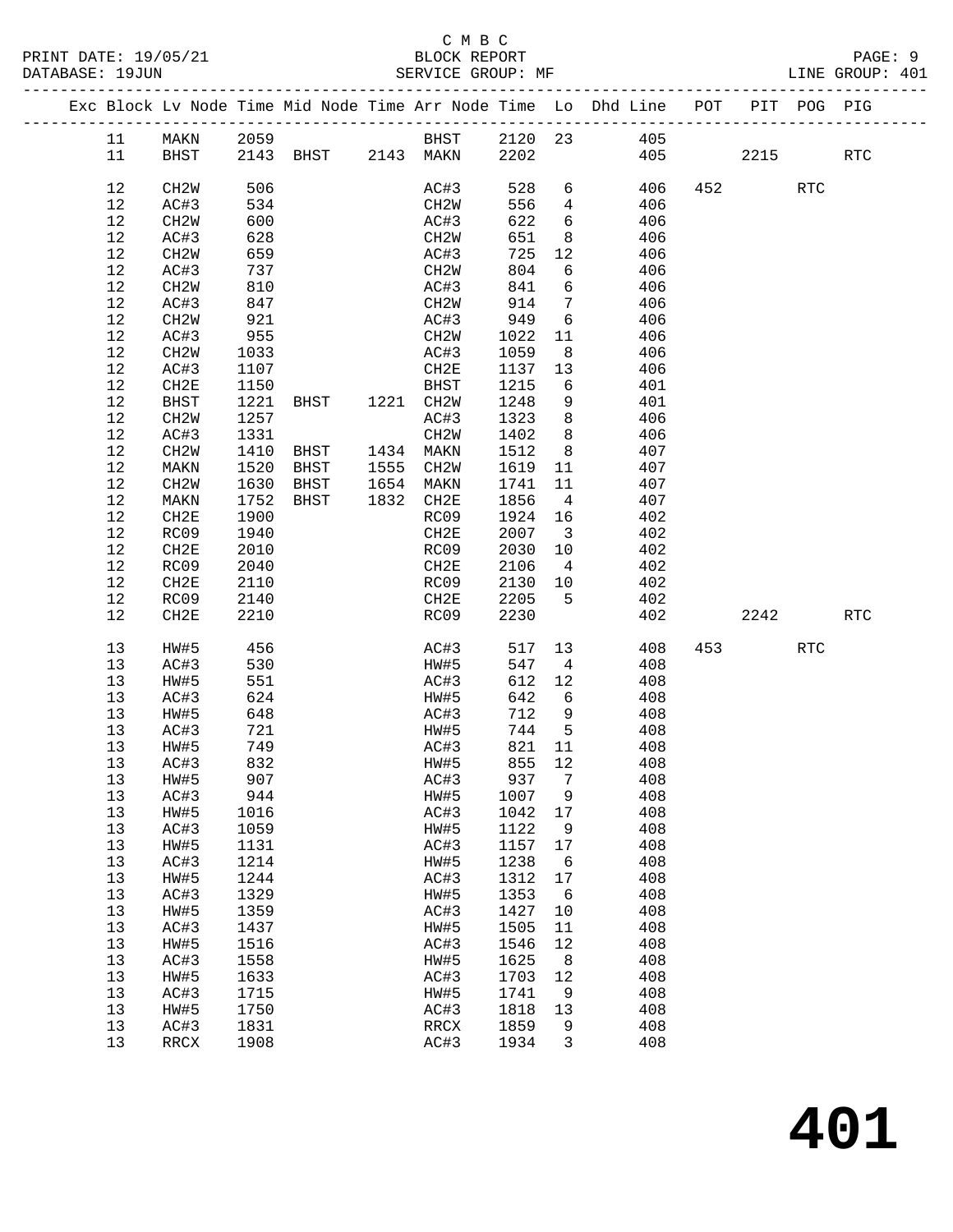### C M B C

| DATABASE: 19JUN |    |                   |            | SERVICE GROUP: MF             |             |        |                         |                                                                    |                        |             | LINE GROUP: 401 |  |
|-----------------|----|-------------------|------------|-------------------------------|-------------|--------|-------------------------|--------------------------------------------------------------------|------------------------|-------------|-----------------|--|
|                 |    |                   |            |                               |             |        |                         | Exc Block Lv Node Time Mid Node Time Arr Node Time Lo Dhd Line POT |                        | PIT POG PIG |                 |  |
|                 | 11 |                   |            |                               |             |        |                         | MAKN 2059 BHST 2120 23 405                                         |                        |             |                 |  |
|                 | 11 |                   |            | BHST 2143 BHST 2143 MAKN 2202 |             |        |                         | 405                                                                |                        | 2215        | RTC             |  |
|                 | 12 | CH2W              | 506        |                               | AC#3        | 528    | $6\overline{}$          | 406                                                                | 452 and $\overline{a}$ | RTC         |                 |  |
|                 | 12 | AC#3              | 534        |                               | CH2W        | 556    | $\overline{4}$          | 406                                                                |                        |             |                 |  |
|                 | 12 | CH2W              | 600        |                               | AC#3        | 622    | $6\overline{6}$         | 406                                                                |                        |             |                 |  |
|                 | 12 | AC#3              | 628        |                               | CH2W        | 651    | 8 <sup>8</sup>          | 406                                                                |                        |             |                 |  |
|                 | 12 | CH2W              | 659        |                               | AC#3        | 725    | 12                      | 406                                                                |                        |             |                 |  |
|                 | 12 | AC#3              | 737        |                               | CH2W        | 804    | 6                       | 406                                                                |                        |             |                 |  |
|                 | 12 | CH2W              | 810        |                               | AC#3        | 841    | 6                       | 406                                                                |                        |             |                 |  |
|                 | 12 | AC#3              | 847        |                               | CH2W        | 914    | $\overline{7}$          | 406                                                                |                        |             |                 |  |
|                 | 12 | CH2W              | 921        |                               | AC#3        | 949    | 6                       | 406                                                                |                        |             |                 |  |
|                 | 12 | AC#3              | 955        |                               | CH2W        | 1022   | 11                      | 406                                                                |                        |             |                 |  |
|                 | 12 | CH <sub>2</sub> M | 1033       |                               | AC#3        | 1059   | 8 <sup>8</sup>          | 406                                                                |                        |             |                 |  |
|                 | 12 | AC#3              | 1107       |                               | CH2E        | 1137   | 13                      | 406                                                                |                        |             |                 |  |
|                 | 12 | CH2E              | 1150       |                               | BHST        | 1215   | 6                       | 401                                                                |                        |             |                 |  |
|                 | 12 | BHST              | 1221       |                               |             | 1248   | 9                       | 401                                                                |                        |             |                 |  |
|                 | 12 | CH2W              | 1257       |                               | AC#3        | 1323   | 8 <sup>8</sup>          | 406                                                                |                        |             |                 |  |
|                 | 12 | AC#3              | 1331       |                               | CH2W        | 1402   | 8 <sup>8</sup>          | 406                                                                |                        |             |                 |  |
|                 | 12 | CH <sub>2</sub> W | 1410       | BHST 1434 MAKN                |             | 1512   | 8 <sup>8</sup>          | 407                                                                |                        |             |                 |  |
|                 | 12 | MAKN              | 1520       | BHST                          | 1555 CH2W   | 1619   | 11                      | 407                                                                |                        |             |                 |  |
|                 | 12 | CH2W              | 1630       | BHST                          | 1654 MAKN   | 1741   | 11                      | 407                                                                |                        |             |                 |  |
|                 | 12 | MAKN              | 1752       | BHST                          | 1832 CH2E   | 1856   | $\overline{4}$          | 407                                                                |                        |             |                 |  |
|                 | 12 | CH2E              | 1900       |                               | RC09        | 1924   | 16                      | 402                                                                |                        |             |                 |  |
|                 | 12 | RC09              | 1940       |                               | CH2E        | 2007   | $\overline{\mathbf{3}}$ | 402                                                                |                        |             |                 |  |
|                 | 12 | CH2E              | 2010       |                               | RC09        | 2030   | 10                      | 402                                                                |                        |             |                 |  |
|                 | 12 | RC09              | 2040       |                               | CH2E        | 2106   | $\overline{4}$          | 402                                                                |                        |             |                 |  |
|                 | 12 | CH2E              | 2110       |                               | RC09        | 2130   | 10                      | 402                                                                |                        |             |                 |  |
|                 | 12 | RC09              | 2140       |                               | CH2E        | 2205   | $5^{\circ}$             | 402                                                                |                        |             |                 |  |
|                 | 12 | CH2E              | 2210       |                               | RC09        | 2230   |                         | 402                                                                |                        | 2242        | RTC             |  |
|                 |    |                   |            |                               |             |        |                         |                                                                    |                        |             |                 |  |
|                 | 13 | HW#5              | 456        |                               | AC#3        | 517    | 13                      | 408                                                                | 453 and $\overline{a}$ | RTC         |                 |  |
|                 | 13 | AC#3              | 530        |                               | HW#5        | 547    | $\overline{4}$          | 408                                                                |                        |             |                 |  |
|                 | 13 | HW#5              | 551        |                               | AC#3        | 612    | 12                      | 408                                                                |                        |             |                 |  |
|                 | 13 | AC#3              | 624        |                               | HW#5        | 642    | 6                       | 408                                                                |                        |             |                 |  |
|                 | 13 | HW#5              | 648        |                               | AC#3        | 712 9  |                         | 408                                                                |                        |             |                 |  |
|                 | 13 | AC#3              | 721<br>749 |                               | HW#5        | 744    | $5^{\circ}$             | 408                                                                |                        |             |                 |  |
|                 | 13 | HW#5              | 749        |                               | AC#3        | 821 11 |                         | 408                                                                |                        |             |                 |  |
|                 | 13 | AC#3              | 832        |                               | HW#5 855 12 |        |                         | 408                                                                |                        |             |                 |  |
|                 | 13 | HW#5              | 907        |                               | AC#3        | 937    | 7                       | 408                                                                |                        |             |                 |  |
|                 | 13 | AC#3              | 944        |                               | HW#5        | 1007   | 9                       | 408                                                                |                        |             |                 |  |
|                 | 13 | HW#5              | 1016       |                               | AC#3        | 1042   | 17                      | 408                                                                |                        |             |                 |  |
|                 | 13 | AC#3              | 1059       |                               | HW#5        | 1122   | $\mathsf 9$             | 408                                                                |                        |             |                 |  |
|                 | 13 | HW#5              | 1131       |                               | AC#3        | 1157   | 17                      | 408                                                                |                        |             |                 |  |
|                 | 13 | AC#3              | 1214       |                               | HW#5        | 1238   | 6                       | 408                                                                |                        |             |                 |  |
|                 | 13 | HW#5              | 1244       |                               | AC#3        | 1312   | 17                      | 408                                                                |                        |             |                 |  |
|                 | 13 | AC#3              | 1329       |                               | HW#5        | 1353   | 6                       | 408                                                                |                        |             |                 |  |
|                 | 13 | HW#5              | 1359       |                               | AC#3        | 1427   | 10                      | 408                                                                |                        |             |                 |  |
|                 | 13 | AC#3              | 1437       |                               | HW#5        | 1505   | 11                      | 408                                                                |                        |             |                 |  |
|                 | 13 | HW#5              | 1516       |                               | AC#3        | 1546   | 12                      | 408                                                                |                        |             |                 |  |
|                 | 13 | AC#3              | 1558       |                               | HW#5        | 1625   | 8                       | 408                                                                |                        |             |                 |  |
|                 | 13 | HW#5              | 1633       |                               | AC#3        | 1703   | 12                      | 408                                                                |                        |             |                 |  |
|                 | 13 | AC#3              | 1715       |                               | HW#5        | 1741   | 9                       | 408                                                                |                        |             |                 |  |
|                 | 13 | HW#5              | 1750       |                               | AC#3        | 1818   | 13                      | 408                                                                |                        |             |                 |  |
|                 | 13 | AC#3              | 1831       |                               | RRCX        | 1859   | 9                       | 408                                                                |                        |             |                 |  |
|                 | 13 | RRCX              | 1908       |                               | AC#3        | 1934   | 3                       | 408                                                                |                        |             |                 |  |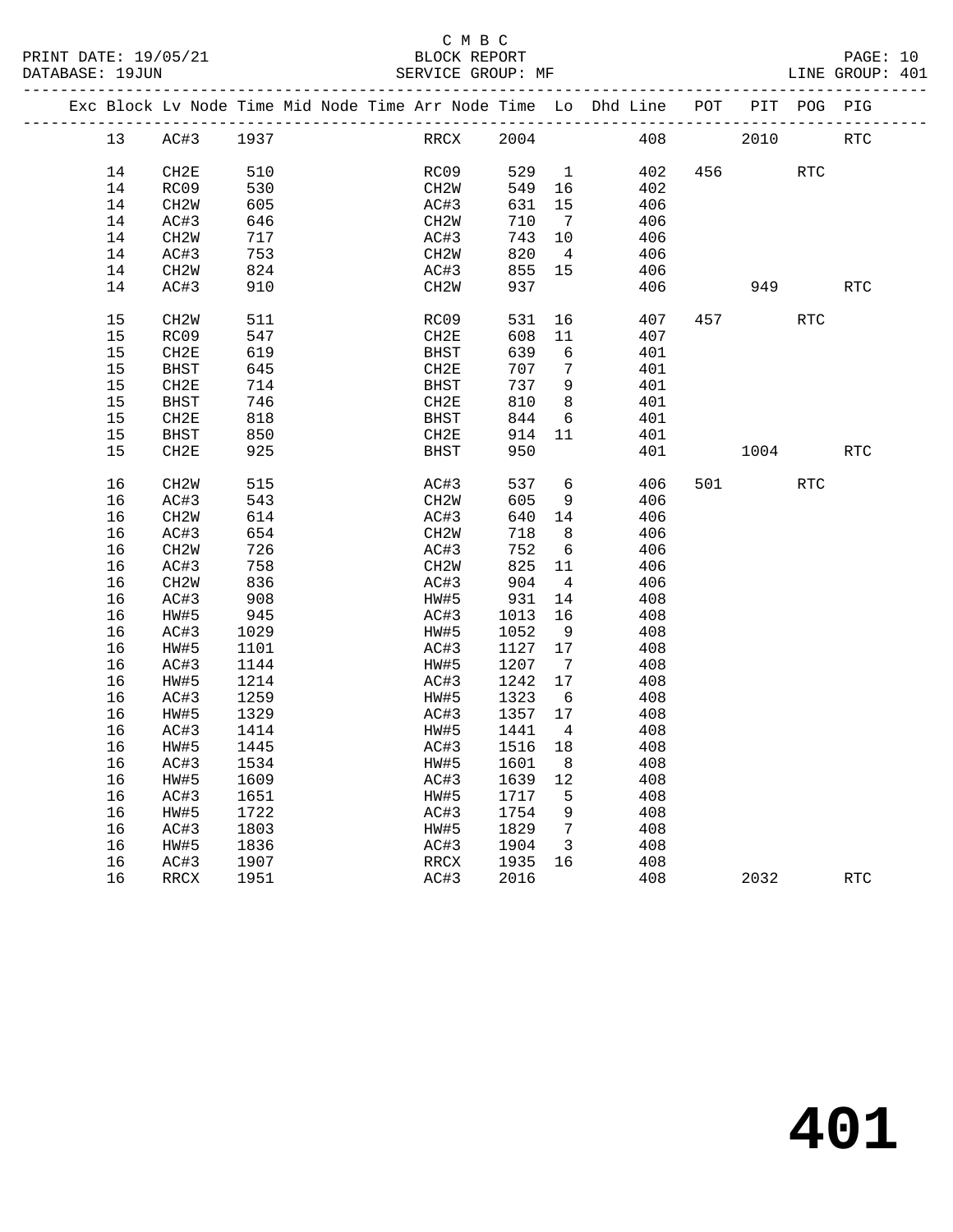### C M B C<br>BLOCK REPORT

PAGE: 10<br>LINE GROUP: 401

|  |                 | Exc Block Lv Node Time Mid Node Time Arr Node Time Lo Dhd Line |      |  |                   |        |                         |     | POT |      | PIT POG PIG |            |
|--|-----------------|----------------------------------------------------------------|------|--|-------------------|--------|-------------------------|-----|-----|------|-------------|------------|
|  | 13 <sup>°</sup> | AC#3                                                           | 1937 |  | RRCX              | 2004   |                         | 408 |     | 2010 |             | <b>RTC</b> |
|  | 14              | CH2E                                                           | 510  |  | RC09              | 529    | $\overline{1}$          | 402 | 456 |      | <b>RTC</b>  |            |
|  | 14              | RC09                                                           | 530  |  | CH <sub>2</sub> W | 549    | 16                      | 402 |     |      |             |            |
|  | 14              | CH <sub>2</sub> M                                              | 605  |  | AC#3              | 631    | 15                      | 406 |     |      |             |            |
|  | 14              | AC#3                                                           | 646  |  | CH <sub>2</sub> W | 710    | 7                       | 406 |     |      |             |            |
|  | 14              | CH <sub>2</sub> W                                              | 717  |  | AC#3              | 743    | 10                      | 406 |     |      |             |            |
|  | 14              | AC#3                                                           | 753  |  | CH <sub>2</sub> W | 820    | $\overline{4}$          | 406 |     |      |             |            |
|  | 14              | CH <sub>2</sub> W                                              | 824  |  | AC#3              | 855    | 15                      | 406 |     |      |             |            |
|  | 14              | AC#3                                                           | 910  |  | CH <sub>2</sub> W | 937    |                         | 406 |     | 949  |             | <b>RTC</b> |
|  |                 |                                                                |      |  |                   |        |                         |     |     |      |             |            |
|  | 15              | CH <sub>2</sub> W                                              | 511  |  | RC09              | 531    | 16                      | 407 | 457 |      | <b>RTC</b>  |            |
|  | 15              | RC09                                                           | 547  |  | CH2E              | 608    | 11                      | 407 |     |      |             |            |
|  | 15              | CH2E                                                           | 619  |  | BHST              | 639    | 6                       | 401 |     |      |             |            |
|  | 15              | <b>BHST</b>                                                    | 645  |  | CH <sub>2E</sub>  | 707    | 7                       | 401 |     |      |             |            |
|  | 15              | CH2E                                                           | 714  |  | <b>BHST</b>       | 737    | 9                       | 401 |     |      |             |            |
|  | 15              | <b>BHST</b>                                                    | 746  |  | CH2E              | 810    | 8                       | 401 |     |      |             |            |
|  | 15              | CH2E                                                           | 818  |  | <b>BHST</b>       | 844    | 6                       | 401 |     |      |             |            |
|  | 15              | <b>BHST</b>                                                    | 850  |  | CH2E              | 914    | 11                      | 401 |     |      |             |            |
|  | 15              | CH2E                                                           | 925  |  | <b>BHST</b>       | 950    |                         | 401 |     | 1004 |             | RTC        |
|  | 16              | CH <sub>2</sub> M                                              | 515  |  | AC#3              | 537    | 6                       | 406 | 501 |      | <b>RTC</b>  |            |
|  | 16              | AC#3                                                           | 543  |  | CH <sub>2</sub> M | 605    | 9                       | 406 |     |      |             |            |
|  | 16              | CH <sub>2</sub> M                                              | 614  |  | AC#3              | 640 14 |                         | 406 |     |      |             |            |
|  | 16              | AC#3                                                           | 654  |  | CH <sub>2</sub> W | 718    | 8                       | 406 |     |      |             |            |
|  | 16              | CH <sub>2</sub> M                                              | 726  |  | AC#3              | 752    | 6                       | 406 |     |      |             |            |
|  | 16              | AC#3                                                           | 758  |  | CH <sub>2</sub> W | 825    | 11                      | 406 |     |      |             |            |
|  | 16              | CH <sub>2</sub> M                                              | 836  |  | AC#3              | 904    | $\overline{4}$          | 406 |     |      |             |            |
|  | 16              | AC#3                                                           | 908  |  | HW#5              | 931    | 14                      | 408 |     |      |             |            |
|  | 16              | HW#5                                                           | 945  |  | AC#3              | 1013   | 16                      | 408 |     |      |             |            |
|  | 16              | AC#3                                                           | 1029 |  | HW#5              | 1052   | - 9                     | 408 |     |      |             |            |
|  | 16              | HW#5                                                           | 1101 |  | AC#3              | 1127   | 17                      | 408 |     |      |             |            |
|  | 16              | AC#3                                                           | 1144 |  | HW#5              | 1207   | $\overline{7}$          | 408 |     |      |             |            |
|  | 16              | HW#5                                                           | 1214 |  | AC#3              | 1242   | 17                      | 408 |     |      |             |            |
|  | 16              | AC#3                                                           | 1259 |  | HW#5              | 1323   | 6                       | 408 |     |      |             |            |
|  | 16              | HW#5                                                           | 1329 |  | AC#3              | 1357   | 17                      | 408 |     |      |             |            |
|  | 16              | AC#3                                                           | 1414 |  | HW#5              | 1441   | $\overline{4}$          | 408 |     |      |             |            |
|  | 16              | HW#5                                                           | 1445 |  | AC#3              | 1516   | 18                      | 408 |     |      |             |            |
|  | 16              | AC#3                                                           | 1534 |  | HW#5              | 1601   | 8                       | 408 |     |      |             |            |
|  | 16              |                                                                |      |  |                   |        | 12                      |     |     |      |             |            |
|  |                 | HW#5                                                           | 1609 |  | AC#3              | 1639   | 5                       | 408 |     |      |             |            |
|  | 16              | AC#3                                                           | 1651 |  | HW#5              | 1717   |                         | 408 |     |      |             |            |
|  | 16              | HW#5                                                           | 1722 |  | AC#3              | 1754   | 9<br>$7\overline{7}$    | 408 |     |      |             |            |
|  | 16              | AC#3                                                           | 1803 |  | HW#5              | 1829   |                         | 408 |     |      |             |            |
|  | 16              | HW#5                                                           | 1836 |  | AC#3              | 1904   | $\overline{\mathbf{3}}$ | 408 |     |      |             |            |
|  | 16              | AC#3                                                           | 1907 |  | RRCX              | 1935   | 16                      | 408 |     |      |             |            |
|  | 16              | RRCX                                                           | 1951 |  | AC#3              | 2016   |                         | 408 |     | 2032 |             | RTC        |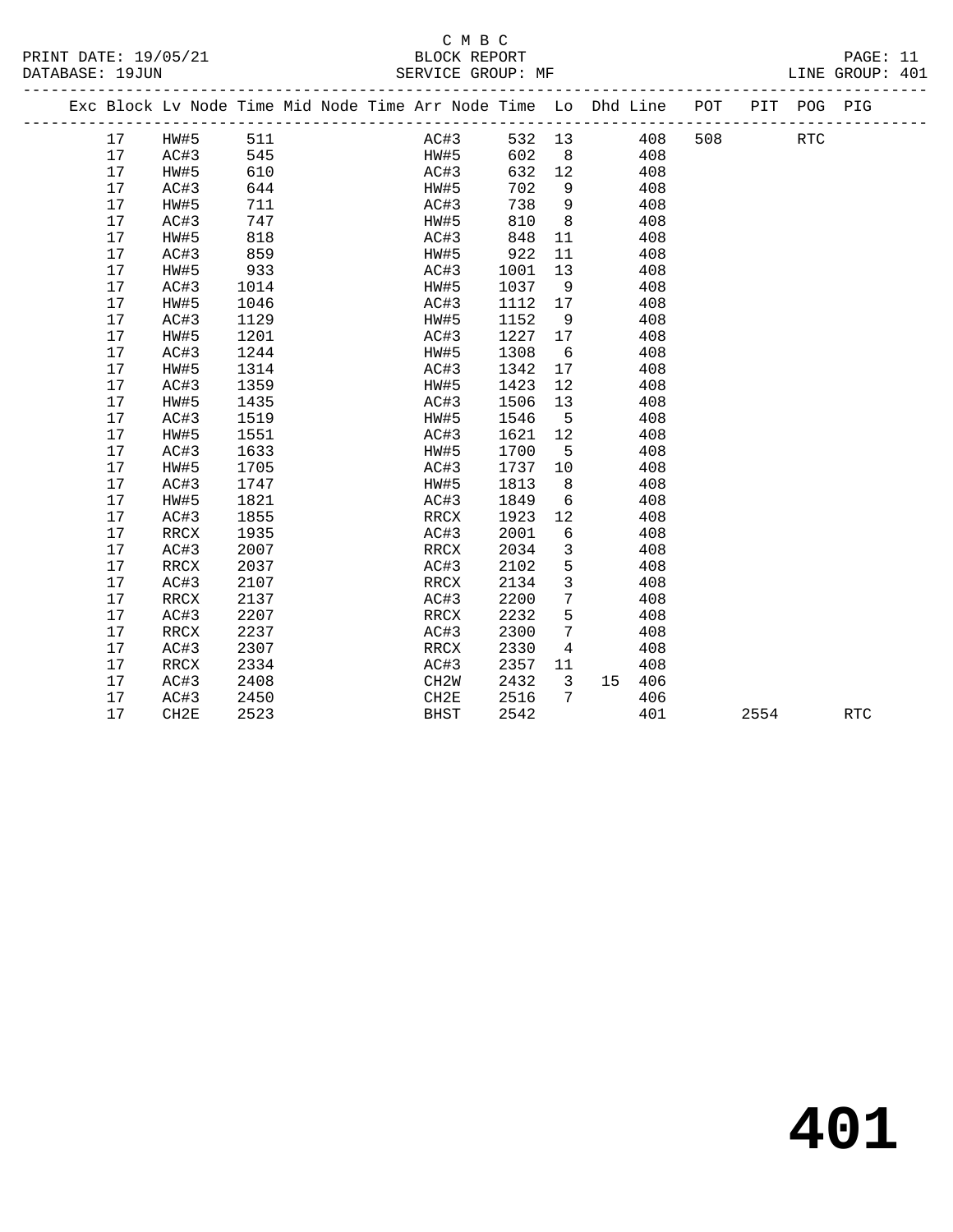## C M B C<br>BLOCK REPORT

LINE GROUP: 401

PRINT DATE: 19/05/21 BLOCK REPORT PAGE: 11

|  |    | Exc Block Lv Node Time Mid Node Time Arr Node Time Lo Dhd Line POT |      |  |                   |      |      |                 |    |            |     |      | PIT POG PIG          |            |
|--|----|--------------------------------------------------------------------|------|--|-------------------|------|------|-----------------|----|------------|-----|------|----------------------|------------|
|  | 17 | HW#5                                                               | 511  |  |                   | AC#3 |      |                 |    | 532 13 408 | 508 |      | $\operatorname{RTC}$ |            |
|  | 17 | AC#3                                                               | 545  |  | HW#5              |      | 602  | 8 <sup>1</sup>  |    | 408        |     |      |                      |            |
|  | 17 | HW#5                                                               | 610  |  | AC#3              |      | 632  | 12              |    | 408        |     |      |                      |            |
|  | 17 | AC#3                                                               | 644  |  | HW#5              |      | 702  | 9               |    | 408        |     |      |                      |            |
|  | 17 | HW#5                                                               | 711  |  | AC#3              |      | 738  | 9               |    | 408        |     |      |                      |            |
|  | 17 | AC#3                                                               | 747  |  | HW#5              |      | 810  | 8               |    | 408        |     |      |                      |            |
|  | 17 | HW#5                                                               | 818  |  | AC#3              |      | 848  | 11              |    | 408        |     |      |                      |            |
|  | 17 | AC#3                                                               | 859  |  | HW#5              |      | 922  | 11              |    | 408        |     |      |                      |            |
|  | 17 | HW#5                                                               | 933  |  | AC#3              |      | 1001 | 13              |    | 408        |     |      |                      |            |
|  | 17 | AC#3                                                               | 1014 |  | HW#5              |      | 1037 | 9               |    | 408        |     |      |                      |            |
|  | 17 | HW#5                                                               | 1046 |  | AC#3              |      | 1112 | 17              |    | 408        |     |      |                      |            |
|  | 17 | AC#3                                                               | 1129 |  | HW#5              |      | 1152 | 9               |    | 408        |     |      |                      |            |
|  | 17 | HW#5                                                               | 1201 |  | AC#3              |      | 1227 | 17              |    | 408        |     |      |                      |            |
|  | 17 | AC#3                                                               | 1244 |  | HW#5              |      | 1308 | 6               |    | 408        |     |      |                      |            |
|  | 17 | HW#5                                                               | 1314 |  | AC#3              |      | 1342 | 17              |    | 408        |     |      |                      |            |
|  | 17 | AC#3                                                               | 1359 |  | HW#5              |      | 1423 | 12              |    | 408        |     |      |                      |            |
|  | 17 | HW#5                                                               | 1435 |  | AC#3              |      | 1506 | 13              |    | 408        |     |      |                      |            |
|  | 17 | AC#3                                                               | 1519 |  | HW#5              |      | 1546 | $5^{\circ}$     |    | 408        |     |      |                      |            |
|  | 17 | HW#5                                                               | 1551 |  | AC#3              |      | 1621 | 12              |    | 408        |     |      |                      |            |
|  | 17 | AC#3                                                               | 1633 |  | HW#5              |      | 1700 | 5               |    | 408        |     |      |                      |            |
|  | 17 | HW#5                                                               | 1705 |  | AC#3              |      | 1737 | 10              |    | 408        |     |      |                      |            |
|  | 17 | AC#3                                                               | 1747 |  | HW#5              |      | 1813 | 8               |    | 408        |     |      |                      |            |
|  | 17 | HW#5                                                               | 1821 |  | AC#3              |      | 1849 | 6               |    | 408        |     |      |                      |            |
|  | 17 | AC#3                                                               | 1855 |  | RRCX              |      | 1923 | 12              |    | 408        |     |      |                      |            |
|  | 17 | RRCX                                                               | 1935 |  | AC#3              |      | 2001 | 6               |    | 408        |     |      |                      |            |
|  | 17 | AC#3                                                               | 2007 |  | RRCX              |      | 2034 | 3               |    | 408        |     |      |                      |            |
|  | 17 | RRCX                                                               | 2037 |  | AC#3              |      | 2102 | 5               |    | 408        |     |      |                      |            |
|  | 17 | AC#3                                                               | 2107 |  | RRCX              |      | 2134 | $\mathbf{3}$    |    | 408        |     |      |                      |            |
|  | 17 | <b>RRCX</b>                                                        | 2137 |  | AC#3              |      | 2200 | 7               |    | 408        |     |      |                      |            |
|  | 17 | AC#3                                                               | 2207 |  | RRCX              |      | 2232 | 5               |    | 408        |     |      |                      |            |
|  | 17 | RRCX                                                               | 2237 |  | AC#3              |      | 2300 | $7\phantom{.0}$ |    | 408        |     |      |                      |            |
|  | 17 | AC#3                                                               | 2307 |  | RRCX              |      | 2330 | $\overline{4}$  |    | 408        |     |      |                      |            |
|  | 17 | RRCX                                                               | 2334 |  | AC#3              |      | 2357 | 11              |    | 408        |     |      |                      |            |
|  | 17 | AC#3                                                               | 2408 |  | CH <sub>2</sub> W |      | 2432 | $\mathbf{3}$    | 15 | 406        |     |      |                      |            |
|  | 17 | AC#3                                                               | 2450 |  | CH2E              |      | 2516 | 7               |    | 406        |     |      |                      |            |
|  | 17 | CH <sub>2E</sub>                                                   | 2523 |  | <b>BHST</b>       |      | 2542 |                 |    | 401        |     | 2554 |                      | <b>RTC</b> |

**401**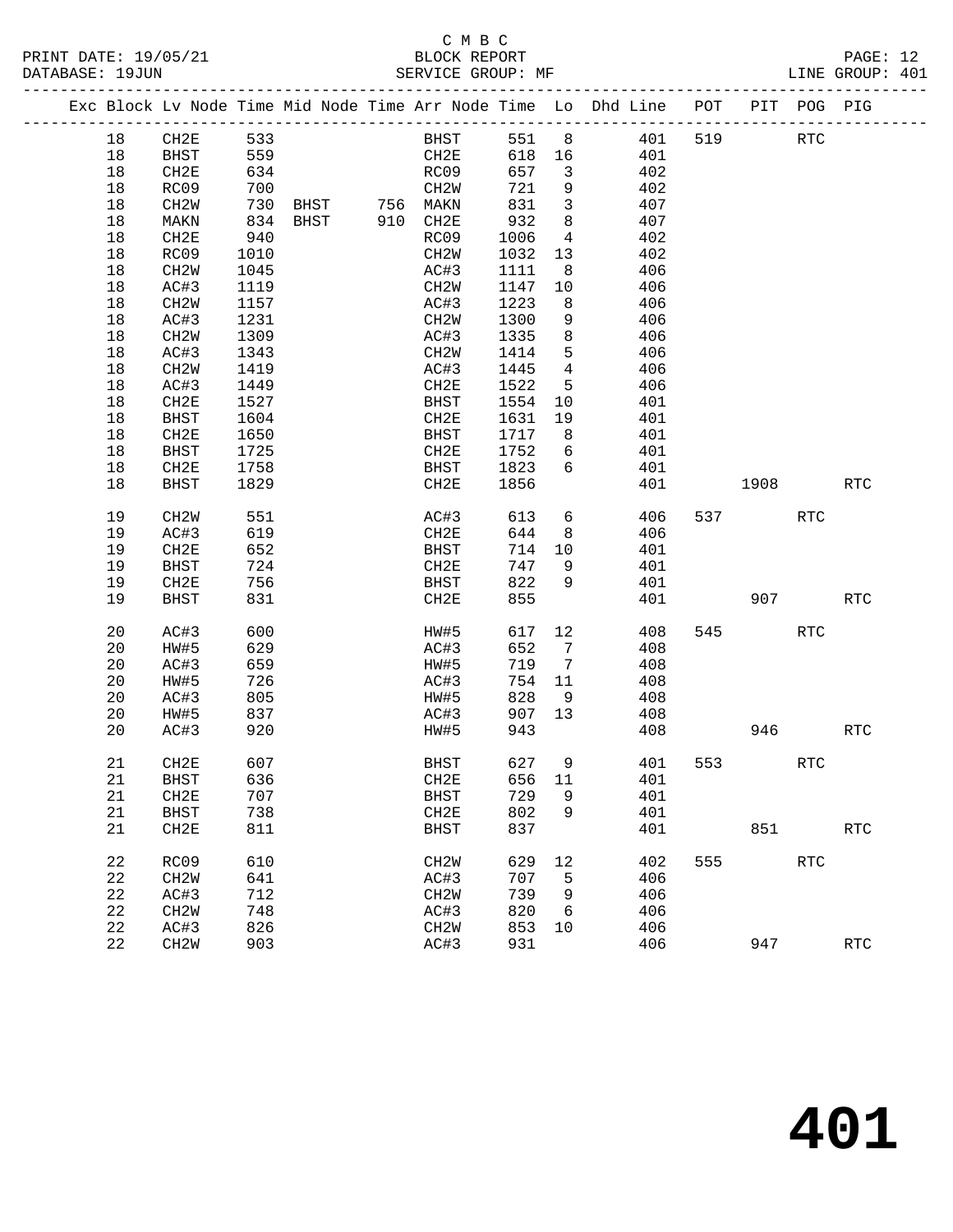#### C M B C<br>BLOCK REPORT SERVICE GROUP: MF

| Exc Block Lv Node Time Mid Node Time Arr Node Time Lo Dhd Line |                   |      |  |                                |        |                         |     | POT | PIT  | POG-                 | PIG        |
|----------------------------------------------------------------|-------------------|------|--|--------------------------------|--------|-------------------------|-----|-----|------|----------------------|------------|
| 18                                                             | CH2E              | 533  |  | BHST                           | 551    | 8                       | 401 | 519 |      | <b>RTC</b>           |            |
| 18                                                             | BHST              | 559  |  | CH2E                           | 618 16 |                         | 401 |     |      |                      |            |
| 18                                                             | CH2E              | 634  |  | RC09                           | 657    | $\overline{\mathbf{3}}$ | 402 |     |      |                      |            |
| 18                                                             | RC09              | 700  |  | CH2W                           | 721    | 9                       | 402 |     |      |                      |            |
| 18                                                             | CH2W              | 730  |  |                                | 831    | $\overline{3}$          | 407 |     |      |                      |            |
| 18                                                             | MAKN              | 834  |  | BHST 756 MAKN<br>BHST 910 CH2E | 932    | 8                       | 407 |     |      |                      |            |
| 18                                                             | CH2E              | 940  |  | RC09                           | 1006   | $\overline{4}$          | 402 |     |      |                      |            |
| 18                                                             | RC09              | 1010 |  | CH2W                           | 1032   | 13                      | 402 |     |      |                      |            |
| 18                                                             | CH2W              | 1045 |  | AC#3                           | 1111   | 8                       | 406 |     |      |                      |            |
| 18                                                             | AC#3              | 1119 |  | CH <sub>2</sub> W              | 1147   | 10                      | 406 |     |      |                      |            |
| 18                                                             | CH2W              | 1157 |  | AC#3                           | 1223   | 8                       | 406 |     |      |                      |            |
| 18                                                             | AC#3              | 1231 |  | CH <sub>2</sub> W              | 1300   | 9                       | 406 |     |      |                      |            |
| 18                                                             | CH2W              | 1309 |  | AC#3                           | 1335   | 8                       | 406 |     |      |                      |            |
| 18                                                             | AC#3              | 1343 |  | CH2W                           | 1414   | 5 <sup>5</sup>          | 406 |     |      |                      |            |
| 18                                                             | CH2W              | 1419 |  | AC#3                           | 1445   | $4\overline{ }$         | 406 |     |      |                      |            |
| 18                                                             | AC#3              | 1449 |  | CH2E                           | 1522   | 5                       | 406 |     |      |                      |            |
| 18                                                             | CH2E              | 1527 |  | BHST                           | 1554   | 10 <sup>°</sup>         | 401 |     |      |                      |            |
| 18                                                             | BHST              | 1604 |  | CH2E                           | 1631   | 19                      | 401 |     |      |                      |            |
| 18                                                             | CH2E              | 1650 |  | <b>BHST</b>                    | 1717   | 8                       | 401 |     |      |                      |            |
| 18                                                             | BHST              | 1725 |  | CH2E                           | 1752   | 6                       | 401 |     |      |                      |            |
| 18                                                             | CH2E              | 1758 |  | BHST                           | 1823   | 6                       | 401 |     |      |                      |            |
| 18                                                             | BHST              | 1829 |  | CH2E                           | 1856   |                         | 401 |     | 1908 |                      | RTC        |
|                                                                |                   |      |  |                                |        |                         |     |     |      |                      |            |
| 19                                                             | CH <sub>2</sub> W | 551  |  | AC#3                           | 613    | 6                       | 406 | 537 |      | RTC                  |            |
| 19                                                             | AC#3              | 619  |  | CH2E                           | 644    | 8                       | 406 |     |      |                      |            |
| 19                                                             | CH2E              | 652  |  | <b>BHST</b>                    | 714    | 10                      | 401 |     |      |                      |            |
| 19                                                             | BHST              | 724  |  | CH2E                           | 747    | 9                       | 401 |     |      |                      |            |
| 19                                                             | CH2E              | 756  |  | <b>BHST</b>                    | 822    | 9                       | 401 |     |      |                      |            |
| 19                                                             | BHST              | 831  |  | CH2E                           | 855    |                         | 401 |     |      | 907 — 100            | <b>RTC</b> |
|                                                                |                   |      |  |                                |        |                         |     |     |      |                      |            |
| 20                                                             | AC#3              | 600  |  | HW#5                           | 617    | 12                      | 408 | 545 |      | $\operatorname{RTC}$ |            |
| 20                                                             | HW#5              | 629  |  | AC#3                           | 652    | $\overline{7}$          | 408 |     |      |                      |            |
| 20                                                             | AC#3              | 659  |  | HW#5                           | 719    | $7\overline{ }$         | 408 |     |      |                      |            |
| 20                                                             | HW#5              | 726  |  | AC#3                           | 754    | 11                      | 408 |     |      |                      |            |
| 20                                                             | AC#3              | 805  |  | HW#5                           | 828    | 9                       | 408 |     |      |                      |            |
| 20                                                             | HW#5              | 837  |  | AC#3                           | 907    | 13                      | 408 |     |      |                      |            |
| 20                                                             | AC#3              | 920  |  | HW#5                           | 943    |                         | 408 |     | 946  |                      | <b>RTC</b> |
| 21                                                             | CH2E              | 607  |  | BHST                           | 627    | 9                       | 401 | 553 | RTC  |                      |            |
| 21                                                             | BHST              | 636  |  | CH2E                           | 656    | - 11                    | 401 |     |      |                      |            |
| 21                                                             | CH2E              | 707  |  | BHST                           | 729    | 9                       | 401 |     |      |                      |            |
|                                                                |                   |      |  |                                |        | 9                       |     |     |      |                      |            |
| 21                                                             | BHST              | 738  |  | CH2E                           | 802    |                         | 401 |     |      |                      |            |
| 21                                                             | CH2E              | 811  |  | <b>BHST</b>                    | 837    |                         | 401 |     | 851  |                      | <b>RTC</b> |

22 RC09 610 CH2W 629 12 402 555 RTC

22 CH2W 903 AC#3 931 406 947 RTC

 22 CH2W 641 AC#3 707 5 406 22 AC#3 712 CH2W 739 9 406 22 CH2W 748 AC#3 820 6 406

22 AC#3 826 CH2W 853 10 406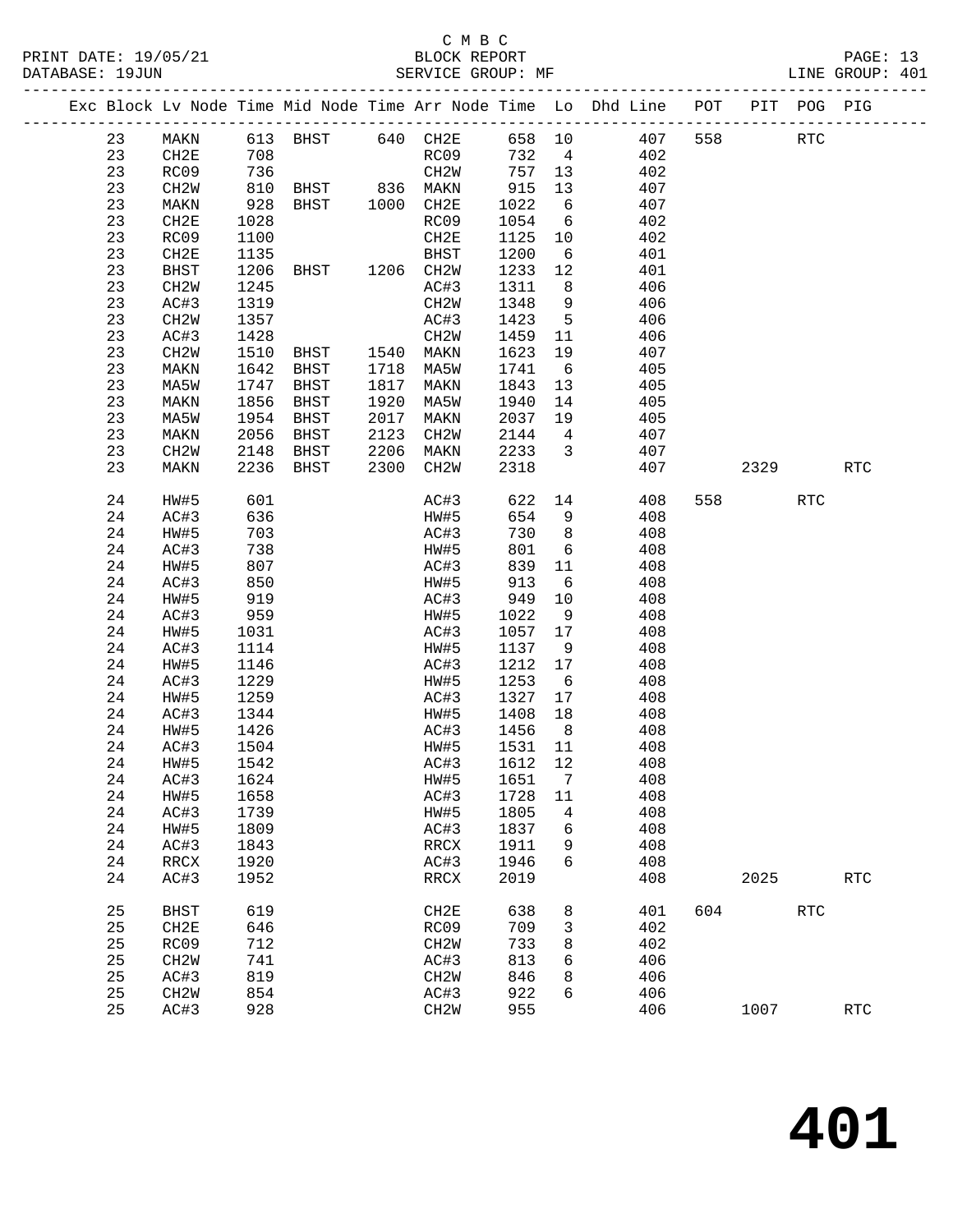|          |                          |              |                               |              |                          |                |                 |                                                                                    |     |         |            | PAGE: 13<br>LINE GROUP: 401 |  |
|----------|--------------------------|--------------|-------------------------------|--------------|--------------------------|----------------|-----------------|------------------------------------------------------------------------------------|-----|---------|------------|-----------------------------|--|
|          |                          |              |                               |              |                          |                |                 | Exc Block Lv Node Time Mid Node Time Arr Node Time Lo Dhd Line POT PIT POG PIG     |     |         |            |                             |  |
| 23       | MAKN                     |              | 613 BHST 640 CH2E             |              |                          |                |                 | 658 10 407 558                                                                     |     |         | <b>RTC</b> |                             |  |
| 23       | CH2E                     |              |                               |              |                          |                |                 | 732 4 402                                                                          |     |         |            |                             |  |
| 23       | RC09                     |              |                               |              |                          |                |                 | CH2W 757 13 402<br>MAKN 915 13 407                                                 |     |         |            |                             |  |
| 23       | CH2W                     |              |                               |              |                          |                |                 |                                                                                    |     |         |            |                             |  |
| 23       | MAKN                     |              |                               |              |                          |                |                 | 1022 6 407                                                                         |     |         |            |                             |  |
| 23       | CH2E                     | 1028         |                               |              | RC09                     |                |                 | 1054 6 402                                                                         |     |         |            |                             |  |
| 23       | RC09                     | 1100         |                               |              | CH2E                     |                |                 | $\begin{array}{cccc} 1125 & 10 & & 402 \\ 1200 & 6 & & 401 \end{array}$            |     |         |            |                             |  |
| 23       | CH2E                     | 1135         |                               |              | BHST                     |                |                 |                                                                                    |     |         |            |                             |  |
| 23       | BHST                     | 1206         | BHST 1206 CH2W                |              |                          |                |                 | 1233 12 401                                                                        |     |         |            |                             |  |
| 23       | CH2W                     | 1245         |                               |              | AC#3                     |                |                 | 1311 8 406                                                                         |     |         |            |                             |  |
| 23       | AC#3                     | 1319         |                               |              | CH2W                     |                |                 | 1348 9 406<br>1423 5 406                                                           |     |         |            |                             |  |
| 23       | CH2W                     | 1357         |                               |              | AC#3                     |                |                 |                                                                                    |     |         |            |                             |  |
| 23       | AC#3                     | 1428         | ELT<br>CH2W<br>BHST 1540 MAKN |              |                          | 1459 11        |                 | 406                                                                                |     |         |            |                             |  |
| 23       | CH2W                     | 1510         |                               |              |                          | 1623           |                 | 19 407                                                                             |     |         |            |                             |  |
| 23       | MAKN                     | 1642         | BHST 1718 MA5W                |              |                          | 1741           |                 | 405<br>$6\overline{)}$                                                             |     |         |            |                             |  |
| 23       | MA5W                     | 1747<br>1856 | BHST                          | 1817         | MAKN                     | 1843 13        |                 | 405<br>1940 14 405                                                                 |     |         |            |                             |  |
| 23<br>23 | MAKN                     | 1954         | BHST                          | 1920<br>2017 | MA5W                     |                |                 | 2037 19 405                                                                        |     |         |            |                             |  |
| 23       | MA5W                     | 2056         | BHST                          | 2123         | MAKN<br>CH2W             |                |                 |                                                                                    |     |         |            |                             |  |
| 23       | MAKN<br>CH2W             | 2148         | BHST<br>BHST                  |              | 2206 MAKN                |                |                 |                                                                                    |     |         |            |                             |  |
| 23       | MAKN                     |              | 2236 BHST                     |              | 2300 CH2W                |                |                 | $\begin{array}{cccc} 2144 & 4 & 407 \\ 2233 & 3 & 407 \\ 2318 & & 407 \end{array}$ |     | 2329    |            | RTC                         |  |
|          |                          |              |                               |              |                          |                |                 |                                                                                    |     |         |            |                             |  |
| 24       | HW#5                     | 601          |                               |              | AC#3                     |                |                 | 622 14 408                                                                         |     | 558 RTC |            |                             |  |
| 24       | AC#3                     | 636          |                               |              | HW#5                     |                | 654 9           | 408                                                                                |     |         |            |                             |  |
| 24       | HW#5                     | 703          |                               |              | $AC \# 3$                |                |                 | 730 8 408                                                                          |     |         |            |                             |  |
| 24       | AC#3                     | 738          |                               |              | <b>HW#5</b>              | 801            |                 | 6 408                                                                              |     |         |            |                             |  |
| 24       | HW#5                     | 807          |                               |              | AC#3                     | 839            |                 | 11<br>408                                                                          |     |         |            |                             |  |
| 24       | AC#3                     | 850<br>919   |                               |              | HW#5                     | 913            | $6\overline{6}$ | 408                                                                                |     |         |            |                             |  |
| 24       | HW#5                     |              |                               |              | AC#3                     |                | 949 10          | 408                                                                                |     |         |            |                             |  |
| 24       | AC#3                     | 959          |                               |              | HW#5                     | 1022           | 9               | 408                                                                                |     |         |            |                             |  |
| 24       | HW#5                     | 1031         |                               |              | AC#3                     | 1057 17        |                 | 408                                                                                |     |         |            |                             |  |
| 24       | AC#3                     | 1114         |                               |              | HW#5<br>AC#3             | 1137           | 9               | 408                                                                                |     |         |            |                             |  |
| 24       | HW#5                     | 1146         |                               |              |                          | 1212 17        |                 | 408<br>408                                                                         |     |         |            |                             |  |
| 24<br>24 | AC#3                     | 1229         |                               |              | HW#5<br>AC#3             | 1253 6<br>1327 |                 |                                                                                    |     |         |            |                             |  |
| 24       | HW#5<br>AC#3             | 1259         |                               |              |                          |                |                 | 17 408                                                                             |     |         |            |                             |  |
| 24       | HW#5                     | 1344<br>1426 |                               |              | HW#5<br>AC#3             | 1456           | 8 <sup>1</sup>  | 1408 18 408<br>408                                                                 |     |         |            |                             |  |
| 24       | AC#3                     | 1504         |                               |              | HW#5                     | 1531           | 11              | 408                                                                                |     |         |            |                             |  |
| 24       | HW#5                     | 1542         |                               |              | AC#3                     | 1612           | 12              | 408                                                                                |     |         |            |                             |  |
| 24       | AC#3                     | 1624         |                               |              | HW#5                     | 1651           | 7               | 408                                                                                |     |         |            |                             |  |
| 24       | HW#5                     | 1658         |                               |              | AC#3                     | 1728           | 11              | 408                                                                                |     |         |            |                             |  |
| 24       | AC#3                     | 1739         |                               |              | HW#5                     | 1805           | $\overline{4}$  | 408                                                                                |     |         |            |                             |  |
| 24       | HW#5                     | 1809         |                               |              | AC#3                     | 1837           | 6               | 408                                                                                |     |         |            |                             |  |
| 24       | AC#3                     | 1843         |                               |              | RRCX                     | 1911           | 9               | 408                                                                                |     |         |            |                             |  |
| 24       | $\mathop{\mathrm{RRCX}}$ | 1920         |                               |              | AC#3                     | 1946           | 6               | 408                                                                                |     |         |            |                             |  |
| 24       | AC#3                     | 1952         |                               |              | $\mathop{\mathrm{RRCX}}$ | 2019           |                 | 408                                                                                |     | 2025    |            | RTC                         |  |
| 25       | <b>BHST</b>              | 619          |                               |              | CH2E                     | 638            | 8               | 401                                                                                | 604 |         | <b>RTC</b> |                             |  |
| 25       | CH2E                     | 646          |                               |              | RC09                     | 709            | $\mathsf{3}$    | 402                                                                                |     |         |            |                             |  |
| 25       | RC09                     | 712          |                               |              | CH <sub>2</sub> W        | 733            | 8               | 402                                                                                |     |         |            |                             |  |
| 25       | CH <sub>2</sub> M        | 741          |                               |              | AC#3                     | 813            | 6               | 406                                                                                |     |         |            |                             |  |
| 25       | AC#3                     | 819          |                               |              | CH <sub>2</sub> W        | 846            | 8               | 406                                                                                |     |         |            |                             |  |
| 25       | CH2W                     | 854          |                               |              | AC#3                     | 922            | 6               | 406                                                                                |     |         |            |                             |  |
| 25       | AC#3                     | 928          |                               |              | CH2W                     | 955            |                 | 406                                                                                |     | 1007    |            | RTC                         |  |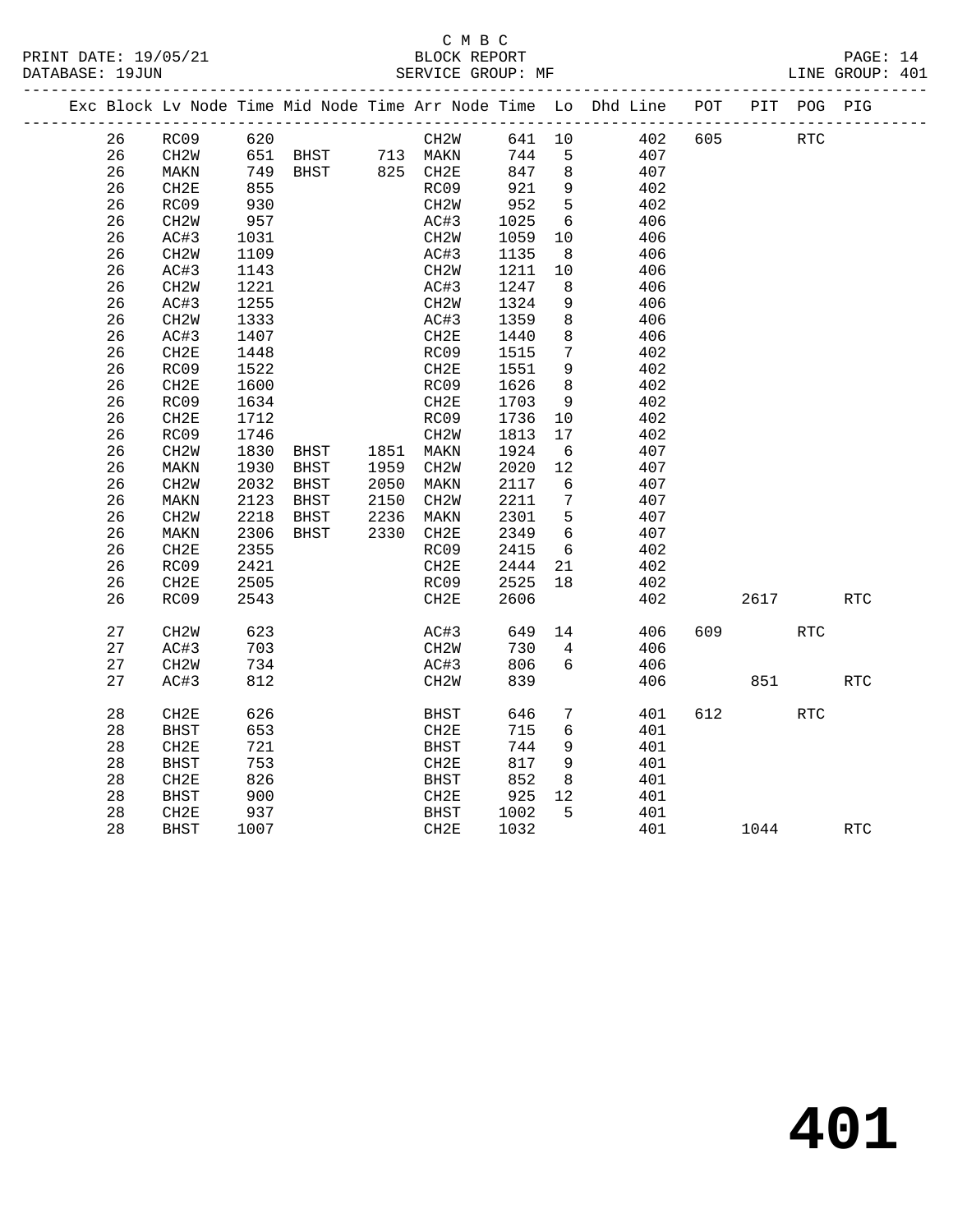# C M B C<br>BLOCK REPORT

| PRINT DATE: 19/05/21 |                   | BLOCK REPORT |  | PAGE: 14        |  |
|----------------------|-------------------|--------------|--|-----------------|--|
| DATABASE: 19JUN      | SERVICE GROUP: MF |              |  | LINE GROUP: 401 |  |
|                      |                   |              |  |                 |  |

|  |    |                   |      |               |      |                   |        |                  | Exc Block Lv Node Time Mid Node Time Arr Node Time Lo Dhd Line | POT | PIT  | POG PIG    |            |
|--|----|-------------------|------|---------------|------|-------------------|--------|------------------|----------------------------------------------------------------|-----|------|------------|------------|
|  | 26 | RC09              | 620  |               |      | CH2W              | 641 10 |                  | 402                                                            | 605 |      | <b>RTC</b> |            |
|  | 26 | CH2W              | 651  | BHST 713 MAKN |      |                   | 744    | 5                | 407                                                            |     |      |            |            |
|  | 26 | MAKN              | 749  | <b>BHST</b>   |      | 825 CH2E          | 847    | $\,8\,$          | 407                                                            |     |      |            |            |
|  | 26 | CH2E              | 855  |               |      | RC09              | 921    | $\mathsf 9$      | 402                                                            |     |      |            |            |
|  | 26 | RC09              | 930  |               |      | CH <sub>2</sub> W | 952    | 5                | 402                                                            |     |      |            |            |
|  | 26 | CH <sub>2</sub> W | 957  |               |      | AC#3              | 1025   | 6                | 406                                                            |     |      |            |            |
|  | 26 | AC#3              | 1031 |               |      | CH2W              | 1059   | 10               | 406                                                            |     |      |            |            |
|  | 26 | CH2W              | 1109 |               |      | AC#3              | 1135   | 8                | 406                                                            |     |      |            |            |
|  | 26 | AC#3              | 1143 |               |      | CH2W              | 1211   | 10               | 406                                                            |     |      |            |            |
|  | 26 | CH2W              | 1221 |               |      | AC#3              | 1247   | 8                | 406                                                            |     |      |            |            |
|  | 26 | AC#3              | 1255 |               |      | CH <sub>2</sub> W | 1324   | 9                | 406                                                            |     |      |            |            |
|  | 26 | CH <sub>2</sub> M | 1333 |               |      | AC#3              | 1359   | 8                | 406                                                            |     |      |            |            |
|  | 26 | AC#3              | 1407 |               |      | CH2E              | 1440   | 8                | 406                                                            |     |      |            |            |
|  | 26 | CH2E              | 1448 |               |      | RC09              | 1515   | 7                | 402                                                            |     |      |            |            |
|  | 26 | RC09              | 1522 |               |      | CH2E              | 1551   | 9                | 402                                                            |     |      |            |            |
|  | 26 | CH2E              | 1600 |               |      | RC09              | 1626   | $\boldsymbol{8}$ | 402                                                            |     |      |            |            |
|  | 26 | RC09              | 1634 |               |      | CH2E              | 1703   | 9                | 402                                                            |     |      |            |            |
|  | 26 | CH2E              | 1712 |               |      | RC09              | 1736   | 10               | 402                                                            |     |      |            |            |
|  | 26 | RC09              | 1746 |               |      | CH <sub>2</sub> W | 1813   | 17               | 402                                                            |     |      |            |            |
|  | 26 | CH <sub>2</sub> W | 1830 | BHST          | 1851 | MAKN              | 1924   | 6                | 407                                                            |     |      |            |            |
|  | 26 | MAKN              | 1930 | <b>BHST</b>   | 1959 | CH <sub>2</sub> W | 2020   | 12               | 407                                                            |     |      |            |            |
|  | 26 | CH2W              | 2032 | BHST          | 2050 | MAKN              | 2117   | 6                | 407                                                            |     |      |            |            |
|  | 26 | MAKN              | 2123 | <b>BHST</b>   | 2150 | CH2W              | 2211   | 7                | 407                                                            |     |      |            |            |
|  | 26 | CH <sub>2</sub> W | 2218 | BHST          | 2236 | MAKN              | 2301   | 5                | 407                                                            |     |      |            |            |
|  | 26 | MAKN              | 2306 | BHST          | 2330 | CH2E              | 2349   | 6                | 407                                                            |     |      |            |            |
|  | 26 | CH2E              | 2355 |               |      | RC09              | 2415   | 6                | 402                                                            |     |      |            |            |
|  | 26 | RC09              | 2421 |               |      | CH2E              | 2444   | 21               | 402                                                            |     |      |            |            |
|  | 26 | CH2E              | 2505 |               |      | RC09              | 2525   | 18               | 402                                                            |     |      |            |            |
|  | 26 | RC09              | 2543 |               |      | CH2E              | 2606   |                  | 402                                                            |     | 2617 |            | <b>RTC</b> |
|  | 27 | CH <sub>2</sub> W | 623  |               |      | AC#3              | 649    | 14               | 406                                                            | 609 |      | <b>RTC</b> |            |
|  | 27 | AC#3              | 703  |               |      | CH2W              | 730    | $\overline{4}$   | 406                                                            |     |      |            |            |
|  | 27 | CH2W              | 734  |               |      | AC#3              | 806    | 6                | 406                                                            |     |      |            |            |
|  | 27 | AC#3              | 812  |               |      | CH <sub>2</sub> W | 839    |                  | 406                                                            |     | 851  |            | <b>RTC</b> |
|  | 28 | CH2E              | 626  |               |      | <b>BHST</b>       | 646    | 7                | 401                                                            | 612 |      | RTC        |            |
|  | 28 | <b>BHST</b>       | 653  |               |      | CH2E              | 715    | 6                | 401                                                            |     |      |            |            |
|  | 28 | CH2E              | 721  |               |      | <b>BHST</b>       | 744    | 9                | 401                                                            |     |      |            |            |
|  | 28 | BHST              | 753  |               |      | CH2E              | 817    | 9                | 401                                                            |     |      |            |            |
|  | 28 | CH2E              | 826  |               |      | <b>BHST</b>       | 852    | 8                | 401                                                            |     |      |            |            |
|  | 28 | BHST              | 900  |               |      | CH2E              | 925    | 12               | 401                                                            |     |      |            |            |
|  | 28 | CH2E              | 937  |               |      | BHST              | 1002   | 5                | 401                                                            |     |      |            |            |
|  | 28 | <b>BHST</b>       | 1007 |               |      | CH2E              | 1032   |                  | 401                                                            |     | 1044 |            | <b>RTC</b> |
|  |    |                   |      |               |      |                   |        |                  |                                                                |     |      |            |            |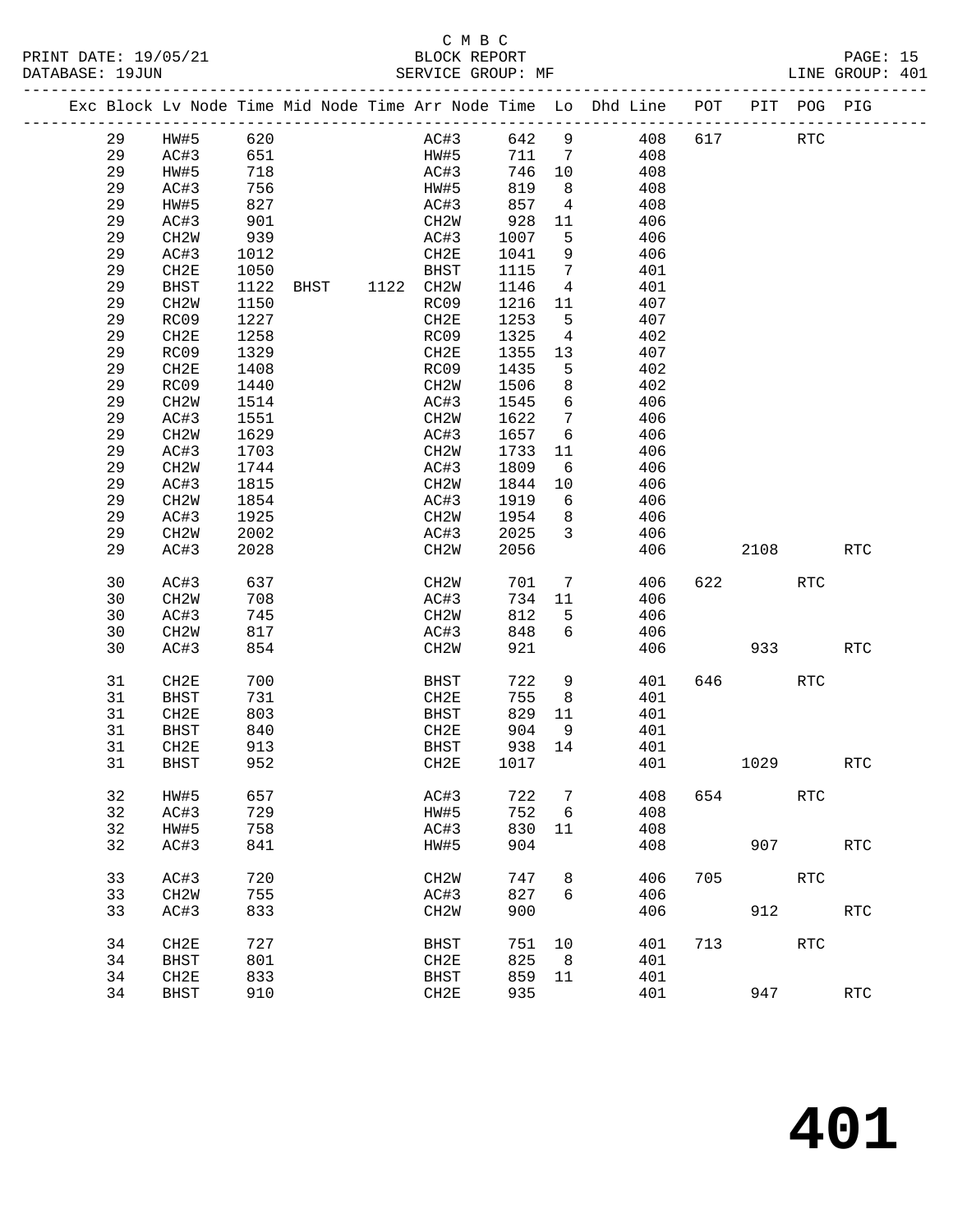#### C M B C<br>BLOCK REPORT PRINT DATE: 19/05/21 BLOCK REPORT BATABASE: 19JUN

PAGE: 15<br>LINE GROUP: 401

|  |          | Exc Block Lv Node Time Mid Node Time Arr Node Time Lo Dhd Line POT |      |      |           |                   |      |               |                 |            |     |      | PIT POG PIG |                      |
|--|----------|--------------------------------------------------------------------|------|------|-----------|-------------------|------|---------------|-----------------|------------|-----|------|-------------|----------------------|
|  | 29       | HW#5                                                               | 620  |      |           |                   | AC#3 | 642           | 9               | 408        | 617 |      | <b>RTC</b>  |                      |
|  | 29       | AC#3                                                               | 651  |      |           | HW#5              |      | 711 7         |                 | 408        |     |      |             |                      |
|  | 29       | HW#5                                                               | 718  |      |           | AC#3              |      | 746 10        |                 | 408        |     |      |             |                      |
|  | 29       | AC#3                                                               | 756  |      |           | HW#5              |      | 819           | 8 <sup>8</sup>  | 408        |     |      |             |                      |
|  | 29       | HW#5                                                               | 827  |      |           | AC#3              |      | 857           | $\overline{4}$  | 408        |     |      |             |                      |
|  | 29       | AC#3                                                               | 901  |      |           | CH2W              |      | 928           | 11              | 406        |     |      |             |                      |
|  | 29       | CH <sub>2</sub> W                                                  | 939  |      |           | AC#3              |      | 1007          | 5               | 406        |     |      |             |                      |
|  | 29       | AC#3                                                               | 1012 |      |           | CH2E              |      | 1041          | 9               | 406        |     |      |             |                      |
|  | 29       | CH2E                                                               | 1050 |      |           | BHST              |      | 1115          | 7               | 401        |     |      |             |                      |
|  | 29       | <b>BHST</b>                                                        | 1122 | BHST | 1122 CH2W |                   |      | 1146          | $\overline{4}$  | 401        |     |      |             |                      |
|  | 29       | CH <sub>2</sub> W                                                  | 1150 |      |           | RC09              |      | 1216          | 11              | 407        |     |      |             |                      |
|  | 29       | RC09                                                               | 1227 |      |           | CH2E              |      | 1253          | 5               | 407        |     |      |             |                      |
|  | 29       | CH <sub>2E</sub>                                                   | 1258 |      |           | RC09              |      | 1325          | $\overline{4}$  | 402        |     |      |             |                      |
|  | 29       | RC09                                                               | 1329 |      |           | CH2E              |      | 1355          | 13              | 407        |     |      |             |                      |
|  | 29       | CH2E                                                               | 1408 |      |           | RC09              |      | 1435          | 5               | 402        |     |      |             |                      |
|  | 29       | RC09                                                               | 1440 |      |           | CH <sub>2</sub> W |      | 1506          | 8               | 402        |     |      |             |                      |
|  | 29       | CH <sub>2</sub> W                                                  | 1514 |      |           | AC#3              |      | 1545          | $6\overline{6}$ | 406        |     |      |             |                      |
|  | 29       | AC#3                                                               | 1551 |      |           | CH2W              |      | 1622          | $7\phantom{.0}$ | 406        |     |      |             |                      |
|  | 29       | CH <sub>2</sub> W                                                  | 1629 |      |           | AC#3              |      | 1657          | 6               | 406        |     |      |             |                      |
|  | 29       | AC#3                                                               | 1703 |      |           | CH2W              |      | 1733          | 11              | 406        |     |      |             |                      |
|  | 29       | CH <sub>2</sub> W                                                  | 1744 |      |           | AC#3              |      | 1809          | 6               | 406        |     |      |             |                      |
|  | 29       | AC#3                                                               | 1815 |      |           | CH <sub>2</sub> W |      | 1844          | 10              | 406        |     |      |             |                      |
|  | 29       | CH2W                                                               | 1854 |      |           | AC#3              |      | 1919          | 6               | 406        |     |      |             |                      |
|  | 29       | AC#3                                                               | 1925 |      |           | CH2W              |      | 1954          | 8 <sup>8</sup>  | 406        |     |      |             |                      |
|  | 29       | CH2W                                                               | 2002 |      |           | AC#3              |      | 2025          | $\mathbf{3}$    | 406        |     |      |             |                      |
|  | 29       | AC#3                                                               | 2028 |      |           | CH2W              |      | 2056          |                 | 406        |     | 2108 |             | RTC                  |
|  |          |                                                                    | 637  |      |           |                   |      |               | $\overline{7}$  |            | 622 |      | <b>RTC</b>  |                      |
|  | 30<br>30 | AC#3<br>CH2W                                                       | 708  |      |           | CH2W<br>AC#3      |      | 701<br>734 11 |                 | 406<br>406 |     |      |             |                      |
|  | 30       | AC#3                                                               | 745  |      |           | CH2W              |      | 812           | 5               | 406        |     |      |             |                      |
|  | 30       | CH2W                                                               | 817  |      |           | AC#3              |      | 848           | 6               | 406        |     |      |             |                      |
|  | 30       | AC#3                                                               | 854  |      |           | CH2W              |      | 921           |                 | 406        |     | 933  |             | <b>RTC</b>           |
|  |          |                                                                    |      |      |           |                   |      |               |                 |            |     |      |             |                      |
|  | 31       | CH2E                                                               | 700  |      |           | BHST              |      | 722           | 9               | 401        | 646 |      | <b>RTC</b>  |                      |
|  | 31       | <b>BHST</b>                                                        | 731  |      |           | CH2E              |      | 755           | 8               | 401        |     |      |             |                      |
|  | 31       | CH2E                                                               | 803  |      |           | BHST              |      | 829           | 11              | 401        |     |      |             |                      |
|  | 31       | BHST                                                               | 840  |      |           | CH2E              |      | 904           | 9               | 401        |     |      |             |                      |
|  | 31       | CH2E                                                               | 913  |      |           | BHST              |      | 938           | 14              | 401        |     |      |             |                      |
|  | 31       | BHST                                                               | 952  |      |           | CH2E              |      | 1017          |                 | 401        |     | 1029 |             | <b>RTC</b>           |
|  | 32       | HW#5                                                               | 657  |      |           | AC#3              |      | 722           | 7               | 408        | 654 |      | <b>RTC</b>  |                      |
|  | 32       | AC#3                                                               | 729  |      |           | HW#5              |      | 752           | 6               | 408        |     |      |             |                      |
|  | 32       | HW#5                                                               | 758  |      |           | AC#3              |      | 830           | 11              | 408        |     |      |             |                      |
|  | 32       | AC#3                                                               | 841  |      |           | HW#5              |      | 904           |                 | 408        |     | 907  |             | $\operatorname{RTC}$ |
|  | 33       | AC#3                                                               | 720  |      |           | CH <sub>2</sub> M |      | 747           | 8               | 406        | 705 |      | <b>RTC</b>  |                      |
|  | 33       | CH <sub>2</sub> W                                                  | 755  |      |           | AC#3              |      | 827           | 6               | 406        |     |      |             |                      |
|  | 33       | AC#3                                                               | 833  |      |           | CH <sub>2</sub> W |      | 900           |                 | 406        |     | 912  |             | RTC                  |
|  |          |                                                                    |      |      |           |                   |      |               |                 |            |     |      |             |                      |
|  | 34       | CH2E                                                               | 727  |      |           | <b>BHST</b>       |      | 751           | 10              | 401        | 713 |      | <b>RTC</b>  |                      |
|  | 34       | <b>BHST</b>                                                        | 801  |      |           | CH2E              |      | 825           | 8               | 401        |     |      |             |                      |
|  | 34       | CH2E                                                               | 833  |      |           | <b>BHST</b>       |      | 859           | 11              | 401        |     |      |             |                      |
|  | 34       | <b>BHST</b>                                                        | 910  |      |           | CH2E              |      | 935           |                 | 401        |     | 947  |             | $\operatorname{RTC}$ |
|  |          |                                                                    |      |      |           |                   |      |               |                 |            |     |      |             |                      |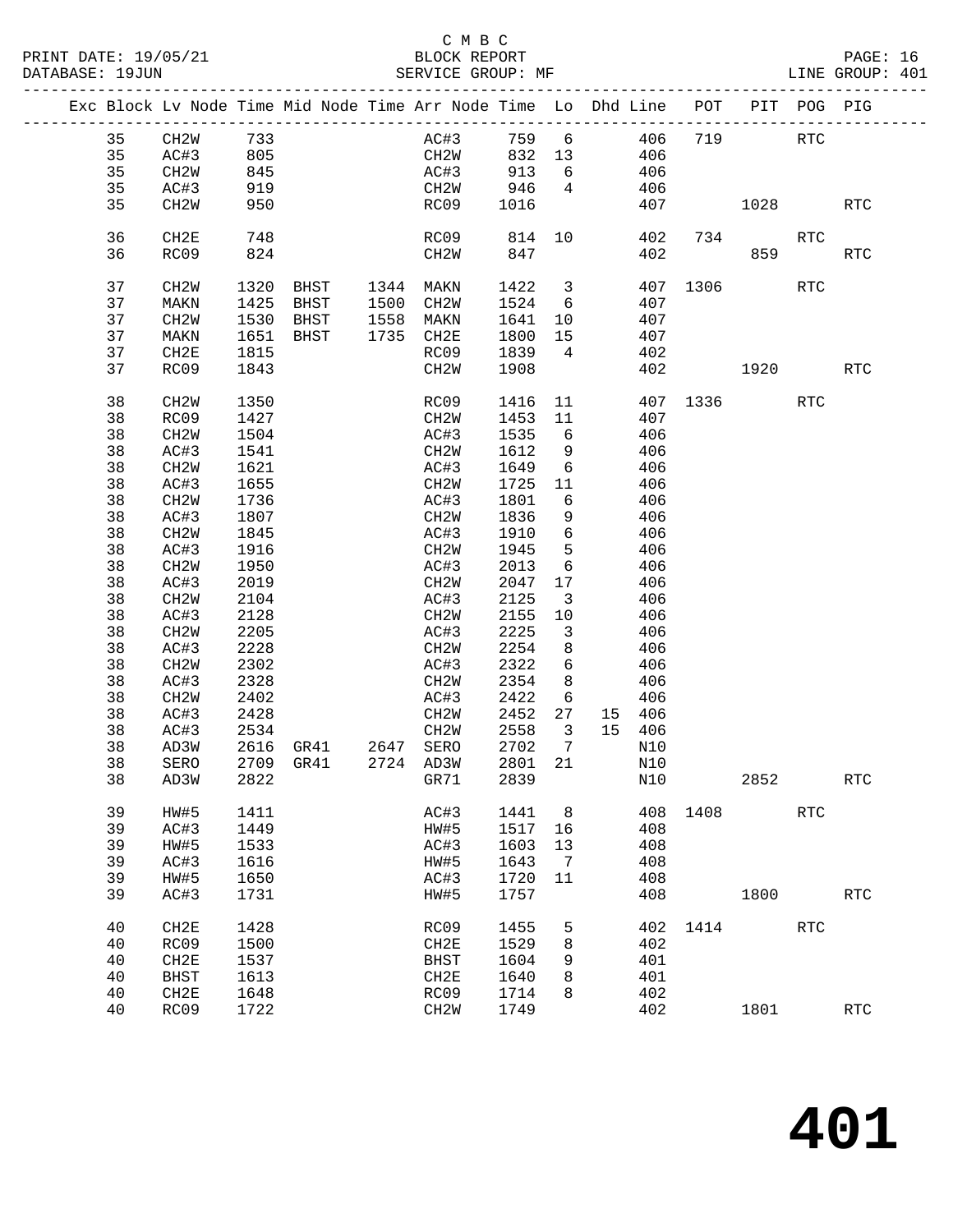### C M B C<br>BLOCK REPORT

PAGE: 16<br>LINE GROUP: 401

|    |                   |      |                     |      | Exc Block Lv Node Time Mid Node Time Arr Node Time Lo Dhd Line POT PIT POG PIG |      |                         |                         |     |          |          |            |                      |
|----|-------------------|------|---------------------|------|--------------------------------------------------------------------------------|------|-------------------------|-------------------------|-----|----------|----------|------------|----------------------|
| 35 | CH2W 733          |      |                     |      | AC#3 759                                                                       |      |                         | 6 406                   |     | 719      |          | <b>RTC</b> |                      |
| 35 | AC#3              | 805  |                     |      | CH2W 832 13 406                                                                |      |                         |                         |     |          |          |            |                      |
| 35 | CH <sub>2</sub> W | 845  |                     |      | AC#3                                                                           | 913  |                         | $6\overline{6}$         | 406 |          |          |            |                      |
| 35 | AC#3              | 919  |                     |      | CH2W                                                                           | 946  | $\overline{4}$          |                         | 406 |          |          |            |                      |
| 35 | CH2W              | 950  |                     |      | RC09                                                                           | 1016 |                         |                         | 407 |          | 1028     |            | <b>RTC</b>           |
|    |                   |      |                     |      |                                                                                |      |                         |                         |     |          |          |            |                      |
| 36 | CH2E              | 748  |                     |      | RC09                                                                           | 814  |                         | 10                      | 402 |          | 734      | RTC        |                      |
| 36 | RC09              | 824  |                     |      | CH <sub>2</sub> W                                                              | 847  |                         |                         | 402 | 859      |          |            | <b>RTC</b>           |
|    |                   |      |                     |      |                                                                                |      |                         |                         |     |          |          |            |                      |
| 37 | CH2W              |      | 1320 BHST 1344 MAKN |      |                                                                                | 1422 |                         | $\overline{\mathbf{3}}$ |     | 407 1306 |          | RTC        |                      |
| 37 | MAKN              | 1425 | BHST                | 1500 | CH2W                                                                           | 1524 |                         | $6\overline{6}$         | 407 |          |          |            |                      |
| 37 | CH2W              | 1530 | BHST                | 1558 | MAKN                                                                           | 1641 | 10                      |                         | 407 |          |          |            |                      |
| 37 | MAKN              | 1651 | BHST                | 1735 | CH2E                                                                           | 1800 | 15                      |                         | 407 |          |          |            |                      |
| 37 | CH2E              | 1815 |                     |      | RC09                                                                           | 1839 | $\overline{4}$          |                         | 402 |          |          |            |                      |
| 37 | RC09              | 1843 |                     |      | CH2W                                                                           | 1908 |                         |                         | 402 |          | 1920     |            | <b>RTC</b>           |
|    |                   |      |                     |      |                                                                                |      |                         |                         |     |          |          |            |                      |
| 38 | CH2W              | 1350 |                     |      | RC09                                                                           | 1416 | 11                      |                         |     |          | 407 1336 | RTC        |                      |
| 38 | RC09              | 1427 |                     |      | CH2W                                                                           | 1453 | 11                      |                         | 407 |          |          |            |                      |
| 38 | CH2W              | 1504 |                     |      | AC#3                                                                           | 1535 | 6                       |                         | 406 |          |          |            |                      |
| 38 | AC#3              | 1541 |                     |      | CH2W                                                                           | 1612 | 9                       |                         | 406 |          |          |            |                      |
| 38 | CH2W              | 1621 |                     |      | AC#3                                                                           | 1649 | 6                       |                         | 406 |          |          |            |                      |
| 38 | AC#3              | 1655 |                     |      | CH2W                                                                           | 1725 | 11                      |                         | 406 |          |          |            |                      |
| 38 | CH <sub>2</sub> W | 1736 |                     |      | AC#3                                                                           | 1801 | 6                       |                         | 406 |          |          |            |                      |
| 38 | AC#3              | 1807 |                     |      | CH2W                                                                           | 1836 | 9                       |                         | 406 |          |          |            |                      |
| 38 | CH <sub>2</sub> M | 1845 |                     |      | AC#3                                                                           | 1910 | 6                       |                         | 406 |          |          |            |                      |
| 38 | AC#3              | 1916 |                     |      | CH2W                                                                           | 1945 | 5                       |                         | 406 |          |          |            |                      |
| 38 | CH2W              | 1950 |                     |      | AC#3                                                                           | 2013 | 6                       |                         | 406 |          |          |            |                      |
| 38 | AC#3              | 2019 |                     |      | CH2W                                                                           | 2047 | 17                      |                         | 406 |          |          |            |                      |
| 38 | CH <sub>2</sub> W | 2104 |                     |      | AC#3                                                                           | 2125 | $\overline{\mathbf{3}}$ |                         | 406 |          |          |            |                      |
| 38 | AC#3              | 2128 |                     |      | CH2W                                                                           | 2155 | 10                      |                         | 406 |          |          |            |                      |
| 38 | CH <sub>2</sub> W | 2205 |                     |      | AC#3                                                                           | 2225 | $\overline{\mathbf{3}}$ |                         | 406 |          |          |            |                      |
| 38 | AC#3              | 2228 |                     |      | CH2W                                                                           | 2254 | 8                       |                         | 406 |          |          |            |                      |
| 38 | CH <sub>2</sub> M | 2302 |                     |      | AC#3                                                                           | 2322 | 6                       |                         | 406 |          |          |            |                      |
| 38 | AC#3              | 2328 |                     |      | CH2W                                                                           | 2354 | 8                       |                         | 406 |          |          |            |                      |
| 38 | CH2W              | 2402 |                     |      | AC#3                                                                           | 2422 | 6                       |                         | 406 |          |          |            |                      |
| 38 | AC#3              | 2428 |                     |      | CH2W                                                                           | 2452 | 27                      | 15 406                  |     |          |          |            |                      |
| 38 | AC#3              | 2534 |                     |      | CH2W                                                                           | 2558 | $\overline{\mathbf{3}}$ | 15 406                  |     |          |          |            |                      |
| 38 | AD3W              |      | 2616 GR41 2647      |      | SERO                                                                           | 2702 | $\overline{7}$          |                         | N10 |          |          |            |                      |
| 38 | SERO              |      | 2709 GR41           |      | 2724 AD3W                                                                      | 2801 | 21                      |                         | N10 |          |          |            |                      |
| 38 | AD3W              |      | 2822 GR71           |      |                                                                                | 2839 |                         | N10                     |     |          | 2852     |            | RTC                  |
| 39 | HW#5              | 1411 |                     |      | AC#3                                                                           | 1441 | 8                       |                         | 408 | 1408     |          | <b>RTC</b> |                      |
| 39 | AC#3              | 1449 |                     |      | HW#5                                                                           | 1517 | 16                      |                         | 408 |          |          |            |                      |
| 39 | HW#5              | 1533 |                     |      | AC#3                                                                           | 1603 | 13                      |                         | 408 |          |          |            |                      |
| 39 | AC#3              | 1616 |                     |      | HW#5                                                                           | 1643 | 7                       |                         | 408 |          |          |            |                      |
| 39 | HW#5              | 1650 |                     |      | AC#3                                                                           | 1720 | 11                      |                         | 408 |          |          |            |                      |
| 39 | AC#3              | 1731 |                     |      | HW#5                                                                           | 1757 |                         |                         | 408 |          | 1800     |            | RTC                  |
| 40 | CH2E              | 1428 |                     |      | RC09                                                                           | 1455 | 5                       |                         | 402 | 1414     |          | <b>RTC</b> |                      |
| 40 | RC09              | 1500 |                     |      | CH2E                                                                           | 1529 | 8                       |                         | 402 |          |          |            |                      |
| 40 | CH2E              | 1537 |                     |      | <b>BHST</b>                                                                    | 1604 | 9                       |                         | 401 |          |          |            |                      |
| 40 | <b>BHST</b>       | 1613 |                     |      | CH2E                                                                           | 1640 | 8                       |                         | 401 |          |          |            |                      |
| 40 | CH2E              | 1648 |                     |      | RC09                                                                           | 1714 | 8                       |                         | 402 |          |          |            |                      |
| 40 | RC09              | 1722 |                     |      | CH <sub>2</sub> M                                                              | 1749 |                         |                         | 402 |          | 1801     |            | $\operatorname{RTC}$ |
|    |                   |      |                     |      |                                                                                |      |                         |                         |     |          |          |            |                      |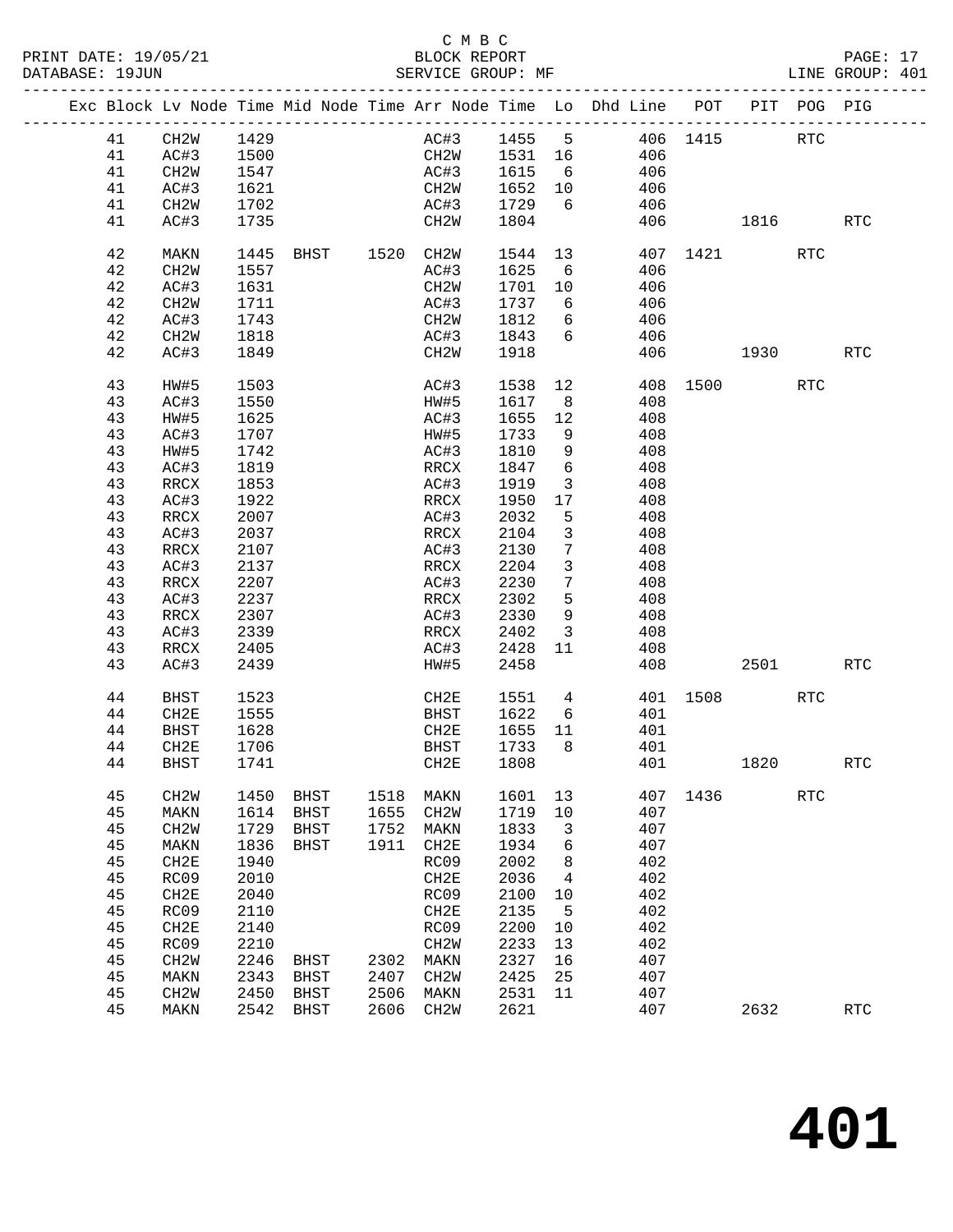### C M B C<br>BLOCK REPORT

PAGE: 17<br>LINE GROUP: 401

|    | Exc Block Lv Node Time Mid Node Time Arr Node Time Lo Dhd Line POT PIT POG PIG |      |             |                |                   |              |                 |                 |     |                      |          |            |                      |
|----|--------------------------------------------------------------------------------|------|-------------|----------------|-------------------|--------------|-----------------|-----------------|-----|----------------------|----------|------------|----------------------|
| 41 | CH2W                                                                           | 1429 |             |                |                   |              |                 |                 |     | AC#3 1455 5 406 1415 |          | RTC        |                      |
| 41 | AC#3                                                                           | 1500 |             |                |                   | CH2W 1531 16 |                 |                 | 406 |                      |          |            |                      |
| 41 | CH <sub>2</sub> W                                                              | 1547 |             |                | AC#3              | 1615         |                 | $\frac{1}{6}$   | 406 |                      |          |            |                      |
| 41 | AC#3                                                                           | 1621 |             |                | CH2W              | 1652         |                 |                 | 406 |                      |          |            |                      |
| 41 | CH2W                                                                           | 1702 |             |                | AC#3              | 1729         |                 | $6\overline{6}$ | 406 |                      |          |            |                      |
| 41 | AC#3                                                                           | 1735 |             |                | CH2W              | 1804         |                 |                 |     |                      | 406 1816 |            | <b>RTC</b>           |
| 42 | MAKN                                                                           | 1445 |             | BHST 1520 CH2W |                   | 1544         |                 | 13              |     |                      | 407 1421 | <b>RTC</b> |                      |
| 42 | CH <sub>2</sub> W                                                              | 1557 |             |                | AC#3              | 1625         | 6               |                 | 406 |                      |          |            |                      |
| 42 | AC#3                                                                           | 1631 |             |                | CH2W              | 1701         | 10              |                 | 406 |                      |          |            |                      |
| 42 | CH2W                                                                           | 1711 |             |                | AC#3              | 1737         | 6               |                 | 406 |                      |          |            |                      |
| 42 | AC#3                                                                           | 1743 |             |                | CH2W              | 1812         | 6               |                 | 406 |                      |          |            |                      |
| 42 | CH2W                                                                           | 1818 |             |                | AC#3              | 1843         | 6               |                 | 406 |                      |          |            |                      |
| 42 | AC#3                                                                           | 1849 |             |                | CH2W              | 1918         |                 |                 | 406 |                      | 1930     |            | <b>RTC</b>           |
| 43 | HW#5                                                                           | 1503 |             |                | AC#3              | 1538         |                 | 12              |     |                      | 408 1500 | <b>RTC</b> |                      |
| 43 | AC#3                                                                           | 1550 |             |                | HW#5              | 1617         | 8 <sup>8</sup>  |                 | 408 |                      |          |            |                      |
| 43 | HW#5                                                                           | 1625 |             |                | AC#3              | 1655         | 12              |                 | 408 |                      |          |            |                      |
| 43 | AC#3                                                                           | 1707 |             |                | HW#5              | 1733         | 9               |                 | 408 |                      |          |            |                      |
| 43 | HW#5                                                                           | 1742 |             |                | AC#3              | 1810         | 9               |                 | 408 |                      |          |            |                      |
| 43 | AC#3                                                                           | 1819 |             |                | RRCX              | 1847         | $6\overline{6}$ |                 | 408 |                      |          |            |                      |
| 43 | RRCX                                                                           | 1853 |             |                | AC#3              | 1919         | $\mathbf{3}$    |                 | 408 |                      |          |            |                      |
| 43 | AC#3                                                                           | 1922 |             |                | RRCX              | 1950         | 17              |                 | 408 |                      |          |            |                      |
| 43 | RRCX                                                                           | 2007 |             |                | AC#3              | 2032         | 5               |                 | 408 |                      |          |            |                      |
| 43 | AC#3                                                                           | 2037 |             |                | RRCX              | 2104         | $\mathbf{3}$    |                 | 408 |                      |          |            |                      |
|    |                                                                                | 2107 |             |                |                   |              | $7\phantom{.}$  |                 |     |                      |          |            |                      |
| 43 | RRCX                                                                           |      |             |                | AC#3              | 2130         |                 |                 | 408 |                      |          |            |                      |
| 43 | AC#3                                                                           | 2137 |             |                | RRCX              | 2204         | $\mathbf{3}$    |                 | 408 |                      |          |            |                      |
| 43 | RRCX                                                                           | 2207 |             |                | AC#3              | 2230         | $7\overline{ }$ |                 | 408 |                      |          |            |                      |
| 43 | AC#3                                                                           | 2237 |             |                | RRCX              | 2302         | 5               |                 | 408 |                      |          |            |                      |
| 43 | RRCX                                                                           | 2307 |             |                | AC#3              | 2330         | 9               |                 | 408 |                      |          |            |                      |
| 43 | AC#3                                                                           | 2339 |             |                | RRCX              | 2402         | $\overline{3}$  |                 | 408 |                      |          |            |                      |
| 43 | <b>RRCX</b>                                                                    | 2405 |             |                | AC#3              | 2428         | 11              |                 | 408 |                      |          |            |                      |
| 43 | AC#3                                                                           | 2439 |             |                | HW#5              | 2458         |                 |                 | 408 |                      | 2501     |            | <b>RTC</b>           |
| 44 | <b>BHST</b>                                                                    | 1523 |             |                | CH2E              | 1551         | $4\overline{ }$ |                 |     |                      | 401 1508 | RTC        |                      |
| 44 | CH2E                                                                           | 1555 |             |                | BHST              | 1622         | 6               |                 | 401 |                      |          |            |                      |
| 44 | <b>BHST</b>                                                                    | 1628 |             |                | CH2E              | 1655         | 11              |                 | 401 |                      |          |            |                      |
| 44 | CH2E                                                                           | 1706 |             |                | BHST              | 1733         | 8 <sup>8</sup>  |                 | 401 |                      |          |            |                      |
| 44 | <b>BHST</b>                                                                    | 1741 |             |                | CH2E              | 1808         |                 |                 | 401 |                      | 1820     |            | <b>RTC</b>           |
| 45 | CH <sub>2</sub> M                                                              | 1450 | <b>BHST</b> | 1518           | MAKN              | 1601         | 13              |                 | 407 | 1436                 |          | <b>RTC</b> |                      |
| 45 | MAKN                                                                           | 1614 | <b>BHST</b> | 1655           | CH <sub>2</sub> W | 1719         | $10$            |                 | 407 |                      |          |            |                      |
| 45 | CH <sub>2</sub> W                                                              | 1729 | <b>BHST</b> | 1752           | MAKN              | 1833         | 3               |                 | 407 |                      |          |            |                      |
| 45 | MAKN                                                                           | 1836 | <b>BHST</b> | 1911           | CH2E              | 1934         | 6               |                 | 407 |                      |          |            |                      |
| 45 | CH2E                                                                           | 1940 |             |                | RC09              | 2002         | 8               |                 | 402 |                      |          |            |                      |
| 45 | RC09                                                                           | 2010 |             |                | CH2E              | 2036         | 4               |                 | 402 |                      |          |            |                      |
| 45 | CH2E                                                                           | 2040 |             |                | RC09              | 2100         | 10              |                 | 402 |                      |          |            |                      |
| 45 | RC09                                                                           | 2110 |             |                | CH2E              | 2135         | 5               |                 | 402 |                      |          |            |                      |
| 45 | CH2E                                                                           | 2140 |             |                | RC09              | 2200         | 10              |                 | 402 |                      |          |            |                      |
| 45 | RC09                                                                           | 2210 |             |                | CH2W              | 2233         | 13              |                 | 402 |                      |          |            |                      |
| 45 | CH2W                                                                           | 2246 | <b>BHST</b> | 2302           | MAKN              | 2327         | 16              |                 | 407 |                      |          |            |                      |
| 45 | MAKN                                                                           | 2343 | <b>BHST</b> | 2407           | CH <sub>2</sub> W | 2425         | 25              |                 | 407 |                      |          |            |                      |
| 45 | CH2W                                                                           | 2450 | <b>BHST</b> | 2506           | MAKN              | 2531         | 11              |                 | 407 |                      |          |            |                      |
| 45 | MAKN                                                                           | 2542 | <b>BHST</b> | 2606           | CH <sub>2</sub> W | 2621         |                 |                 | 407 |                      | 2632     |            | $\operatorname{RTC}$ |
|    |                                                                                |      |             |                |                   |              |                 |                 |     |                      |          |            |                      |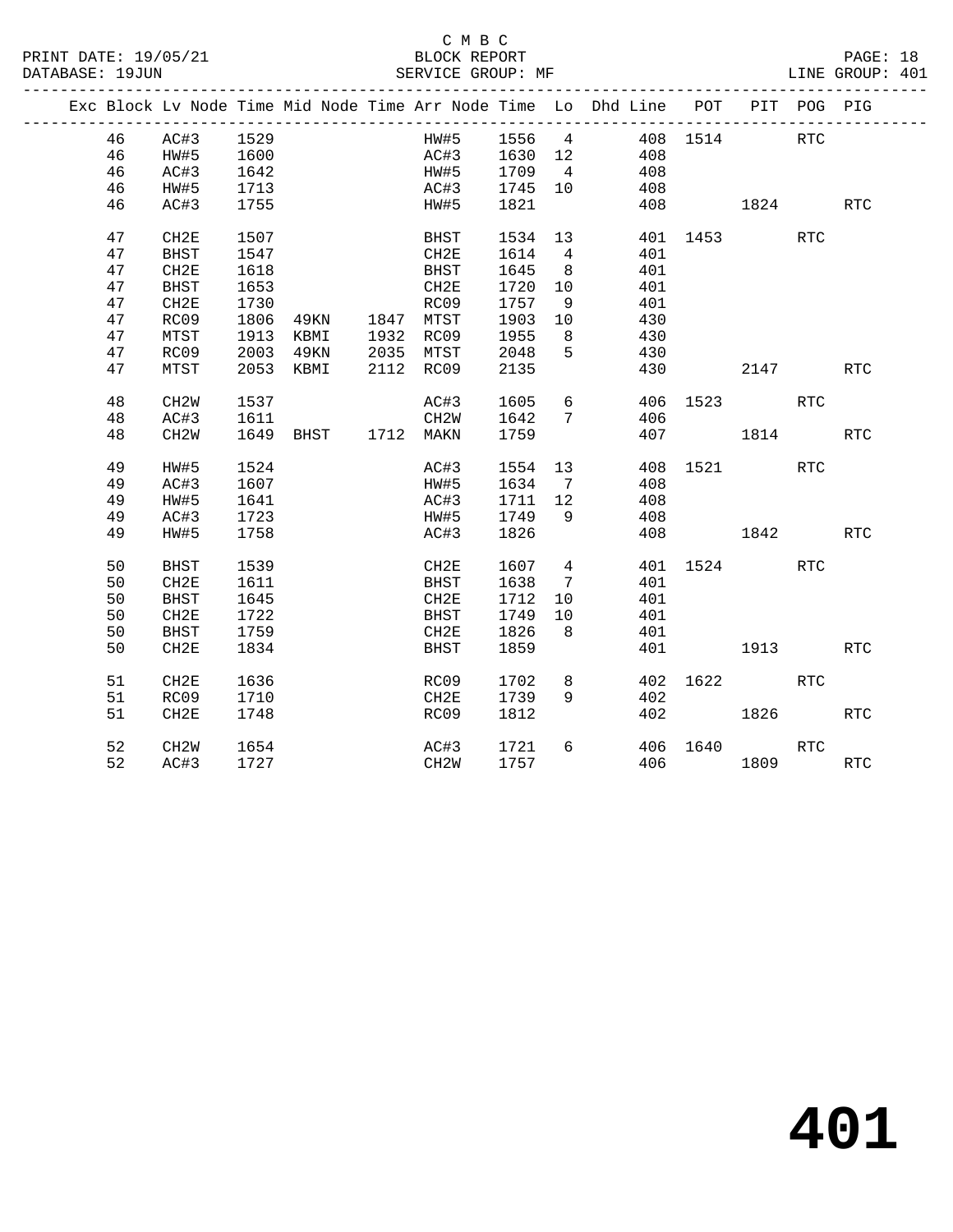### C M B C<br>BLOCK REPORT

|  |    | Exc Block Lv Node Time Mid Node Time Arr Node Time Lo Dhd Line POT PIT POG PIG |                     |      |                     |      |              |                 |                 |     |          |                                                                 |            |            |
|--|----|--------------------------------------------------------------------------------|---------------------|------|---------------------|------|--------------|-----------------|-----------------|-----|----------|-----------------------------------------------------------------|------------|------------|
|  | 46 | AC#3 1529<br>HW#5 1600                                                         |                     |      |                     |      |              |                 |                 |     |          | HW#5 1556 4 408 1514 RTC<br>AC#3 1630 12 408<br>HW#5 1709 4 408 |            |            |
|  | 46 |                                                                                |                     |      |                     |      |              |                 |                 |     |          |                                                                 |            |            |
|  | 46 | AC#3                                                                           | 1642                |      |                     |      |              |                 |                 |     |          |                                                                 |            |            |
|  | 46 | HW#5                                                                           | 1713                |      |                     |      | AC#3 1745 10 |                 |                 | 408 |          |                                                                 |            |            |
|  | 46 | AC#3                                                                           | 1755                |      |                     |      | HW#5 1821    |                 |                 |     |          | 408 1824                                                        |            | <b>RTC</b> |
|  | 47 | CH2E                                                                           | 1507                |      |                     | BHST | 1534         |                 | 13              |     |          | 401 1453                                                        | <b>RTC</b> |            |
|  | 47 | BHST                                                                           | 1547                |      |                     | CH2E | 1614         | $\overline{4}$  |                 | 401 |          |                                                                 |            |            |
|  | 47 | CH2E                                                                           | 1618                |      |                     | BHST | 1645         | 8 <sup>8</sup>  |                 | 401 |          |                                                                 |            |            |
|  | 47 | <b>BHST</b>                                                                    | 1653                |      |                     | CH2E | 1720         | 10              |                 | 401 |          |                                                                 |            |            |
|  | 47 | CH2E                                                                           | 1730                |      |                     | RC09 | 1757         | 9               |                 | 401 |          |                                                                 |            |            |
|  | 47 | RC09                                                                           | 1806 49KN 1847 MTST |      |                     |      | 1903         | 10              |                 | 430 |          |                                                                 |            |            |
|  | 47 | MTST                                                                           | 1913 KBMI           |      | 1932 RC09           |      | 1955         | 8               |                 | 430 |          |                                                                 |            |            |
|  | 47 | RC09                                                                           | 2003                | 49KN | 2035 MTST           |      | 2048         | $5\overline{)}$ |                 | 430 |          |                                                                 |            |            |
|  | 47 | MTST                                                                           | 2053 KBMI           |      | 2112 RC09           |      | 2135         |                 |                 |     |          | 430 2147                                                        |            | <b>RTC</b> |
|  | 48 | CH2W                                                                           | 1537                |      |                     | AC#3 | 1605         |                 | $6\overline{6}$ |     |          | 406 1523 RTC                                                    |            |            |
|  | 48 | AC#3                                                                           | 1611                |      |                     | CH2W | 1642         | $7\phantom{.0}$ |                 | 406 |          |                                                                 |            |            |
|  | 48 | CH <sub>2</sub> W                                                              |                     |      | 1649 BHST 1712 MAKN |      | 1759         |                 |                 |     |          | 407 1814                                                        |            | <b>RTC</b> |
|  | 49 | HW#5                                                                           | 1524                |      |                     | AC#3 | 1554 13      |                 |                 |     |          | 408 1521 RTC                                                    |            |            |
|  | 49 | AC#3                                                                           | 1607                |      |                     | HW#5 | 1634 7       |                 |                 | 408 |          |                                                                 |            |            |
|  | 49 | HW#5                                                                           | 1641                |      |                     | AC#3 | 1711 12      |                 |                 | 408 |          |                                                                 |            |            |
|  | 49 | AC#3                                                                           | 1723                |      |                     | HW#5 | 1749         | 9               |                 | 408 |          |                                                                 |            |            |
|  | 49 | HW#5                                                                           | 1758                |      |                     | AC#3 | 1826         |                 |                 |     |          | 408 1842                                                        |            | <b>RTC</b> |
|  | 50 | <b>BHST</b>                                                                    | 1539                |      |                     | CH2E | 1607         |                 | $4\overline{ }$ |     | 401 1524 |                                                                 | <b>RTC</b> |            |
|  | 50 | CH2E                                                                           | 1611                |      |                     | BHST | 1638         | $\overline{7}$  |                 | 401 |          |                                                                 |            |            |
|  | 50 | <b>BHST</b>                                                                    | 1645                |      |                     | CH2E | 1712         | 10              |                 | 401 |          |                                                                 |            |            |
|  | 50 | CH2E                                                                           | 1722                |      |                     | BHST | 1749         | 10              |                 | 401 |          |                                                                 |            |            |
|  | 50 | BHST                                                                           | 1759                |      |                     | CH2E | 1826         | 8 <sup>8</sup>  |                 | 401 |          |                                                                 |            |            |
|  | 50 | CH2E                                                                           | 1834                |      |                     | BHST | 1859         |                 |                 |     |          | 401 1913                                                        |            | <b>RTC</b> |
|  | 51 | CH2E                                                                           | 1636                |      |                     | RC09 | 1702         | 8               |                 |     |          | 402 1622 RTC                                                    |            |            |
|  | 51 | RC09                                                                           | 1710                |      |                     | CH2E | 1739         | 9               |                 | 402 |          |                                                                 |            |            |
|  | 51 | CH2E                                                                           | 1748                |      |                     | RC09 | 1812         |                 |                 |     | 402      | 1826                                                            |            | <b>RTC</b> |
|  | 52 | CH <sub>2</sub> W                                                              | 1654                |      |                     | AC#3 | 1721         | 6               |                 |     | 406 1640 |                                                                 | <b>RTC</b> |            |
|  | 52 | AC#3                                                                           | 1727                |      |                     | CH2W | 1757         |                 |                 |     | 406      | 1809                                                            |            | <b>RTC</b> |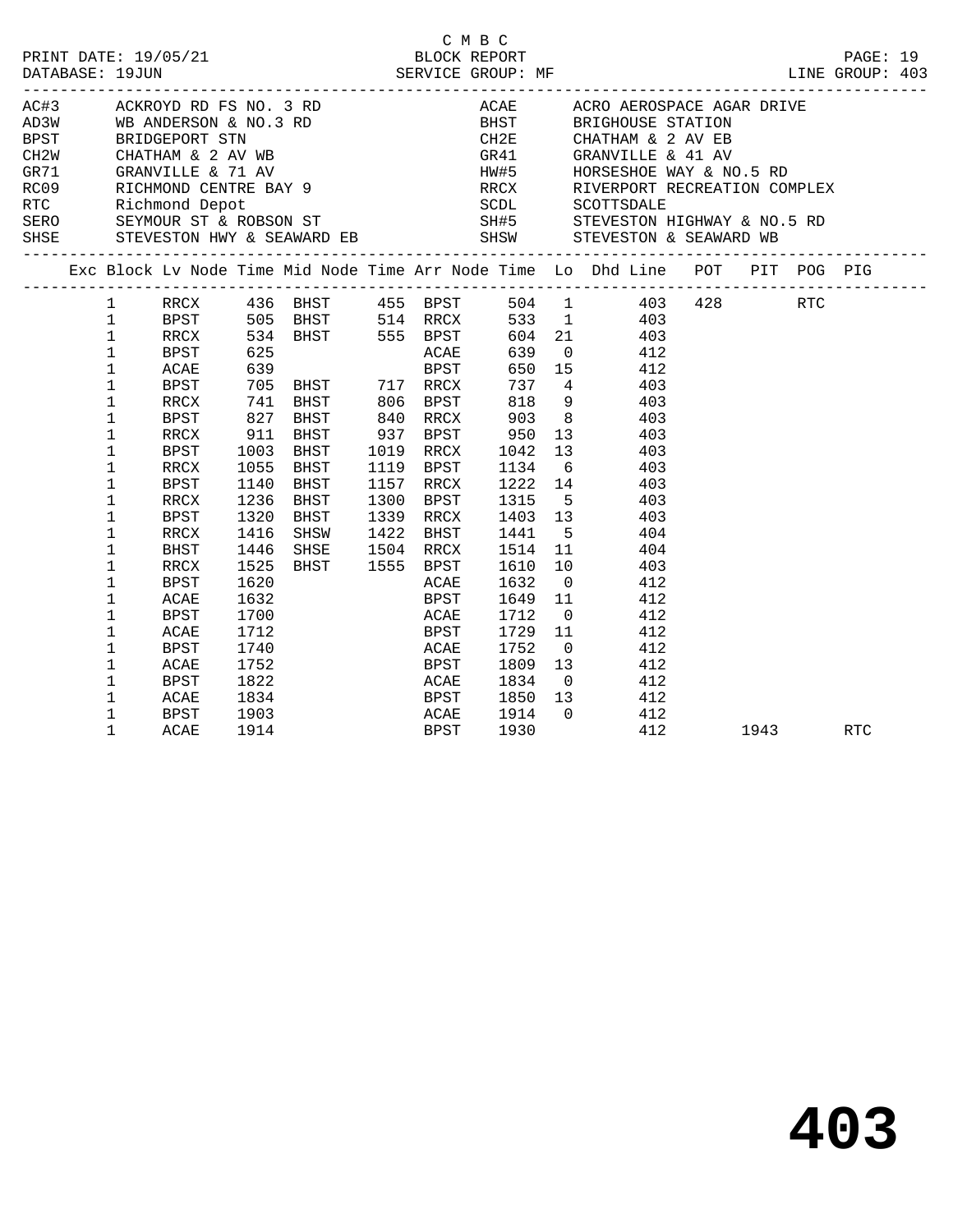|                        |             |      |                            |                             |                |                |                                                                                                                                                                                                                                |      | LINE GROUP: 403 |  |
|------------------------|-------------|------|----------------------------|-----------------------------|----------------|----------------|--------------------------------------------------------------------------------------------------------------------------------------------------------------------------------------------------------------------------------|------|-----------------|--|
|                        |             |      |                            |                             |                |                |                                                                                                                                                                                                                                |      |                 |  |
|                        |             |      |                            |                             |                |                | ACH AN MEAN DR FS NO. 3 RD ACAN DR FS NO 3 RD ACAN DR FS NO 3 RD ACAN DR FS NO 3 RD ACAN DR FS NO 3 RD ACAN DR FS NO 3 RD ANY LIE CHATHAM & 2 AV EB CH2W CHATHAM & 2 AV WB GR41 GRANVILLE & 41 AV AW45 HORSESHOE WAY & NO.5 RD |      |                 |  |
|                        |             |      |                            |                             |                |                |                                                                                                                                                                                                                                |      |                 |  |
|                        |             |      |                            |                             |                |                |                                                                                                                                                                                                                                |      |                 |  |
|                        |             |      |                            |                             |                |                |                                                                                                                                                                                                                                |      |                 |  |
|                        |             |      |                            |                             |                |                |                                                                                                                                                                                                                                |      |                 |  |
|                        |             |      |                            |                             |                |                |                                                                                                                                                                                                                                |      |                 |  |
|                        |             |      |                            |                             |                |                |                                                                                                                                                                                                                                |      |                 |  |
|                        |             |      |                            |                             |                |                |                                                                                                                                                                                                                                |      |                 |  |
|                        |             |      |                            |                             |                |                | SHSE STEVESTON HWY & SEAWARD EB SHSW STEVESTON & SEAWARD WB                                                                                                                                                                    |      |                 |  |
|                        |             |      |                            |                             |                |                | Exc Block Lv Node Time Mid Node Time Arr Node Time Lo Dhd Line POT PIT POG PIG                                                                                                                                                 |      |                 |  |
|                        |             |      |                            |                             |                |                | 1 RRCX 436 BHST 455 BPST 504 1 403 428 RTC                                                                                                                                                                                     |      |                 |  |
| $1 \quad \blacksquare$ |             |      |                            |                             |                |                | BPST 505 BHST 514 RRCX 533 1 403                                                                                                                                                                                               |      |                 |  |
| $\mathbf{1}$           |             |      |                            |                             |                |                | RRCX 534 BHST 555 BPST 604 21 403<br>BPST 625 ACAE 639 0 412                                                                                                                                                                   |      |                 |  |
| $\mathbf{1}$           |             |      | 625<br>639                 |                             |                |                |                                                                                                                                                                                                                                |      |                 |  |
| $\mathbf 1$            | ACAE        |      |                            | <b>BPST</b>                 |                |                | 650 15 412                                                                                                                                                                                                                     |      |                 |  |
| $\mathbf{1}$           |             |      | BPST 705 BHST 717 RRCX     |                             |                |                | 737 4 403                                                                                                                                                                                                                      |      |                 |  |
| 1                      | RRCX        |      |                            |                             |                |                |                                                                                                                                                                                                                                |      |                 |  |
| 1                      | BPST        |      |                            |                             |                |                | 741 BHST 806 BPST 818 9 403<br>827 BHST 840 RRCX 903 8 403<br>911 BHST 937 BPST 950 13 403                                                                                                                                     |      |                 |  |
| 1                      | RRCX        |      |                            |                             |                |                |                                                                                                                                                                                                                                |      |                 |  |
| 1                      | <b>BPST</b> |      |                            |                             |                |                | 1003 BHST 1019 RRCX 1042 13 403                                                                                                                                                                                                |      |                 |  |
| 1                      | RRCX        | 1055 |                            |                             |                |                | BHST 1119 BPST 1134 6 403                                                                                                                                                                                                      |      |                 |  |
| $\mathbf{1}$           | BPST        | 1140 | BHST                       |                             |                |                | 1157 RRCX 1222 14 403<br>1300 BPST 1315 5 403<br>1339 RRCX 1403 13 403                                                                                                                                                         |      |                 |  |
| 1                      | RRCX        | 1236 | <b>BHST</b>                |                             |                |                |                                                                                                                                                                                                                                |      |                 |  |
| $\mathbf 1$            | BPST        |      | 1320 BHST                  |                             |                |                |                                                                                                                                                                                                                                |      |                 |  |
| $\mathbf 1$            | RRCX        | 1416 | SHSW                       |                             | 1422 BHST 1441 |                | $5^{\circ}$<br>404                                                                                                                                                                                                             |      |                 |  |
| 1                      | BHST        |      | 1446 SHSE 1504 RRCX        |                             |                |                | 1514 11<br>404                                                                                                                                                                                                                 |      |                 |  |
| $\mathbf 1$            | RRCX        | 1525 | BHST 1555 BPST             |                             | 1610           |                | 10 403                                                                                                                                                                                                                         |      |                 |  |
| 1                      | BPST        |      |                            | ACAE                        | 1632           | $\overline{0}$ | 412                                                                                                                                                                                                                            |      |                 |  |
| $\mathbf 1$            | ACAE        |      | $1620$<br>$1632$<br>$1700$ | BPST                        |                |                | $1649$ 11 $412$                                                                                                                                                                                                                |      |                 |  |
| $\mathbf 1$            | BPST        |      |                            | <b>ACAE</b>                 | 1712           |                | $\overline{0}$<br>412                                                                                                                                                                                                          |      |                 |  |
| 1                      | ACAE        | 1712 |                            | <b>BPST</b>                 | 1729           | 11             | 412                                                                                                                                                                                                                            |      |                 |  |
| 1                      | <b>BPST</b> | 1740 |                            | <b>ACAE</b><br>ACAE<br>BPST | 1752           |                | $\overline{\phantom{a}}$<br>412                                                                                                                                                                                                |      |                 |  |
| 1                      | ACAE        | 1752 |                            |                             |                | 1809 13        | 412                                                                                                                                                                                                                            |      |                 |  |
| $\mathbf{1}$           | <b>BPST</b> | 1822 |                            | <b>ACAE</b>                 | 1834           |                | $0$ 412                                                                                                                                                                                                                        |      |                 |  |
| $\mathbf 1$            | ACAE        |      |                            |                             |                |                | 1834 BPST 1850 13 412                                                                                                                                                                                                          |      |                 |  |
| $\mathbf{1}$           | BPST        | 1903 | ACAE<br>BPST               |                             |                |                | 1914 0 412                                                                                                                                                                                                                     |      |                 |  |
| 1                      | ACAE        | 1914 |                            |                             | 1930           |                | 412                                                                                                                                                                                                                            | 1943 | RTC             |  |

C M B C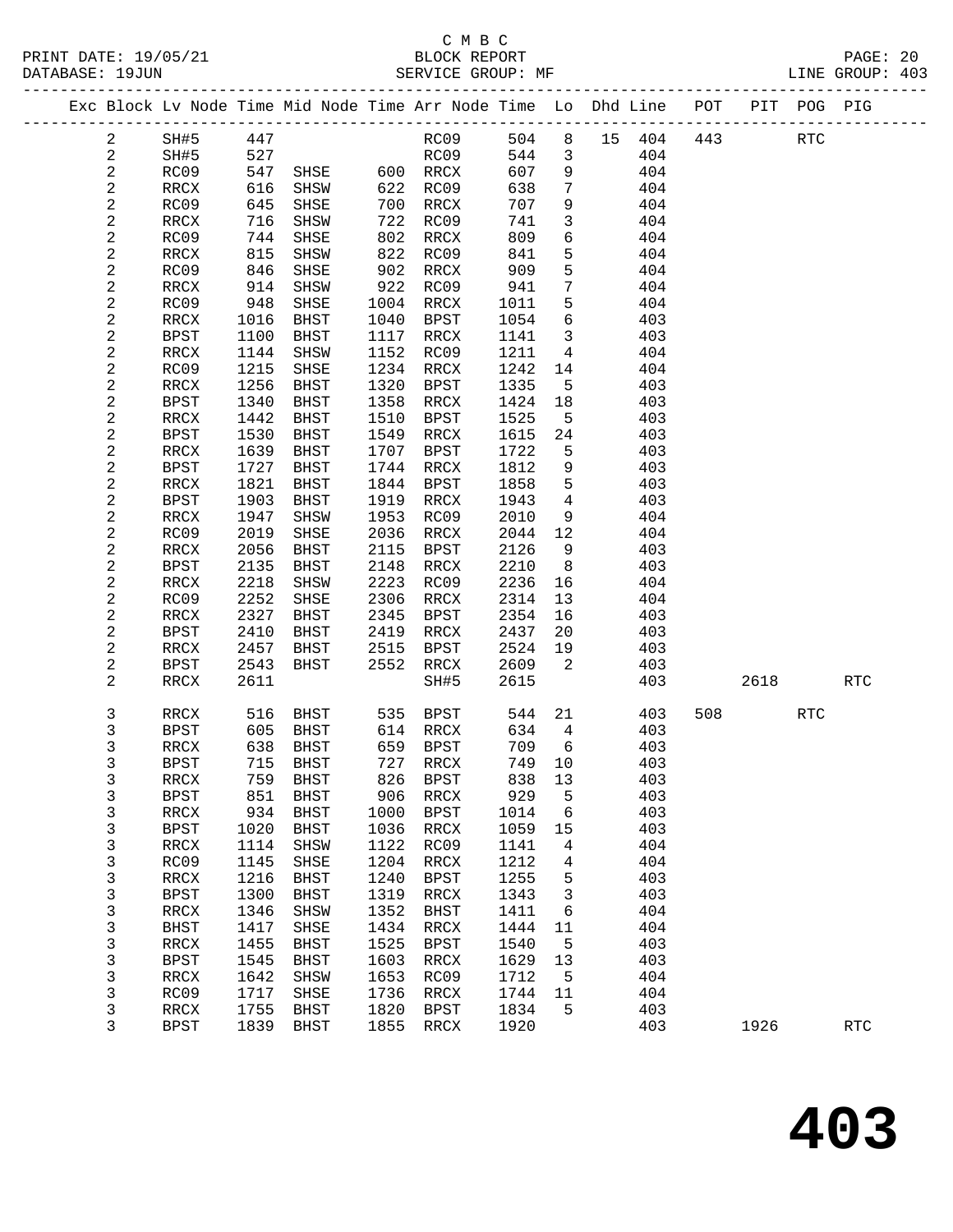|  |                  |                     |              | Exc Block Lv Node Time Mid Node Time Arr Node Time Lo Dhd Line |              |                                         |              |                            |        | POT        | PIT  | POG PIG    |                      |
|--|------------------|---------------------|--------------|----------------------------------------------------------------|--------------|-----------------------------------------|--------------|----------------------------|--------|------------|------|------------|----------------------|
|  | $\overline{a}$   | SH#5                | 447          |                                                                |              | RC09                                    | 504          | 8                          | 15 404 | 443        |      | <b>RTC</b> |                      |
|  | $\mathbf{2}$     | SH#5                | 527          |                                                                |              | RC09                                    | 544          | $\mathbf{3}$               |        | 404        |      |            |                      |
|  | 2                | RC09                | 547          | SHSE                                                           |              | 600 RRCX                                | 607          | 9                          |        | 404        |      |            |                      |
|  | $\mathbf{2}$     | RRCX                | 616          | SHSW                                                           | 622          | RC09                                    | 638          | 7                          |        | 404        |      |            |                      |
|  | 2                | RC09                | 645          | SHSE                                                           | 700          | RRCX                                    | 707          | 9                          |        | 404        |      |            |                      |
|  | $\sqrt{2}$       | RRCX                | 716          | SHSW                                                           | 722          | RC09                                    | 741          | $\mathbf{3}$               |        | 404        |      |            |                      |
|  | $\sqrt{2}$       | RC09                | 744          | SHSE                                                           | 802          | RRCX                                    | 809          | $\epsilon$                 |        | 404        |      |            |                      |
|  | $\boldsymbol{2}$ | RRCX                | 815          | SHSW                                                           | 822          | RC09                                    | 841          | 5                          |        | 404        |      |            |                      |
|  | $\sqrt{2}$       | RC09                | 846          | SHSE                                                           | 902          | RRCX                                    | 909          | 5                          |        | 404        |      |            |                      |
|  | $\sqrt{2}$       | RRCX                | 914          | SHSW                                                           | 922          | RC09                                    | 941          | $7\phantom{.0}$            |        | 404        |      |            |                      |
|  | $\sqrt{2}$       | RC09                | 948          | SHSE                                                           | 1004         | RRCX                                    | 1011         | 5                          |        | 404        |      |            |                      |
|  | $\sqrt{2}$       | RRCX                | 1016         | BHST                                                           | 1040         | BPST                                    | 1054         | 6                          |        | 403        |      |            |                      |
|  | 2                | <b>BPST</b>         | 1100         | BHST                                                           | 1117         | RRCX                                    | 1141         | $\mathbf{3}$               |        | 403        |      |            |                      |
|  | $\sqrt{2}$       | RRCX                | 1144         | SHSW                                                           | 1152         | RC09                                    | 1211         | $4\overline{4}$            |        | 404        |      |            |                      |
|  | $\sqrt{2}$       | RC09                | 1215         | SHSE                                                           | 1234         | RRCX                                    | 1242         | 14                         |        | 404        |      |            |                      |
|  | $\mathbf{2}$     | RRCX                | 1256         | BHST                                                           | 1320         | BPST                                    | 1335         | 5                          |        | 403        |      |            |                      |
|  | 2                | BPST                | 1340         | BHST                                                           | 1358         | RRCX                                    | 1424         | 18                         |        | 403        |      |            |                      |
|  | 2                | RRCX                | 1442         | BHST                                                           | 1510         | BPST                                    | 1525         | $-5$                       |        | 403        |      |            |                      |
|  | $\sqrt{2}$       | BPST                | 1530         | BHST                                                           | 1549         | RRCX                                    | 1615         | 24                         |        | 403        |      |            |                      |
|  | $\sqrt{2}$       | RRCX                | 1639         | BHST                                                           | 1707         | BPST                                    | 1722         | 5                          |        | 403        |      |            |                      |
|  | 2                | BPST                | 1727         | BHST                                                           | 1744         | RRCX                                    | 1812         | 9                          |        | 403        |      |            |                      |
|  | $\sqrt{2}$       | RRCX                | 1821         | BHST                                                           | 1844         | BPST                                    | 1858         | 5                          |        | 403        |      |            |                      |
|  | $\sqrt{2}$       | <b>BPST</b>         | 1903         | BHST                                                           | 1919         | RRCX                                    | 1943         | $\overline{4}$             |        | 403        |      |            |                      |
|  | $\sqrt{2}$       | RRCX                | 1947         | SHSW                                                           | 1953         | RC09                                    | 2010         | 9                          |        | 404        |      |            |                      |
|  | $\boldsymbol{2}$ | RC09                | 2019         | SHSE                                                           | 2036         | RRCX                                    | 2044         | 12                         |        | 404        |      |            |                      |
|  | $\mathbf{2}$     | RRCX                | 2056         | BHST                                                           | 2115         | <b>BPST</b>                             | 2126         | 9                          |        | 403        |      |            |                      |
|  | $\sqrt{2}$       | BPST                | 2135         | BHST                                                           | 2148         | RRCX                                    | 2210         | 8 <sup>8</sup>             |        | 403        |      |            |                      |
|  | 2                | RRCX                | 2218         | SHSW                                                           | 2223         | RC09                                    | 2236         | 16                         |        | 404        |      |            |                      |
|  | $\boldsymbol{2}$ | RC09                | 2252         | SHSE                                                           | 2306         | RRCX                                    | 2314         | 13                         |        | 404        |      |            |                      |
|  | $\sqrt{2}$       | $\verb!RRCX!$       | 2327         | BHST                                                           | 2345         | <b>BPST</b>                             | 2354         | 16                         |        | 403        |      |            |                      |
|  | $\sqrt{2}$       | <b>BPST</b>         | 2410         | BHST                                                           | 2419         | RRCX                                    | 2437         | 20                         |        | 403        |      |            |                      |
|  | 2                | $\verb!RRCX!$       | 2457         | BHST                                                           | 2515         | BPST                                    | 2524         | 19                         |        | 403        |      |            |                      |
|  | $\sqrt{2}$       | BPST                | 2543         | BHST                                                           | 2552         | RRCX                                    | 2609         | $\overline{\phantom{a}}^2$ |        | 403        |      |            |                      |
|  | 2                | RRCX                | 2611         |                                                                |              | SH#5                                    | 2615         |                            |        | 403        | 2618 |            | <b>RTC</b>           |
|  | 3                | RRCX                | 516          | BHST                                                           | 535          | BPST                                    | 544          | 21                         |        | 508<br>403 |      | <b>RTC</b> |                      |
|  | 3                | <b>BPST</b>         | 605          | BHST                                                           |              | 614 RRCX                                | 634          | $\overline{4}$             |        | 403        |      |            |                      |
|  | 3                | RRCX                | 638          | BHST                                                           |              | 659 BPST                                | 709          | 6                          |        | 403        |      |            |                      |
|  | 3                | <b>BPST</b>         | 715          | BHST                                                           |              | 727 RRCX                                | 749 10       |                            |        | 403        |      |            |                      |
|  | 3                | RRCX                |              | 759 BHST                                                       |              | 826 BPST                                | 838 13       |                            | 403    |            |      |            |                      |
|  | 3                | <b>BPST</b>         | 851          | <b>BHST</b>                                                    | 906          | RRCX                                    | 929          | 5                          |        | 403        |      |            |                      |
|  | 3                | RRCX                | 934          | <b>BHST</b>                                                    | 1000         | BPST                                    | 1014         | 6                          |        | 403        |      |            |                      |
|  | 3                | BPST                | 1020         | BHST                                                           | 1036         | RRCX                                    | 1059         | 15                         |        | 403        |      |            |                      |
|  | 3                | RRCX                | 1114         | SHSW                                                           | 1122         | RC09                                    | 1141         | 4                          |        | 404        |      |            |                      |
|  | 3                | RC09                | 1145         | SHSE                                                           | 1204         | RRCX                                    | 1212         | 4                          |        | 404        |      |            |                      |
|  | 3                | <b>RRCX</b>         | 1216         | BHST                                                           | 1240         | <b>BPST</b>                             | 1255         | 5                          |        | 403        |      |            |                      |
|  | 3                | <b>BPST</b>         | 1300         | <b>BHST</b>                                                    | 1319         | RRCX                                    | 1343         | 3                          |        | 403        |      |            |                      |
|  | 3                | <b>RRCX</b>         | 1346         | SHSW                                                           | 1352         | <b>BHST</b>                             | 1411         | 6                          |        | 404        |      |            |                      |
|  | 3                | <b>BHST</b>         | 1417         | SHSE                                                           | 1434         | RRCX                                    | 1444         | 11                         |        | 404        |      |            |                      |
|  | 3<br>3           | RRCX<br><b>BPST</b> | 1455<br>1545 | <b>BHST</b>                                                    | 1525<br>1603 | <b>BPST</b><br>$\mathop{\mathrm{RRCX}}$ | 1540<br>1629 | 5<br>13                    |        | 403<br>403 |      |            |                      |
|  | 3                | RRCX                | 1642         | BHST<br>SHSW                                                   | 1653         | RC09                                    | 1712         | 5                          |        | 404        |      |            |                      |
|  | 3                | RC09                | 1717         | SHSE                                                           | 1736         | RRCX                                    | 1744         | 11                         |        | 404        |      |            |                      |
|  | 3                | RRCX                | 1755         | BHST                                                           | 1820         | BPST                                    | 1834         | 5                          |        | 403        |      |            |                      |
|  | 3                | <b>BPST</b>         | 1839         | BHST                                                           | 1855         | RRCX                                    | 1920         |                            |        | 403        | 1926 |            | $\operatorname{RTC}$ |
|  |                  |                     |              |                                                                |              |                                         |              |                            |        |            |      |            |                      |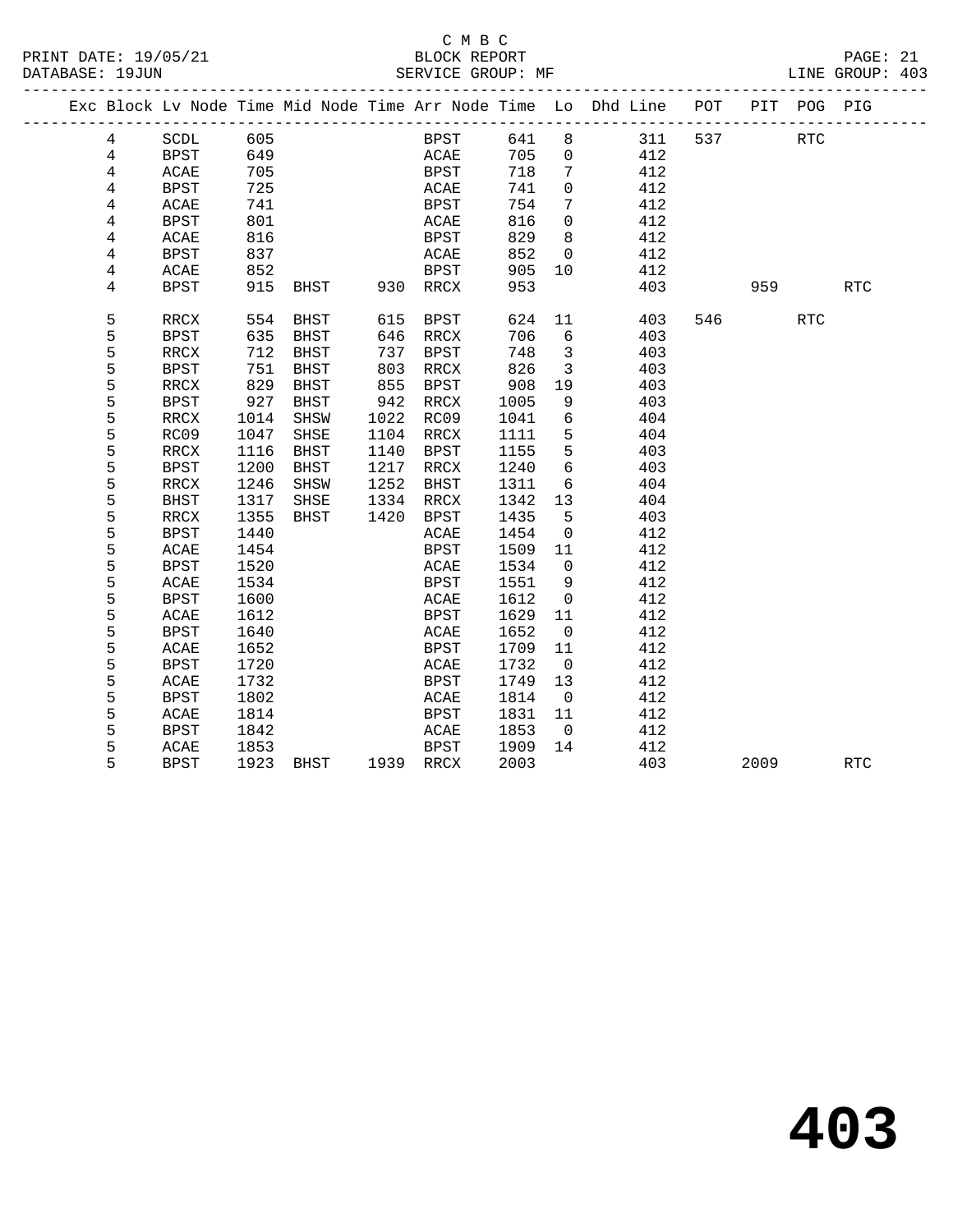#### C M B C<br>BLOCK REPORT PRINT DATE: 19/05/21 BLOCK REPORT PAGE: 21 SERVICE GROUP: MF

|                |             |      |             |      |             |      |                         | Exc Block Lv Node Time Mid Node Time Arr Node Time Lo Dhd Line POT |     |      | PIT POG PIG |            |
|----------------|-------------|------|-------------|------|-------------|------|-------------------------|--------------------------------------------------------------------|-----|------|-------------|------------|
| $\overline{4}$ | SCDL        | 605  |             |      | BPST        | 641  | 8                       | 311                                                                | 537 |      | <b>RTC</b>  |            |
| $\overline{4}$ | BPST        | 649  |             |      | ACAE        | 705  | $\overline{0}$          | 412                                                                |     |      |             |            |
| 4              | ACAE        | 705  |             |      | BPST        | 718  | 7                       | 412                                                                |     |      |             |            |
| 4              | <b>BPST</b> | 725  |             |      | ACAE        | 741  | $\overline{0}$          | 412                                                                |     |      |             |            |
| 4              | ACAE        | 741  |             |      | BPST        | 754  | $7\phantom{.0}$         | 412                                                                |     |      |             |            |
| 4              | <b>BPST</b> | 801  |             |      | ACAE        | 816  | $\Omega$                | 412                                                                |     |      |             |            |
| 4              | ACAE        | 816  |             |      | <b>BPST</b> | 829  | 8                       | 412                                                                |     |      |             |            |
| 4              | BPST        | 837  |             |      | ACAE        | 852  | $\overline{0}$          | 412                                                                |     |      |             |            |
| 4              | ACAE        | 852  |             |      | <b>BPST</b> | 905  | 10                      | 412                                                                |     |      |             |            |
| 4              | BPST        | 915  | BHST        |      | 930 RRCX    | 953  |                         | 403                                                                |     | 959  |             | <b>RTC</b> |
| 5              | RRCX        | 554  | BHST        | 615  | BPST        | 624  | 11                      | 403                                                                | 546 |      | <b>RTC</b>  |            |
| 5              | BPST        | 635  | BHST        | 646  | RRCX        | 706  | $6\overline{6}$         | 403                                                                |     |      |             |            |
| 5              | RRCX        | 712  | BHST        | 737  | BPST        | 748  | $\overline{\mathbf{3}}$ | 403                                                                |     |      |             |            |
| 5              | <b>BPST</b> | 751  | <b>BHST</b> | 803  | RRCX        | 826  | $\overline{3}$          | 403                                                                |     |      |             |            |
| 5              | RRCX        | 829  | BHST        | 855  | BPST        | 908  | 19                      | 403                                                                |     |      |             |            |
| 5              | <b>BPST</b> | 927  | BHST        | 942  | RRCX        | 1005 | 9                       | 403                                                                |     |      |             |            |
| 5              | RRCX        | 1014 | SHSW        | 1022 | RC09        | 1041 | 6                       | 404                                                                |     |      |             |            |
| 5              | RC09        | 1047 | SHSE        | 1104 | RRCX        | 1111 | 5                       | 404                                                                |     |      |             |            |
| 5              | RRCX        | 1116 | BHST        | 1140 | BPST        | 1155 | 5                       | 403                                                                |     |      |             |            |
| 5              | <b>BPST</b> | 1200 | BHST        | 1217 | RRCX        | 1240 | $6\overline{6}$         | 403                                                                |     |      |             |            |
| 5              | RRCX        | 1246 | SHSW        | 1252 | BHST        | 1311 | 6                       | 404                                                                |     |      |             |            |
| 5              | BHST        | 1317 | SHSE        | 1334 | RRCX        | 1342 | 13                      | 404                                                                |     |      |             |            |
| 5              | RRCX        | 1355 | BHST        | 1420 | BPST        | 1435 | 5                       | 403                                                                |     |      |             |            |
| 5              | BPST        | 1440 |             |      | ACAE        | 1454 | $\mathbf 0$             | 412                                                                |     |      |             |            |
| 5              | ACAE        | 1454 |             |      | <b>BPST</b> | 1509 | 11                      | 412                                                                |     |      |             |            |
| 5              | <b>BPST</b> | 1520 |             |      | ACAE        | 1534 | $\overline{0}$          | 412                                                                |     |      |             |            |
| 5              | ACAE        | 1534 |             |      | <b>BPST</b> | 1551 | 9                       | 412                                                                |     |      |             |            |
| 5              | <b>BPST</b> | 1600 |             |      | ACAE        | 1612 | $\mathbf 0$             | 412                                                                |     |      |             |            |
| 5              | ACAE        | 1612 |             |      | BPST        | 1629 | 11                      | 412                                                                |     |      |             |            |
| 5              | BPST        | 1640 |             |      | ACAE        | 1652 | $\overline{0}$          | 412                                                                |     |      |             |            |
| 5              | ACAE        | 1652 |             |      | BPST        | 1709 | 11                      | 412                                                                |     |      |             |            |
| 5              | <b>BPST</b> | 1720 |             |      | ACAE        | 1732 | $\overline{0}$          | 412                                                                |     |      |             |            |
| 5              | ACAE        | 1732 |             |      | <b>BPST</b> | 1749 | 13                      | 412                                                                |     |      |             |            |
| 5              | <b>BPST</b> | 1802 |             |      | ACAE        | 1814 | $\overline{0}$          | 412                                                                |     |      |             |            |
| 5              | ACAE        | 1814 |             |      | BPST        | 1831 | 11                      | 412                                                                |     |      |             |            |
| 5              | <b>BPST</b> | 1842 |             |      | ACAE        | 1853 | $\overline{0}$          | 412                                                                |     |      |             |            |
| 5              | ACAE        | 1853 |             |      | <b>BPST</b> | 1909 | 14                      | 412                                                                |     |      |             |            |
| 5              | <b>BPST</b> | 1923 | BHST        |      | 1939 RRCX   | 2003 |                         | 403                                                                |     | 2009 |             | <b>RTC</b> |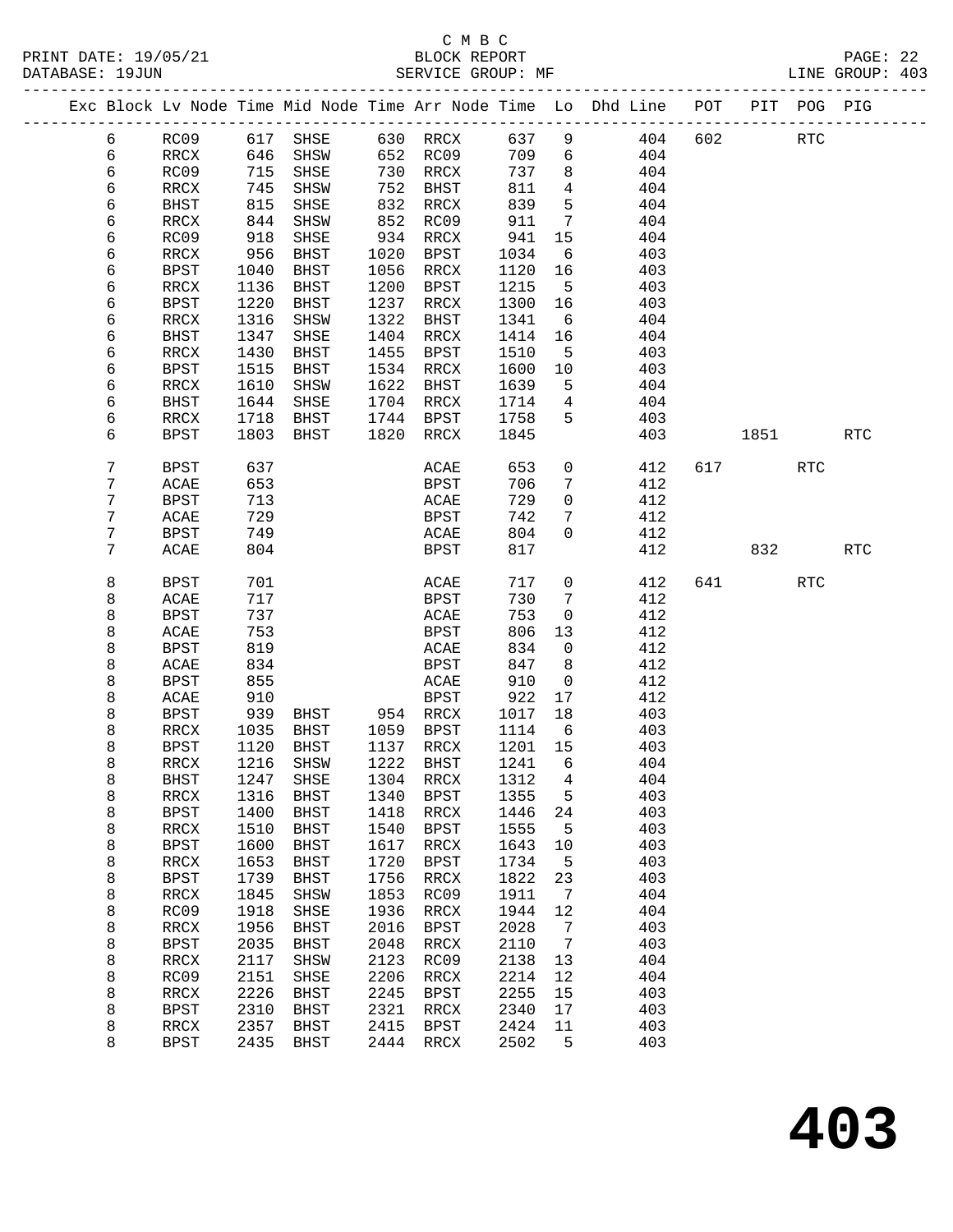# C M B C<br>BLOCK REPORT

PRINT DATE: 19/05/21 BLOCK REPORT PAGE: 22 LINE GROUP: 403 -------------------------------------------------------------------------------------------------

|  |   |                          |      | Exc Block Lv Node Time Mid Node Time Arr Node Time Lo |      |                 |      |             | Dhd Line | POT | PIT  | POG        | PIG                  |
|--|---|--------------------------|------|-------------------------------------------------------|------|-----------------|------|-------------|----------|-----|------|------------|----------------------|
|  | 6 | RC09                     | 617  | SHSE                                                  | 630  | $\mathtt{RRCX}$ | 637  | 9           | 404      | 602 |      | RTC        |                      |
|  | 6 | RRCX                     | 646  | SHSW                                                  | 652  | RC09            | 709  | 6           | 404      |     |      |            |                      |
|  | 6 | RC09                     | 715  | SHSE                                                  | 730  | RRCX            | 737  | 8           | 404      |     |      |            |                      |
|  | 6 | RRCX                     | 745  | SHSW                                                  | 752  | <b>BHST</b>     | 811  | 4           | 404      |     |      |            |                      |
|  | 6 | <b>BHST</b>              | 815  | SHSE                                                  | 832  | RRCX            | 839  | 5           | 404      |     |      |            |                      |
|  | 6 | RRCX                     | 844  | SHSW                                                  | 852  | RC09            | 911  | 7           | 404      |     |      |            |                      |
|  | 6 | RC09                     | 918  | SHSE                                                  | 934  | $\verb!RRCX!$   | 941  | 15          | 404      |     |      |            |                      |
|  | 6 | RRCX                     | 956  | <b>BHST</b>                                           | 1020 | <b>BPST</b>     | 1034 | 6           | 403      |     |      |            |                      |
|  | б | <b>BPST</b>              | 1040 | <b>BHST</b>                                           | 1056 | RRCX            | 1120 | 16          | 403      |     |      |            |                      |
|  | 6 | RRCX                     | 1136 | <b>BHST</b>                                           | 1200 | BPST            | 1215 | 5           | 403      |     |      |            |                      |
|  | б | <b>BPST</b>              | 1220 | <b>BHST</b>                                           | 1237 | RRCX            | 1300 | 16          | 403      |     |      |            |                      |
|  | б | RRCX                     | 1316 | SHSW                                                  | 1322 | BHST            | 1341 | 6           | 404      |     |      |            |                      |
|  | б | <b>BHST</b>              | 1347 | SHSE                                                  | 1404 | RRCX            | 1414 | 16          | 404      |     |      |            |                      |
|  | 6 | RRCX                     | 1430 | <b>BHST</b>                                           | 1455 | BPST            | 1510 | 5           | 403      |     |      |            |                      |
|  | 6 | <b>BPST</b>              | 1515 | BHST                                                  | 1534 | RRCX            | 1600 | 10          | 403      |     |      |            |                      |
|  | 6 | $\mathop{\mathrm{RRCX}}$ | 1610 | SHSW                                                  | 1622 | BHST            | 1639 | 5           | 404      |     |      |            |                      |
|  | б | <b>BHST</b>              | 1644 | SHSE                                                  | 1704 | RRCX            | 1714 | 4           | 404      |     |      |            |                      |
|  | 6 | RRCX                     | 1718 | <b>BHST</b>                                           | 1744 | BPST            | 1758 | 5           | 403      |     |      |            |                      |
|  | 6 | <b>BPST</b>              | 1803 | BHST                                                  | 1820 | RRCX            | 1845 |             | 403      |     | 1851 |            | $\operatorname{RTC}$ |
|  |   |                          |      |                                                       |      |                 |      |             |          |     |      |            |                      |
|  | 7 | BPST                     | 637  |                                                       |      | ACAE            | 653  | 0           | 412      | 617 |      | RTC        |                      |
|  | 7 | ACAE                     | 653  |                                                       |      | BPST            | 706  | 7           | 412      |     |      |            |                      |
|  | 7 | <b>BPST</b>              | 713  |                                                       |      | ACAE            | 729  | 0           | 412      |     |      |            |                      |
|  | 7 | ACAE                     | 729  |                                                       |      | BPST            | 742  | 7           | 412      |     |      |            |                      |
|  | 7 | <b>BPST</b>              | 749  |                                                       |      | ACAE            | 804  | $\mathbf 0$ | 412      |     |      |            |                      |
|  | 7 | ACAE                     | 804  |                                                       |      | <b>BPST</b>     | 817  |             | 412      |     | 832  |            | $\operatorname{RTC}$ |
|  |   |                          |      |                                                       |      |                 |      |             |          |     |      |            |                      |
|  | 8 | <b>BPST</b>              | 701  |                                                       |      | ACAE            | 717  | 0           | 412      | 641 |      | <b>RTC</b> |                      |
|  | 8 | ACAE                     | 717  |                                                       |      | BPST            | 730  | 7           | 412      |     |      |            |                      |
|  | 8 | <b>BPST</b>              | 737  |                                                       |      | ACAE            | 753  | 0           | 412      |     |      |            |                      |
|  | 8 | ACAE                     | 753  |                                                       |      | BPST            | 806  | 13          | 412      |     |      |            |                      |
|  | 8 | <b>BPST</b>              | 819  |                                                       |      | ACAE            | 834  | 0           | 412      |     |      |            |                      |
|  | 8 | ACAE                     | 834  |                                                       |      | <b>BPST</b>     | 847  | 8           | 412      |     |      |            |                      |
|  | 8 | <b>BPST</b>              | 855  |                                                       |      | ACAE            | 910  | 0           | 412      |     |      |            |                      |
|  | 8 | ACAE                     | 910  |                                                       |      | BPST            | 922  | 17          | 412      |     |      |            |                      |
|  | 8 | <b>BPST</b>              | 939  | BHST                                                  | 954  | RRCX            | 1017 | 18          | 403      |     |      |            |                      |
|  | 8 | RRCX                     | 1035 | <b>BHST</b>                                           | 1059 | BPST            | 1114 | 6           | 403      |     |      |            |                      |
|  | 8 | <b>BPST</b>              | 1120 | <b>BHST</b>                                           | 1137 | RRCX            | 1201 | 15          | 403      |     |      |            |                      |
|  | 8 | RRCX                     | 1216 | SHSW                                                  | 1222 | BHST            | 1241 | 6           | 404      |     |      |            |                      |
|  | 8 | <b>BHST</b>              | 1247 | SHSE                                                  | 1304 | RRCX            | 1312 | 4           | 404      |     |      |            |                      |
|  | 8 | RRCX                     | 1316 | BHST                                                  | 1340 | BPST            | 1355 | 5           | 403      |     |      |            |                      |
|  | 8 | <b>BPST</b>              | 1400 | <b>BHST</b>                                           | 1418 | RRCX            | 1446 | 24          | 403      |     |      |            |                      |
|  | 8 | RRCX                     | 1510 | <b>BHST</b>                                           | 1540 | BPST            | 1555 | 5           | 403      |     |      |            |                      |
|  | 8 | <b>BPST</b>              | 1600 | <b>BHST</b>                                           | 1617 | RRCX            | 1643 | 10          | 403      |     |      |            |                      |
|  | 8 | $\mathop{\mathrm{RRCX}}$ | 1653 | <b>BHST</b>                                           | 1720 | <b>BPST</b>     | 1734 | 5           | 403      |     |      |            |                      |
|  | 8 | <b>BPST</b>              | 1739 | <b>BHST</b>                                           | 1756 | <b>RRCX</b>     | 1822 | 23          | 403      |     |      |            |                      |
|  | 8 | RRCX                     | 1845 | SHSW                                                  | 1853 | RC09            | 1911 | 7           | 404      |     |      |            |                      |
|  | 8 | RC09                     | 1918 | SHSE                                                  | 1936 | RRCX            | 1944 | 12          | 404      |     |      |            |                      |
|  | 8 | RRCX                     | 1956 | <b>BHST</b>                                           | 2016 | <b>BPST</b>     | 2028 | 7           | 403      |     |      |            |                      |
|  | 8 | <b>BPST</b>              | 2035 | <b>BHST</b>                                           | 2048 | RRCX            | 2110 | 7           | 403      |     |      |            |                      |
|  | 8 | RRCX                     | 2117 | SHSW                                                  | 2123 | RC09            | 2138 | 13          | 404      |     |      |            |                      |
|  | 8 | RC09                     | 2151 | SHSE                                                  | 2206 | RRCX            | 2214 | 12          | 404      |     |      |            |                      |
|  | 8 | RRCX                     | 2226 | <b>BHST</b>                                           | 2245 | <b>BPST</b>     | 2255 | 15          | 403      |     |      |            |                      |
|  | 8 | <b>BPST</b>              | 2310 | <b>BHST</b>                                           | 2321 | RRCX            | 2340 | 17          | 403      |     |      |            |                      |
|  | 8 | RRCX                     | 2357 | <b>BHST</b>                                           | 2415 | <b>BPST</b>     | 2424 | 11          | 403      |     |      |            |                      |
|  | 8 | <b>BPST</b>              | 2435 | <b>BHST</b>                                           | 2444 | RRCX            | 2502 | 5           | 403      |     |      |            |                      |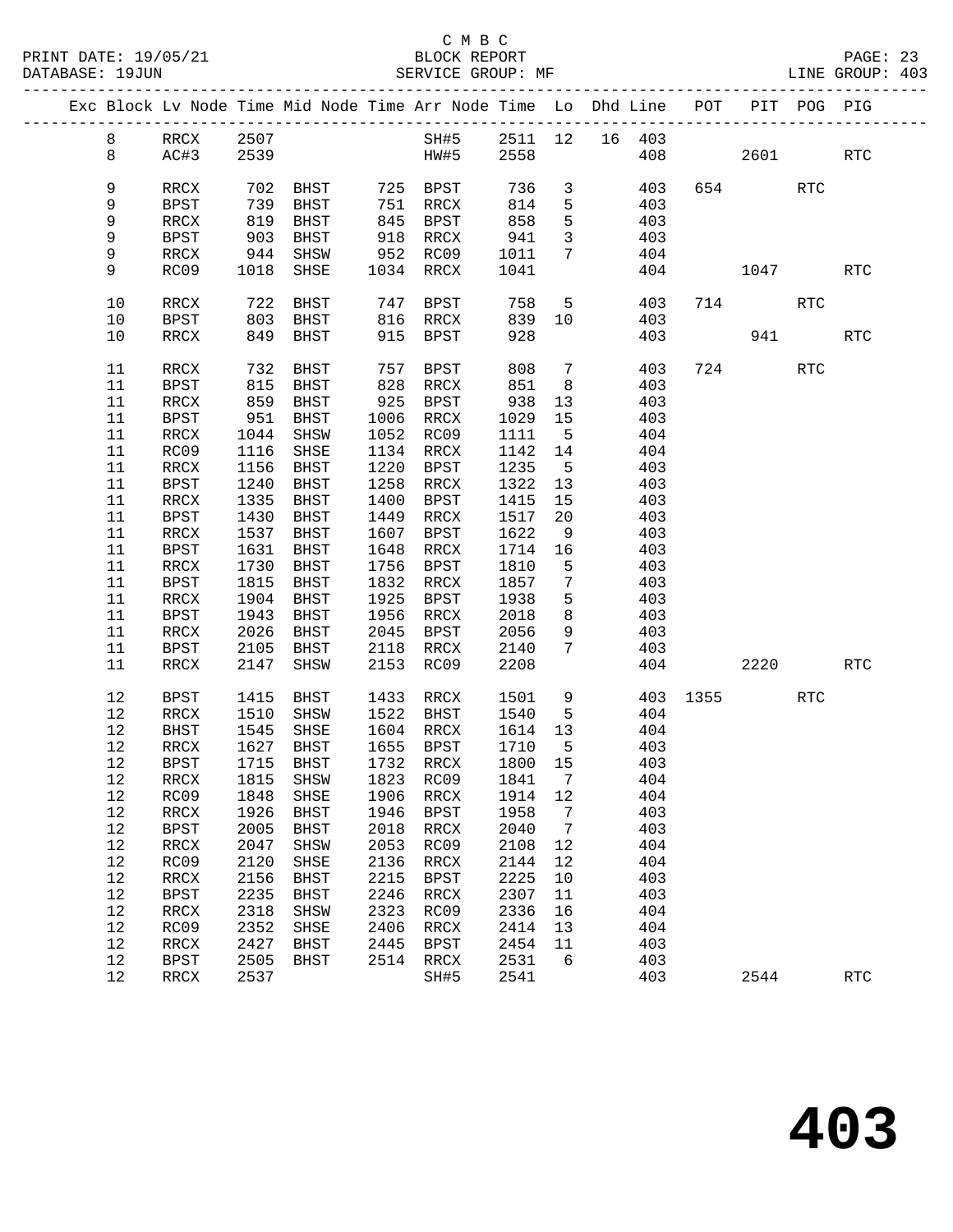|  |          |                        |              | Exc Block Lv Node Time Mid Node Time Arr Node Time Lo Dhd Line POT PIT POG PIG |      |                        |              |                         |     |            |     |          |            |            |
|--|----------|------------------------|--------------|--------------------------------------------------------------------------------|------|------------------------|--------------|-------------------------|-----|------------|-----|----------|------------|------------|
|  | 8        |                        | 2507         |                                                                                |      | SH#5 2511 12 16 403    |              |                         |     |            |     |          |            |            |
|  | 8        | RRCX 2507<br>AC#3 2539 |              |                                                                                |      | $HW#5$ 2558            |              |                         |     |            | 408 | 2601     |            | RTC        |
|  |          |                        |              |                                                                                |      |                        |              |                         |     |            |     |          |            |            |
|  | 9        | RRCX                   | 702          | BHST 725 BPST 736                                                              |      |                        |              | $\overline{3}$          |     | 403        |     | 654      | RTC        |            |
|  | 9        | BPST                   |              | BHST                                                                           |      |                        | 814          | $5^{\circ}$             |     | 403        |     |          |            |            |
|  | 9        | RRCX                   | 739<br>819   | BHST                                                                           |      |                        | 858          | 5                       |     | 403        |     |          |            |            |
|  | 9        | BPST                   | 903          | BHST                                                                           |      | 918 RRCX               | 941          | $\overline{\mathbf{3}}$ |     | 403        |     |          |            |            |
|  | 9        | RRCX                   | 944          | SHSW                                                                           |      | 952 RC09               | 1011         | $7\overline{ }$         | 404 |            |     |          |            |            |
|  | 9        | RC09                   | 1018         | SHSE                                                                           |      | 1034 RRCX              | 1041         |                         |     | 404        |     | 1047     |            | RTC        |
|  | $10$     | RRCX                   |              | 722 BHST                                                                       |      | 747 BPST 758 5         |              |                         |     | 403        |     | 714      | RTC        |            |
|  | 10       | BPST                   | 803          | BHST                                                                           |      | 816 RRCX               | 839 10       |                         |     | 403        |     |          |            |            |
|  | 10       | RRCX                   |              | 849 BHST                                                                       |      | 915 BPST               | 928          |                         |     | 403        |     |          | 941 7      | <b>RTC</b> |
|  |          |                        |              |                                                                                |      |                        |              |                         |     |            |     |          |            |            |
|  | 11       | RRCX                   | 732          | BHST                                                                           | 757  | BPST                   | 808          | $7\phantom{0}$          |     | 403        |     | 724      | <b>RTC</b> |            |
|  | 11       | BPST                   | 815          | BHST                                                                           |      | 828 RRCX               | 851          | 8 <sup>8</sup>          |     | 403        |     |          |            |            |
|  | 11       | RRCX                   | 859<br>951   | BHST                                                                           |      | 925 BPST<br>1006 PPC   | 938          | 13                      |     | 403        |     |          |            |            |
|  | 11       | BPST                   |              | BHST                                                                           |      | 1006 RRCX              | 1029 15      |                         |     | 403        |     |          |            |            |
|  | 11       | RRCX                   | 1044         | SHSW                                                                           |      | 1052 RC09              | 1111         | $5^{\circ}$             |     | 404        |     |          |            |            |
|  | 11       | RC09                   | 1116         | SHSE                                                                           |      | 1134 RRCX              | 1142 14      |                         |     | 404        |     |          |            |            |
|  | 11       | RRCX                   | 1156         | <b>BHST</b>                                                                    | 1220 | BPST                   | 1235         | 5 <sub>5</sub>          |     | 403        |     |          |            |            |
|  | 11       | BPST                   | 1240         | BHST                                                                           |      | 1258 RRCX              | 1322 13      |                         |     | 403        |     |          |            |            |
|  | 11<br>11 | RRCX                   | 1335<br>1430 | <b>BHST</b><br>BHST                                                            |      | 1400 BPST<br>1449 RRCX | 1415<br>1517 | 15                      |     | 403        |     |          |            |            |
|  | 11       | BPST<br>RRCX           | 1537         | BHST                                                                           |      | 1607 BPST              | 1622         | 20<br>9                 |     | 403<br>403 |     |          |            |            |
|  | 11       | BPST                   | 1631         | BHST                                                                           |      | 1648 RRCX              | 1714 16      |                         |     | 403        |     |          |            |            |
|  | 11       | RRCX                   | 1730         | BHST                                                                           |      | 1756 BPST              | 1810         | $5^{\circ}$             |     | 403        |     |          |            |            |
|  | 11       | BPST                   | 1815         | BHST                                                                           |      | 1832 RRCX              | 1857         | $7\overline{ }$         |     | 403        |     |          |            |            |
|  | 11       | RRCX                   | 1904         | BHST                                                                           |      | 1925 BPST              | 1938         | 5                       |     | 403        |     |          |            |            |
|  | 11       | BPST                   | 1943         | BHST                                                                           |      | 1956 RRCX              | 2018         | 8                       |     | 403        |     |          |            |            |
|  | 11       | RRCX                   | 2026         | BHST                                                                           |      | 2045 BPST              | 2056         | 9                       |     | 403        |     |          |            |            |
|  | 11       | BPST                   | 2105         | BHST                                                                           |      | 2118 RRCX              | 2140         | $7\overline{ }$         |     | 403        |     |          |            |            |
|  | 11       | RRCX                   | 2147         | SHSW                                                                           |      | 2153 RC09              | 2208         |                         |     |            | 404 | 2220     |            | RTC        |
|  | 12       | BPST                   | 1415         | BHST                                                                           |      | 1433 RRCX              | 1501         |                         | 9   |            |     | 403 1355 | RTC        |            |
|  | 12       | RRCX                   | 1510         | SHSW                                                                           |      | 1522 BHST              | 1540         | $5^{\circ}$             |     | 404        |     |          |            |            |
|  | 12       | BHST                   | 1545         | SHSE                                                                           |      | 1604 RRCX              | 1614         | 13                      |     | 404        |     |          |            |            |
|  | 12       | RRCX                   | 1627         | BHST                                                                           |      | 1655 BPST              | 1710         | $5^{\circ}$             |     | 403        |     |          |            |            |
|  | 12       | BPST                   |              | 1715 BHST                                                                      |      | 1732 RRCX              | 1800 15      |                         |     | 403        |     |          |            |            |
|  |          |                        |              | 12 RRCX 1815 SHSW 1823 RC09 1841 7                                             |      |                        |              |                         |     | 404        |     |          |            |            |
|  | 12       | RC09                   | 1848         | SHSE                                                                           | 1906 | RRCX                   | 1914         | 12                      |     | 404        |     |          |            |            |
|  | 12       | $\verb!RRCX!$          | 1926         | BHST                                                                           | 1946 | BPST                   | 1958         | 7                       |     | 403        |     |          |            |            |
|  | 12       | <b>BPST</b>            | 2005         | <b>BHST</b>                                                                    | 2018 | RRCX                   | 2040         | $\overline{7}$          |     | 403        |     |          |            |            |
|  | 12       | RRCX                   | 2047         | ${\tt SHSW}$                                                                   | 2053 | RC09                   | 2108         | 12                      |     | 404        |     |          |            |            |
|  | 12       | RC09                   | 2120         | SHSE                                                                           | 2136 | $\verb!RRCX!$          | 2144         | 12                      |     | 404        |     |          |            |            |
|  | 12       | RRCX                   | 2156         | BHST                                                                           | 2215 | <b>BPST</b>            | 2225         | 10                      |     | 403        |     |          |            |            |
|  | 12       | <b>BPST</b>            | 2235         | <b>BHST</b>                                                                    | 2246 | RRCX                   | 2307         | 11                      |     | 403        |     |          |            |            |
|  | 12       | RRCX                   | 2318         | SHSW                                                                           | 2323 | RC09                   | 2336         | 16                      |     | 404        |     |          |            |            |
|  | 12       | RC09                   | 2352         | SHSE                                                                           | 2406 | RRCX                   | 2414         | 13                      |     | 404        |     |          |            |            |
|  | 12       | RRCX                   | 2427         | <b>BHST</b>                                                                    | 2445 | <b>BPST</b>            | 2454         | 11                      |     | 403        |     |          |            |            |
|  | 12       | <b>BPST</b>            | 2505         | BHST                                                                           | 2514 | RRCX                   | 2531         | 6                       |     | 403        |     | 2544     |            |            |
|  | 12       | RRCX                   | 2537         |                                                                                |      | SH#5                   | 2541         |                         |     | 403        |     |          |            | <b>RTC</b> |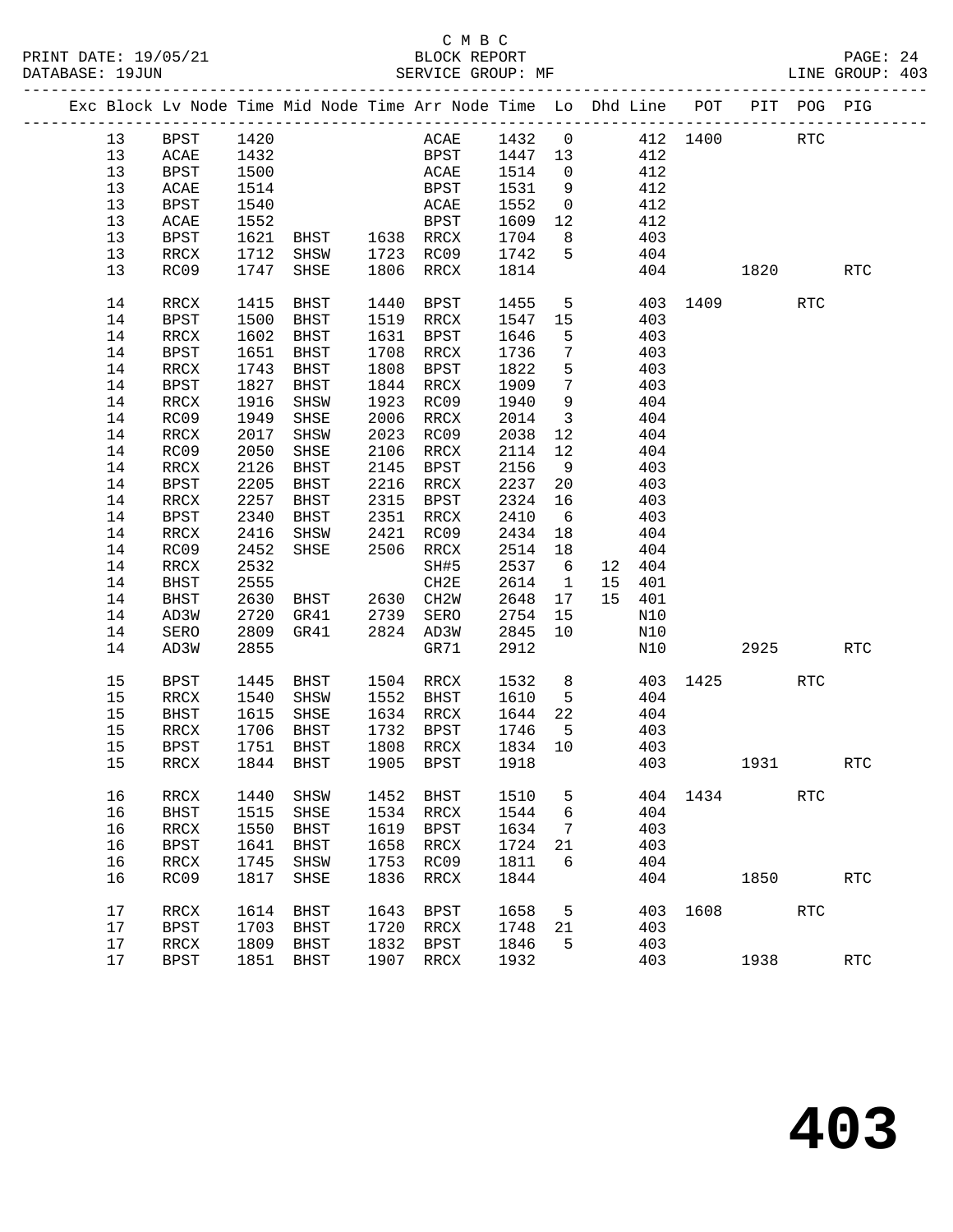|  |      |                          |      |                     |      | Exc Block Lv Node Time Mid Node Time Arr Node Time Lo Dhd Line POT PIT POG PIG |              |                         |                |        |      |          |            |                      |
|--|------|--------------------------|------|---------------------|------|--------------------------------------------------------------------------------|--------------|-------------------------|----------------|--------|------|----------|------------|----------------------|
|  | 13   | <b>BPST</b>              | 1420 |                     |      | ACAE 1432 0 412 1400 RTC                                                       |              |                         |                |        |      |          |            |                      |
|  | 13   | <b>ACAE</b>              | 1432 |                     |      | BPST 1447 13                                                                   |              |                         | 412            |        |      |          |            |                      |
|  | 13   | BPST                     | 1500 |                     |      | ACAE                                                                           | 1514         | $\overline{0}$          | 412            |        |      |          |            |                      |
|  | 13   | ACAE                     | 1514 |                     |      | BPST                                                                           | 1531         | 9                       |                | 412    |      |          |            |                      |
|  | 13   | BPST                     | 1540 |                     |      | ACAE                                                                           | 1552         | $\overline{0}$          |                | 412    |      |          |            |                      |
|  | 13   | ACAE                     | 1552 |                     |      | BPST                                                                           | 1609         | 12                      | 412            |        |      |          |            |                      |
|  | 13   | BPST                     |      | 1621 BHST 1638 RRCX |      |                                                                                | 1704         | 8 <sup>8</sup>          |                | 403    |      |          |            |                      |
|  | 13   | RRCX                     |      | 1712 SHSW           |      | 1723 RC09                                                                      | 1742         | $5\overline{)}$         |                | 404    |      |          |            |                      |
|  | 13   | RC09                     |      | 1747 SHSE           |      | 1806 RRCX                                                                      | 1814         |                         |                | 404    |      | 1820     |            | <b>RTC</b>           |
|  |      |                          |      |                     |      |                                                                                |              |                         |                |        |      |          |            |                      |
|  | 14   | RRCX                     | 1415 | BHST                | 1440 | BPST                                                                           | 1455         |                         | 5 <sub>5</sub> |        |      | 403 1409 | RTC        |                      |
|  | 14   | BPST                     | 1500 | BHST                |      | 1519 RRCX                                                                      | 1547         | 15                      |                | 403    |      |          |            |                      |
|  | 14   | RRCX                     | 1602 | BHST                |      | 1631 BPST                                                                      | 1646         | 5                       |                | 403    |      |          |            |                      |
|  | 14   | BPST                     | 1651 | BHST                |      | 1708 RRCX                                                                      | 1736         | $\overline{7}$          |                | 403    |      |          |            |                      |
|  | 14   | RRCX                     | 1743 | BHST                |      | 1808 BPST                                                                      | 1822         | 5                       |                | 403    |      |          |            |                      |
|  | 14   | BPST                     |      | 1827 BHST           |      | 1844 RRCX                                                                      | 1909         | $7\phantom{.0}$         |                | 403    |      |          |            |                      |
|  | 14   | RRCX                     | 1916 | SHSW                |      | 1923 RC09                                                                      | 1940         | 9                       |                | 404    |      |          |            |                      |
|  | 14   | RC09                     |      | 1949 SHSE           |      | 2006 RRCX                                                                      | 2014         | $\overline{\mathbf{3}}$ |                | 404    |      |          |            |                      |
|  | 14   | RRCX                     |      | 2017 SHSW           |      | 2023 RC09                                                                      | 2038         | 12                      |                | 404    |      |          |            |                      |
|  | 14   | RC09                     | 2050 | SHSE                |      | 2106 RRCX                                                                      | 2114         | 12                      |                | 404    |      |          |            |                      |
|  | 14   | RRCX                     | 2126 | BHST                | 2145 | BPST                                                                           | 2156         | 9                       |                | 403    |      |          |            |                      |
|  | 14   | <b>BPST</b>              | 2205 | BHST                |      | 2216 RRCX                                                                      | 2237         | 20                      |                | 403    |      |          |            |                      |
|  | 14   | RRCX                     |      | 2257 BHST           |      | 2315 BPST                                                                      | 2324         | 16                      |                | 403    |      |          |            |                      |
|  | 14   | <b>BPST</b>              | 2340 | BHST                |      | 2351 RRCX                                                                      | 2410         | 6                       |                | 403    |      |          |            |                      |
|  | 14   | RRCX                     | 2416 | SHSW                |      | 2421 RC09                                                                      | 2434         | 18                      |                | 404    |      |          |            |                      |
|  | 14   | RC09                     |      | 2452 SHSE           |      | 2506 RRCX                                                                      | 2514         | 18                      |                | 404    |      |          |            |                      |
|  | 14   | RRCX                     | 2532 |                     |      | SH#5                                                                           | 2537         | $6\overline{6}$         |                | 12 404 |      |          |            |                      |
|  | 14   | BHST                     | 2555 |                     |      | CH2E                                                                           | 2614         | 1                       |                | 15 401 |      |          |            |                      |
|  | 14   | BHST                     | 2630 | BHST 2630 CH2W      |      |                                                                                | 2648         | 17                      |                | 15 401 |      |          |            |                      |
|  | 14   | AD3W                     | 2720 | GR41                |      | 2739 SERO                                                                      | 2754         | 15                      |                | N10    |      |          |            |                      |
|  | 14   | SERO                     |      | 2809 GR41           |      | 2824 AD3W                                                                      | 2845         | 10                      |                | N10    |      |          |            |                      |
|  | 14   | AD3W                     | 2855 |                     |      | GR71                                                                           | 2912         |                         |                | N10    |      | 2925     |            | <b>RTC</b>           |
|  |      |                          |      |                     |      |                                                                                |              |                         |                |        |      |          |            |                      |
|  | 15   | BPST                     | 1445 | BHST 1504 RRCX      |      |                                                                                | 1532<br>1610 | 8 <sup>8</sup>          |                |        |      | 403 1425 | RTC        |                      |
|  | 15   | RRCX                     |      | 1540 SHSW           |      | 1552 BHST                                                                      | 1610         | $5^{\circ}$             |                | 404    |      |          |            |                      |
|  | 15   | BHST                     |      | 1615 SHSE           |      | 1634 RRCX                                                                      | 1644         | 22                      |                | 404    |      |          |            |                      |
|  | 15   | RRCX                     | 1706 | BHST                |      | 1732 BPST                                                                      | 1746         | $5^{\circ}$             |                | 403    |      |          |            |                      |
|  | 15   | <b>BPST</b>              | 1751 | BHST                |      | 1808 RRCX                                                                      | 1834<br>1918 | 10                      |                | 403    |      |          |            |                      |
|  | 15   | RRCX                     |      | 1844 BHST           |      | 1905 BPST                                                                      |              |                         |                | 403    |      | 1931     |            | <b>RTC</b>           |
|  | 16   | RRCX                     | 1440 | SHSW                | 1452 | <b>BHST</b>                                                                    | 1510         | 5                       |                | 404    | 1434 |          | <b>RTC</b> |                      |
|  | 16   | <b>BHST</b>              | 1515 | SHSE                | 1534 | RRCX                                                                           | 1544         | 6                       |                | 404    |      |          |            |                      |
|  | 16   | RRCX                     | 1550 | <b>BHST</b>         | 1619 | BPST                                                                           | 1634         | 7                       |                | 403    |      |          |            |                      |
|  | 16   | <b>BPST</b>              | 1641 | <b>BHST</b>         | 1658 | RRCX                                                                           | 1724         | 21                      |                | 403    |      |          |            |                      |
|  | 16   | RRCX                     | 1745 | SHSW                | 1753 | RC09                                                                           | 1811         | 6                       |                | 404    |      |          |            |                      |
|  | 16   | RC09                     | 1817 | SHSE                | 1836 | RRCX                                                                           | 1844         |                         |                | 404    |      | 1850     |            | RTC                  |
|  |      |                          |      |                     |      |                                                                                |              |                         |                |        |      |          |            |                      |
|  | 17   | RRCX                     | 1614 | <b>BHST</b>         | 1643 | <b>BPST</b>                                                                    | 1658         | 5                       |                | 403    | 1608 |          | RTC        |                      |
|  | $17$ | <b>BPST</b>              | 1703 | <b>BHST</b>         | 1720 | RRCX                                                                           | 1748         | 21                      |                | 403    |      |          |            |                      |
|  | $17$ | $\mathop{\mathrm{RRCX}}$ | 1809 | <b>BHST</b>         | 1832 | <b>BPST</b>                                                                    | 1846         | 5                       |                | 403    |      |          |            |                      |
|  | $17$ | <b>BPST</b>              | 1851 | <b>BHST</b>         | 1907 | RRCX                                                                           | 1932         |                         |                | 403    |      | 1938     |            | $\operatorname{RTC}$ |
|  |      |                          |      |                     |      |                                                                                |              |                         |                |        |      |          |            |                      |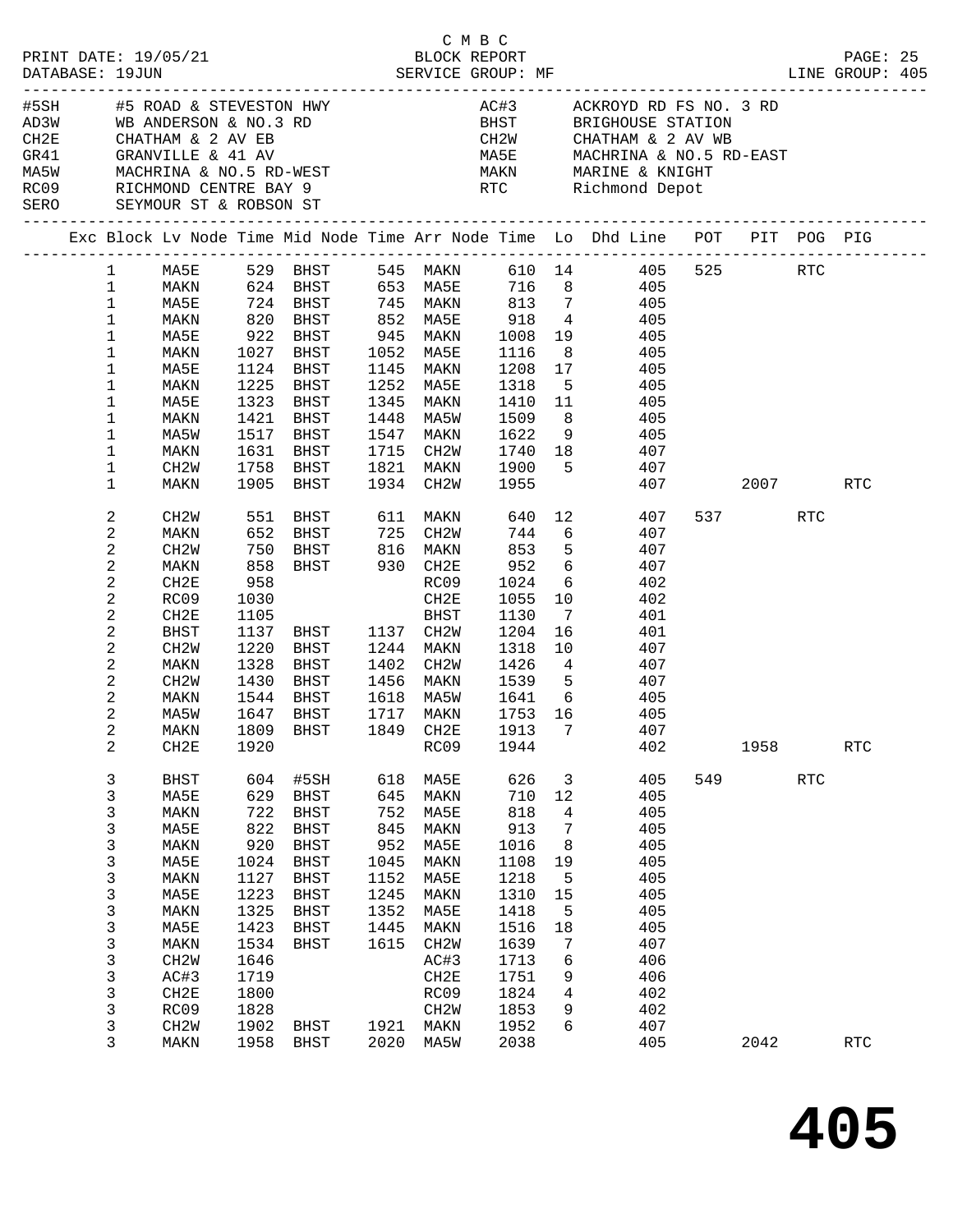|                                                                                                     |                          |                                                                                                                                                                                                                                                                                                                                                                                                        |                                                                                                                                                                    |                                                                                                                                                            |                                                                                                                                                                |                                                                                                                                  |                                                                                                                                                                                                         |                                                                                                                     |                                                                                                                                                                                                                                                                                                                                                                                                                                                                                                                                              |            |                      | PAGE: 25                                                                                                                                                                                                                                                                                                                                                                                 |                                                                                                                                    |
|-----------------------------------------------------------------------------------------------------|--------------------------|--------------------------------------------------------------------------------------------------------------------------------------------------------------------------------------------------------------------------------------------------------------------------------------------------------------------------------------------------------------------------------------------------------|--------------------------------------------------------------------------------------------------------------------------------------------------------------------|------------------------------------------------------------------------------------------------------------------------------------------------------------|----------------------------------------------------------------------------------------------------------------------------------------------------------------|----------------------------------------------------------------------------------------------------------------------------------|---------------------------------------------------------------------------------------------------------------------------------------------------------------------------------------------------------|---------------------------------------------------------------------------------------------------------------------|----------------------------------------------------------------------------------------------------------------------------------------------------------------------------------------------------------------------------------------------------------------------------------------------------------------------------------------------------------------------------------------------------------------------------------------------------------------------------------------------------------------------------------------------|------------|----------------------|------------------------------------------------------------------------------------------------------------------------------------------------------------------------------------------------------------------------------------------------------------------------------------------------------------------------------------------------------------------------------------------|------------------------------------------------------------------------------------------------------------------------------------|
|                                                                                                     |                          |                                                                                                                                                                                                                                                                                                                                                                                                        |                                                                                                                                                                    |                                                                                                                                                            |                                                                                                                                                                |                                                                                                                                  |                                                                                                                                                                                                         |                                                                                                                     |                                                                                                                                                                                                                                                                                                                                                                                                                                                                                                                                              |            |                      |                                                                                                                                                                                                                                                                                                                                                                                          |                                                                                                                                    |
|                                                                                                     |                          |                                                                                                                                                                                                                                                                                                                                                                                                        |                                                                                                                                                                    |                                                                                                                                                            |                                                                                                                                                                |                                                                                                                                  |                                                                                                                                                                                                         |                                                                                                                     |                                                                                                                                                                                                                                                                                                                                                                                                                                                                                                                                              |            |                      |                                                                                                                                                                                                                                                                                                                                                                                          |                                                                                                                                    |
| $\mathbf{1}$<br>$\mathbf{1}$<br>$\mathbf{1}$<br>$\mathbf 1$<br>1<br>1<br>1<br>1<br>1<br>1<br>1<br>1 |                          | 1631                                                                                                                                                                                                                                                                                                                                                                                                   | BHST                                                                                                                                                               |                                                                                                                                                            |                                                                                                                                                                |                                                                                                                                  |                                                                                                                                                                                                         | 407                                                                                                                 |                                                                                                                                                                                                                                                                                                                                                                                                                                                                                                                                              |            |                      |                                                                                                                                                                                                                                                                                                                                                                                          |                                                                                                                                    |
| 2<br>2<br>2<br>2<br>2<br>2<br>2<br>2<br>2<br>$\mathbf{2}$<br>2<br>2<br>$\overline{2}$               |                          | 1030<br>1105<br>1220<br>1328                                                                                                                                                                                                                                                                                                                                                                           | BHST                                                                                                                                                               |                                                                                                                                                            | BHST                                                                                                                                                           | 1130                                                                                                                             |                                                                                                                                                                                                         | 401<br>407                                                                                                          |                                                                                                                                                                                                                                                                                                                                                                                                                                                                                                                                              |            | RTC                  |                                                                                                                                                                                                                                                                                                                                                                                          |                                                                                                                                    |
| 2<br>3<br>3<br>3<br>3<br>3<br>3<br>3<br>3<br>3<br>3<br>3<br>3<br>3<br>3<br>3<br>3                   |                          | 1920<br>604<br>629<br>722<br>822<br>920<br>1024<br>1127<br>1223<br>1325<br>1423<br>1534<br>1646<br>1719<br>1800<br>1828<br>1902                                                                                                                                                                                                                                                                        | #5SH<br><b>BHST</b><br><b>BHST</b><br><b>BHST</b><br><b>BHST</b><br><b>BHST</b><br><b>BHST</b><br><b>BHST</b><br><b>BHST</b><br><b>BHST</b><br><b>BHST</b><br>BHST | 618<br>645<br>752<br>845<br>952<br>1045<br>1152<br>1245<br>1352<br>1445<br>1615<br>1921                                                                    | RC09<br>MA5E<br>MAKN<br>MA5E<br>MAKN<br>MA5E<br>MAKN<br>MA5E<br>MAKN<br>MA5E<br>MAKN<br>CH <sub>2</sub> W<br>AC#3<br>CH2E<br>RC09<br>CH <sub>2</sub> M<br>MAKN | 1944<br>626<br>710<br>818<br>913<br>1016<br>1108<br>1218<br>1310<br>1418<br>1516<br>1639<br>1713<br>1751<br>1824<br>1853<br>1952 | 3<br>12<br>4<br>7<br>8<br>19<br>5<br>15<br>5<br>18<br>7<br>6<br>9<br>4<br>9<br>6                                                                                                                        | 402<br>405<br>405<br>405<br>405<br>405<br>405<br>405<br>405<br>405<br>405<br>407<br>406<br>406<br>402<br>402<br>407 | 549                                                                                                                                                                                                                                                                                                                                                                                                                                                                                                                                          | 1958       | $\operatorname{RTC}$ | RTC                                                                                                                                                                                                                                                                                                                                                                                      |                                                                                                                                    |
|                                                                                                     | 1<br>$\overline{a}$<br>3 | PRINT DATE: 19/05/21<br>DATABASE: 19JUN<br>MA5E<br>MAKN<br>MA5E<br>MAKN<br>MA5E<br>MAKN<br>MA5E<br>MAKN<br>MA5W<br>MAKN<br>CH2W<br>MAKN<br>CH2W<br>MAKN<br>CH2W<br>MAKN<br>CH2E<br>RC09<br>CH2E<br>BHST<br>CH2W<br>MAKN<br>CH2W<br>MAKN<br>MA5W<br>CH2E<br><b>BHST</b><br>MA5E<br>MAKN<br>MA5E<br>MAKN<br>MA5E<br>MAKN<br>MA5E<br>MAKN<br>MA5E<br>MAKN<br>CH2W<br>AC#3<br>CH2E<br>RC09<br>CH2W<br>MAKN | 958<br>1958                                                                                                                                                        | 1124 BHST<br>1225 BHST<br>1323 BHST<br>1421 BHST<br>1517 BHST<br>1758 BHST<br>1905 BHST<br>1328 BHSI<br>1430 BHST<br>1544 BHST<br>1647 BHST<br><b>BHST</b> | 2020                                                                                                                                                           | 1252 MA5E<br>1821 MAKN<br>1934 CH2W<br>CH2E<br>1137 BHST 1137 CH2W<br>1244 MAKN<br>1402 CH2W<br>1717 MAKN<br>MA5W                | C M B C<br>1027 BHST 1052 MA5E<br>1145 MAKN<br>1345 MAKN<br>1547 MAKN<br>1715 CH2W<br>BHST 611 MAKN<br>551 BHST 611 MAKN<br>652 BHST 725 CH2W<br>750 BHST 816 MAKN<br>858 BHST 930 CH2E<br>RC09<br>2038 | 5/21 BLOCK REPORT<br>SERVICE GROUP: MF<br>1116<br>952<br>1024<br>1055<br>1204<br>1318                               | MAKN 624 BHST 653 MA5E 716 8 405<br>724 BHST 745 MAKN 813 7 405<br>820 BHST 852 MASE 918 4 405<br>922 BHST 945 MAKN 1008 19 405<br>8 405<br>1208 17 405<br>1318 5 405<br>1410 11 405<br>1448 MA5W 1509 8 405<br>1622 9 405<br>$\begin{array}{ccc} 1740 & 18 & 407 \\ 1900 & 5 & 407 \\ 1955 & & 407 \end{array}$<br>744 6 407<br>853 5 407<br>6 407<br>6 402<br>$\begin{array}{cc} 10 & \qquad & 402 \\ 7 & \qquad & 401 \end{array}$<br>16 16<br>10<br>1618 MA5W 1641 6 405<br>1753 16 405<br>MAKN 1809 BHST 1849 CH2E 1913 7<br>407<br>405 | 640 12 407 | 2042                 | $\begin{tabular}{lllllllllllllllllllllll} &\#5\text{SH} &\#5\text{ ROAD &\&$ STEVESTON HWY$ &\nAD3W &\nWD ANDERSON &\&$ NO.3 RD &\nCH2E &\nCHATHAM &\&$ 2 AV EB &\nGRANVILLE &\&$ 41 AV &\nMASW &\nMACHRINA &\&$ NO.5 RD-WEST &\nRCO9 &\nRICHMOND CENTTE BAY 9 &\nSERO &\nSEYMOUR ST &\nROSO &\nSEYMOUR ST &\nROBSON ST &\n$<br>1 MA5E 529 BHST 545 MAKN 610 14 405 525 RTC<br>537 — 100 | LINE GROUP: 405<br>Exc Block Lv Node Time Mid Node Time Arr Node Time Lo Dhd Line POT PIT POG PIG<br>407 2007<br>RTC<br><b>RTC</b> |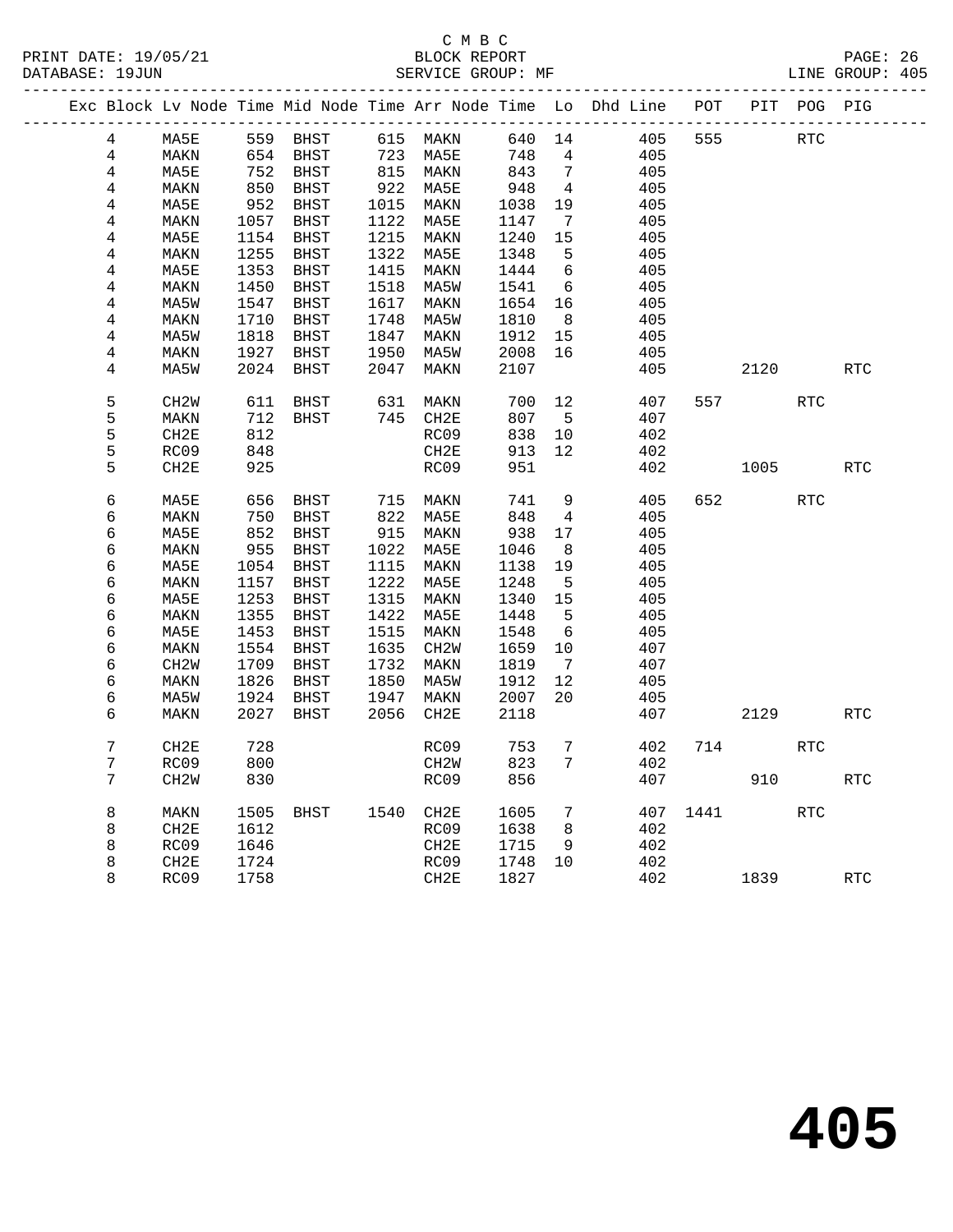# C M B C<br>BLOCK REPORT

PAGE: 26<br>LINE GROUP: 405

|  |                  |                   |      |                  |      |                           |              |                 | Exc Block Lv Node Time Mid Node Time Arr Node Time Lo Dhd Line POT PIT POG PIG |          |      |            |            |
|--|------------------|-------------------|------|------------------|------|---------------------------|--------------|-----------------|--------------------------------------------------------------------------------|----------|------|------------|------------|
|  | 4                | MA5E              |      | 559 BHST         |      | 615 MAKN                  | 640 14       |                 | 405                                                                            | 555      |      | RTC        |            |
|  | $\overline{4}$   | MAKN              |      | 654 BHST         |      | 723 MA5E                  | 748          | $\overline{4}$  | 405                                                                            |          |      |            |            |
|  | 4                | MA5E              |      | 752 BHST         |      |                           | 843          | $\overline{7}$  | 405                                                                            |          |      |            |            |
|  | 4                | MAKN              |      | ס באר $850$ BHST |      | 815 REALL                 | 948          | $\overline{4}$  | 405                                                                            |          |      |            |            |
|  | 4                | MA5E              | 952  | BHST             |      | 1015 MAKN<br>1122 MA5F.   | 1038<br>1147 | 19              | 405                                                                            |          |      |            |            |
|  | 4                | MAKN              |      | 1057 BHST        |      | 1122 MA5E                 | 1147         | $\overline{7}$  | 405                                                                            |          |      |            |            |
|  | 4                | MA5E              | 1154 | BHST             |      | 1215 MAKN                 | 1240         | 15              | 405                                                                            |          |      |            |            |
|  | 4                | MAKN              |      | 1255 BHST        |      | 1322 MA5E                 | 1348         | $-5$            | 405                                                                            |          |      |            |            |
|  | 4                | MA5E              | 1353 | BHST             |      | 1415 MAKN                 |              | 6               | 405                                                                            |          |      |            |            |
|  | 4                | MAKN              | 1450 | BHST             |      | 1518 MA5W                 | 1444<br>1541 | 6               | 405                                                                            |          |      |            |            |
|  | 4                | MA5W              |      | 1547 BHST        |      | 1617 MAKN                 | 1654         | 16              | 405                                                                            |          |      |            |            |
|  | $\overline{4}$   | MAKN              | 1710 | BHST             |      | 1748 MA5W                 | 1810         | 8 <sup>8</sup>  | 405                                                                            |          |      |            |            |
|  | 4                | MA5W              | 1818 | BHST             |      | 1847 MAKN                 | 1912         | 15              | 405                                                                            |          |      |            |            |
|  | 4                | MAKN              |      | 1927 BHST        |      | 1950 MA5W                 | 2008         | 16              | 405                                                                            |          |      |            |            |
|  | 4                | MA5W              | 2024 | BHST             | 2047 | MAKN                      | 2107         |                 | 405                                                                            |          | 2120 |            | <b>RTC</b> |
|  | 5                | CH <sub>2</sub> M | 611  | BHST             |      | 631 MAKN                  | 700          | 12              | 407                                                                            | 557      |      | <b>RTC</b> |            |
|  | 5                | $\texttt{MAXN}$   | 712  | BHST             |      | 745 CH2E                  | 807          | $5^{\circ}$     | 407                                                                            |          |      |            |            |
|  | 5                | CH2E              | 812  |                  |      | RC09                      | 838          | 10              | 402                                                                            |          |      |            |            |
|  | 5                | RC09              | 848  |                  |      | CH2E                      | 913          | 12              | 402                                                                            |          |      |            |            |
|  | 5                | CH <sub>2E</sub>  | 925  |                  |      | RC09                      | 951          |                 | 402                                                                            |          | 1005 |            | <b>RTC</b> |
|  |                  |                   |      |                  |      |                           |              |                 |                                                                                |          |      |            |            |
|  | 6                | MA5E              | 656  | BHST             |      | 715 MAKN                  | 741          | 9               | 405                                                                            | 652      |      | <b>RTC</b> |            |
|  | 6                | MAKN              | 750  | BHST             |      | 822 MA5E                  | 848          | $\overline{4}$  | 405                                                                            |          |      |            |            |
|  | 6                | MA5E              |      | 852 BHST         |      | 915 MAKN                  | 938          | 17              | 405                                                                            |          |      |            |            |
|  | 6                | MAKN              | 955  | BHST             |      | 1022 MA5E                 | 1046         | 8               | 405                                                                            |          |      |            |            |
|  | 6                | MA5E              |      | 1054 BHST        |      | 1115 MAKN                 | 1138         | 19              | 405                                                                            |          |      |            |            |
|  | 6                | MAKN              | 1157 | BHST             |      | 1222 MA5E                 | 1248         | $5^{\circ}$     | 405                                                                            |          |      |            |            |
|  | 6                | MA5E              | 1253 | BHST             |      | 1315 MAKN                 | 1340         | 15              | 405                                                                            |          |      |            |            |
|  | 6                | MAKN              | 1355 | BHST             |      | 1422 MA5E                 | 1448         | 5               | 405                                                                            |          |      |            |            |
|  | 6                | MA5E              |      | 1453 BHST        |      | 1515 MAKN                 | 1548         | 6               | 405                                                                            |          |      |            |            |
|  | 6                | MAKN              | 1554 | BHST             |      | 1635 CH2W                 | 1659         | 10              | 407                                                                            |          |      |            |            |
|  | 6                | CH <sub>2</sub> W | 1709 | BHST             |      | 1732 MAKN                 | 1819         | $\overline{7}$  | 407                                                                            |          |      |            |            |
|  | б                | MAKN              | 1826 | BHST             | 1850 | MA5W                      | 1912         | 12              | 405                                                                            |          |      |            |            |
|  | б                | MA5W              | 1924 | BHST             |      | 1850<br>1947 MAKN<br>CHOR | 2007         | 20              | 405                                                                            |          |      |            |            |
|  | 6                | MAKN              | 2027 | BHST             | 2056 | CH2E                      | 2118         |                 | 407                                                                            |          | 2129 |            | <b>RTC</b> |
|  | $\boldsymbol{7}$ | CH2E              | 728  |                  |      | RC09                      | 753          | 7               | 402                                                                            | 714      |      | <b>RTC</b> |            |
|  | 7                | RC09              | 800  |                  |      | CH <sub>2</sub> W         | 823          | 7               | 402                                                                            |          |      |            |            |
|  | 7                | CH <sub>2</sub> W | 830  |                  |      | RC09                      | 856          |                 | 407                                                                            |          | 910  |            | <b>RTC</b> |
|  | 8                | MAKN              | 1505 | BHST             |      | 1540 CH2E                 | 1605         | $7\phantom{.0}$ |                                                                                | 407 1441 |      | RTC        |            |
|  | 8                | CH2E              | 1612 |                  |      | RC09                      | 1638         | 8 <sup>8</sup>  | 402                                                                            |          |      |            |            |
|  | 8                | RC09              | 1646 |                  |      | CH2E                      | 1715         | 9               | 402                                                                            |          |      |            |            |
|  | 8                | CH2E              | 1724 |                  |      | RC09                      | 1748         | 10              | 402                                                                            |          |      |            |            |
|  | 8                | RC09              | 1758 |                  |      | CH2E                      | 1827         |                 | 402                                                                            |          | 1839 |            | <b>RTC</b> |
|  |                  |                   |      |                  |      |                           |              |                 |                                                                                |          |      |            |            |

**405**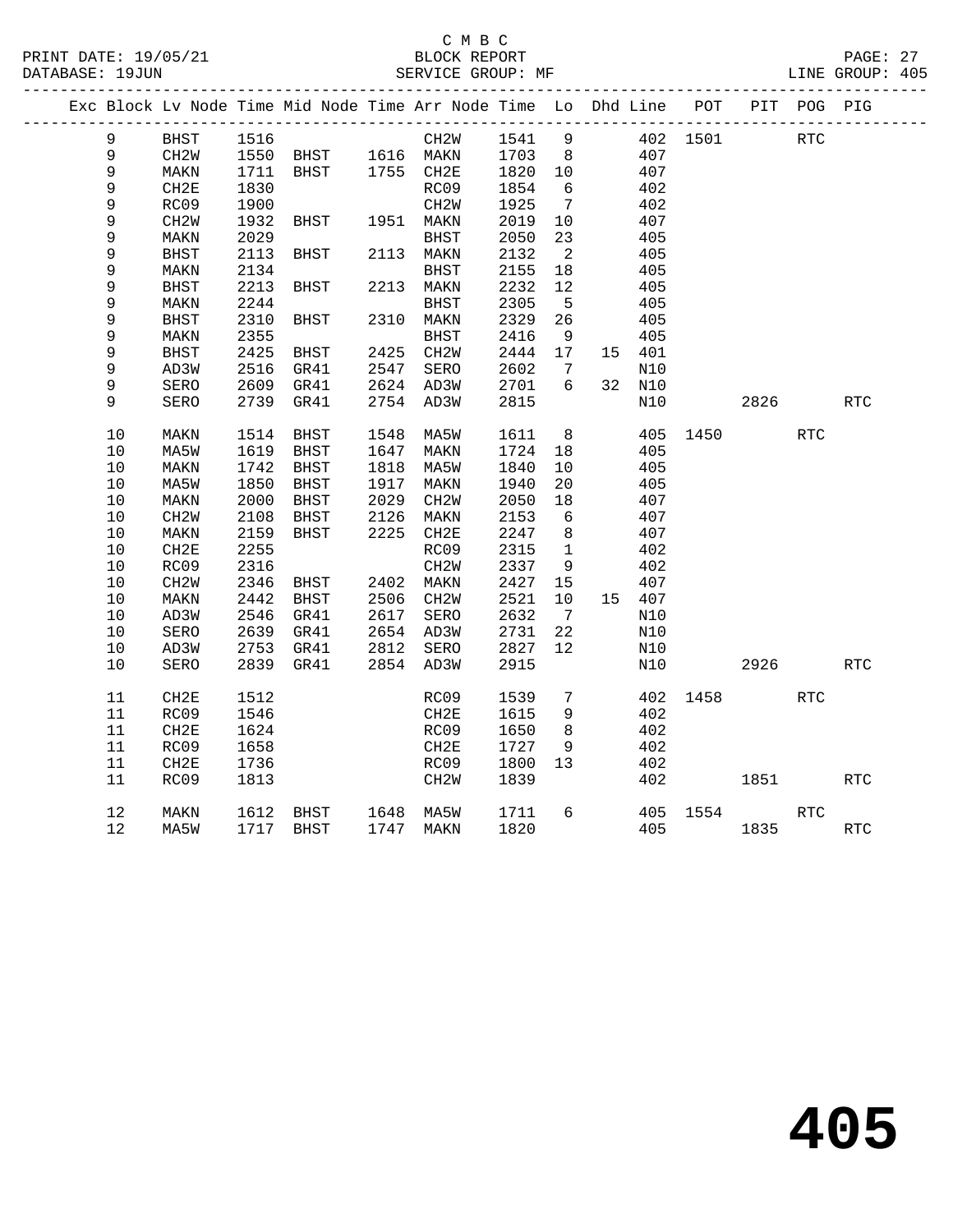#### C M B C<br>BLOCK REPORT PRINT DATE: 19/05/21 BLOCK REPORT BATABASE: 19JUN

PAGE: 27<br>LINE GROUP: 405

|  |             |                   |      | Exc Block Lv Node Time Mid Node Time Arr Node Time Lo Dhd Line POT |      |                        |              |                          |        |          |            | PIT POG PIG |            |
|--|-------------|-------------------|------|--------------------------------------------------------------------|------|------------------------|--------------|--------------------------|--------|----------|------------|-------------|------------|
|  | 9           | BHST              | 1516 |                                                                    |      | CH2W                   | 1541 9       |                          |        | 402 1501 | <b>RTC</b> |             |            |
|  | 9           | CH2W              |      | 1550 BHST 1616 MAKN 1703 8<br>1711 BHST 1755 CH2E 1820 10          |      |                        |              |                          | 407    |          |            |             |            |
|  | $\mathsf 9$ | MAKN              |      |                                                                    |      |                        |              |                          | 407    |          |            |             |            |
|  | 9           | CH2E              | 1830 |                                                                    |      | RC09                   | 1854         | $6\overline{6}$          | 402    |          |            |             |            |
|  | 9           | RC09              | 1900 |                                                                    |      | CH <sub>2</sub> W      | 1925         | $\overline{7}$           | 402    |          |            |             |            |
|  | 9           | CH <sub>2</sub> W | 1932 | <b>BHST</b>                                                        |      | 1951 MAKN              | 2019         | 10                       | 407    |          |            |             |            |
|  | 9           | MAKN              | 2029 |                                                                    |      | BHST                   | 2050         | 23                       | 405    |          |            |             |            |
|  | 9           | <b>BHST</b>       | 2113 | BHST                                                               |      | 2113 MAKN              | 2132         | $\overline{\phantom{a}}$ | 405    |          |            |             |            |
|  | 9           | MAKN              | 2134 |                                                                    |      | BHST                   | 2155         | 18                       | 405    |          |            |             |            |
|  | 9           | <b>BHST</b>       | 2213 | BHST                                                               |      | 2213 MAKN              | 2232         | 12                       | 405    |          |            |             |            |
|  | 9           | MAKN              | 2244 |                                                                    |      | <b>BHST</b>            | 2305         | 5                        | 405    |          |            |             |            |
|  | 9           | <b>BHST</b>       | 2310 | BHST                                                               |      | 2310 MAKN              | 2329         | 26                       | 405    |          |            |             |            |
|  | 9           | MAKN              | 2355 |                                                                    |      | <b>BHST</b>            | 2416         | 9                        | 405    |          |            |             |            |
|  | 9           | <b>BHST</b>       | 2425 | <b>BHST</b>                                                        |      | 2425 CH2W              | 2444         | 17                       | 15 401 |          |            |             |            |
|  | 9           | AD3W              | 2516 | GR41                                                               |      | 2547 SERO              |              | $\overline{7}$           | N10    |          |            |             |            |
|  | 9           | SERO              |      | 2609 GR41                                                          |      | 2624 AD3W              | 2602<br>2701 | 6                        | 32 N10 |          |            |             |            |
|  | 9           | SERO              | 2739 | GR41                                                               |      | 2754 AD3W              | 2815         |                          | N10    |          | 2826 28    |             | RTC        |
|  |             |                   |      |                                                                    |      |                        |              |                          |        |          |            |             |            |
|  | 10          | MAKN              | 1514 | BHST                                                               |      | 1548 MA5W              | 1611         | 8 <sup>8</sup>           |        | 405 1450 |            | <b>RTC</b>  |            |
|  | 10          | MA5W              | 1619 | BHST                                                               |      | 1647 MAKN              | 1724         | 18                       | 405    |          |            |             |            |
|  | 10          | MAKN              | 1742 | BHST                                                               |      | 1818 MA5W              | 1840         | 10                       | 405    |          |            |             |            |
|  | $10$        | MA5W              | 1850 | BHST                                                               | 1917 | MAKN                   | 1940         | 20                       | 405    |          |            |             |            |
|  | 10          | MAKN              | 2000 | BHST                                                               | 2029 | CH <sub>2</sub> W      | 2050         | 18                       | 407    |          |            |             |            |
|  | $10$        | CH <sub>2</sub> M | 2108 | BHST                                                               | 2126 | MAKN                   | 2153         | - 6                      | 407    |          |            |             |            |
|  | 10          | MAKN              | 2159 | BHST                                                               |      | 2225 CH2E              | 2247         | 8 <sup>8</sup>           | 407    |          |            |             |            |
|  | 10          | CH2E              | 2255 |                                                                    |      | RC09                   | 2315         | $\mathbf{1}$             | 402    |          |            |             |            |
|  | $10$        | RC09              | 2316 |                                                                    |      | CH2W                   | 2337         | 9                        | 402    |          |            |             |            |
|  | 10          | CH <sub>2</sub> W | 2346 | BHST                                                               |      | 2402 MAKN              | 2427         | 15                       | 407    |          |            |             |            |
|  | 10          | MAKN              | 2442 | BHST                                                               |      | 2506 CH2W              | 2521         | 10                       | 15 407 |          |            |             |            |
|  | 10          | AD3W              | 2546 | GR41                                                               |      | 2617 SERO<br>2654 AD3W | 2632         | $\overline{7}$           | N10    |          |            |             |            |
|  | 10          | SERO              | 2639 | GR41                                                               |      |                        | 2731         | 22                       | N10    |          |            |             |            |
|  | 10          | AD3W              | 2753 | GR41                                                               |      | 2812 SERO              | 2827         | 12                       | N10    |          |            |             |            |
|  | 10          | SERO              | 2839 | GR41                                                               |      | 2854 AD3W              | 2915         |                          | N10    |          | 2926 — 10  |             | <b>RTC</b> |
|  |             |                   |      |                                                                    |      |                        |              |                          |        |          |            |             |            |
|  | 11          | CH2E              | 1512 |                                                                    |      | RC09                   | 1539         | 7                        |        | 402 1458 |            | RTC         |            |
|  | 11          | RC09              | 1546 |                                                                    |      | CH2E                   | 1615         | 9                        | 402    |          |            |             |            |
|  | 11          | CH2E              | 1624 |                                                                    |      | RC09                   | 1650         | 8 <sup>8</sup>           | 402    |          |            |             |            |
|  | 11          | RC09              | 1658 |                                                                    |      | CH2E                   | 1727         | - 9                      | 402    |          |            |             |            |
|  | 11          | CH2E              | 1736 |                                                                    |      | RC09                   | 1800         | 13                       | 402    |          |            |             |            |
|  | 11          | RC09              | 1813 |                                                                    |      | CH2W                   | 1839         |                          | 402    |          | 1851       |             | <b>RTC</b> |
|  | $12$        |                   |      | 1612 BHST 1648 MA5W                                                |      |                        | 1711         | 6                        |        | 405 1554 |            | <b>RTC</b>  |            |
|  | 12          | MAKN<br>MA5W      |      | 1717 BHST                                                          |      | 1747 MAKN              | 1820         |                          | 405    |          | 1835       |             | RTC        |
|  |             |                   |      |                                                                    |      |                        |              |                          |        |          |            |             |            |
|  |             |                   |      |                                                                    |      |                        |              |                          |        |          |            |             |            |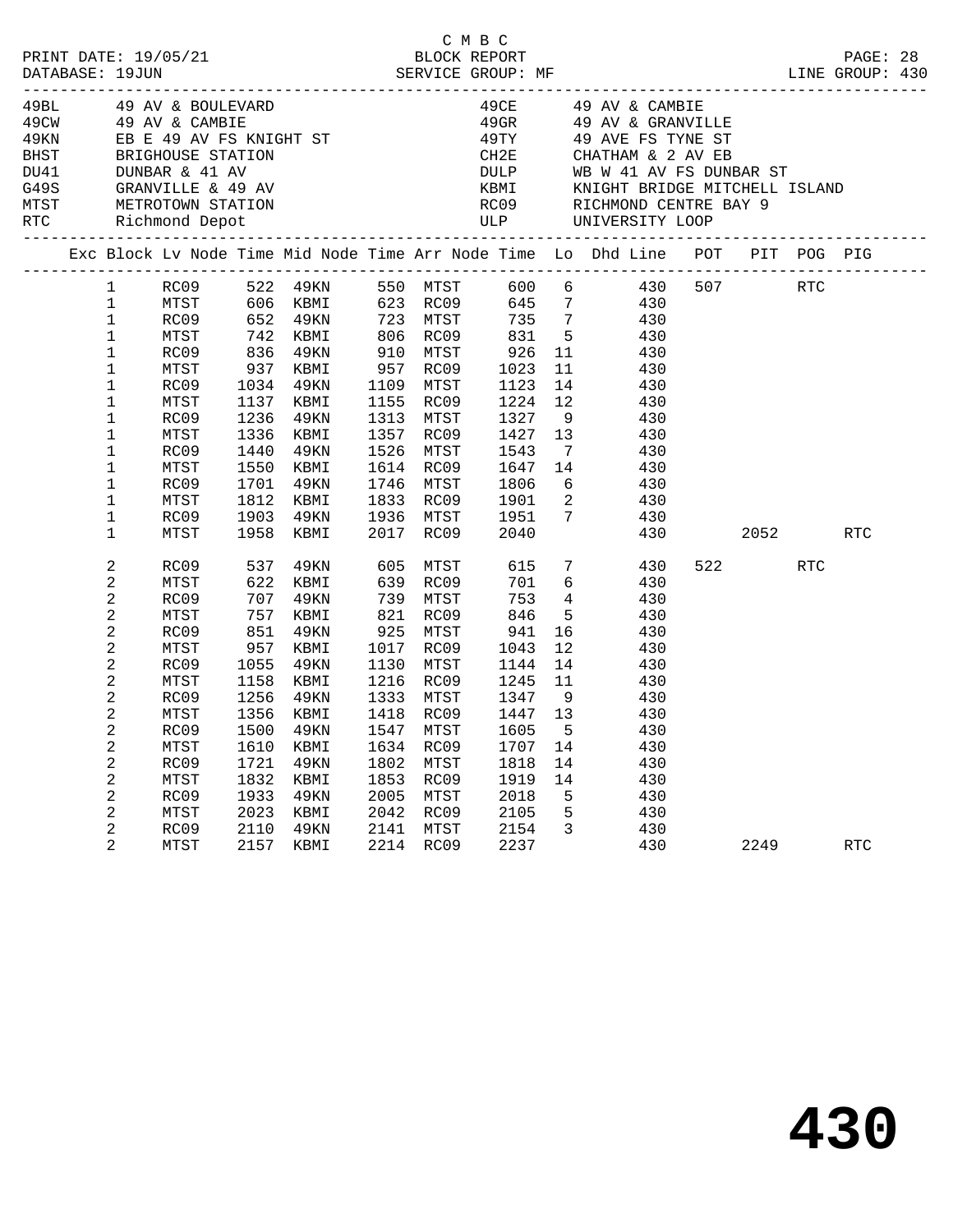| PRINT DATE: 19/05/21<br>DATABASE: 19JUN                                                                                                                                  |                                                                                                                                                                                                                                    |                                                                                                                                      |                                                                            | 0 PLOCK REPORT<br>BLOCK REPORT<br>SERVICE GROUP: MF                                                                                                                                                    |                                                      |                                                                                                                     | C M B C                                                                                                                            |                                                                         | LINE GROUP: 430                                                                                                                                                                                                                                                                                                               |                 | PAGE: 28   |  |
|--------------------------------------------------------------------------------------------------------------------------------------------------------------------------|------------------------------------------------------------------------------------------------------------------------------------------------------------------------------------------------------------------------------------|--------------------------------------------------------------------------------------------------------------------------------------|----------------------------------------------------------------------------|--------------------------------------------------------------------------------------------------------------------------------------------------------------------------------------------------------|------------------------------------------------------|---------------------------------------------------------------------------------------------------------------------|------------------------------------------------------------------------------------------------------------------------------------|-------------------------------------------------------------------------|-------------------------------------------------------------------------------------------------------------------------------------------------------------------------------------------------------------------------------------------------------------------------------------------------------------------------------|-----------------|------------|--|
| 49BL 49 AV & BOULEVARD<br>49CW 49 AV & CAMBIE<br>BHST BRIGHOUSE STATION<br>DU41 DUNBAR & 41 AV<br>G49S GRANVILLE & 49 AV<br>MTST METROTOWN STATION<br>RTC Richmond Depot |                                                                                                                                                                                                                                    |                                                                                                                                      |                                                                            |                                                                                                                                                                                                        |                                                      |                                                                                                                     |                                                                                                                                    |                                                                         | 49CE 49 AV & CAMBIE<br>49GR 49 AV & GRANVILLE<br>49KN EB E 49 AV FS KNIGHT ST 49 AVE FS TYNE ST<br>CH2E CHATHAM & 2 AV EB<br>ULP UNIVERSITY LOOP                                                                                                                                                                              |                 |            |  |
|                                                                                                                                                                          |                                                                                                                                                                                                                                    |                                                                                                                                      |                                                                            |                                                                                                                                                                                                        |                                                      |                                                                                                                     |                                                                                                                                    |                                                                         | Exc Block Lv Node Time Mid Node Time Arr Node Time Lo Dhd Line POT PIT POG PIG                                                                                                                                                                                                                                                |                 |            |  |
|                                                                                                                                                                          | $\mathbf{1}$<br>$\mathbf{1}$<br>$\mathbf{1}$<br>$\mathbf{1}$<br>$\mathbf 1$<br>$\mathbf 1$<br>$\mathbf 1$<br>$\mathbf 1$<br>$\mathbf 1$<br>$\mathbf 1$<br>$\mathbf 1$<br>$\mathbf 1$<br>$\mathbf 1$<br>$\mathbf 1$<br>$\mathbf{1}$ | MTST<br>RC09<br>MTST<br>RC09<br>MTST<br>RC09<br>MTST<br>RC09<br>MTST<br>RC09<br>MTST<br>RC09<br>MTST<br>RC09<br>MTST                 | 1034<br>1236<br>1336<br>1440<br>1550<br>1701<br>1812                       | 836 49KN<br>937 KBMI<br>49KN<br>1137 KBMI<br>49KN<br>KBMI<br>49KN<br>KBMI<br>49KN<br>KBMI<br>1903 49KN 1936 MTST 1951 7<br>1958 KBMI 2017 RC09 2040                                                    |                                                      | 1109 MTST<br>1357 RC09                                                                                              | 910 MTST 926<br>957 RC09 1023<br>1313 MTST 1327<br>1746 MTST 1806                                                                  | 1427 13                                                                 | 1 RC09 522 49KN 550 MTST 600 6 430 507 RTC<br>606 KBMI 623 RC09 645 7 430<br>652 49KN 723 MTST 735 7 430<br>742 KBMI 806 RC09 831 5 430<br>11 430<br>11 430<br>1109 MTST 1123 14 430<br>1155 RC09 1224 12 430<br>9 430<br>430<br>1526 MTST 1543 7 430<br>1614 RC09 1647 14 430<br>6 430<br>1833 RC09 1901 2 430<br>430<br>430 | 2052 RTC        |            |  |
|                                                                                                                                                                          | 2<br>2<br>2<br>2<br>2<br>2<br>2<br>2<br>2<br>2<br>2<br>2<br>2<br>2<br>2<br>2<br>2<br>$\overline{2}$                                                                                                                                | RC09<br>MTST<br>RC09<br>MTST<br>RC09<br>MTST<br>RC09<br>MTST<br>RC09<br>MTST<br>MTST<br>RC09<br>MTST<br>RC09<br>MTST<br>RC09<br>MTST | 537<br>851<br>1055<br>1610<br>1721<br>1832<br>1933<br>2023<br>2110<br>2157 | 49KN<br>622 KBMI<br>707 49KN<br>757 KBMI<br>49KN<br>957 KBMI<br>49KN<br>1158 KBMI<br>1256 49KN<br>1356 KBMI<br>RC09 1500 49KN 1547 MTST 1605 5<br>KBMI<br>49KN<br>KBMI<br>49KN<br>KBMI<br>49KN<br>KBMI | 1634<br>1802<br>1853<br>2005<br>2042<br>2141<br>2214 | 639 RC09<br>739 MTST<br>1017 RC09<br>1130 MTST<br>1418 RC09<br>RC09<br>MTST<br>RC09<br>MTST<br>RC09<br>MTST<br>RC09 | 605 MTST 615<br>701<br>753<br>821 RC09 846<br>925 MTST 941<br>1043<br>1144<br>1707<br>1818<br>1919<br>2018<br>2105<br>2154<br>2237 | $4\overline{4}$<br>12<br>14<br>1447 13<br>14<br>14<br>14<br>5<br>5<br>3 | 7 430<br>6 <sup>1</sup><br>430<br>430<br>$5$ 430<br>16 430<br>430<br>430<br>1216 RC09 1245 11 430<br>1333 MTST 1347 9 430<br>430<br>430<br>430<br>430<br>430<br>430<br>430<br>430<br>430                                                                                                                                      | 522 RTC<br>2249 | <b>RTC</b> |  |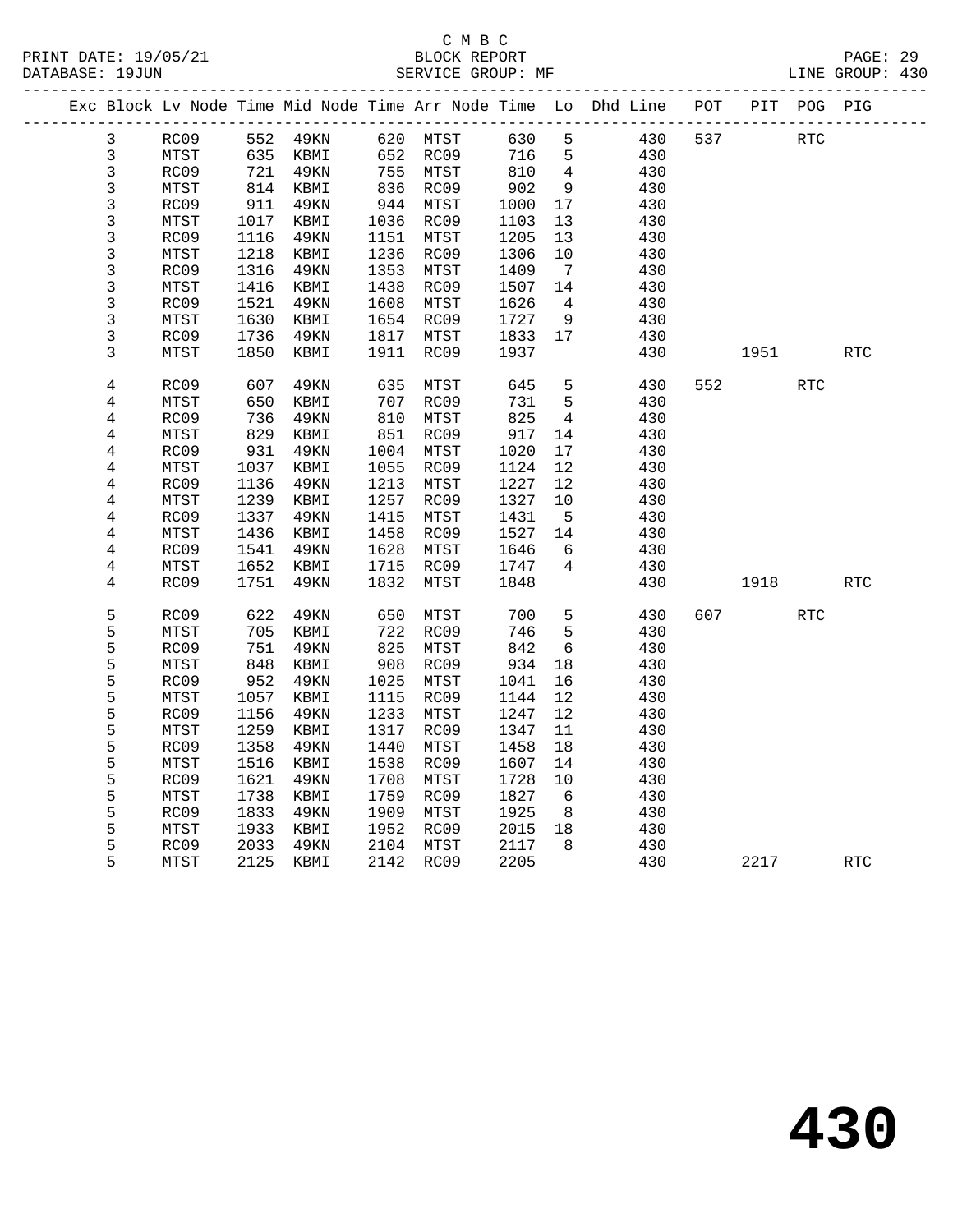### C M B C<br>BLOCK REPORT SERVICE GROUP: MF

|                |      |      |          |      |                      |         |                 | Exc Block Lv Node Time Mid Node Time Arr Node Time Lo Dhd Line POT |     |           | PIT POG PIG |            |  |
|----------------|------|------|----------|------|----------------------|---------|-----------------|--------------------------------------------------------------------|-----|-----------|-------------|------------|--|
| $\mathbf{3}$   | RC09 |      | 552 49KN |      | 620 MTST             | 630     | 5               | 430                                                                | 537 |           | <b>RTC</b>  |            |  |
| $\mathfrak{Z}$ | MTST | 635  | KBMI     |      | 652 RC09             | 716     | $5^{\circ}$     | 430                                                                |     |           |             |            |  |
| 3              | RC09 | 721  | 49KN     |      | 755 MTST             | 810     | $\overline{4}$  | 430                                                                |     |           |             |            |  |
| $\mathbf{3}$   | MTST | 814  | KBMI     |      | 836 RC09<br>944 MTST | 902     | 9               | 430                                                                |     |           |             |            |  |
| $\mathsf{3}$   | RC09 | 911  | 49KN     |      |                      | 1000    | 17              | 430                                                                |     |           |             |            |  |
| 3              | MTST | 1017 | KBMI     |      | 1036 RC09            | 1103    | 13              | 430                                                                |     |           |             |            |  |
| 3              | RC09 | 1116 | 49KN     | 1151 | MTST                 | 1205    | 13              | 430                                                                |     |           |             |            |  |
| 3              | MTST | 1218 | KBMI     |      | 1236 RC09            | 1306    | 10              | 430                                                                |     |           |             |            |  |
| 3              | RC09 | 1316 | 49KN     | 1353 | MTST                 | 1409    | $\overline{7}$  | 430                                                                |     |           |             |            |  |
| 3              | MTST | 1416 | KBMI     | 1438 | RC09                 | 1507    | 14              | 430                                                                |     |           |             |            |  |
| 3              | RC09 | 1521 | 49KN     | 1608 | MTST                 | 1626    | $\overline{4}$  | 430                                                                |     |           |             |            |  |
| 3              | MTST | 1630 | KBMI     |      | 1654 RC09            | 1727    | 9               | 430                                                                |     |           |             |            |  |
| 3              | RC09 | 1736 | 49KN     |      | 1817 MTST            | 1833    | 17              | 430                                                                |     |           |             |            |  |
| 3              | MTST | 1850 | KBMI     | 1911 | RC09                 | 1937    |                 | 430                                                                |     | 1951      |             | <b>RTC</b> |  |
| $\overline{4}$ | RC09 | 607  | 49KN     | 635  | MTST                 | 645     | 5               | 430                                                                | 552 |           | <b>RTC</b>  |            |  |
| 4              | MTST | 650  | KBMI     | 707  | RC09                 | 731     | $5^{\circ}$     | 430                                                                |     |           |             |            |  |
| 4              | RC09 | 736  | 49KN     | 810  | MTST                 | 825     | $\overline{4}$  | 430                                                                |     |           |             |            |  |
| 4              | MTST | 829  | KBMI     | 851  | RC09                 | 917     | 14              | 430                                                                |     |           |             |            |  |
| $\overline{4}$ | RC09 | 931  | 49KN     | 1004 | MTST                 | 1020    | 17              | 430                                                                |     |           |             |            |  |
| 4              | MTST | 1037 | KBMI     | 1055 | RC09                 | 1124    | 12              | 430                                                                |     |           |             |            |  |
| 4              | RC09 | 1136 | 49KN     | 1213 | MTST                 | 1227    | 12              | 430                                                                |     |           |             |            |  |
| $\overline{4}$ | MTST | 1239 | KBMI     | 1257 | RC09                 | 1327    | 10              | 430                                                                |     |           |             |            |  |
| 4              | RC09 | 1337 | 49KN     | 1415 | MTST                 | 1431    | $-5$            | 430                                                                |     |           |             |            |  |
| $\overline{4}$ | MTST | 1436 | KBMI     | 1458 | RC09                 | 1527    | 14              | 430                                                                |     |           |             |            |  |
| 4              | RC09 | 1541 | 49KN     | 1628 | MTST                 | 1646    | - 6             | 430                                                                |     |           |             |            |  |
| 4              | MTST | 1652 | KBMI     | 1715 | RC09                 | 1747    | 4               | 430                                                                |     |           |             |            |  |
| 4              | RC09 | 1751 | 49KN     | 1832 | MTST                 | 1848    |                 | 430                                                                |     | 1918      |             | RTC        |  |
| 5              | RC09 | 622  | 49KN     | 650  | MTST                 | 700     | 5               | 430                                                                |     | 607 — 100 | <b>RTC</b>  |            |  |
| 5              | MTST | 705  | KBMI     | 722  | RC09                 | 746     | $5\phantom{.0}$ | 430                                                                |     |           |             |            |  |
| 5              | RC09 | 751  | 49KN     | 825  | MTST                 | 842     | 6               | 430                                                                |     |           |             |            |  |
| 5              | MTST | 848  | KBMI     | 908  | RC09                 | 934     | 18              | 430                                                                |     |           |             |            |  |
| 5              | RC09 | 952  | 49KN     | 1025 | MTST                 | 1041    | 16              | 430                                                                |     |           |             |            |  |
| 5              | MTST | 1057 | KBMI     | 1115 | RC09                 | 1144    | 12              | 430                                                                |     |           |             |            |  |
| 5              | RC09 | 1156 | 49KN     | 1233 | MTST                 | 1247    | 12              | 430                                                                |     |           |             |            |  |
| 5              | MTST | 1259 | KBMI     | 1317 | RC09                 | 1347    | 11              | 430                                                                |     |           |             |            |  |
| 5              | RC09 | 1358 | 49KN     | 1440 | MTST                 | 1458    | 18              | 430                                                                |     |           |             |            |  |
| 5              | MTST | 1516 | KBMI     | 1538 | RC09                 | 1607    | 14              | 430                                                                |     |           |             |            |  |
| 5              | RC09 | 1621 | 49KN     | 1708 | MTST                 | 1728    | 10              | 430                                                                |     |           |             |            |  |
| 5              | MTST | 1738 | KBMI     | 1759 | RC09                 | 1827    | - 6             | 430                                                                |     |           |             |            |  |
| 5              | RC09 | 1833 | 49KN     | 1909 | MTST                 | 1925    | 8 <sup>8</sup>  | 430                                                                |     |           |             |            |  |
| 5              | MTST | 1933 | KBMI     | 1952 | RC09                 | 2015 18 |                 | 430                                                                |     |           |             |            |  |
| 5              | RC09 | 2033 | 49KN     | 2104 | MTST                 | 2117    | 8               | 430                                                                |     |           |             |            |  |
|                |      |      |          |      |                      |         |                 |                                                                    |     |           |             |            |  |

5 MTST 2125 KBMI 2142 RC09 2205 430 2217 RTC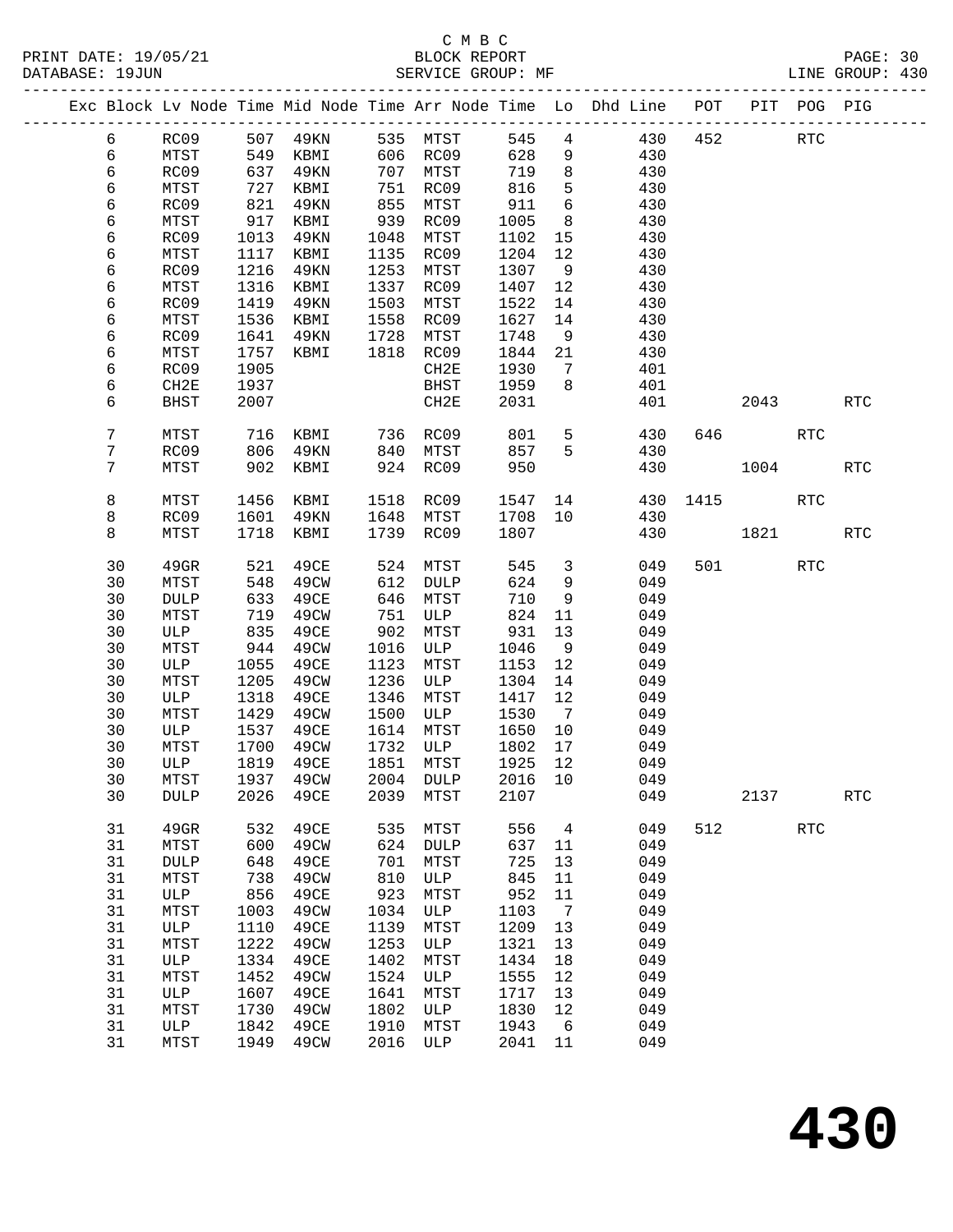|  |    |             |      |                                                  |      |            |         |                         | Exc Block Lv Node Time Mid Node Time Arr Node Time Lo Dhd Line POT |     |         | PIT POG PIG |                      |
|--|----|-------------|------|--------------------------------------------------|------|------------|---------|-------------------------|--------------------------------------------------------------------|-----|---------|-------------|----------------------|
|  | 6  |             |      | RC09 507 49KN 535 MTST<br>MTST 549 KBMI 606 RC09 |      |            |         |                         | 545 4 430                                                          | 452 |         | <b>RTC</b>  |                      |
|  | 6  |             | 549  |                                                  |      |            | 628     | 9                       | 430                                                                |     |         |             |                      |
|  | 6  | RC09        | 637  | 49KN                                             |      | 707 MTST   | 719     | 8 <sup>8</sup>          | 430                                                                |     |         |             |                      |
|  | 6  | MTST        | 727  | KBMI                                             |      | 751 RC09   | 816     | 5                       | 430                                                                |     |         |             |                      |
|  | 6  | RC09        | 821  | 49KN                                             | 855  | MTST       | 911     | $6\overline{6}$         | 430                                                                |     |         |             |                      |
|  | 6  | MTST        | 917  | KBMI                                             | 939  | RC09       | 1005    | 8 <sup>8</sup>          | 430                                                                |     |         |             |                      |
|  | 6  | RC09        | 1013 | 49KN                                             | 1048 | MTST       | 1102    | 15                      | 430                                                                |     |         |             |                      |
|  | 6  | MTST        | 1117 | KBMI                                             | 1135 | RC09       | 1204    | 12                      | 430                                                                |     |         |             |                      |
|  | 6  | RC09        | 1216 | 49KN                                             | 1253 | MTST       | 1307    | 9                       | 430                                                                |     |         |             |                      |
|  | 6  | MTST        | 1316 | KBMI                                             |      | 1337 RC09  | 1407    | 12                      | 430                                                                |     |         |             |                      |
|  | 6  | RC09        | 1419 | 49KN                                             | 1503 | MTST       | 1522    | 14                      | 430                                                                |     |         |             |                      |
|  | 6  | MTST        | 1536 | KBMI                                             | 1558 | RC09       | 1627    | 14                      | 430                                                                |     |         |             |                      |
|  | 6  | RC09        | 1641 | 49KN                                             | 1728 | MTST       | 1748    | 9                       | 430                                                                |     |         |             |                      |
|  | 6  | MTST        | 1757 | KBMI                                             |      | 1818 RC09  | 1844    | 21                      | 430                                                                |     |         |             |                      |
|  | 6  | RC09        | 1905 |                                                  |      | CH2E       | 1930    | $7\overline{ }$         | 401                                                                |     |         |             |                      |
|  | 6  | CH2E        | 1937 |                                                  |      | BHST       | 1959    | 8                       | 401                                                                |     |         |             |                      |
|  | 6  | <b>BHST</b> | 2007 |                                                  |      | CH2E       | 2031    |                         | 401                                                                |     | 2043    |             | <b>RTC</b>           |
|  |    |             |      |                                                  |      |            |         |                         |                                                                    |     |         |             |                      |
|  | 7  | MTST        |      | 716 KBMI 736 RC09 801                            |      |            |         |                         | 5 <sub>5</sub><br>430                                              |     | 646     | RTC         |                      |
|  | 7  | RC09        | 806  | 49KN                                             |      | 840 MTST   | 857     | 5 <sup>5</sup>          | 430                                                                |     |         |             |                      |
|  | 7  | MTST        | 902  | KBMI                                             |      | 924 RC09   | 950     |                         | 430                                                                |     | 1004    |             | <b>RTC</b>           |
|  | 8  | MTST        | 1456 | KBMI                                             |      | 1518 RC09  | 1547    |                         | 430                                                                |     | 1415    | RTC         |                      |
|  | 8  | RC09        | 1601 | 49KN                                             |      | 1648 MTST  | 1708 10 |                         | 430                                                                |     |         |             |                      |
|  | 8  | MTST        | 1718 | KBMI                                             |      | 1739 RC09  | 1807    |                         | 430                                                                |     | 1821    |             | <b>RTC</b>           |
|  |    |             |      |                                                  |      |            |         |                         |                                                                    |     |         |             |                      |
|  | 30 | 49GR        | 521  | 49CE                                             |      | 524 MTST   | 545     | $\overline{\mathbf{3}}$ | 049                                                                |     | 501 700 | RTC         |                      |
|  | 30 | MTST        | 548  | 49CW                                             |      | 612 DULP   | 624     | 9                       | 049                                                                |     |         |             |                      |
|  | 30 | <b>DULP</b> | 633  | 49CE                                             | 646  | MTST       | 710     | 9                       | 049                                                                |     |         |             |                      |
|  | 30 | MTST        | 719  | 49CW                                             | 751  | ULP        | 824     | 11                      | 049                                                                |     |         |             |                      |
|  | 30 | ULP         | 835  | 49CE                                             | 902  | MTST       | 931     | 13                      | 049                                                                |     |         |             |                      |
|  | 30 | MTST        | 944  | 49CW                                             | 1016 | ULP        | 1046    | 9                       | 049                                                                |     |         |             |                      |
|  | 30 | ULP         | 1055 | 49CE                                             | 1123 | MTST       | 1153    | 12                      | 049                                                                |     |         |             |                      |
|  | 30 | MTST        | 1205 | 49CW                                             | 1236 | ULP        | 1304    | 14                      | 049                                                                |     |         |             |                      |
|  | 30 | ULP         | 1318 | 49CE                                             | 1346 | MTST       | 1417    | 12                      | 049                                                                |     |         |             |                      |
|  | 30 | MTST        | 1429 | 49CW                                             | 1500 | <b>ULP</b> | 1530    | 7                       | 049                                                                |     |         |             |                      |
|  | 30 | ULP         | 1537 | 49CE                                             | 1614 | MTST       | 1650    | 10                      | 049                                                                |     |         |             |                      |
|  | 30 | MTST        | 1700 | 49CW                                             |      | 1732 ULP   | 1802    | 17                      | 049                                                                |     |         |             |                      |
|  | 30 | ULP         |      | 1819 49CE                                        |      | 1851 MTST  | 1925 12 |                         | 049                                                                |     |         |             |                      |
|  | 30 | MTST        |      | 1937 49CW 2004 DULP 2016 10                      |      |            |         |                         | 049                                                                |     |         |             |                      |
|  | 30 | <b>DULP</b> | 2026 | 49CE                                             | 2039 | MTST       | 2107    |                         | 049                                                                |     | 2137    |             | $\operatorname{RTC}$ |
|  | 31 | 49GR        | 532  | 49CE                                             | 535  | MTST       | 556     | $\overline{4}$          | 049                                                                | 512 |         | <b>RTC</b>  |                      |
|  | 31 | MTST        | 600  | 49CW                                             | 624  | DULP       | 637     | 11                      | 049                                                                |     |         |             |                      |
|  | 31 | DULP        | 648  | 49CE                                             | 701  | MTST       | 725     | 13                      | 049                                                                |     |         |             |                      |
|  | 31 | MTST        | 738  | 49CW                                             | 810  | ULP        | 845     | 11                      | 049                                                                |     |         |             |                      |
|  | 31 | ULP         | 856  | 49CE                                             | 923  | MTST       | 952     | 11                      | 049                                                                |     |         |             |                      |
|  | 31 | MTST        | 1003 | 49CW                                             | 1034 | ULP        | 1103    | $\overline{7}$          | 049                                                                |     |         |             |                      |
|  | 31 | ULP         | 1110 | 49CE                                             | 1139 | MTST       | 1209    | 13                      | 049                                                                |     |         |             |                      |
|  | 31 | MTST        | 1222 | 49CW                                             | 1253 | ULP        | 1321    | 13                      | 049                                                                |     |         |             |                      |
|  | 31 | ULP         | 1334 | 49CE                                             | 1402 | MTST       | 1434    | 18                      | 049                                                                |     |         |             |                      |
|  | 31 | MTST        | 1452 | 49CW                                             | 1524 | ULP        | 1555    | 12                      | 049                                                                |     |         |             |                      |
|  | 31 | ULP         | 1607 | 49CE                                             | 1641 | MTST       | 1717    | 13                      | 049                                                                |     |         |             |                      |
|  | 31 | MTST        | 1730 | 49CW                                             | 1802 | ULP        | 1830    | 12                      | 049                                                                |     |         |             |                      |
|  | 31 | ULP         | 1842 | 49CE                                             | 1910 | MTST       | 1943    | 6                       | 049                                                                |     |         |             |                      |
|  | 31 | MTST        | 1949 | 49CW                                             | 2016 | ULP        | 2041 11 |                         | 049                                                                |     |         |             |                      |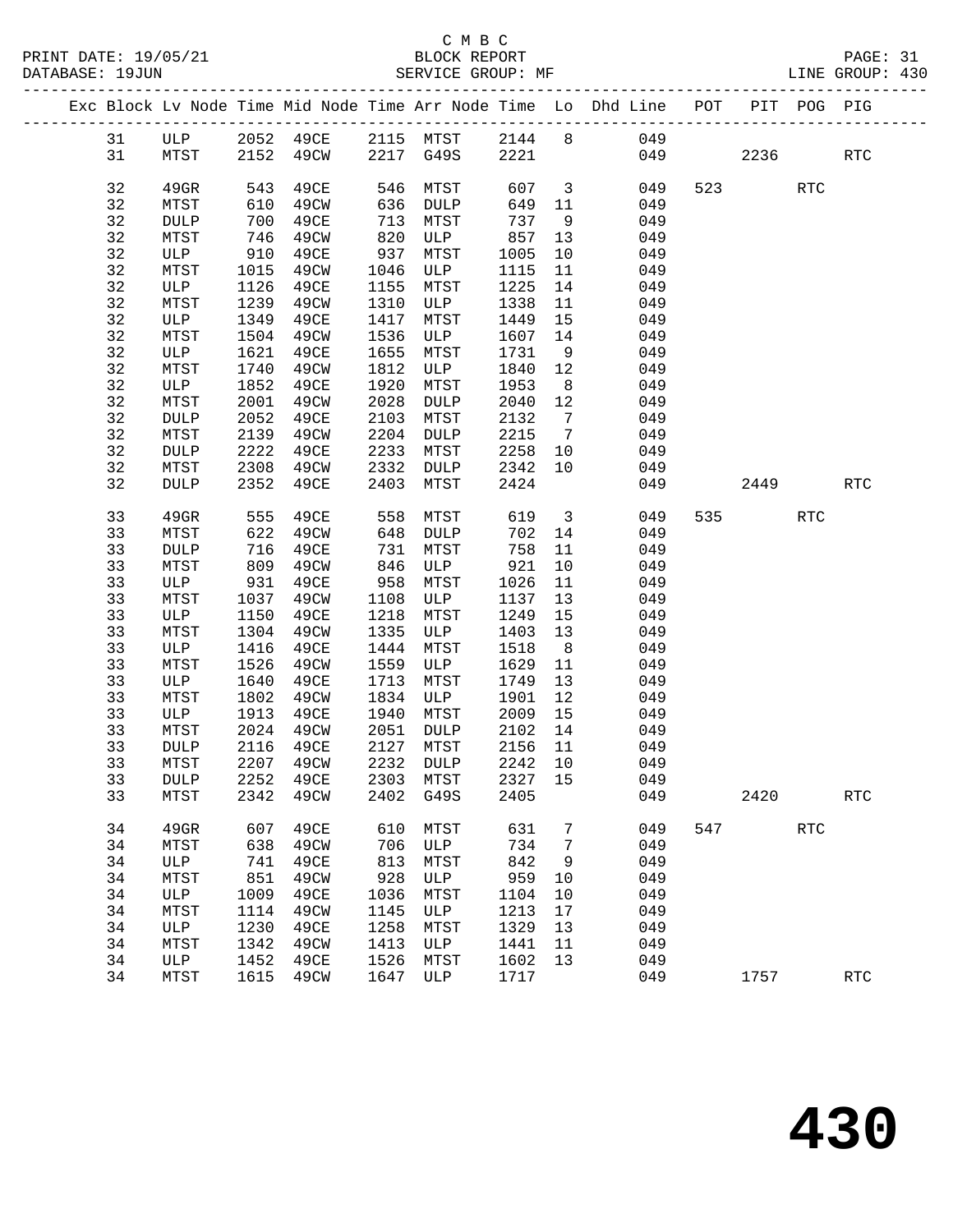|          |    |                     |              |                            |              |                   |              |                                   | Exc Block Lv Node Time Mid Node Time Arr Node Time Lo Dhd Line POT PIT POG PIG |     |      |            |                      |
|----------|----|---------------------|--------------|----------------------------|--------------|-------------------|--------------|-----------------------------------|--------------------------------------------------------------------------------|-----|------|------------|----------------------|
|          | 31 | ULP                 |              | 2052 49CE 2115 MTST 2144 8 |              |                   |              |                                   | 049                                                                            |     |      |            |                      |
| 31       |    | MTST                |              | 2152 49CW 2217 G49S 2221   |              |                   |              |                                   |                                                                                | 049 | 2236 |            | $\operatorname{RTC}$ |
|          |    |                     |              |                            |              |                   |              |                                   |                                                                                |     |      |            |                      |
| 32       |    | $49$ GR             | 543          | 49CE                       | 546          | MTST              | 607          | $\overline{\mathbf{3}}$           | 049                                                                            |     | 523  | <b>RTC</b> |                      |
| 32       |    | MTST                | 610          | 49CW                       | 636          | DULP              | 649          | 11                                | 049                                                                            |     |      |            |                      |
| 32       |    | DULP                | 700          | 49CE                       | 713          | MTST              | 737          | 9                                 | 049                                                                            |     |      |            |                      |
| 32       |    | MTST                | 746          | 49CW                       | 820          | ULP               | 857          | 13                                | 049                                                                            |     |      |            |                      |
| 32       |    | ULP                 | 910          | 49CE                       | 937          | MTST              | 1005         | 10                                | 049                                                                            |     |      |            |                      |
| 32       |    | MTST                | 1015         | 49CW                       | 1046         | ULP               | 1115         | 11                                | 049                                                                            |     |      |            |                      |
| 32       |    | ULP                 | 1126         | 49CE                       | 1155         | MTST              | 1225         | 14                                | 049                                                                            |     |      |            |                      |
| 32       |    | MTST                | 1239         | 49CW                       | 1310         | ULP               | 1338         | 11                                | 049                                                                            |     |      |            |                      |
| 32       |    | ULP                 | 1349         | 49CE                       | 1417         | MTST              | 1449         | 15                                | 049                                                                            |     |      |            |                      |
| 32       |    | MTST                | 1504         | 49CW                       | 1536         | ULP               | 1607         | 14                                | 049                                                                            |     |      |            |                      |
| 32       |    | ULP                 | 1621         | 49CE                       | 1655         | MTST              | 1731         | 9                                 | 049                                                                            |     |      |            |                      |
| 32       |    | MTST                | 1740         | 49CW                       | 1812         | ULP               | 1840         | 12                                | 049                                                                            |     |      |            |                      |
| 32       |    | ULP                 | 1852         | 49CE                       | 1920         | MTST              | 1953         | 8 <sup>8</sup>                    | 049                                                                            |     |      |            |                      |
| 32       |    | MTST                | 2001         | 49CW                       | 2028         | DULP              | 2040         | 12                                | 049                                                                            |     |      |            |                      |
| 32       |    | <b>DULP</b>         | 2052         | 49CE                       | 2103         | MTST              | 2132         | $7\overline{ }$<br>$\overline{7}$ | 049                                                                            |     |      |            |                      |
| 32<br>32 |    | MTST<br><b>DULP</b> | 2139<br>2222 | 49CW<br>49CE               | 2204<br>2233 | DULP<br>MTST      | 2215<br>2258 | 10                                | 049<br>049                                                                     |     |      |            |                      |
| 32       |    | MTST                | 2308         | 49CW                       | 2332         | DULP              | 2342         | 10                                | 049                                                                            |     |      |            |                      |
| 32       |    | <b>DULP</b>         | 2352         | 49CE                       | 2403         | MTST              | 2424         |                                   | 049                                                                            |     | 2449 |            | <b>RTC</b>           |
|          |    |                     |              |                            |              |                   |              |                                   |                                                                                |     |      |            |                      |
| 33       |    | 49GR                | 555          | 49CE                       | 558          | MTST              | 619          | $\overline{\mathbf{3}}$           | 049                                                                            |     | 535  | <b>RTC</b> |                      |
| 33       |    | MTST                | 622          | 49CW                       | 648          | DULP              | 702          | 14                                | 049                                                                            |     |      |            |                      |
| 33       |    | <b>DULP</b>         | 716          | 49CE                       | 731          | MTST              | 758          | 11                                | 049                                                                            |     |      |            |                      |
| 33       |    | MTST                | 809          | 49CW                       | 846          | ULP               | 921          | 10                                | 049                                                                            |     |      |            |                      |
| 33       |    | ULP                 | 931          | 49CE                       | 958          | MTST              | 1026         | 11                                | 049                                                                            |     |      |            |                      |
| 33       |    | MTST                | 1037         | 49CW                       | 1108         | ULP               | 1137         | 13                                | 049                                                                            |     |      |            |                      |
| 33       |    | ULP                 | 1150         | 49CE                       | 1218         | MTST              | 1249         | 15                                | 049                                                                            |     |      |            |                      |
| 33       |    | MTST                | 1304         | 49CW                       | 1335         | ULP               | 1403         | 13                                | 049                                                                            |     |      |            |                      |
| 33       |    | ULP                 | 1416         | 49CE                       | 1444         | MTST              | 1518         | 8 <sup>8</sup>                    | 049                                                                            |     |      |            |                      |
| 33       |    | MTST                | 1526         | 49CW                       | 1559         | ULP               | 1629         | 11                                | 049                                                                            |     |      |            |                      |
| 33       |    | ULP                 | 1640         | 49CE                       | 1713         | MTST              | 1749         | 13                                | 049                                                                            |     |      |            |                      |
| 33       |    | MTST                | 1802         | 49CW                       | 1834         | ULP               | 1901         | 12                                | 049                                                                            |     |      |            |                      |
| 33       |    | ULP                 | 1913         | 49CE                       | 1940         | MTST              | 2009         | 15                                | 049                                                                            |     |      |            |                      |
| 33<br>33 |    | MTST                | 2024<br>2116 | 49CW<br>49CE               | 2051<br>2127 | DULP              | 2102<br>2156 | 14<br>11                          | 049<br>049                                                                     |     |      |            |                      |
| 33       |    | DULP<br>MTST        |              | 2207 49CW                  |              | MTST<br>2232 DULP | 2242 10      |                                   | 049                                                                            |     |      |            |                      |
|          | 33 | <b>DULP</b>         |              | 2252 49CE 2303 MTST        |              |                   | 2327 15      |                                   | 049                                                                            |     |      |            |                      |
| 33       |    | MTST                | 2342         | 49CW                       | 2402         | G49S              | 2405         |                                   | 049                                                                            |     | 2420 |            | <b>RTC</b>           |
|          |    |                     |              |                            |              |                   |              |                                   |                                                                                |     |      |            |                      |
| 34       |    | 49GR                | 607          | 49CE                       | 610          | MTST              | 631          | 7                                 | 049                                                                            |     | 547  | <b>RTC</b> |                      |
| 34       |    | MTST                | 638          | 49CW                       | 706          | ULP               | 734          | 7                                 | 049                                                                            |     |      |            |                      |
| 34       |    | ULP                 | 741          | 49CE                       | 813          | MTST              | 842          | 9                                 | 049                                                                            |     |      |            |                      |
| 34       |    | MTST                | 851          | 49CW                       | 928          | ULP               | 959          | 10                                | 049                                                                            |     |      |            |                      |
| 34       |    | ULP                 | 1009         | 49CE                       | 1036         | MTST              | 1104         | 10                                | 049                                                                            |     |      |            |                      |
| 34       |    | MTST                | 1114         | 49CW                       | 1145         | ULP               | 1213         | 17                                | 049                                                                            |     |      |            |                      |
| 34       |    | ULP                 | 1230         | 49CE                       | 1258         | MTST              | 1329         | 13                                | 049                                                                            |     |      |            |                      |
| 34       |    | MTST                | 1342         | 49CW                       | 1413         | ULP               | 1441         | 11                                | 049                                                                            |     |      |            |                      |
| 34       |    | ULP                 | 1452         | 49CE                       | 1526         | MTST              | 1602         | 13                                | 049                                                                            |     |      |            |                      |
| 34       |    | MTST                | 1615         | 49CW                       | 1647         | ULP               | 1717         |                                   | 049                                                                            |     | 1757 |            | <b>RTC</b>           |
|          |    |                     |              |                            |              |                   |              |                                   |                                                                                |     |      |            |                      |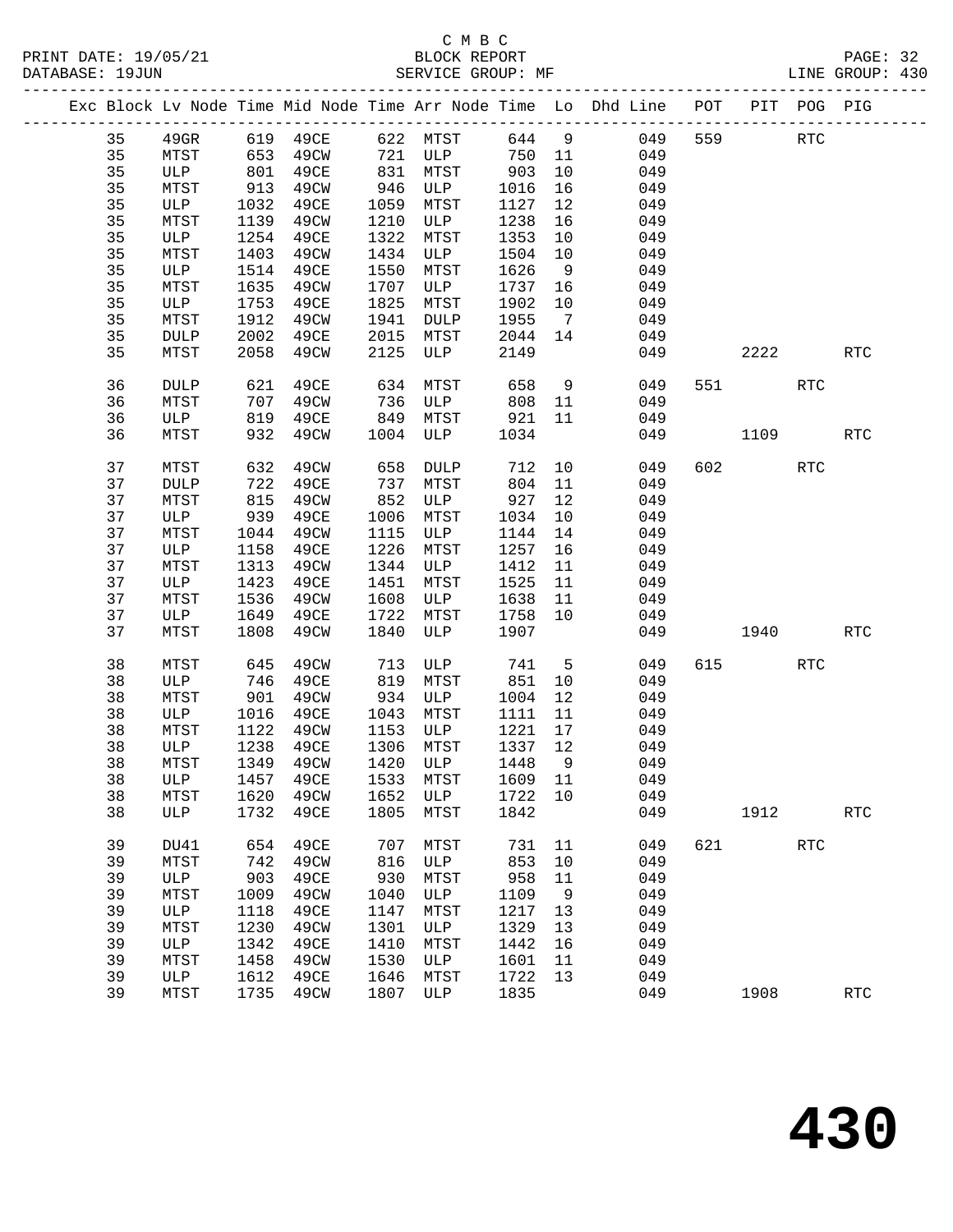|          |               |              |                         |              |                            |              |                | Exc Block Lv Node Time Mid Node Time Arr Node Time Lo Dhd Line POT PIT POG PIG |     |            |     |                      |
|----------|---------------|--------------|-------------------------|--------------|----------------------------|--------------|----------------|--------------------------------------------------------------------------------|-----|------------|-----|----------------------|
| 35       | $49$ GR       |              | 619 49CE 622 MTST 644 9 |              |                            |              |                | 049                                                                            | 559 | <b>RTC</b> |     |                      |
| 35       | MTST          |              | 653  49CW  721          |              | ULP                        | 750 11       |                | 049                                                                            |     |            |     |                      |
| 35       | ULP           |              | 801 49CE                | 831          | MTST                       | 903          | 10             | 049                                                                            |     |            |     |                      |
| 35       | MTST          | 913          | 49CW                    | 946          | ULP                        | 1016         | 16             | 049                                                                            |     |            |     |                      |
| 35       | ULP           | 1032         | 49CE                    | 1059         | MTST                       | 1127         | 12             | 049                                                                            |     |            |     |                      |
| 35       | MTST          | 1139         | 49CW                    | 1210         | ULP                        | 1238         | 16             | 049                                                                            |     |            |     |                      |
| 35       | ULP           | 1254         | 49CE                    | 1322         | MTST                       | 1353         | 10             | 049                                                                            |     |            |     |                      |
| 35       | MTST          | 1403         | 49CW                    | 1434         | ULP                        | 1504         | 10             | 049                                                                            |     |            |     |                      |
| 35       | ULP           | 1514         | 49CE                    | 1550         | MTST                       | 1626         | 9              | 049                                                                            |     |            |     |                      |
| 35       | MTST          | 1635         | 49CW                    | 1707         | ULP                        | 1737         | 16             | 049                                                                            |     |            |     |                      |
| 35       | ULP           | 1753         | 49CE                    | 1825         | MTST                       | 1902         | 10             | 049                                                                            |     |            |     |                      |
| 35       | MTST          | 1912         | 49CW                    | 1941         | DULP                       | 1955         | $\overline{7}$ | 049                                                                            |     |            |     |                      |
| 35       | <b>DULP</b>   | 2002         | 49CE                    | 2015         | MTST                       | 2044         | 14             | 049                                                                            |     |            |     |                      |
| 35       | MTST          | 2058         | 49CW                    | 2125         | ULP                        | 2149         |                | 049                                                                            |     | 2222       |     | <b>RTC</b>           |
|          |               |              |                         |              |                            |              |                |                                                                                |     |            |     |                      |
| 36       | DULP          | 621          | 49CE                    | 634          | MTST                       | 658          | 9              | 049                                                                            |     | 551 30     | RTC |                      |
| 36       | MTST          | 707<br>819   | 49CW                    |              | 736 ULP<br>849 MTST<br>ULP | 808          | 11             | 049                                                                            |     |            |     |                      |
| 36       | ULP           |              | 819 49CE                |              |                            | 921          | 11             | 049                                                                            |     |            |     |                      |
| 36       | MTST          | 932          | 49CW                    | 1004         | ULP                        | 1034         |                | 049                                                                            |     | 1109       |     | $\operatorname{RTC}$ |
| 37       | MTST          | 632          | 49CW                    | 658          | <b>DULP</b>                | 712          | 10             | 049                                                                            |     | 602 000    | RTC |                      |
| 37       | DULP          | 722          | 49CE                    | 737          | MTST                       | 804          | 11             | 049                                                                            |     |            |     |                      |
| 37       | MTST          | 815          | 49CW                    | 852          | ULP                        | 927          | 12             | 049                                                                            |     |            |     |                      |
| 37       | ULP           | 939          | 49CE                    | 1006         | MTST                       | 1034         | 10             | 049                                                                            |     |            |     |                      |
| 37       | MTST          | 1044         | 49CW                    | 1115         | ULP                        | 1144         | 14             | 049                                                                            |     |            |     |                      |
| 37       | ULP           | 1158         | 49CE                    | 1226         | MTST                       | 1257         | 16             | 049                                                                            |     |            |     |                      |
| 37       | MTST          | 1313         | 49CW                    | 1344         | ULP                        | 1412         | 11             | 049                                                                            |     |            |     |                      |
| 37       | ULP           | 1423         | 49CE                    | 1451         | MTST                       | 1525         | 11             | 049                                                                            |     |            |     |                      |
| 37       | MTST          | 1536         | 49CW                    | 1608         | ULP                        | 1638         | 11             | 049                                                                            |     |            |     |                      |
| 37       | ULP           | 1649         | 49CE                    | 1722         | MTST                       | 1758         | 10             | 049                                                                            |     |            |     |                      |
| 37       | MTST          | 1808         | 49CW                    | 1840         | ULP                        | 1907         |                | 049                                                                            |     | 1940       |     | <b>RTC</b>           |
| 38       | MTST          | 645          | 49CW                    | 713          | ULP                        | 741          | $5^{\circ}$    | 049                                                                            |     | 615        | RTC |                      |
| 38       | ULP           |              | 49CE                    | 819          | MTST                       | 851          | 10             | 049                                                                            |     |            |     |                      |
| 38       | MTST          | 746<br>901   | 49CW                    | 934          | ULP                        | 1004         | 12             | 049                                                                            |     |            |     |                      |
| 38       | ULP           | 1016         | 49CE                    | 1043         | MTST                       | 1111         | 11             | 049                                                                            |     |            |     |                      |
| 38       | MTST          | 1122         | 49CW                    | 1153         | ULP                        | 1221         | 17             | 049                                                                            |     |            |     |                      |
| 38       | ULP           | 1238         | 49CE                    | 1306         | MTST                       | 1337         | 12             | 049                                                                            |     |            |     |                      |
| 38       | MTST          |              | 1349 49CW               | 1420         | ULP                        | 1448         | 9              | 049                                                                            |     |            |     |                      |
| 38       | ULP 1457 49CE |              |                         |              |                            |              |                | 1533 MTST 1609 11 049                                                          |     |            |     |                      |
| 38       | MTST          | 1620         | 49CW                    | 1652         | ULP                        | 1722 10      |                | 049                                                                            |     |            |     |                      |
| 38       | ULP           | 1732         | 49CE                    | 1805         | MTST                       | 1842         |                | 049                                                                            |     | 1912       |     | RTC                  |
|          |               |              |                         |              |                            |              |                |                                                                                |     |            |     |                      |
| 39       | DU41          | 654          | 49CE                    | 707          | MTST                       | 731          | 11             | 049                                                                            |     | 621 000    | RTC |                      |
| 39       | MTST          | 742          | 49CW                    | 816          | ULP                        | 853          | 10             | 049                                                                            |     |            |     |                      |
| 39<br>39 | ULP           | 903          | 49CE                    | 930          | MTST                       | 958          | 11             | 049                                                                            |     |            |     |                      |
| 39       | MTST<br>ULP   | 1009<br>1118 | 49CW                    | 1040<br>1147 | ULP                        | 1109         | 9              | 049<br>049                                                                     |     |            |     |                      |
| 39       | MTST          | 1230         | 49CE<br>49CW            | 1301         | MTST<br>ULP                | 1217<br>1329 | 13<br>13       | 049                                                                            |     |            |     |                      |
| 39       | ULP           | 1342         | 49CE                    | 1410         | MTST                       | 1442         | 16             | 049                                                                            |     |            |     |                      |
| 39       | MTST          | 1458         | 49CW                    | 1530         | ULP                        | 1601         | 11             | 049                                                                            |     |            |     |                      |
| 39       | ULP           | 1612         | 49CE                    | 1646         | MTST                       | 1722         | 13             | 049                                                                            |     |            |     |                      |
| 39       | MTST          | 1735         | 49CW                    | 1807         | ULP                        | 1835         |                | 049                                                                            |     | 1908       |     | $\operatorname{RTC}$ |
|          |               |              |                         |              |                            |              |                |                                                                                |     |            |     |                      |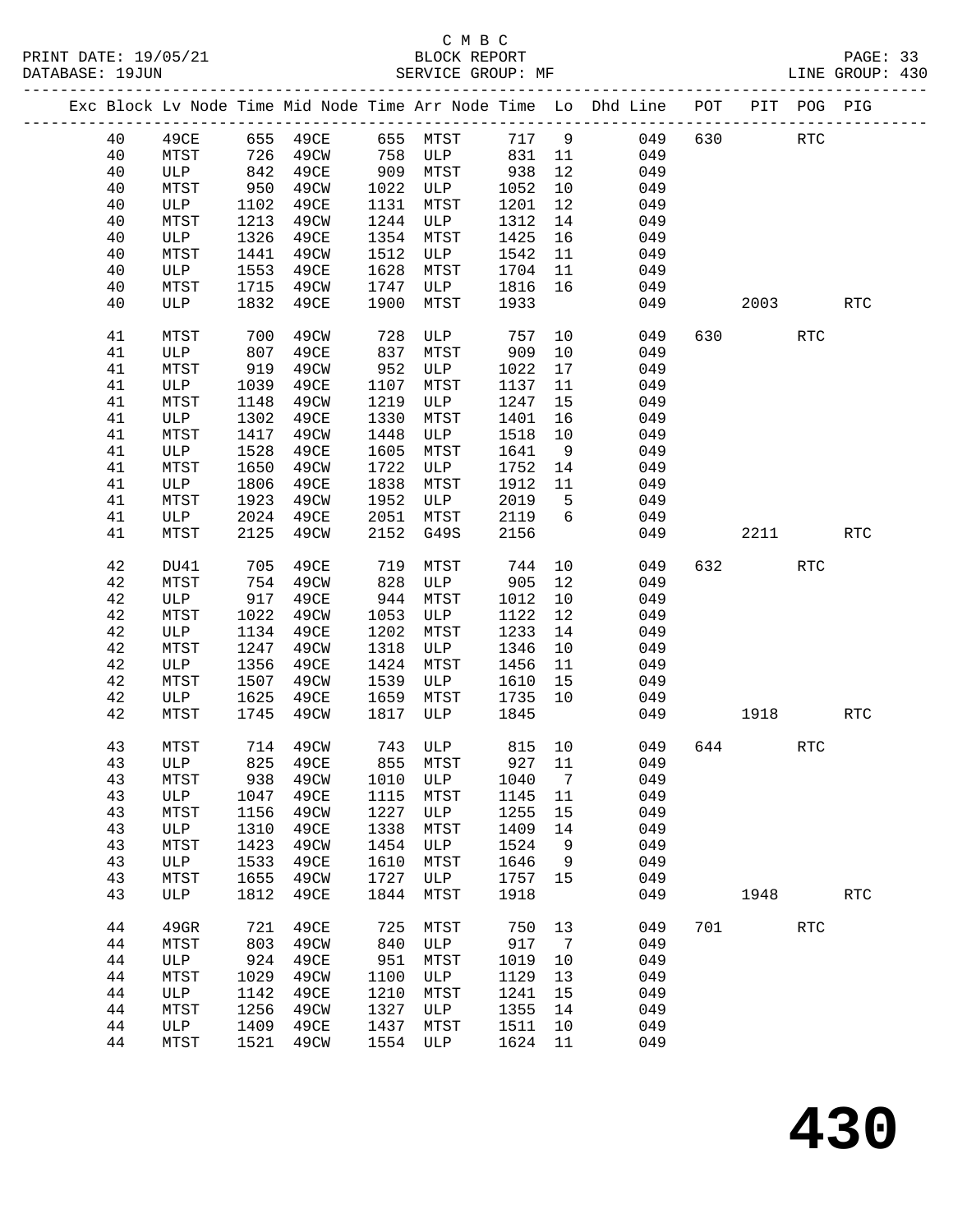|  |          |             |              | Exc Block Lv Node Time Mid Node Time Arr Node Time Lo Dhd Line POT |              |                |              |                      |            |     |         | PIT POG PIG |            |
|--|----------|-------------|--------------|--------------------------------------------------------------------|--------------|----------------|--------------|----------------------|------------|-----|---------|-------------|------------|
|  | 40       | 49CE        |              | 655 49CE                                                           |              | 655 MTST 717 9 |              |                      | 049        | 630 |         | <b>RTC</b>  |            |
|  | 40       | MTST        | 726<br>842   | 49CW                                                               | 758          | ULP            | 831          | 11                   | 049        |     |         |             |            |
|  | 40       | ULP         | 842          | 49CE                                                               | 909          | MTST           | 938          | 12                   | 049        |     |         |             |            |
|  | 40       | MTST        | 950          | 49CW                                                               | 1022         | ULP            | 1052         | 10                   | 049        |     |         |             |            |
|  | 40       | ULP         | 1102         | 49CE                                                               | 1131         | MTST           | 1201         | 12                   | 049        |     |         |             |            |
|  | 40       | MTST        | 1213         | 49CW                                                               | 1244         | ULP            | 1312         | 14                   | 049        |     |         |             |            |
|  | 40       | ULP         | 1326         | 49CE                                                               | 1354         | MTST           | 1425         | 16                   | 049        |     |         |             |            |
|  | 40       | MTST        | 1441         | 49CW                                                               | 1512         | ULP            | 1542         | 11                   | 049        |     |         |             |            |
|  | 40       | ULP         | 1553         | 49CE                                                               | 1628         | MTST           | 1704         | 11                   | 049        |     |         |             |            |
|  | 40       | MTST        | 1715         | 49CW                                                               | 1747         | ULP            | 1816         | 16                   | 049        |     |         |             |            |
|  | 40       | ULP         | 1832         | 49CE                                                               | 1900         | MTST           | 1933         |                      | 049        |     | 2003    |             | <b>RTC</b> |
|  |          |             |              |                                                                    |              |                |              |                      |            |     |         |             |            |
|  | 41       | MTST        | 700          | 49CW                                                               | 728          | ULP            | 757          | 10                   | 049        | 630 |         | <b>RTC</b>  |            |
|  | 41       | ULP         | 807          | 49CE                                                               | 837          | MTST           | 909          | 10                   | 049        |     |         |             |            |
|  | 41       | MTST        | 919          | 49CW                                                               | 952          | ULP            | 1022         | 17                   | 049        |     |         |             |            |
|  | 41       | ULP         | 1039         | 49CE                                                               | 1107         | MTST           | 1137         | 11                   | 049        |     |         |             |            |
|  | 41       | MTST        | 1148         | 49CW                                                               | 1219         | ULP            | 1247         | 15                   | 049        |     |         |             |            |
|  | 41       | ULP         | 1302         | 49CE                                                               | 1330         | MTST           | 1401         | 16                   | 049        |     |         |             |            |
|  | 41<br>41 | MTST<br>ULP | 1417<br>1528 | 49CW<br>49CE                                                       | 1448<br>1605 | ULP<br>MTST    | 1518<br>1641 | 10<br>9              | 049<br>049 |     |         |             |            |
|  | 41       | MTST        | 1650         | 49CW                                                               | 1722         | ULP            | 1752         | 14                   | 049        |     |         |             |            |
|  | 41       | ULP         | 1806         | 49CE                                                               | 1838         | MTST           | 1912         | 11                   | 049        |     |         |             |            |
|  | 41       | MTST        | 1923         | 49CW                                                               | 1952         | ULP            | 2019         | 5                    | 049        |     |         |             |            |
|  | 41       | ULP         | 2024         | 49CE                                                               | 2051         | MTST           | 2119         | 6                    | 049        |     |         |             |            |
|  | 41       | MTST        | 2125         | 49CW                                                               | 2152         | G49S           | 2156         |                      | 049        |     | 2211    |             | <b>RTC</b> |
|  |          |             |              |                                                                    |              |                |              |                      |            |     |         |             |            |
|  | 42       | DU41        | 705          | 49CE                                                               | 719          | MTST           | 744          | 10                   | 049        |     | 632 639 | <b>RTC</b>  |            |
|  | 42       | MTST        | 754          | 49CW                                                               | 828          | ULP            | 905          | 12                   | 049        |     |         |             |            |
|  | 42       | ULP         | 917          | 49CE                                                               | 944          | MTST           | 1012         | 10                   | 049        |     |         |             |            |
|  | 42       | MTST        | 1022         | 49CW                                                               | 1053         | ULP            | 1122         | 12                   | 049        |     |         |             |            |
|  | 42       | ULP         | 1134         | 49CE                                                               | 1202         | MTST           | 1233         | 14                   | 049        |     |         |             |            |
|  | 42       | MTST        | 1247         | 49CW                                                               | 1318         | ULP            | 1346         | 10                   | 049        |     |         |             |            |
|  | 42       | ULP         | 1356         | 49CE                                                               | 1424         | MTST           | 1456         | 11                   | 049        |     |         |             |            |
|  | 42       | MTST        | 1507         | 49CW                                                               | 1539         | ULP            | 1610         | 15                   | 049        |     |         |             |            |
|  | 42       | ULP         | 1625         | 49CE                                                               | 1659         | MTST           | 1735         | 10                   | 049        |     |         |             |            |
|  | 42       | MTST        | 1745         | 49CW                                                               | 1817         | ULP            | 1845         |                      | 049        |     | 1918    |             | <b>RTC</b> |
|  | 43       | MTST        | 714          | 49CW                                                               |              | 743 ULP        | 815 10       |                      | 049        |     | 644     | <b>RTC</b>  |            |
|  | 43       | ULP         | 825          | 49CE                                                               |              | 855 MTST       | 927 11       |                      | 049        |     |         |             |            |
|  | 43       |             |              | MTST 938 49CW 1010 ULP 1040 7                                      |              |                |              |                      | 049        |     |         |             |            |
|  | 43       | ULP         | 1047         | 49CE                                                               | 1115         | MTST           | 1145         | 11                   | 049        |     |         |             |            |
|  | 43       | MTST        | 1156         | 49CW                                                               | 1227         | ULP            | 1255         | 15                   | 049        |     |         |             |            |
|  | 43       | ULP         | 1310         | 49CE                                                               | 1338         | MTST           | 1409         | 14                   | 049        |     |         |             |            |
|  | 43       | MTST        | 1423         | 49CW                                                               | 1454         | ULP            | 1524         | 9                    | 049        |     |         |             |            |
|  | 43       | ULP         | 1533         | 49CE                                                               | 1610         | MTST           | 1646         | 9                    | 049        |     |         |             |            |
|  | 43       | MTST        | 1655         | 49CW                                                               | 1727         | ULP            | 1757         | 15                   | 049        |     |         |             |            |
|  | 43       | ULP         | 1812         | 49CE                                                               | 1844         | MTST           | 1918         |                      | 049        |     | 1948    |             | RTC        |
|  |          |             |              |                                                                    |              |                |              |                      |            |     |         |             |            |
|  | 44       | 49GR        | 721<br>803   | 49CE<br>49CW                                                       | 725<br>840   | MTST<br>ULP    | 750<br>917   | 13<br>$\overline{7}$ | 049<br>049 | 701 |         | RTC         |            |
|  | 44<br>44 | MTST<br>ULP | 924          | 49CE                                                               | 951          | MTST           | 1019         | 10                   | 049        |     |         |             |            |
|  | 44       | MTST        | 1029         | 49CW                                                               | 1100         | ULP            | 1129         | 13                   | 049        |     |         |             |            |
|  | 44       | ULP         | 1142         | 49CE                                                               | 1210         | MTST           | 1241         | 15                   | 049        |     |         |             |            |
|  | 44       | MTST        | 1256         | 49CW                                                               | 1327         | ULP            | 1355         | 14                   | 049        |     |         |             |            |
|  | 44       | ULP         | 1409         | 49CE                                                               | 1437         | MTST           | 1511         | 10                   | 049        |     |         |             |            |
|  | 44       | MTST        | 1521         | 49CW                                                               | 1554         | ULP            | 1624         | 11                   | 049        |     |         |             |            |
|  |          |             |              |                                                                    |              |                |              |                      |            |     |         |             |            |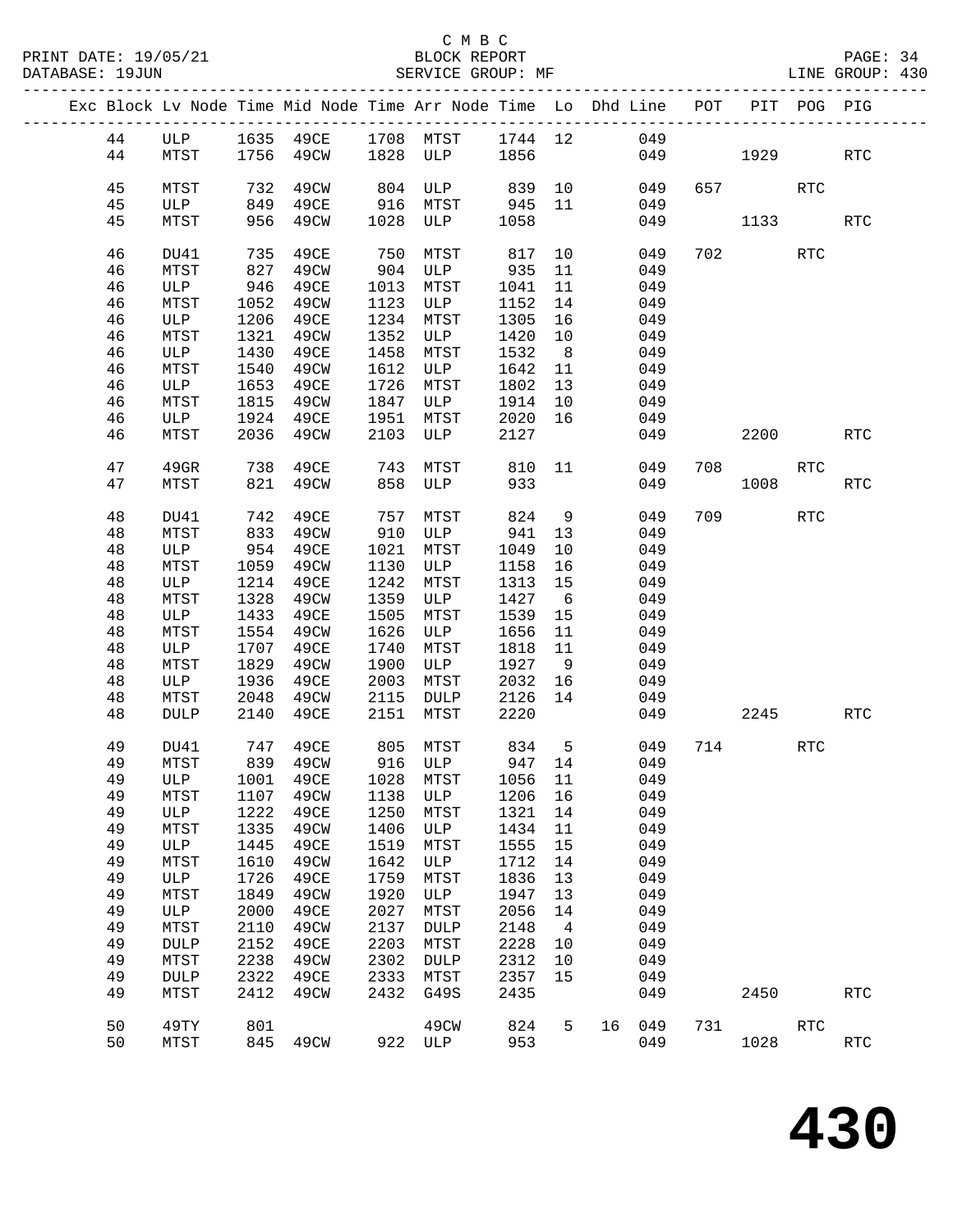| Exc Block Lv Node Time Mid Node Time Arr Node Time Lo Dhd Line POT PIT POG PIG<br>44<br>ULP 1635 49CE 1708 MTST 1744 12<br>049<br>1756 49CW 1828 ULP 1856<br>44<br>MTST<br>049<br>1929<br>RTC<br>45<br>MTST<br>732<br>49CW<br>804 ULP<br>839 10<br>049<br>657<br>RTC<br>45<br>849<br>49CE<br>916 MTST<br>945 11<br>049<br>ULP<br>45<br>956<br>49CW<br>1028 ULP<br>1058<br>049<br>1133<br>MTST<br><b>RTC</b><br>46<br>735<br>49CE<br>750<br>702<br><b>RTC</b><br>MTST<br>817<br>10<br>049<br>DU41<br>827<br>46<br>49CW<br>904 ULP<br>935<br>049<br>MTST<br>11<br>46<br>946<br>49CE<br>1013<br>MTST<br>11<br>049<br>ULP<br>1041<br>1052<br>49CW<br>1123<br>46<br>ULP<br>1152<br>14<br>049<br>MTST<br>49CE<br>1234<br>46<br>ULP<br>1206<br>MTST<br>1305<br>16<br>049<br>1352<br>46<br>1321<br>49CW<br>1420<br>10<br>049<br>MTST<br>ULP<br>46<br>1430<br>49CE<br>1458<br>1532<br>8 <sup>8</sup><br>049<br>ULP<br>MTST<br>46<br>1540<br>49CW<br>1612<br>ULP<br>1642<br>049<br>MTST<br>11<br>46<br>1653<br>49CE<br>1726<br>ULP<br>MTST<br>1802<br>13<br>049<br>46<br>1815<br>49CW<br>1847 ULP<br>049<br>MTST<br>1914<br>10<br>46<br>1924<br>1951<br>2020 16<br>ULP<br>49CE<br>MTST<br>049<br>2036<br>2103<br>46<br>MTST<br>49CW<br>ULP<br>2127<br>049<br>2200<br><b>RTC</b><br>47<br>$49$ GR<br>738<br>49CE<br>810 11<br>049<br>708<br>743<br>MTST<br>RTC<br>933<br>821 49CW<br>858<br>ULP<br>049<br>1008<br>47<br>MTST<br><b>RTC</b><br>48<br>742<br>49CE<br>757<br>824<br>$\overline{9}$<br>709<br>RTC<br>DU41<br>MTST<br>049<br>48<br>MTST<br>833<br>49CW<br>910<br>941<br>13<br>049<br>ULP<br>48<br>954 49CE<br>1021<br>10<br>049<br>ULP<br>MTST<br>1049<br>48<br>MTST<br>1059<br>49CW<br>1130<br>049<br>ULP<br>1158<br>16<br>48<br>1214<br>49CE<br>1242<br>1313<br>ULP<br>MTST<br>15<br>049<br>1359<br>48<br>1328<br>49CW<br>1427<br>049<br>MTST<br>ULP<br>6<br>48<br>1433<br>49CE<br>1505<br>1539<br>15<br>049<br>ULP<br>MTST<br>1626<br>48<br>MTST<br>1554<br>49CW<br>1656<br>049<br>ULP<br>11<br>48<br>1707<br>49CE<br>1740<br>1818<br>049<br>ULP<br>MTST<br>11<br>48<br>1829<br>49CW<br>1900<br>1927<br>049<br>MTST<br>ULP<br>9<br>48<br>1936<br>49CE<br>2003<br>2032<br>049<br>ULP<br>MTST<br>16<br>2115<br>2126<br>14<br>48<br>MTST<br>2048<br>49CW<br>049<br>DULP<br>2140<br>2151<br>2220<br>48<br><b>DULP</b><br>49CE<br>MTST<br>049<br>2245<br>RTC<br>49<br>747<br>49CE<br>805 MTST 834 5<br>916 ULP 947 14<br>DU41<br>049<br>714<br>RTC<br>839 49CW<br>49<br>MTST<br>049<br>ULP 1001 49CE 1028 MTST 1056 11 049<br>49<br>1138<br>049<br>49<br>MTST<br>1107<br>49CW<br>ULP<br>1206<br>16<br>49<br>1222<br>1250<br>1321<br>049<br>ULP<br>49CE<br>MTST<br>14<br>49<br>1335<br>1406<br>1434<br>11<br>049<br>MTST<br>49CW<br>ULP<br>49<br>1445<br>1519<br>1555<br>049<br>ULP<br>49CE<br>MTST<br>15<br>1642<br>49<br>MTST<br>1610<br>49CW<br>ULP<br>1712<br>14<br>049<br>49<br>1726<br>49CE<br>1759<br>1836<br>049<br>ULP<br>MTST<br>13<br>49<br>1849<br>1920<br>1947<br>13<br>049<br>MTST<br>49CW<br>ULP<br>49<br>2000<br>49CE<br>2027<br>049<br>ULP<br>MTST<br>2056<br>14<br>2137<br>049<br>49<br>MTST<br>2110<br>49CW<br><b>DULP</b><br>2148<br>$\overline{4}$<br>49<br>2152<br>49CE<br>2203<br>2228<br>049<br><b>DULP</b><br>MTST<br>10<br>49<br>2238<br>2302<br>2312<br>10<br>049<br>MTST<br>49CW<br>DULP<br>49<br>2322<br>49CE<br>2333<br>2357<br>15<br>049<br>DULP<br>MTST<br>2412<br>2432<br>G49S<br>2435<br>049<br>49<br>MTST<br>49CW<br>2450<br><b>RTC</b><br>50<br>49CW<br>824<br>049<br>731<br>$\operatorname{RTC}$<br>49TY<br>801<br>5<br>16<br>50<br>845 49CW<br>922 ULP<br>953<br>049<br>1028<br>$\operatorname{RTC}$<br>MTST |  |  |  |  |  |  |  |  |
|-------------------------------------------------------------------------------------------------------------------------------------------------------------------------------------------------------------------------------------------------------------------------------------------------------------------------------------------------------------------------------------------------------------------------------------------------------------------------------------------------------------------------------------------------------------------------------------------------------------------------------------------------------------------------------------------------------------------------------------------------------------------------------------------------------------------------------------------------------------------------------------------------------------------------------------------------------------------------------------------------------------------------------------------------------------------------------------------------------------------------------------------------------------------------------------------------------------------------------------------------------------------------------------------------------------------------------------------------------------------------------------------------------------------------------------------------------------------------------------------------------------------------------------------------------------------------------------------------------------------------------------------------------------------------------------------------------------------------------------------------------------------------------------------------------------------------------------------------------------------------------------------------------------------------------------------------------------------------------------------------------------------------------------------------------------------------------------------------------------------------------------------------------------------------------------------------------------------------------------------------------------------------------------------------------------------------------------------------------------------------------------------------------------------------------------------------------------------------------------------------------------------------------------------------------------------------------------------------------------------------------------------------------------------------------------------------------------------------------------------------------------------------------------------------------------------------------------------------------------------------------------------------------------------------------------------------------------------------------------------------------------------------------------------------------------------------------------------------------------------------------------------------------------------------------------------------------------------------------------------------------------------------------------------------------------------------------------------------------------------------------------------------------------------------------------------------------------------------------------------------------------------------------------------------------------------------------------------------------------------------------------------------|--|--|--|--|--|--|--|--|
|                                                                                                                                                                                                                                                                                                                                                                                                                                                                                                                                                                                                                                                                                                                                                                                                                                                                                                                                                                                                                                                                                                                                                                                                                                                                                                                                                                                                                                                                                                                                                                                                                                                                                                                                                                                                                                                                                                                                                                                                                                                                                                                                                                                                                                                                                                                                                                                                                                                                                                                                                                                                                                                                                                                                                                                                                                                                                                                                                                                                                                                                                                                                                                                                                                                                                                                                                                                                                                                                                                                                                                                                                                                 |  |  |  |  |  |  |  |  |
|                                                                                                                                                                                                                                                                                                                                                                                                                                                                                                                                                                                                                                                                                                                                                                                                                                                                                                                                                                                                                                                                                                                                                                                                                                                                                                                                                                                                                                                                                                                                                                                                                                                                                                                                                                                                                                                                                                                                                                                                                                                                                                                                                                                                                                                                                                                                                                                                                                                                                                                                                                                                                                                                                                                                                                                                                                                                                                                                                                                                                                                                                                                                                                                                                                                                                                                                                                                                                                                                                                                                                                                                                                                 |  |  |  |  |  |  |  |  |
|                                                                                                                                                                                                                                                                                                                                                                                                                                                                                                                                                                                                                                                                                                                                                                                                                                                                                                                                                                                                                                                                                                                                                                                                                                                                                                                                                                                                                                                                                                                                                                                                                                                                                                                                                                                                                                                                                                                                                                                                                                                                                                                                                                                                                                                                                                                                                                                                                                                                                                                                                                                                                                                                                                                                                                                                                                                                                                                                                                                                                                                                                                                                                                                                                                                                                                                                                                                                                                                                                                                                                                                                                                                 |  |  |  |  |  |  |  |  |
|                                                                                                                                                                                                                                                                                                                                                                                                                                                                                                                                                                                                                                                                                                                                                                                                                                                                                                                                                                                                                                                                                                                                                                                                                                                                                                                                                                                                                                                                                                                                                                                                                                                                                                                                                                                                                                                                                                                                                                                                                                                                                                                                                                                                                                                                                                                                                                                                                                                                                                                                                                                                                                                                                                                                                                                                                                                                                                                                                                                                                                                                                                                                                                                                                                                                                                                                                                                                                                                                                                                                                                                                                                                 |  |  |  |  |  |  |  |  |
|                                                                                                                                                                                                                                                                                                                                                                                                                                                                                                                                                                                                                                                                                                                                                                                                                                                                                                                                                                                                                                                                                                                                                                                                                                                                                                                                                                                                                                                                                                                                                                                                                                                                                                                                                                                                                                                                                                                                                                                                                                                                                                                                                                                                                                                                                                                                                                                                                                                                                                                                                                                                                                                                                                                                                                                                                                                                                                                                                                                                                                                                                                                                                                                                                                                                                                                                                                                                                                                                                                                                                                                                                                                 |  |  |  |  |  |  |  |  |
|                                                                                                                                                                                                                                                                                                                                                                                                                                                                                                                                                                                                                                                                                                                                                                                                                                                                                                                                                                                                                                                                                                                                                                                                                                                                                                                                                                                                                                                                                                                                                                                                                                                                                                                                                                                                                                                                                                                                                                                                                                                                                                                                                                                                                                                                                                                                                                                                                                                                                                                                                                                                                                                                                                                                                                                                                                                                                                                                                                                                                                                                                                                                                                                                                                                                                                                                                                                                                                                                                                                                                                                                                                                 |  |  |  |  |  |  |  |  |
|                                                                                                                                                                                                                                                                                                                                                                                                                                                                                                                                                                                                                                                                                                                                                                                                                                                                                                                                                                                                                                                                                                                                                                                                                                                                                                                                                                                                                                                                                                                                                                                                                                                                                                                                                                                                                                                                                                                                                                                                                                                                                                                                                                                                                                                                                                                                                                                                                                                                                                                                                                                                                                                                                                                                                                                                                                                                                                                                                                                                                                                                                                                                                                                                                                                                                                                                                                                                                                                                                                                                                                                                                                                 |  |  |  |  |  |  |  |  |
|                                                                                                                                                                                                                                                                                                                                                                                                                                                                                                                                                                                                                                                                                                                                                                                                                                                                                                                                                                                                                                                                                                                                                                                                                                                                                                                                                                                                                                                                                                                                                                                                                                                                                                                                                                                                                                                                                                                                                                                                                                                                                                                                                                                                                                                                                                                                                                                                                                                                                                                                                                                                                                                                                                                                                                                                                                                                                                                                                                                                                                                                                                                                                                                                                                                                                                                                                                                                                                                                                                                                                                                                                                                 |  |  |  |  |  |  |  |  |
|                                                                                                                                                                                                                                                                                                                                                                                                                                                                                                                                                                                                                                                                                                                                                                                                                                                                                                                                                                                                                                                                                                                                                                                                                                                                                                                                                                                                                                                                                                                                                                                                                                                                                                                                                                                                                                                                                                                                                                                                                                                                                                                                                                                                                                                                                                                                                                                                                                                                                                                                                                                                                                                                                                                                                                                                                                                                                                                                                                                                                                                                                                                                                                                                                                                                                                                                                                                                                                                                                                                                                                                                                                                 |  |  |  |  |  |  |  |  |
|                                                                                                                                                                                                                                                                                                                                                                                                                                                                                                                                                                                                                                                                                                                                                                                                                                                                                                                                                                                                                                                                                                                                                                                                                                                                                                                                                                                                                                                                                                                                                                                                                                                                                                                                                                                                                                                                                                                                                                                                                                                                                                                                                                                                                                                                                                                                                                                                                                                                                                                                                                                                                                                                                                                                                                                                                                                                                                                                                                                                                                                                                                                                                                                                                                                                                                                                                                                                                                                                                                                                                                                                                                                 |  |  |  |  |  |  |  |  |
|                                                                                                                                                                                                                                                                                                                                                                                                                                                                                                                                                                                                                                                                                                                                                                                                                                                                                                                                                                                                                                                                                                                                                                                                                                                                                                                                                                                                                                                                                                                                                                                                                                                                                                                                                                                                                                                                                                                                                                                                                                                                                                                                                                                                                                                                                                                                                                                                                                                                                                                                                                                                                                                                                                                                                                                                                                                                                                                                                                                                                                                                                                                                                                                                                                                                                                                                                                                                                                                                                                                                                                                                                                                 |  |  |  |  |  |  |  |  |
|                                                                                                                                                                                                                                                                                                                                                                                                                                                                                                                                                                                                                                                                                                                                                                                                                                                                                                                                                                                                                                                                                                                                                                                                                                                                                                                                                                                                                                                                                                                                                                                                                                                                                                                                                                                                                                                                                                                                                                                                                                                                                                                                                                                                                                                                                                                                                                                                                                                                                                                                                                                                                                                                                                                                                                                                                                                                                                                                                                                                                                                                                                                                                                                                                                                                                                                                                                                                                                                                                                                                                                                                                                                 |  |  |  |  |  |  |  |  |
|                                                                                                                                                                                                                                                                                                                                                                                                                                                                                                                                                                                                                                                                                                                                                                                                                                                                                                                                                                                                                                                                                                                                                                                                                                                                                                                                                                                                                                                                                                                                                                                                                                                                                                                                                                                                                                                                                                                                                                                                                                                                                                                                                                                                                                                                                                                                                                                                                                                                                                                                                                                                                                                                                                                                                                                                                                                                                                                                                                                                                                                                                                                                                                                                                                                                                                                                                                                                                                                                                                                                                                                                                                                 |  |  |  |  |  |  |  |  |
|                                                                                                                                                                                                                                                                                                                                                                                                                                                                                                                                                                                                                                                                                                                                                                                                                                                                                                                                                                                                                                                                                                                                                                                                                                                                                                                                                                                                                                                                                                                                                                                                                                                                                                                                                                                                                                                                                                                                                                                                                                                                                                                                                                                                                                                                                                                                                                                                                                                                                                                                                                                                                                                                                                                                                                                                                                                                                                                                                                                                                                                                                                                                                                                                                                                                                                                                                                                                                                                                                                                                                                                                                                                 |  |  |  |  |  |  |  |  |
|                                                                                                                                                                                                                                                                                                                                                                                                                                                                                                                                                                                                                                                                                                                                                                                                                                                                                                                                                                                                                                                                                                                                                                                                                                                                                                                                                                                                                                                                                                                                                                                                                                                                                                                                                                                                                                                                                                                                                                                                                                                                                                                                                                                                                                                                                                                                                                                                                                                                                                                                                                                                                                                                                                                                                                                                                                                                                                                                                                                                                                                                                                                                                                                                                                                                                                                                                                                                                                                                                                                                                                                                                                                 |  |  |  |  |  |  |  |  |
|                                                                                                                                                                                                                                                                                                                                                                                                                                                                                                                                                                                                                                                                                                                                                                                                                                                                                                                                                                                                                                                                                                                                                                                                                                                                                                                                                                                                                                                                                                                                                                                                                                                                                                                                                                                                                                                                                                                                                                                                                                                                                                                                                                                                                                                                                                                                                                                                                                                                                                                                                                                                                                                                                                                                                                                                                                                                                                                                                                                                                                                                                                                                                                                                                                                                                                                                                                                                                                                                                                                                                                                                                                                 |  |  |  |  |  |  |  |  |
|                                                                                                                                                                                                                                                                                                                                                                                                                                                                                                                                                                                                                                                                                                                                                                                                                                                                                                                                                                                                                                                                                                                                                                                                                                                                                                                                                                                                                                                                                                                                                                                                                                                                                                                                                                                                                                                                                                                                                                                                                                                                                                                                                                                                                                                                                                                                                                                                                                                                                                                                                                                                                                                                                                                                                                                                                                                                                                                                                                                                                                                                                                                                                                                                                                                                                                                                                                                                                                                                                                                                                                                                                                                 |  |  |  |  |  |  |  |  |
|                                                                                                                                                                                                                                                                                                                                                                                                                                                                                                                                                                                                                                                                                                                                                                                                                                                                                                                                                                                                                                                                                                                                                                                                                                                                                                                                                                                                                                                                                                                                                                                                                                                                                                                                                                                                                                                                                                                                                                                                                                                                                                                                                                                                                                                                                                                                                                                                                                                                                                                                                                                                                                                                                                                                                                                                                                                                                                                                                                                                                                                                                                                                                                                                                                                                                                                                                                                                                                                                                                                                                                                                                                                 |  |  |  |  |  |  |  |  |
|                                                                                                                                                                                                                                                                                                                                                                                                                                                                                                                                                                                                                                                                                                                                                                                                                                                                                                                                                                                                                                                                                                                                                                                                                                                                                                                                                                                                                                                                                                                                                                                                                                                                                                                                                                                                                                                                                                                                                                                                                                                                                                                                                                                                                                                                                                                                                                                                                                                                                                                                                                                                                                                                                                                                                                                                                                                                                                                                                                                                                                                                                                                                                                                                                                                                                                                                                                                                                                                                                                                                                                                                                                                 |  |  |  |  |  |  |  |  |
|                                                                                                                                                                                                                                                                                                                                                                                                                                                                                                                                                                                                                                                                                                                                                                                                                                                                                                                                                                                                                                                                                                                                                                                                                                                                                                                                                                                                                                                                                                                                                                                                                                                                                                                                                                                                                                                                                                                                                                                                                                                                                                                                                                                                                                                                                                                                                                                                                                                                                                                                                                                                                                                                                                                                                                                                                                                                                                                                                                                                                                                                                                                                                                                                                                                                                                                                                                                                                                                                                                                                                                                                                                                 |  |  |  |  |  |  |  |  |
|                                                                                                                                                                                                                                                                                                                                                                                                                                                                                                                                                                                                                                                                                                                                                                                                                                                                                                                                                                                                                                                                                                                                                                                                                                                                                                                                                                                                                                                                                                                                                                                                                                                                                                                                                                                                                                                                                                                                                                                                                                                                                                                                                                                                                                                                                                                                                                                                                                                                                                                                                                                                                                                                                                                                                                                                                                                                                                                                                                                                                                                                                                                                                                                                                                                                                                                                                                                                                                                                                                                                                                                                                                                 |  |  |  |  |  |  |  |  |
|                                                                                                                                                                                                                                                                                                                                                                                                                                                                                                                                                                                                                                                                                                                                                                                                                                                                                                                                                                                                                                                                                                                                                                                                                                                                                                                                                                                                                                                                                                                                                                                                                                                                                                                                                                                                                                                                                                                                                                                                                                                                                                                                                                                                                                                                                                                                                                                                                                                                                                                                                                                                                                                                                                                                                                                                                                                                                                                                                                                                                                                                                                                                                                                                                                                                                                                                                                                                                                                                                                                                                                                                                                                 |  |  |  |  |  |  |  |  |
|                                                                                                                                                                                                                                                                                                                                                                                                                                                                                                                                                                                                                                                                                                                                                                                                                                                                                                                                                                                                                                                                                                                                                                                                                                                                                                                                                                                                                                                                                                                                                                                                                                                                                                                                                                                                                                                                                                                                                                                                                                                                                                                                                                                                                                                                                                                                                                                                                                                                                                                                                                                                                                                                                                                                                                                                                                                                                                                                                                                                                                                                                                                                                                                                                                                                                                                                                                                                                                                                                                                                                                                                                                                 |  |  |  |  |  |  |  |  |
|                                                                                                                                                                                                                                                                                                                                                                                                                                                                                                                                                                                                                                                                                                                                                                                                                                                                                                                                                                                                                                                                                                                                                                                                                                                                                                                                                                                                                                                                                                                                                                                                                                                                                                                                                                                                                                                                                                                                                                                                                                                                                                                                                                                                                                                                                                                                                                                                                                                                                                                                                                                                                                                                                                                                                                                                                                                                                                                                                                                                                                                                                                                                                                                                                                                                                                                                                                                                                                                                                                                                                                                                                                                 |  |  |  |  |  |  |  |  |
|                                                                                                                                                                                                                                                                                                                                                                                                                                                                                                                                                                                                                                                                                                                                                                                                                                                                                                                                                                                                                                                                                                                                                                                                                                                                                                                                                                                                                                                                                                                                                                                                                                                                                                                                                                                                                                                                                                                                                                                                                                                                                                                                                                                                                                                                                                                                                                                                                                                                                                                                                                                                                                                                                                                                                                                                                                                                                                                                                                                                                                                                                                                                                                                                                                                                                                                                                                                                                                                                                                                                                                                                                                                 |  |  |  |  |  |  |  |  |
|                                                                                                                                                                                                                                                                                                                                                                                                                                                                                                                                                                                                                                                                                                                                                                                                                                                                                                                                                                                                                                                                                                                                                                                                                                                                                                                                                                                                                                                                                                                                                                                                                                                                                                                                                                                                                                                                                                                                                                                                                                                                                                                                                                                                                                                                                                                                                                                                                                                                                                                                                                                                                                                                                                                                                                                                                                                                                                                                                                                                                                                                                                                                                                                                                                                                                                                                                                                                                                                                                                                                                                                                                                                 |  |  |  |  |  |  |  |  |
|                                                                                                                                                                                                                                                                                                                                                                                                                                                                                                                                                                                                                                                                                                                                                                                                                                                                                                                                                                                                                                                                                                                                                                                                                                                                                                                                                                                                                                                                                                                                                                                                                                                                                                                                                                                                                                                                                                                                                                                                                                                                                                                                                                                                                                                                                                                                                                                                                                                                                                                                                                                                                                                                                                                                                                                                                                                                                                                                                                                                                                                                                                                                                                                                                                                                                                                                                                                                                                                                                                                                                                                                                                                 |  |  |  |  |  |  |  |  |
|                                                                                                                                                                                                                                                                                                                                                                                                                                                                                                                                                                                                                                                                                                                                                                                                                                                                                                                                                                                                                                                                                                                                                                                                                                                                                                                                                                                                                                                                                                                                                                                                                                                                                                                                                                                                                                                                                                                                                                                                                                                                                                                                                                                                                                                                                                                                                                                                                                                                                                                                                                                                                                                                                                                                                                                                                                                                                                                                                                                                                                                                                                                                                                                                                                                                                                                                                                                                                                                                                                                                                                                                                                                 |  |  |  |  |  |  |  |  |
|                                                                                                                                                                                                                                                                                                                                                                                                                                                                                                                                                                                                                                                                                                                                                                                                                                                                                                                                                                                                                                                                                                                                                                                                                                                                                                                                                                                                                                                                                                                                                                                                                                                                                                                                                                                                                                                                                                                                                                                                                                                                                                                                                                                                                                                                                                                                                                                                                                                                                                                                                                                                                                                                                                                                                                                                                                                                                                                                                                                                                                                                                                                                                                                                                                                                                                                                                                                                                                                                                                                                                                                                                                                 |  |  |  |  |  |  |  |  |
|                                                                                                                                                                                                                                                                                                                                                                                                                                                                                                                                                                                                                                                                                                                                                                                                                                                                                                                                                                                                                                                                                                                                                                                                                                                                                                                                                                                                                                                                                                                                                                                                                                                                                                                                                                                                                                                                                                                                                                                                                                                                                                                                                                                                                                                                                                                                                                                                                                                                                                                                                                                                                                                                                                                                                                                                                                                                                                                                                                                                                                                                                                                                                                                                                                                                                                                                                                                                                                                                                                                                                                                                                                                 |  |  |  |  |  |  |  |  |
|                                                                                                                                                                                                                                                                                                                                                                                                                                                                                                                                                                                                                                                                                                                                                                                                                                                                                                                                                                                                                                                                                                                                                                                                                                                                                                                                                                                                                                                                                                                                                                                                                                                                                                                                                                                                                                                                                                                                                                                                                                                                                                                                                                                                                                                                                                                                                                                                                                                                                                                                                                                                                                                                                                                                                                                                                                                                                                                                                                                                                                                                                                                                                                                                                                                                                                                                                                                                                                                                                                                                                                                                                                                 |  |  |  |  |  |  |  |  |
|                                                                                                                                                                                                                                                                                                                                                                                                                                                                                                                                                                                                                                                                                                                                                                                                                                                                                                                                                                                                                                                                                                                                                                                                                                                                                                                                                                                                                                                                                                                                                                                                                                                                                                                                                                                                                                                                                                                                                                                                                                                                                                                                                                                                                                                                                                                                                                                                                                                                                                                                                                                                                                                                                                                                                                                                                                                                                                                                                                                                                                                                                                                                                                                                                                                                                                                                                                                                                                                                                                                                                                                                                                                 |  |  |  |  |  |  |  |  |
|                                                                                                                                                                                                                                                                                                                                                                                                                                                                                                                                                                                                                                                                                                                                                                                                                                                                                                                                                                                                                                                                                                                                                                                                                                                                                                                                                                                                                                                                                                                                                                                                                                                                                                                                                                                                                                                                                                                                                                                                                                                                                                                                                                                                                                                                                                                                                                                                                                                                                                                                                                                                                                                                                                                                                                                                                                                                                                                                                                                                                                                                                                                                                                                                                                                                                                                                                                                                                                                                                                                                                                                                                                                 |  |  |  |  |  |  |  |  |
|                                                                                                                                                                                                                                                                                                                                                                                                                                                                                                                                                                                                                                                                                                                                                                                                                                                                                                                                                                                                                                                                                                                                                                                                                                                                                                                                                                                                                                                                                                                                                                                                                                                                                                                                                                                                                                                                                                                                                                                                                                                                                                                                                                                                                                                                                                                                                                                                                                                                                                                                                                                                                                                                                                                                                                                                                                                                                                                                                                                                                                                                                                                                                                                                                                                                                                                                                                                                                                                                                                                                                                                                                                                 |  |  |  |  |  |  |  |  |
|                                                                                                                                                                                                                                                                                                                                                                                                                                                                                                                                                                                                                                                                                                                                                                                                                                                                                                                                                                                                                                                                                                                                                                                                                                                                                                                                                                                                                                                                                                                                                                                                                                                                                                                                                                                                                                                                                                                                                                                                                                                                                                                                                                                                                                                                                                                                                                                                                                                                                                                                                                                                                                                                                                                                                                                                                                                                                                                                                                                                                                                                                                                                                                                                                                                                                                                                                                                                                                                                                                                                                                                                                                                 |  |  |  |  |  |  |  |  |
|                                                                                                                                                                                                                                                                                                                                                                                                                                                                                                                                                                                                                                                                                                                                                                                                                                                                                                                                                                                                                                                                                                                                                                                                                                                                                                                                                                                                                                                                                                                                                                                                                                                                                                                                                                                                                                                                                                                                                                                                                                                                                                                                                                                                                                                                                                                                                                                                                                                                                                                                                                                                                                                                                                                                                                                                                                                                                                                                                                                                                                                                                                                                                                                                                                                                                                                                                                                                                                                                                                                                                                                                                                                 |  |  |  |  |  |  |  |  |
|                                                                                                                                                                                                                                                                                                                                                                                                                                                                                                                                                                                                                                                                                                                                                                                                                                                                                                                                                                                                                                                                                                                                                                                                                                                                                                                                                                                                                                                                                                                                                                                                                                                                                                                                                                                                                                                                                                                                                                                                                                                                                                                                                                                                                                                                                                                                                                                                                                                                                                                                                                                                                                                                                                                                                                                                                                                                                                                                                                                                                                                                                                                                                                                                                                                                                                                                                                                                                                                                                                                                                                                                                                                 |  |  |  |  |  |  |  |  |
|                                                                                                                                                                                                                                                                                                                                                                                                                                                                                                                                                                                                                                                                                                                                                                                                                                                                                                                                                                                                                                                                                                                                                                                                                                                                                                                                                                                                                                                                                                                                                                                                                                                                                                                                                                                                                                                                                                                                                                                                                                                                                                                                                                                                                                                                                                                                                                                                                                                                                                                                                                                                                                                                                                                                                                                                                                                                                                                                                                                                                                                                                                                                                                                                                                                                                                                                                                                                                                                                                                                                                                                                                                                 |  |  |  |  |  |  |  |  |
|                                                                                                                                                                                                                                                                                                                                                                                                                                                                                                                                                                                                                                                                                                                                                                                                                                                                                                                                                                                                                                                                                                                                                                                                                                                                                                                                                                                                                                                                                                                                                                                                                                                                                                                                                                                                                                                                                                                                                                                                                                                                                                                                                                                                                                                                                                                                                                                                                                                                                                                                                                                                                                                                                                                                                                                                                                                                                                                                                                                                                                                                                                                                                                                                                                                                                                                                                                                                                                                                                                                                                                                                                                                 |  |  |  |  |  |  |  |  |
|                                                                                                                                                                                                                                                                                                                                                                                                                                                                                                                                                                                                                                                                                                                                                                                                                                                                                                                                                                                                                                                                                                                                                                                                                                                                                                                                                                                                                                                                                                                                                                                                                                                                                                                                                                                                                                                                                                                                                                                                                                                                                                                                                                                                                                                                                                                                                                                                                                                                                                                                                                                                                                                                                                                                                                                                                                                                                                                                                                                                                                                                                                                                                                                                                                                                                                                                                                                                                                                                                                                                                                                                                                                 |  |  |  |  |  |  |  |  |
|                                                                                                                                                                                                                                                                                                                                                                                                                                                                                                                                                                                                                                                                                                                                                                                                                                                                                                                                                                                                                                                                                                                                                                                                                                                                                                                                                                                                                                                                                                                                                                                                                                                                                                                                                                                                                                                                                                                                                                                                                                                                                                                                                                                                                                                                                                                                                                                                                                                                                                                                                                                                                                                                                                                                                                                                                                                                                                                                                                                                                                                                                                                                                                                                                                                                                                                                                                                                                                                                                                                                                                                                                                                 |  |  |  |  |  |  |  |  |
|                                                                                                                                                                                                                                                                                                                                                                                                                                                                                                                                                                                                                                                                                                                                                                                                                                                                                                                                                                                                                                                                                                                                                                                                                                                                                                                                                                                                                                                                                                                                                                                                                                                                                                                                                                                                                                                                                                                                                                                                                                                                                                                                                                                                                                                                                                                                                                                                                                                                                                                                                                                                                                                                                                                                                                                                                                                                                                                                                                                                                                                                                                                                                                                                                                                                                                                                                                                                                                                                                                                                                                                                                                                 |  |  |  |  |  |  |  |  |
|                                                                                                                                                                                                                                                                                                                                                                                                                                                                                                                                                                                                                                                                                                                                                                                                                                                                                                                                                                                                                                                                                                                                                                                                                                                                                                                                                                                                                                                                                                                                                                                                                                                                                                                                                                                                                                                                                                                                                                                                                                                                                                                                                                                                                                                                                                                                                                                                                                                                                                                                                                                                                                                                                                                                                                                                                                                                                                                                                                                                                                                                                                                                                                                                                                                                                                                                                                                                                                                                                                                                                                                                                                                 |  |  |  |  |  |  |  |  |
|                                                                                                                                                                                                                                                                                                                                                                                                                                                                                                                                                                                                                                                                                                                                                                                                                                                                                                                                                                                                                                                                                                                                                                                                                                                                                                                                                                                                                                                                                                                                                                                                                                                                                                                                                                                                                                                                                                                                                                                                                                                                                                                                                                                                                                                                                                                                                                                                                                                                                                                                                                                                                                                                                                                                                                                                                                                                                                                                                                                                                                                                                                                                                                                                                                                                                                                                                                                                                                                                                                                                                                                                                                                 |  |  |  |  |  |  |  |  |
|                                                                                                                                                                                                                                                                                                                                                                                                                                                                                                                                                                                                                                                                                                                                                                                                                                                                                                                                                                                                                                                                                                                                                                                                                                                                                                                                                                                                                                                                                                                                                                                                                                                                                                                                                                                                                                                                                                                                                                                                                                                                                                                                                                                                                                                                                                                                                                                                                                                                                                                                                                                                                                                                                                                                                                                                                                                                                                                                                                                                                                                                                                                                                                                                                                                                                                                                                                                                                                                                                                                                                                                                                                                 |  |  |  |  |  |  |  |  |
|                                                                                                                                                                                                                                                                                                                                                                                                                                                                                                                                                                                                                                                                                                                                                                                                                                                                                                                                                                                                                                                                                                                                                                                                                                                                                                                                                                                                                                                                                                                                                                                                                                                                                                                                                                                                                                                                                                                                                                                                                                                                                                                                                                                                                                                                                                                                                                                                                                                                                                                                                                                                                                                                                                                                                                                                                                                                                                                                                                                                                                                                                                                                                                                                                                                                                                                                                                                                                                                                                                                                                                                                                                                 |  |  |  |  |  |  |  |  |
|                                                                                                                                                                                                                                                                                                                                                                                                                                                                                                                                                                                                                                                                                                                                                                                                                                                                                                                                                                                                                                                                                                                                                                                                                                                                                                                                                                                                                                                                                                                                                                                                                                                                                                                                                                                                                                                                                                                                                                                                                                                                                                                                                                                                                                                                                                                                                                                                                                                                                                                                                                                                                                                                                                                                                                                                                                                                                                                                                                                                                                                                                                                                                                                                                                                                                                                                                                                                                                                                                                                                                                                                                                                 |  |  |  |  |  |  |  |  |
|                                                                                                                                                                                                                                                                                                                                                                                                                                                                                                                                                                                                                                                                                                                                                                                                                                                                                                                                                                                                                                                                                                                                                                                                                                                                                                                                                                                                                                                                                                                                                                                                                                                                                                                                                                                                                                                                                                                                                                                                                                                                                                                                                                                                                                                                                                                                                                                                                                                                                                                                                                                                                                                                                                                                                                                                                                                                                                                                                                                                                                                                                                                                                                                                                                                                                                                                                                                                                                                                                                                                                                                                                                                 |  |  |  |  |  |  |  |  |
|                                                                                                                                                                                                                                                                                                                                                                                                                                                                                                                                                                                                                                                                                                                                                                                                                                                                                                                                                                                                                                                                                                                                                                                                                                                                                                                                                                                                                                                                                                                                                                                                                                                                                                                                                                                                                                                                                                                                                                                                                                                                                                                                                                                                                                                                                                                                                                                                                                                                                                                                                                                                                                                                                                                                                                                                                                                                                                                                                                                                                                                                                                                                                                                                                                                                                                                                                                                                                                                                                                                                                                                                                                                 |  |  |  |  |  |  |  |  |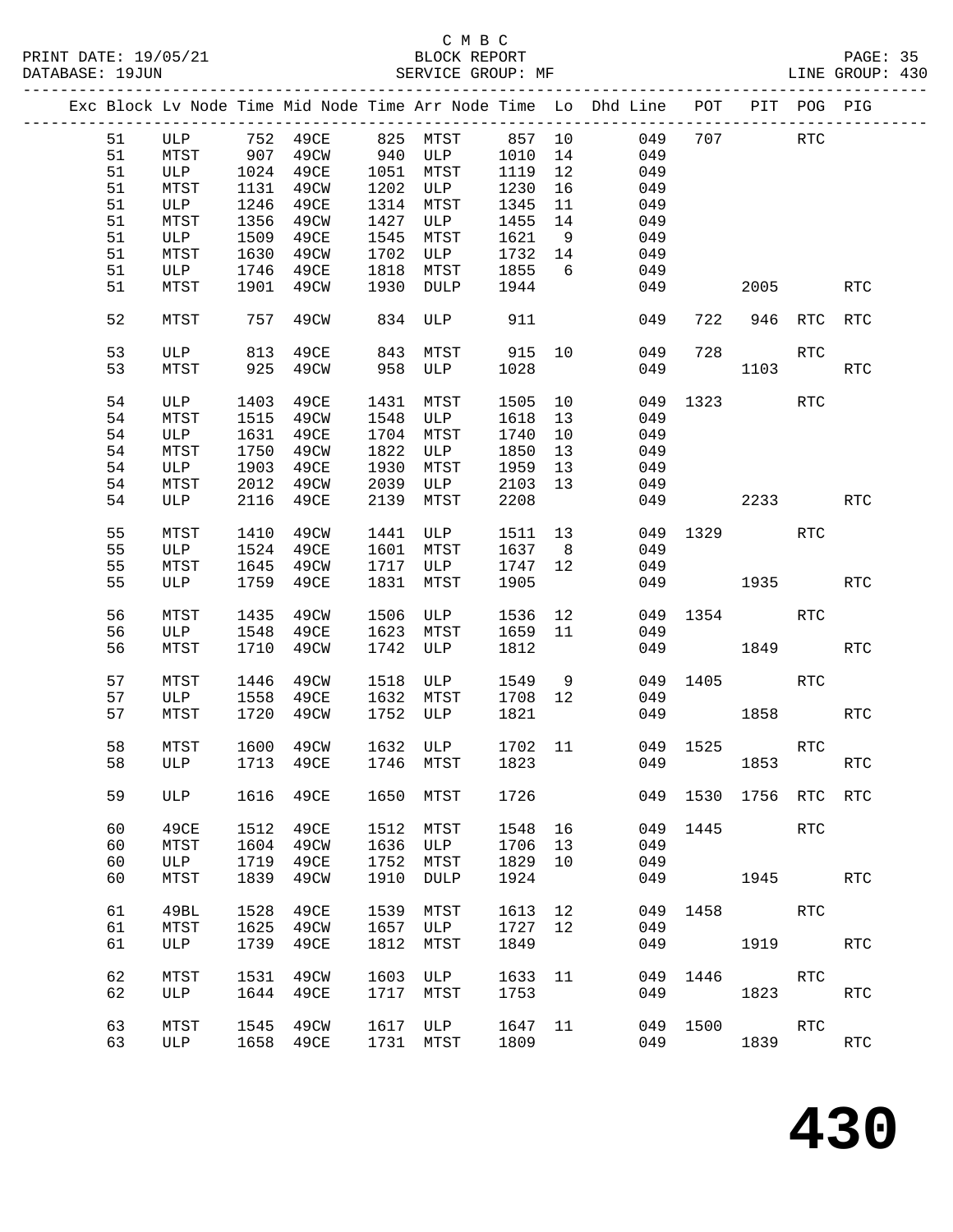|  |          |             |              |                                                   |              |             |              |                | Exc Block Lv Node Time Mid Node Time Arr Node Time Lo Dhd Line POT |          | PIT POG PIG       |            |                      |
|--|----------|-------------|--------------|---------------------------------------------------|--------------|-------------|--------------|----------------|--------------------------------------------------------------------|----------|-------------------|------------|----------------------|
|  | 51       | ULP         |              | 752 49CE                                          |              | 825 MTST    | 857 10       |                | 049                                                                |          | 707               | <b>RTC</b> |                      |
|  | 51       | MTST        |              |                                                   |              | 940 ULP     | 1010         | 14             | 049                                                                |          |                   |            |                      |
|  | 51       | ULP         |              | – <sub>→ →</sub><br>907 49CW<br>1001<br>1024 49CE | 1051         | MTST        | 1119         | 12             | 049                                                                |          |                   |            |                      |
|  | 51       |             |              | 49CW                                              | 1202         | ULP         |              |                | 049                                                                |          |                   |            |                      |
|  |          | MTST        | 1131         |                                                   |              |             | 1230         | 16             |                                                                    |          |                   |            |                      |
|  | 51       | ULP         | 1246         | 49CE                                              | 1314         | MTST        | 1345         | 11             | 049                                                                |          |                   |            |                      |
|  | 51       | MTST        | 1356         | 49CW                                              | 1427         | ULP         | 1455         | 14             | 049                                                                |          |                   |            |                      |
|  | 51       | ULP         | 1509         | 49CE                                              | 1545         | MTST        | 1621         | 9              | 049                                                                |          |                   |            |                      |
|  | 51       | MTST        | 1630         | 49CW                                              | 1702         | ULP         | 1732         | 14             | 049                                                                |          |                   |            |                      |
|  | 51       | ULP         | 1746         | 49CE                                              | 1818         | MTST        | 1855         | 6              | 049                                                                |          |                   |            |                      |
|  | 51       | MTST        | 1901         | 49CW                                              | 1930         | DULP        | 1944         |                | 049                                                                |          | 2005              |            | <b>RTC</b>           |
|  |          |             |              |                                                   |              |             |              |                |                                                                    |          |                   |            |                      |
|  | 52       | MTST        | 757          | 49CW                                              | 834          | ULP         | 911          |                | 049                                                                | 722      | 946               | RTC        | <b>RTC</b>           |
|  | 53       | ULP         | 813          | 49CE                                              | 843          | MTST        | 915 10       |                | 049                                                                | 728      |                   | RTC        |                      |
|  | 53       | MTST        | 925          | 49CW                                              | 958          | ULP         | 1028         |                | 049                                                                |          | 1103              |            | <b>RTC</b>           |
|  |          |             |              |                                                   |              |             |              |                |                                                                    |          |                   |            |                      |
|  | 54       | ULP         | 1403         | 49CE                                              | 1431         | MTST        | 1505         | 10             | 049                                                                |          | 1323              | RTC        |                      |
|  | 54       | MTST        | 1515         | 49CW                                              | 1548         | ULP         | 1618         | 13             | 049                                                                |          |                   |            |                      |
|  | 54       | ULP         | 1631         | 49CE                                              | 1704         | MTST        | 1740         | 10             | 049                                                                |          |                   |            |                      |
|  |          |             |              |                                                   |              |             |              |                |                                                                    |          |                   |            |                      |
|  | 54       | MTST        | 1750         | 49CW                                              | 1822         | ULP         | 1850         | 13             | 049                                                                |          |                   |            |                      |
|  | 54       | ULP         | 1903         | 49CE                                              | 1930         | MTST        | 1959         | 13             | 049                                                                |          |                   |            |                      |
|  | 54       | MTST        | 2012         | 49CW                                              | 2039         | ULP         | 2103         | 13             | 049                                                                |          |                   |            |                      |
|  | 54       | ULP         | 2116         | 49CE                                              | 2139         | MTST        | 2208         |                | 049                                                                |          | 2233              |            | RTC                  |
|  |          |             |              |                                                   |              |             |              |                |                                                                    |          |                   |            |                      |
|  | 55       | MTST        | 1410         | 49CW                                              | 1441         | ULP         | 1511         | 13             | 049                                                                |          | 1329              | <b>RTC</b> |                      |
|  | 55       | ULP         | 1524         | 49CE                                              | 1601         | MTST        | 1637         | 8 <sup>8</sup> | 049                                                                |          |                   |            |                      |
|  | 55       | MTST        | 1645         | 49CW                                              | 1717         | ULP         | 1747         | 12             | 049                                                                |          |                   |            |                      |
|  | 55       | ULP         | 1759         | 49CE                                              | 1831         | MTST        | 1905         |                | 049                                                                | 1935     |                   |            | RTC                  |
|  |          |             |              |                                                   |              |             |              |                |                                                                    |          |                   |            |                      |
|  | 56       | MTST        | 1435         | 49CW                                              | 1506         | ULP         | 1536         | 12             | 049                                                                |          | 1354              | RTC        |                      |
|  | 56       | ULP         | 1548         | 49CE                                              | 1623         | MTST        | 1659         | 11             | 049                                                                |          |                   |            |                      |
|  | 56       | MTST        | 1710         | 49CW                                              | 1742         | ULP         | 1812         |                | 049                                                                |          | 1849              |            | <b>RTC</b>           |
|  |          |             |              |                                                   |              |             |              |                |                                                                    |          |                   |            |                      |
|  | 57       | MTST        | 1446         | 49CW                                              | 1518         | ULP         | 1549         | 9              | 049                                                                | 1405     |                   | RTC        |                      |
|  |          |             |              |                                                   |              |             |              |                |                                                                    |          |                   |            |                      |
|  | 57       | ULP         | 1558         | 49CE                                              | 1632         | MTST        | 1708         | 12             | 049                                                                |          |                   |            |                      |
|  | 57       | MTST        | 1720         | 49CW                                              | 1752         | ULP         | 1821         |                | 049                                                                |          | 1858              |            | RTC                  |
|  |          |             |              |                                                   |              |             |              |                |                                                                    |          |                   |            |                      |
|  | 58       | MTST        | 1600         | 49CW                                              | 1632         | ULP         | 1702 11      |                |                                                                    | 049 1525 |                   | <b>RTC</b> |                      |
|  | 58       | ULP         |              | 1713 49CE                                         |              | 1746 MTST   | 1823         |                | 049                                                                |          | 1853              |            | RTC                  |
|  |          |             |              |                                                   |              |             |              |                |                                                                    |          |                   |            |                      |
|  | 59       | ULP         | 1616         | 49CE                                              |              | 1650 MTST   | 1726         |                | 049                                                                |          | 1530 1756 RTC RTC |            |                      |
|  |          |             |              |                                                   |              |             |              |                |                                                                    |          |                   |            |                      |
|  | 60       | 49CE        | 1512         | 49CE                                              | 1512         | MTST        | 1548         | 16             | 049                                                                | 1445     |                   | RTC        |                      |
|  | 60       | MTST        | 1604         | 49CW                                              | 1636         | ULP         | 1706         | 13             | 049                                                                |          |                   |            |                      |
|  | 60       | ULP         | 1719         | 49CE                                              | 1752         | MTST        | 1829         | 10             | 049                                                                |          |                   |            |                      |
|  | 60       | MTST        | 1839         | 49CW                                              | 1910         | DULP        | 1924         |                | 049                                                                |          | 1945              |            | <b>RTC</b>           |
|  |          |             |              |                                                   |              |             |              |                |                                                                    |          |                   |            |                      |
|  | 61       | 49BL        | 1528         | 49CE                                              | 1539         | MTST        | 1613         | 12             | 049                                                                | 1458     |                   | RTC        |                      |
|  | 61       | MTST        | 1625         | 49CW                                              | 1657         | ULP         | 1727         | 12             | 049                                                                |          |                   |            |                      |
|  | 61       | ULP         | 1739         | 49CE                                              | 1812         | MTST        | 1849         |                | 049                                                                |          | 1919              |            | <b>RTC</b>           |
|  |          |             |              |                                                   |              |             |              |                |                                                                    |          |                   |            |                      |
|  | 62       |             |              |                                                   |              |             |              |                |                                                                    |          |                   |            |                      |
|  |          | MTST        | 1531         | 49CW                                              | 1603         | ULP         | 1633 11      |                | 049                                                                | 1446     |                   | RTC        |                      |
|  |          |             |              |                                                   |              |             |              |                |                                                                    |          |                   |            |                      |
|  | 62       | ULP         | 1644         | 49CE                                              | 1717         | MTST        | 1753         |                | 049                                                                |          | 1823              |            | $\operatorname{RTC}$ |
|  |          |             |              |                                                   |              |             |              |                |                                                                    |          |                   |            |                      |
|  | 63<br>63 | MTST<br>ULP | 1545<br>1658 | 49CW<br>49CE                                      | 1617<br>1731 | ULP<br>MTST | 1647<br>1809 | 11             | 049<br>049                                                         | 1500     | 1839              | <b>RTC</b> | RTC                  |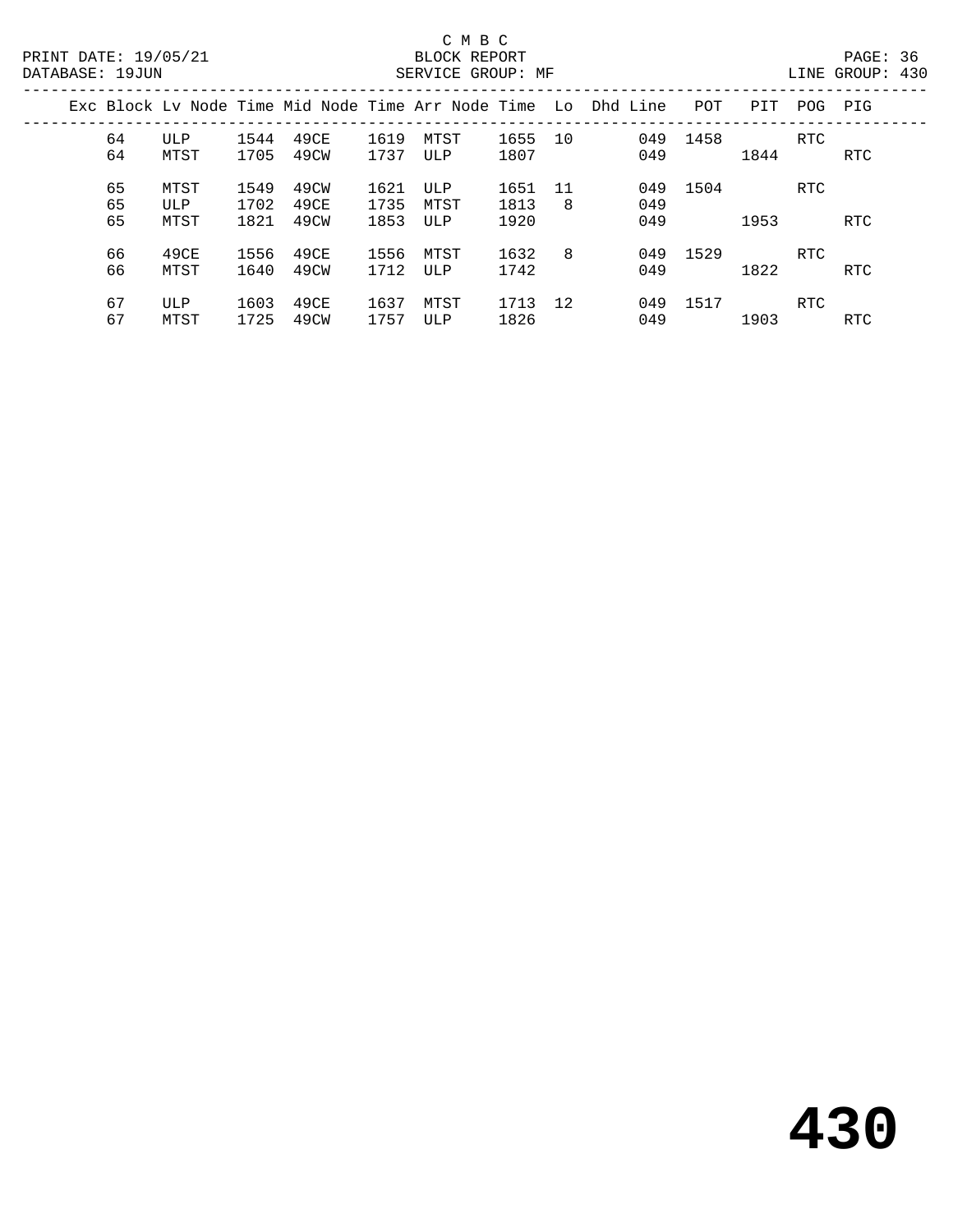|  |                |                     |                      |                      |                      | Exc Block Ly Node Time Mid Node Time Arr Node Time Lo Dhd Line |                      |         |                   | POT  | PIT  | POG        | PIG        |
|--|----------------|---------------------|----------------------|----------------------|----------------------|----------------------------------------------------------------|----------------------|---------|-------------------|------|------|------------|------------|
|  | 64<br>64       | ULP<br>MTST         | 1544<br>1705         | 49CE<br>49CW         | 1619<br>1737         | MTST<br>ULP                                                    | 1655<br>1807         | 10      | 049<br>049        | 1458 | 1844 | <b>RTC</b> | RTC        |
|  | 65<br>65<br>65 | MTST<br>ULP<br>MTST | 1549<br>1702<br>1821 | 49CW<br>49CE<br>49CW | 1621<br>1735<br>1853 | ULP<br>MTST<br>ULP                                             | 1651<br>1813<br>1920 | 11<br>8 | 049<br>049<br>049 | 1504 | 1953 | <b>RTC</b> | <b>RTC</b> |
|  | 66<br>66       | 49CE<br>MTST        | 1556<br>1640         | 49CE<br>49CW         | 1556<br>1712         | MTST<br>ULP                                                    | 1632<br>1742         | 8       | 049<br>049        | 1529 | 1822 | <b>RTC</b> | RTC        |
|  | 67<br>67       | ULP<br>MTST         | 1603<br>1725         | 49CE<br>49CW         | 1637<br>1757         | MTST<br>ULP                                                    | 1713<br>1826         | 12      | 049<br>049        | 1517 | 1903 | RTC        | RTC        |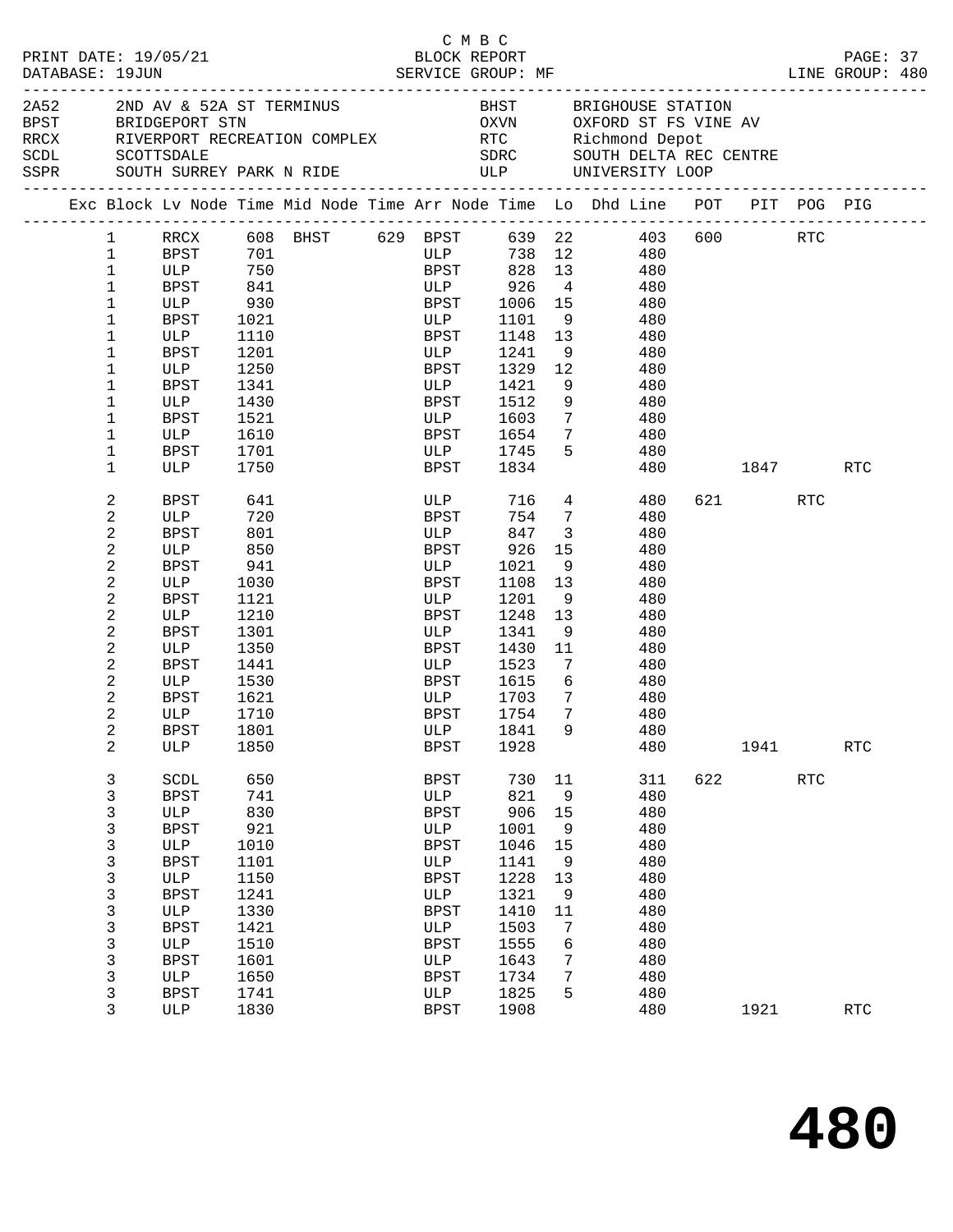| PRINT DATE: 19/05/21<br>DATABASE: 19JUN |              |              |                                                 |            |  | СМВС                | BLOCK REPORT         |                         |                                                                                                                                                         |          |         |            | PAGE: 37<br>LINE GROUP: 480 |  |
|-----------------------------------------|--------------|--------------|-------------------------------------------------|------------|--|---------------------|----------------------|-------------------------|---------------------------------------------------------------------------------------------------------------------------------------------------------|----------|---------|------------|-----------------------------|--|
|                                         | 2A52         |              | 2ND AV & 52A ST TERMINUS<br>BPST BRIDGEPORT STN |            |  |                     |                      |                         | BHST BRIGHOUSE STATION<br>OXVN OXFORD ST FS VINE AV                                                                                                     |          |         |            |                             |  |
|                                         |              |              |                                                 |            |  |                     |                      |                         | RECK RIVERPORT RECREATION COMPLEX RTC Richmond Depot<br>SCDL SCOTTSDALE SDRC SOUTH DELTA RECCENTRE<br>SSPR SOUTH SURREY PARK N RIDE ULP UNIVERSITY LOOP |          |         |            |                             |  |
|                                         |              |              |                                                 |            |  |                     |                      |                         | Exc Block Lv Node Time Mid Node Time Arr Node Time Lo Dhd Line POT PIT POG PIG                                                                          |          |         |            |                             |  |
|                                         |              | $\mathbf{1}$ |                                                 |            |  |                     |                      |                         | RRCX 608 BHST 629 BPST 639 22 403                                                                                                                       |          | 600 RTC |            |                             |  |
|                                         | $\mathbf{1}$ |              | BPST 701                                        |            |  | <b>ULP</b>          |                      |                         | 738 12 480                                                                                                                                              |          |         |            |                             |  |
|                                         | $\mathbf{1}$ |              | ULP 750                                         |            |  |                     |                      |                         | BPST 828 13 480                                                                                                                                         |          |         |            |                             |  |
|                                         | 1            |              | BPST                                            | 841<br>930 |  |                     | ULP 926<br>BPST 1006 | $4\overline{4}$         | 480                                                                                                                                                     |          |         |            |                             |  |
|                                         | $\mathbf 1$  |              | ULP                                             |            |  |                     | 1006 15              |                         | 480                                                                                                                                                     |          |         |            |                             |  |
|                                         | $\mathbf 1$  |              | BPST                                            | 1021       |  | ULP                 |                      |                         | 1101 9 480                                                                                                                                              |          |         |            |                             |  |
|                                         | $\mathbf 1$  |              | ULP                                             | 1110       |  | BPST                | 1148 13              |                         | 480                                                                                                                                                     |          |         |            |                             |  |
|                                         | $\mathbf 1$  |              | BPST                                            | 1201       |  | ULP                 | 1241 9               |                         | 480                                                                                                                                                     |          |         |            |                             |  |
|                                         | $\mathbf{1}$ |              | ULP                                             | 1250       |  | BPST                | 1329 12              |                         | 480                                                                                                                                                     |          |         |            |                             |  |
|                                         | $\mathbf 1$  |              | BPST                                            | 1341       |  | <b>ULP</b>          | 1421                 | 9                       | 480                                                                                                                                                     |          |         |            |                             |  |
|                                         | $\mathbf 1$  |              | ULP                                             | 1430       |  | BPST                | 1512                 | 9                       | 480                                                                                                                                                     |          |         |            |                             |  |
|                                         | 1            |              | BPST                                            | 1521       |  | ULP                 | 1603                 | $7\overline{ }$         | 480                                                                                                                                                     |          |         |            |                             |  |
|                                         | $\mathbf 1$  |              | ULP                                             | 1610       |  |                     | BPST 1654            | 7                       | 480                                                                                                                                                     |          |         |            |                             |  |
|                                         | $\mathbf 1$  |              | BPST                                            | 1701       |  |                     | ULP 1745             | 5                       | 480                                                                                                                                                     |          |         |            |                             |  |
|                                         | $\mathbf{1}$ |              | ULP                                             | 1750       |  | <b>BPST</b>         | 1834                 |                         |                                                                                                                                                         | 480 1847 |         |            | RTC                         |  |
|                                         | 2            |              | BPST                                            | 641        |  |                     | ULP 716 4            |                         | 480 -                                                                                                                                                   |          | 621 72  | RTC        |                             |  |
|                                         | 2            |              | ULP                                             | 720        |  | <b>BPST</b>         | 754 7                |                         | 480                                                                                                                                                     |          |         |            |                             |  |
|                                         | 2            |              | BPST                                            | 801        |  | <b>ULP</b>          | 847                  | $\overline{\mathbf{3}}$ | 480                                                                                                                                                     |          |         |            |                             |  |
|                                         | 2            |              | ULP                                             | 850        |  | BPST                | 926                  | 15                      | 480                                                                                                                                                     |          |         |            |                             |  |
|                                         | 2            |              | BPST                                            | 941        |  | ULP                 | 1021                 | 9                       | 480                                                                                                                                                     |          |         |            |                             |  |
|                                         | 2            |              | ULP                                             | 1030       |  | BPST                | 1108 13              |                         | 480                                                                                                                                                     |          |         |            |                             |  |
|                                         | 2            |              | BPST                                            | 1121       |  | ULP                 | 1201                 | 9                       | 480                                                                                                                                                     |          |         |            |                             |  |
|                                         | 2            |              | ULP                                             | 1210       |  | BPST                | 1248                 | 13                      | 480                                                                                                                                                     |          |         |            |                             |  |
|                                         | 2            |              | BPST                                            | 1301       |  | ULP                 | 1341                 | 9                       | 480                                                                                                                                                     |          |         |            |                             |  |
|                                         | 2            |              | ULP                                             | 1350       |  | BPST                | 1430                 | 11                      | 480                                                                                                                                                     |          |         |            |                             |  |
|                                         | 2            |              | BPST                                            | 1441       |  | <b>ULP</b>          | 1523                 |                         | $7\overline{ }$<br>480                                                                                                                                  |          |         |            |                             |  |
|                                         | 2            |              | ULP                                             | 1530       |  | BPST                | 1615                 |                         | 6 480                                                                                                                                                   |          |         |            |                             |  |
|                                         | 2            |              | BPST                                            | 1621       |  |                     | 1703                 | $7\overline{ }$         | 480                                                                                                                                                     |          |         |            |                             |  |
|                                         | 2            |              | ULP                                             | 1710       |  | ULP<br>pdgt<br>BPST | 1754                 | $\overline{7}$          | 480                                                                                                                                                     |          |         |            |                             |  |
|                                         | 2            |              | BPST 1801                                       |            |  |                     | ULP 1841             | 9                       | 480                                                                                                                                                     |          |         |            |                             |  |
|                                         | 2            |              | ULP                                             | 1850       |  | BPST                | 1928                 |                         | 480                                                                                                                                                     |          | 1941    |            | <b>RTC</b>                  |  |
|                                         | $\mathbf{3}$ |              | SCDL                                            | 650        |  | <b>BPST</b>         | 730                  | 11                      | 311                                                                                                                                                     | 622      |         | <b>RTC</b> |                             |  |
|                                         | 3            |              | <b>BPST</b>                                     | 741        |  | ULP                 | 821                  | 9                       | 480                                                                                                                                                     |          |         |            |                             |  |
|                                         | 3            |              | ULP                                             | 830        |  | <b>BPST</b>         | 906                  | 15                      | 480                                                                                                                                                     |          |         |            |                             |  |
|                                         | 3            |              | <b>BPST</b>                                     | 921        |  | ULP                 | 1001                 | 9                       | 480                                                                                                                                                     |          |         |            |                             |  |
|                                         | 3            |              | ULP                                             | 1010       |  | <b>BPST</b>         | 1046                 | 15                      | 480                                                                                                                                                     |          |         |            |                             |  |
|                                         | 3            |              | <b>BPST</b>                                     | 1101       |  | ULP                 | 1141                 | 9                       | 480                                                                                                                                                     |          |         |            |                             |  |
|                                         | 3            |              | ULP                                             | 1150       |  | <b>BPST</b>         | 1228                 | 13                      | 480                                                                                                                                                     |          |         |            |                             |  |
|                                         | 3            |              | <b>BPST</b>                                     | 1241       |  | ULP                 | 1321                 | 9                       | 480                                                                                                                                                     |          |         |            |                             |  |
|                                         | 3            |              | ULP                                             | 1330       |  | <b>BPST</b>         | 1410                 | 11                      | 480                                                                                                                                                     |          |         |            |                             |  |
|                                         | 3            |              | <b>BPST</b>                                     | 1421       |  | ULP                 | 1503                 | 7                       | 480                                                                                                                                                     |          |         |            |                             |  |
|                                         | 3            |              | ULP                                             | 1510       |  | <b>BPST</b>         | 1555                 | 6                       | 480                                                                                                                                                     |          |         |            |                             |  |
|                                         | 3            |              | <b>BPST</b>                                     | 1601       |  | ULP                 | 1643                 | 7                       | 480                                                                                                                                                     |          |         |            |                             |  |
|                                         | 3            |              | ULP                                             | 1650       |  | BPST                | 1734                 | 7                       | 480                                                                                                                                                     |          |         |            |                             |  |
|                                         | 3            |              | BPST                                            | 1741       |  | ULP                 | 1825                 | 5                       | 480                                                                                                                                                     |          |         |            |                             |  |
|                                         | 3            |              | ULP                                             | 1830       |  | <b>BPST</b>         | 1908                 |                         | 480                                                                                                                                                     |          | 1921    |            | <b>RTC</b>                  |  |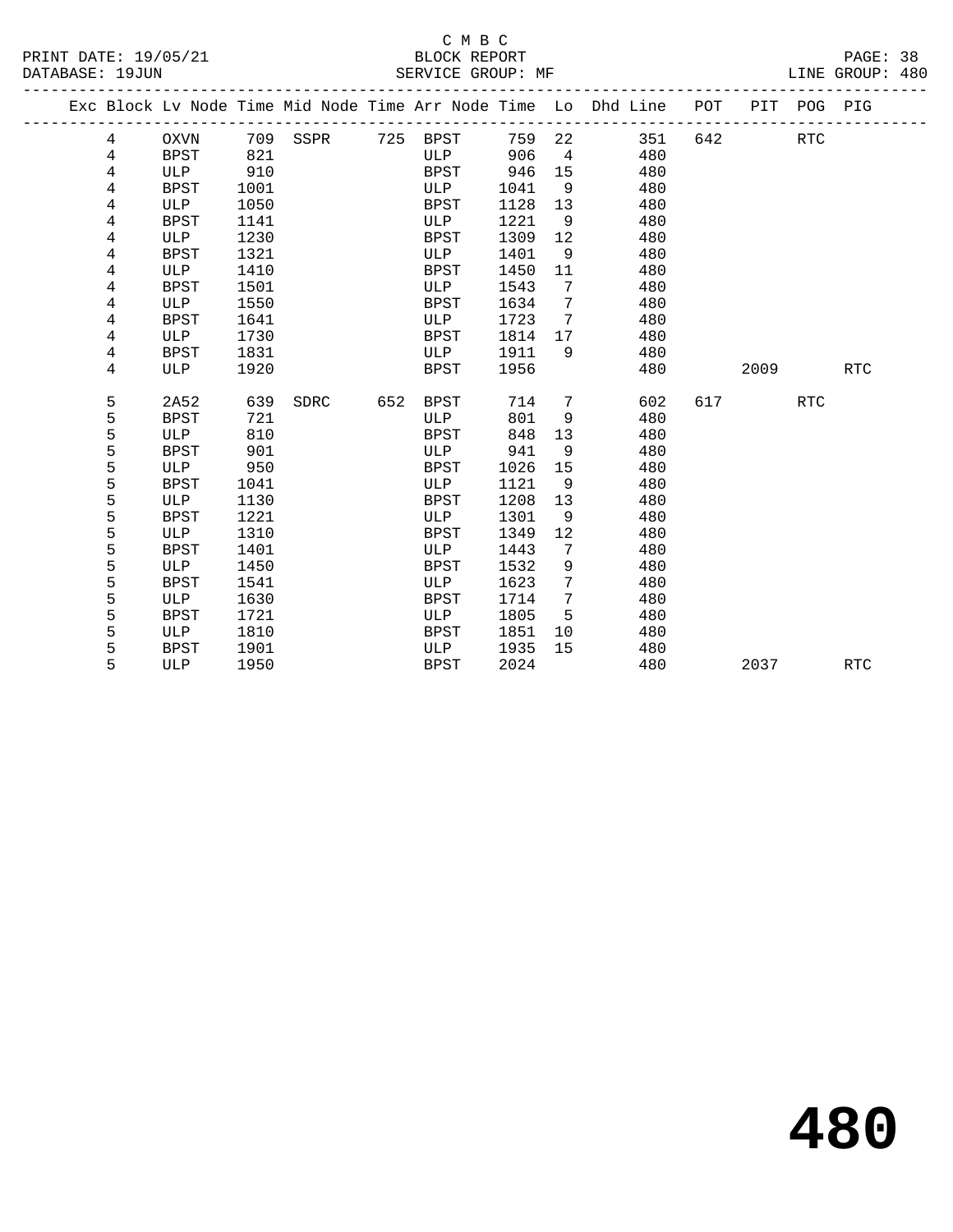## C M B C<br>BLOCK REPORT

PAGE: 38<br>LINE GROUP: 480

|  |        |                    |              |             |     |             |              |         | Exc Block Lv Node Time Mid Node Time Arr Node Time Lo Dhd Line | POT |      | PIT POG PIG |            |
|--|--------|--------------------|--------------|-------------|-----|-------------|--------------|---------|----------------------------------------------------------------|-----|------|-------------|------------|
|  | 4      | <b>OXVN</b>        | 709          | SSPR        | 725 | BPST        | 759          | 22      | 351                                                            | 642 |      | <b>RTC</b>  |            |
|  | 4      | <b>BPST</b>        | 821          |             |     | ULP         | 906          | 4       | 480                                                            |     |      |             |            |
|  | 4      | ULP                | 910          |             |     | BPST        | 946          | 15      | 480                                                            |     |      |             |            |
|  | 4      | <b>BPST</b>        | 1001         |             |     | ULP         | 1041         | 9       | 480                                                            |     |      |             |            |
|  | 4      | ULP                | 1050         |             |     | BPST        | 1128         | 13      | 480                                                            |     |      |             |            |
|  | 4      | <b>BPST</b>        | 1141         |             |     | ULP         | 1221         | 9       | 480                                                            |     |      |             |            |
|  | 4      | ULP                | 1230         |             |     | <b>BPST</b> | 1309         | 12      | 480                                                            |     |      |             |            |
|  | 4      | <b>BPST</b>        | 1321         |             |     | ULP         | 1401         | 9       | 480                                                            |     |      |             |            |
|  | 4      | ULP                | 1410         |             |     | <b>BPST</b> | 1450         | 11      | 480                                                            |     |      |             |            |
|  | 4      | <b>BPST</b>        | 1501         |             |     | ULP         | 1543         | 7       | 480                                                            |     |      |             |            |
|  | 4      | ULP                | 1550         |             |     | <b>BPST</b> | 1634         | 7       | 480                                                            |     |      |             |            |
|  | 4      | <b>BPST</b>        | 1641         |             |     | ULP         | 1723         | 7       | 480                                                            |     |      |             |            |
|  | 4      | ULP                | 1730         |             |     | <b>BPST</b> | 1814         | 17      | 480                                                            |     |      |             |            |
|  | 4      | <b>BPST</b>        | 1831         |             |     | ULP         | 1911         | 9       | 480                                                            |     |      |             |            |
|  | 4      | <b>ULP</b>         | 1920         |             |     | <b>BPST</b> | 1956         |         | 480                                                            |     | 2009 |             | <b>RTC</b> |
|  |        |                    |              |             |     |             |              |         |                                                                |     |      |             |            |
|  | 5      | 2A52               | 639          | <b>SDRC</b> | 652 | <b>BPST</b> | 714          | 7       | 602                                                            | 617 |      | <b>RTC</b>  |            |
|  | 5      | <b>BPST</b>        | 721          |             |     | ULP         | 801          | 9       | 480                                                            |     |      |             |            |
|  | 5      | ULP                | 810          |             |     | <b>BPST</b> | 848          | 13      | 480                                                            |     |      |             |            |
|  | 5      | <b>BPST</b>        | 901          |             |     | ULP         | 941          | 9       | 480                                                            |     |      |             |            |
|  | 5      | <b>ULP</b>         | 950          |             |     | BPST        | 1026         | 15      | 480                                                            |     |      |             |            |
|  | 5      | <b>BPST</b>        | 1041         |             |     | ULP         | 1121         | 9       | 480                                                            |     |      |             |            |
|  | 5      | ULP                | 1130         |             |     | <b>BPST</b> | 1208         | 13      | 480                                                            |     |      |             |            |
|  | 5      | <b>BPST</b>        | 1221         |             |     | ULP         | 1301         | 9       | 480                                                            |     |      |             |            |
|  | 5<br>5 | ULP<br><b>BPST</b> | 1310<br>1401 |             |     | BPST<br>ULP | 1349<br>1443 | 12<br>7 | 480<br>480                                                     |     |      |             |            |
|  |        |                    |              |             |     |             |              |         |                                                                |     |      |             |            |
|  | 5      | ULP                | 1450         |             |     | <b>BPST</b> | 1532         | 9       | 480                                                            |     |      |             |            |
|  | 5      | <b>BPST</b>        | 1541         |             |     | ULP         | 1623         | 7       | 480                                                            |     |      |             |            |
|  | 5      | ULP                | 1630<br>1721 |             |     | <b>BPST</b> | 1714         | 7<br>5  | 480                                                            |     |      |             |            |
|  | 5<br>5 | <b>BPST</b>        |              |             |     | ULP         | 1805         |         | 480                                                            |     |      |             |            |
|  |        | ULP                | 1810         |             |     | BPST        | 1851         | 10      | 480                                                            |     |      |             |            |
|  | 5      | <b>BPST</b>        | 1901         |             |     | ULP         | 1935         | 15      | 480                                                            |     |      |             |            |
|  | 5      | ULP                | 1950         |             |     | <b>BPST</b> | 2024         |         | 480                                                            |     | 2037 |             | <b>RTC</b> |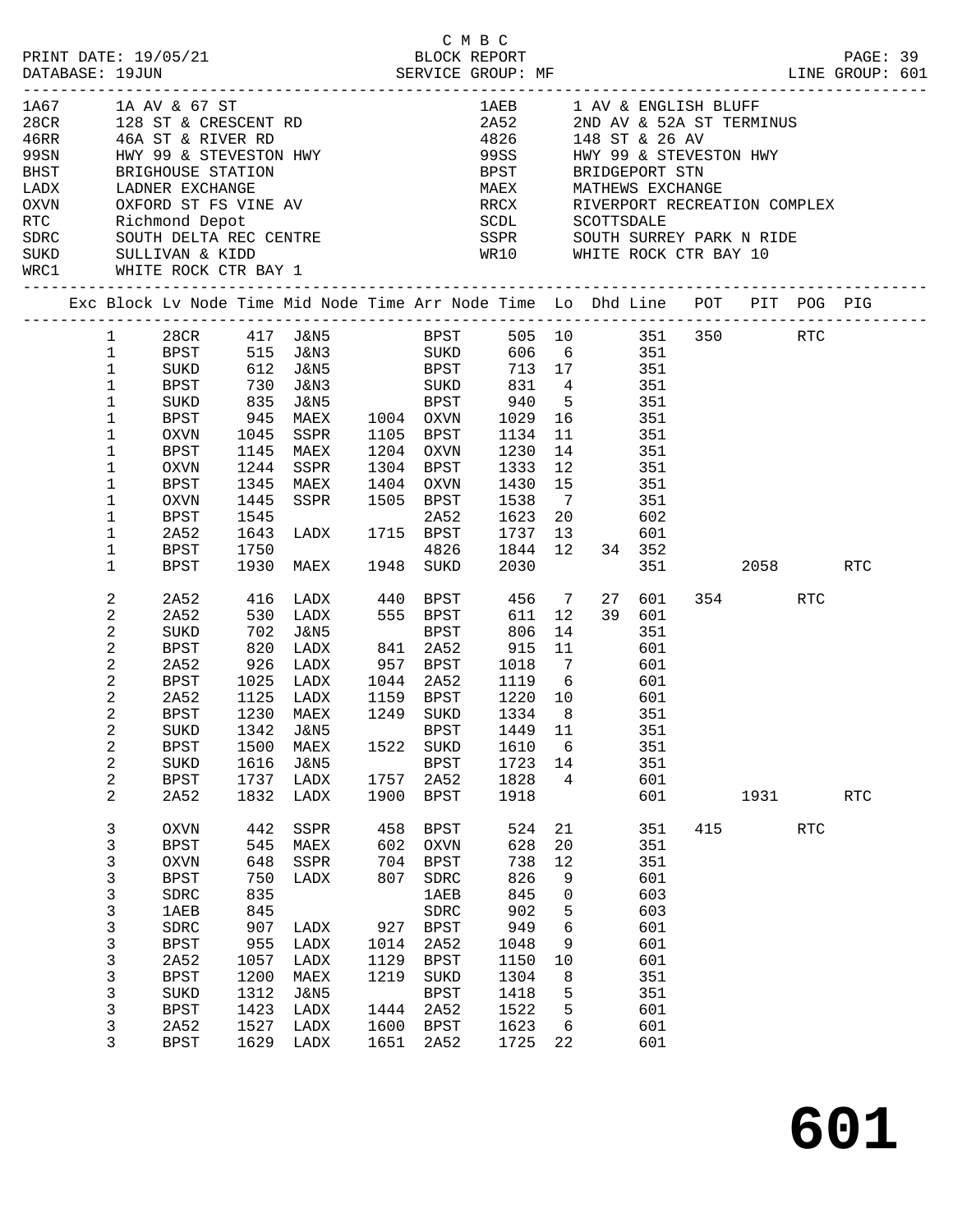| C M B C<br>PRINT DATE: 19/05/21 BLOCK REPORT<br>DATABASE: 19JUN SERVICE GROUP: MF LINE GROUP LINE GROUP                                                                                                                                                                                                                                                                                                                                                                                                                                                                                                                            |                                                                                                                                                                                                                |                                                                                                                                                               |                                                                                                      |                                                                                                                                                     |                                                                                 | C M B C                                                                                                                                                        |                                                                                                                        |                                                                         |                            |                                                                                                |     |                 |            | PAGE: 39<br>LINE GROUP: 601 |  |
|------------------------------------------------------------------------------------------------------------------------------------------------------------------------------------------------------------------------------------------------------------------------------------------------------------------------------------------------------------------------------------------------------------------------------------------------------------------------------------------------------------------------------------------------------------------------------------------------------------------------------------|----------------------------------------------------------------------------------------------------------------------------------------------------------------------------------------------------------------|---------------------------------------------------------------------------------------------------------------------------------------------------------------|------------------------------------------------------------------------------------------------------|-----------------------------------------------------------------------------------------------------------------------------------------------------|---------------------------------------------------------------------------------|----------------------------------------------------------------------------------------------------------------------------------------------------------------|------------------------------------------------------------------------------------------------------------------------|-------------------------------------------------------------------------|----------------------------|------------------------------------------------------------------------------------------------|-----|-----------------|------------|-----------------------------|--|
| $\begin{array}{lllllllllllllll} 1\text{A} & 1\text{A} & 1\text{A} & 1\text{A} & 1\text{A} & 1\text{A} & 1\text{A} & 1\text{A} & 1\text{A} & 1\text{A} & 1\text{A} & 1\text{A} & 1\text{A} & 1\text{A} & 1\text{A} & 1\text{A} & 1\text{A} & 1\text{A} & 1\text{A} & 1\text{A} & 1\text{A} & 1\text{A} & 1\text{A} & 1\text{A} & 1\text{A} & 1\text{A$<br>99SN HWY 99 & STEVESTON HWY<br>BHST BRIGHOUSE STATION<br>LADN LADNER EXCHANGE<br>OXVN OXFORD ST FS VINE AV RECK RIVERPORT RECREATION COME<br>THE RICHARGE SOUTH DELTA REC CENTRE<br>SDRC SOUTH DELTA REC CENTRE<br>SPRC SOUTH DELTA REC CENTRE<br>SPRC SOUTH DELTA REC CE |                                                                                                                                                                                                                |                                                                                                                                                               |                                                                                                      |                                                                                                                                                     |                                                                                 |                                                                                                                                                                | 1AEB 1 AV & ENGLISH BLUFF<br>99SS HWY 99 & STEVESTON HWY<br>MAEX MATHEWS EXCHANGE<br>RRCX RIVERPORT RECREATION COMPLEX |                                                                         |                            |                                                                                                |     |                 |            |                             |  |
| SUKD SULLIVAN & KIDD WR10 WHITE ROCK CTR BAY 10                                                                                                                                                                                                                                                                                                                                                                                                                                                                                                                                                                                    |                                                                                                                                                                                                                |                                                                                                                                                               |                                                                                                      |                                                                                                                                                     |                                                                                 |                                                                                                                                                                |                                                                                                                        |                                                                         |                            |                                                                                                |     |                 |            |                             |  |
|                                                                                                                                                                                                                                                                                                                                                                                                                                                                                                                                                                                                                                    |                                                                                                                                                                                                                |                                                                                                                                                               |                                                                                                      | Exc Block Lv Node Time Mid Node Time Arr Node Time Lo Dhd Line POT PIT POG PIG                                                                      |                                                                                 |                                                                                                                                                                |                                                                                                                        |                                                                         |                            |                                                                                                |     |                 |            |                             |  |
|                                                                                                                                                                                                                                                                                                                                                                                                                                                                                                                                                                                                                                    | $1 \quad \blacksquare$<br>$\mathbf{1}$<br>$\mathbf{1}$<br>$\mathbf{1}$<br>$\mathbf{1}$<br>$\mathbf 1$<br>$\mathbf 1$<br>$\mathbf 1$<br>$\mathbf 1$<br>$\mathbf 1$<br>$\mathbf 1$<br>$\mathbf 1$<br>$\mathbf 1$ | SUKD<br>BPST<br>SUKD<br>BPST<br>OXVN<br>BPST<br>OXVN<br>BPST<br>OXVN<br>BPST<br>2A52                                                                          | 1045<br>1145<br>1244<br>1345<br>1445<br>1545<br>1643                                                 | 28CR 417 J&N5<br>BPST 515 J&N3 SUKD<br>612 J&N5 BPST 713 17 351<br>SSPR<br>MAEX<br>SSPR<br>MAEX<br>SSPR 1505 BPST<br>2A52<br>LADX 1715 BPST<br>4826 |                                                                                 | BPST 505 10 351 350 RTC<br>1105 BPST<br>1204 OXVN<br>1304 BPST<br>1404 OXVN                                                                                    | 1134<br>1230<br>1333<br>1430<br>1538<br>1623<br>1737 13                                                                | 14<br>12<br>15<br>$\overline{7}$<br>20                                  | 606 6 351<br>11 351<br>351 | 351<br>351<br>351<br>602<br>601                                                                |     |                 |            |                             |  |
|                                                                                                                                                                                                                                                                                                                                                                                                                                                                                                                                                                                                                                    | $\mathbf 1$<br>$\mathbf{1}$                                                                                                                                                                                    | BPST<br>BPST                                                                                                                                                  | 1750                                                                                                 | 1930 MAEX 1948 SUKD                                                                                                                                 |                                                                                 | 4826                                                                                                                                                           | 1844 12<br>2030                                                                                                        |                                                                         |                            | 34 352<br>351                                                                                  |     | 2058 RTC        |            |                             |  |
|                                                                                                                                                                                                                                                                                                                                                                                                                                                                                                                                                                                                                                    | 2<br>2<br>2<br>2<br>2<br>2<br>2<br>$\overline{2}$<br>$\overline{a}$<br>2<br>2<br>2<br>2                                                                                                                        | 2A52<br>2A52<br>SUKD<br>BPST<br>2A52<br>BPST<br>2A52<br><b>BPST</b><br>SUKD<br><b>BPST</b><br>SUKD<br><b>BPST</b><br>2A52                                     | 416<br>530<br>702<br>820<br>$926$ $1025$<br>1025<br>1230<br>1500<br>1616<br>1737<br>1832             | J&N5<br>LADX<br>LADX<br>LADX<br>1125 LADX<br>MAEX<br>1342 J&N5<br>MAEX<br>J&N5<br>LADX<br>LADX                                                      | 1522<br>1757<br>1900                                                            | <b>BPST</b><br>841 2A52<br>957 BPST 1018 7<br>1044 2A52 1119 6<br>1159 BPST 1220 10<br>1249 SUKD<br>BPST 1449 11<br>SUKD<br><b>BPST</b><br>2A52<br><b>BPST</b> | 806<br>915<br>1334 8<br>1610<br>1723<br>1828<br>1918                                                                   | 14<br>11<br>6<br>14<br>4                                                | 601<br>351                 | 27 601<br>39 601<br>351<br>601<br>$rac{0}{601}$<br>351<br>351<br>351<br>601<br>601             |     | 354 RTC<br>1931 |            | <b>RTC</b>                  |  |
|                                                                                                                                                                                                                                                                                                                                                                                                                                                                                                                                                                                                                                    | 3<br>3<br>3<br>3<br>3<br>3<br>3<br>3<br>3<br>3<br>3<br>3<br>3<br>3                                                                                                                                             | <b>OXVN</b><br><b>BPST</b><br><b>OXVN</b><br><b>BPST</b><br>SDRC<br><b>1AEB</b><br>SDRC<br><b>BPST</b><br>2A52<br><b>BPST</b><br>SUKD<br>BPST<br>2A52<br>BPST | 442<br>545<br>648<br>750<br>835<br>845<br>907<br>955<br>1057<br>1200<br>1312<br>1423<br>1527<br>1629 | SSPR<br>MAEX<br>SSPR<br>LADX<br>LADX<br>LADX<br>LADX<br>MAEX<br><b>J&amp;N5</b><br>LADX<br>LADX<br>LADX                                             | 458<br>602<br>704<br>807<br>927<br>1014<br>1129<br>1219<br>1444<br>1600<br>1651 | <b>BPST</b><br>OXVN<br><b>BPST</b><br>SDRC<br>1AEB<br>SDRC<br><b>BPST</b><br>2A52<br><b>BPST</b><br>SUKD<br><b>BPST</b><br>2A52<br>BPST<br>2A52                | 524<br>628<br>738<br>826<br>845<br>902<br>949<br>1048<br>1150<br>1304<br>1418<br>1522<br>1623<br>1725                  | 21<br>20<br>12<br>9<br>0<br>5<br>6<br>9<br>10<br>8<br>5<br>5<br>6<br>22 |                            | 351<br>351<br>351<br>601<br>603<br>603<br>601<br>601<br>601<br>351<br>351<br>601<br>601<br>601 | 415 |                 | <b>RTC</b> |                             |  |

**601**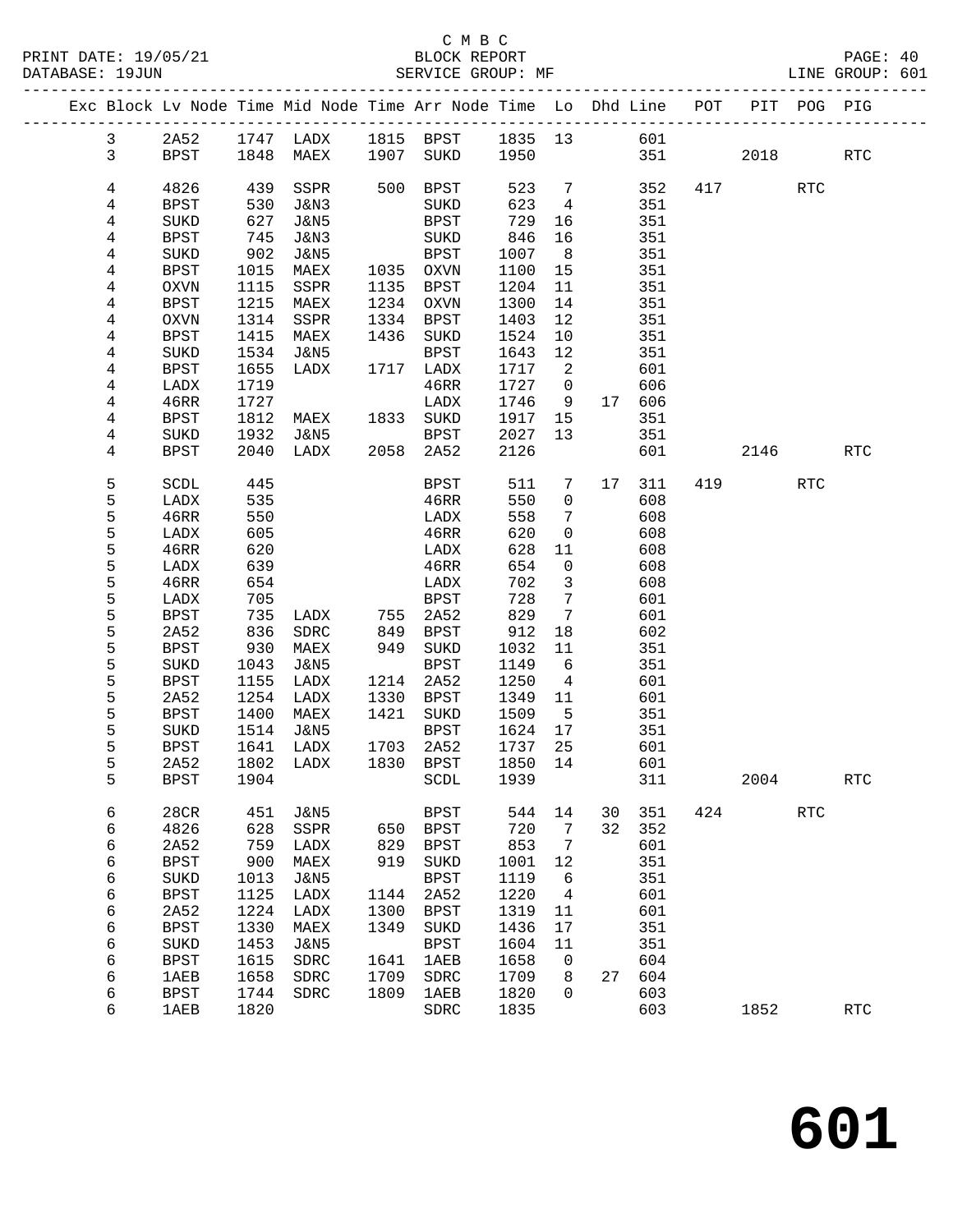|  |              |                     |              | Exc Block Lv Node Time Mid Node Time Arr Node Time Lo Dhd Line POT PIT POG PIG |              |                        |              |                            |    |            |     |      |            |            |
|--|--------------|---------------------|--------------|--------------------------------------------------------------------------------|--------------|------------------------|--------------|----------------------------|----|------------|-----|------|------------|------------|
|  | $\mathbf{3}$ | 2A52                |              |                                                                                |              |                        |              |                            |    |            |     |      |            |            |
|  | $\mathbf{3}$ | BPST                |              |                                                                                |              |                        |              |                            |    | 351 30     |     | 2018 |            | <b>RTC</b> |
|  |              |                     |              |                                                                                |              |                        |              |                            |    |            |     |      |            |            |
|  | 4            | 4826                | 439          | SSPR                                                                           |              | 500 BPST               | 523          | $7\overline{ }$            |    | 352        |     | 417  | <b>RTC</b> |            |
|  | 4            | BPST                | 530          | J&N3                                                                           |              | SUKD                   | 623          | $\overline{4}$             |    | 351        |     |      |            |            |
|  | 4            | SUKD                | 627          | J&N5                                                                           |              | BPST                   | 729          | 16                         |    | 351        |     |      |            |            |
|  | 4            | BPST                | 745          | J&N3                                                                           |              | SUKD                   | 846          | 16                         |    | 351        |     |      |            |            |
|  | 4            | SUKD                | 902          | J&N5                                                                           |              | BPST                   | 1007         | 8 <sup>8</sup>             |    | 351        |     |      |            |            |
|  | 4            | BPST                | 1015         | MAEX                                                                           |              | 1035 OXVN<br>1135 BPST | 1100         | 15                         |    | 351        |     |      |            |            |
|  | 4<br>4       | OXVN<br>BPST        | 1115<br>1215 | SSPR<br>MAEX                                                                   |              | 1234 OXVN              | 1204<br>1300 | 11<br>14                   |    | 351<br>351 |     |      |            |            |
|  | 4            | OXVN                | 1314         | SSPR                                                                           |              | 1334 BPST              | 1403         | 12                         |    | 351        |     |      |            |            |
|  | 4            | BPST                | 1415         | MAEX                                                                           |              | 1436 SUKD              | 1524         | 10                         |    | 351        |     |      |            |            |
|  | 4            | SUKD                | 1534         | J&N5                                                                           |              | <b>BPST</b>            | 1643         | 12                         |    | 351        |     |      |            |            |
|  | 4            | BPST                | 1655         | LADX                                                                           |              | 1717 LADX              | 1717         | $\overline{\phantom{a}}^2$ |    | 601        |     |      |            |            |
|  | 4            | LADX                | 1719         |                                                                                |              | 46RR                   | 1727         | $\overline{0}$             |    | 606        |     |      |            |            |
|  | 4            | 46RR                | 1727         |                                                                                |              | LADX                   | 1746         | 9                          |    | 17 606     |     |      |            |            |
|  | 4            | BPST                | 1812         | MAEX 1833 SUKD                                                                 |              |                        | 1917 15      |                            |    | 351        |     |      |            |            |
|  | 4            | SUKD                | 1932         | J&N5                                                                           |              | <b>BPST</b>            | 2027         | 13                         |    | 351        |     |      |            |            |
|  | 4            | BPST                | 2040         | LADX 2058 2A52                                                                 |              |                        | 2126         |                            |    | 601        |     | 2146 |            | RTC        |
|  | 5            | SCDL                | 445          |                                                                                |              | BPST                   | 511          | $7\overline{ }$            |    | 17 311     |     | 419  | <b>RTC</b> |            |
|  | 5            | LADX                | 535          |                                                                                |              | 46RR                   | 550          | $\overline{0}$             |    | 608        |     |      |            |            |
|  | 5            | 46RR                | 550          |                                                                                |              | LADX                   | 558          | $\overline{7}$             |    | 608        |     |      |            |            |
|  | 5            | LADX                | 605          |                                                                                |              | 46RR                   | 620          | $\overline{0}$             |    | 608        |     |      |            |            |
|  | 5            | 46RR                | 620          |                                                                                |              | LADX                   | 628          | 11                         |    | 608        |     |      |            |            |
|  | 5            | LADX                | 639          |                                                                                |              | 46RR                   | 654          | $\overline{0}$             |    | 608        |     |      |            |            |
|  | 5            | 46RR                | 654          |                                                                                |              | LADX                   | 702          | $\overline{\mathbf{3}}$    |    | 608        |     |      |            |            |
|  | 5            | LADX                | 705          |                                                                                |              | BPST                   | 728          | $\overline{7}$             |    | 601        |     |      |            |            |
|  | 5            | BPST                | 735          | LADX                                                                           |              | 755 2A52<br>849 BPST   | 829          | $\overline{7}$             |    | 601        |     |      |            |            |
|  | 5            | 2A52                | 836          | SDRC                                                                           |              |                        | 912          | 18                         |    | 602        |     |      |            |            |
|  | 5<br>5       | BPST<br>SUKD        | 930<br>1043  | MAEX<br>J&N5                                                                   |              | 949 SUKD<br>BPST       | 1032<br>1149 | 11<br>6                    |    | 351<br>351 |     |      |            |            |
|  | 5            | BPST                | 1155         | LADX                                                                           |              | 1214 2A52              | 1250         | $\overline{4}$             |    | 601        |     |      |            |            |
|  | 5            | 2A52                | 1254         | LADX                                                                           | 1330         | BPST                   | 1349         | 11                         |    | 601        |     |      |            |            |
|  | 5            | BPST                | 1400         | MAEX                                                                           | 1421         | SUKD                   | 1509         | $5^{\circ}$                |    | 351        |     |      |            |            |
|  | 5            | SUKD                | 1514         | J&N5                                                                           |              | BPST                   | 1624         | 17                         |    | 351        |     |      |            |            |
|  | 5            | BPST                | 1641         | LADX                                                                           |              | 1703 2A52              | 1737         | 25                         |    | 601        |     |      |            |            |
|  | 5            | 2A52                | 1802         | LADX                                                                           |              | 1830 BPST              | 1850 14      |                            |    | 601        |     |      |            |            |
|  | 5            |                     |              | BPST 1904 SCDL 1939                                                            |              |                        |              |                            |    | 311        |     | 2004 |            | <b>RTC</b> |
|  | 6            | 28CR                | 451          | J&N5                                                                           |              | <b>BPST</b>            | 544          | 14                         | 30 | 351        | 424 |      | <b>RTC</b> |            |
|  | 6            | 4826                | 628          | SSPR                                                                           | 650          | <b>BPST</b>            | 720          | 7                          | 32 | 352        |     |      |            |            |
|  | 6            | 2A52                | 759          | LADX                                                                           | 829          | <b>BPST</b>            | 853          | 7                          |    | 601        |     |      |            |            |
|  | 6            | <b>BPST</b>         | 900          | MAEX                                                                           | 919          | SUKD                   | 1001         | 12                         |    | 351        |     |      |            |            |
|  | 6            | SUKD                | 1013         | <b>J&amp;N5</b>                                                                |              | <b>BPST</b>            | 1119         | 6                          |    | 351        |     |      |            |            |
|  | 6            | <b>BPST</b>         | 1125         | LADX                                                                           | 1144         | 2A52                   | 1220         | 4                          |    | 601        |     |      |            |            |
|  | 6<br>6       | 2A52<br><b>BPST</b> | 1224<br>1330 | LADX<br>MAEX                                                                   | 1300<br>1349 | <b>BPST</b><br>SUKD    | 1319<br>1436 | 11<br>17                   |    | 601<br>351 |     |      |            |            |
|  | 6            | SUKD                | 1453         | <b>J&amp;N5</b>                                                                |              | <b>BPST</b>            | 1604         | 11                         |    | 351        |     |      |            |            |
|  | 6            | <b>BPST</b>         | 1615         | SDRC                                                                           | 1641         | 1AEB                   | 1658         | 0                          |    | 604        |     |      |            |            |
|  | 6            | <b>1AEB</b>         | 1658         | SDRC                                                                           | 1709         | SDRC                   | 1709         | 8                          | 27 | 604        |     |      |            |            |
|  | 6            | <b>BPST</b>         | 1744         | SDRC                                                                           | 1809         | 1AEB                   | 1820         | $\Omega$                   |    | 603        |     |      |            |            |
|  | 6            | <b>1AEB</b>         | 1820         |                                                                                |              | SDRC                   | 1835         |                            |    | 603        |     | 1852 |            | <b>RTC</b> |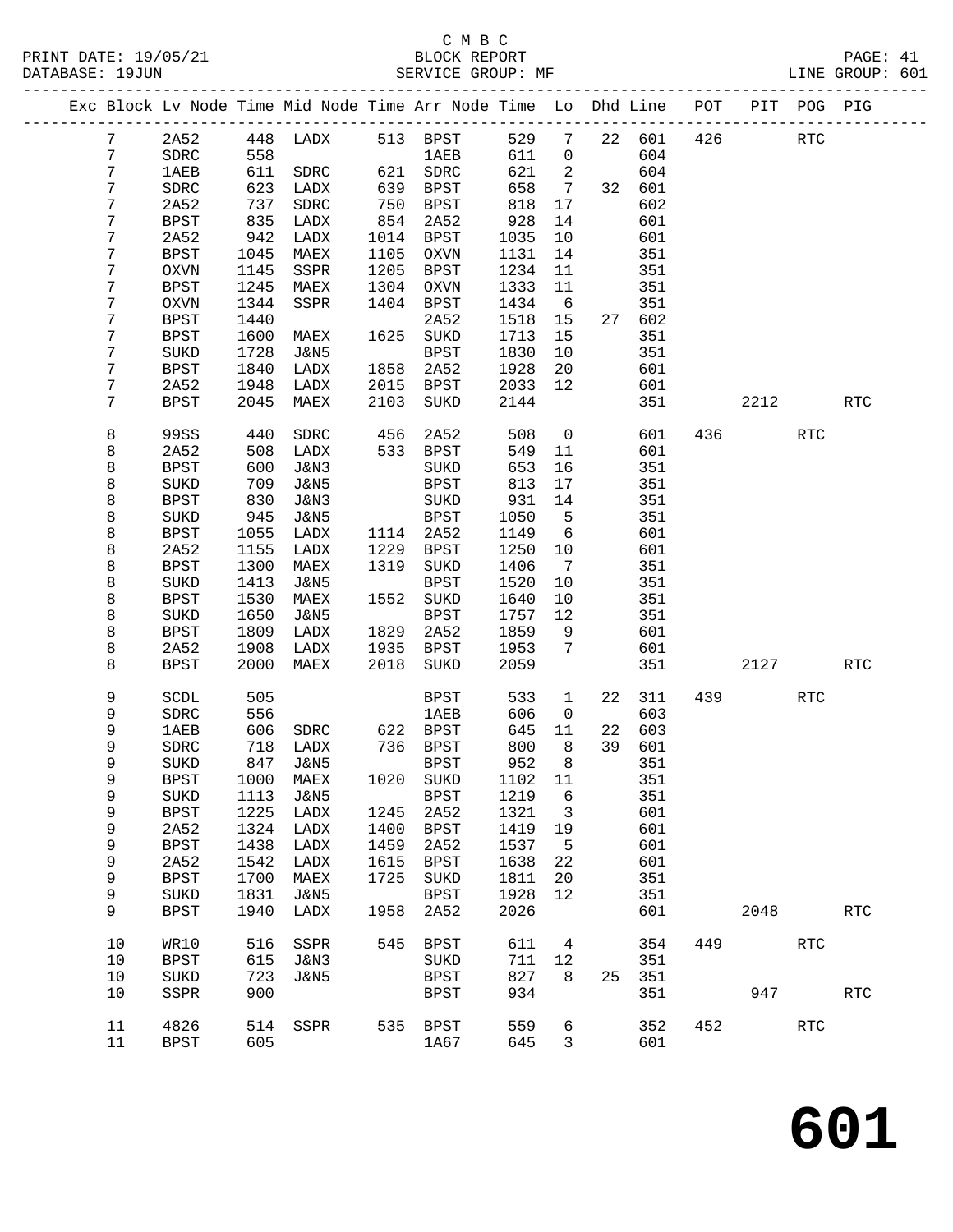|                |              |      | Exc Block Lv Node Time Mid Node Time Arr Node Time Lo Dhd Line POT |      |                  |         |                          |    |        |     |      | PIT POG PIG |            |
|----------------|--------------|------|--------------------------------------------------------------------|------|------------------|---------|--------------------------|----|--------|-----|------|-------------|------------|
| $7\phantom{.}$ | 2A52         |      | 448 LADX<br>558                                                    |      | 513 BPST<br>1AEB | 529     | $\overline{7}$           |    | 22 601 | 426 |      | RTC         |            |
| $7\phantom{.}$ | SDRC         | 558  |                                                                    |      | <b>1AEB</b>      | 611     | $\overline{0}$           |    | 604    |     |      |             |            |
| 7              | 1AEB         |      | 611 SDRC                                                           |      | 621 SDRC         | 621     | $\overline{\phantom{a}}$ |    | 604    |     |      |             |            |
| 7              | SDRC         | 623  | LADX                                                               | 639  | BPST             | 658     | $\overline{7}$           |    | 32 601 |     |      |             |            |
| 7              | 2A52         | 737  | SDRC                                                               | 750  | <b>BPST</b>      | 818     | 17                       |    | 602    |     |      |             |            |
| 7              | <b>BPST</b>  | 835  | LADX                                                               | 854  | 2A52             | 928     | 14                       |    | 601    |     |      |             |            |
| 7              | 2A52         | 942  | LADX                                                               | 1014 | BPST             | 1035    | 10                       |    | 601    |     |      |             |            |
| 7              | <b>BPST</b>  | 1045 | MAEX                                                               | 1105 | OXVN             | 1131    | 14                       |    | 351    |     |      |             |            |
| 7              | <b>OXVN</b>  | 1145 | SSPR                                                               | 1205 | <b>BPST</b>      | 1234    | 11                       |    | 351    |     |      |             |            |
| 7              | <b>BPST</b>  | 1245 | MAEX                                                               | 1304 | OXVN             | 1333    | 11                       |    | 351    |     |      |             |            |
| 7              | <b>OXVN</b>  | 1344 | SSPR                                                               | 1404 | BPST             | 1434    | 6                        |    | 351    |     |      |             |            |
| 7              | <b>BPST</b>  | 1440 |                                                                    |      | 2A52             | 1518    | 15                       |    | 27 602 |     |      |             |            |
| 7              | <b>BPST</b>  | 1600 | MAEX                                                               | 1625 | SUKD             | 1713    | 15                       |    | 351    |     |      |             |            |
| 7              | SUKD         | 1728 | J&N5                                                               |      | BPST             | 1830    | 10                       |    | 351    |     |      |             |            |
| 7              | <b>BPST</b>  | 1840 | LADX                                                               | 1858 | 2A52             | 1928    | 20                       |    | 601    |     |      |             |            |
| 7              | 2A52         | 1948 | LADX                                                               | 2015 | BPST             | 2033    | 12                       |    | 601    |     |      |             |            |
| 7              | <b>BPST</b>  | 2045 | MAEX                                                               | 2103 | SUKD             | 2144    |                          |    | 351    |     | 2212 |             | <b>RTC</b> |
| 8              | 99SS         | 440  | SDRC                                                               | 456  | 2A52             | 508     | $\overline{0}$           |    | 601    |     | 436  | RTC         |            |
| 8              | 2A52         | 508  | LADX                                                               |      | 533 BPST         | 549     | 11                       |    | 601    |     |      |             |            |
| 8              | <b>BPST</b>  | 600  | J&N3                                                               |      | SUKD             | 653     | 16                       |    | 351    |     |      |             |            |
| 8              | SUKD         | 709  | J&N5                                                               |      | BPST             | 813     | 17                       |    | 351    |     |      |             |            |
| 8              | <b>BPST</b>  | 830  | J&N3                                                               |      | SUKD             | 931     | 14                       |    | 351    |     |      |             |            |
| 8              | SUKD         | 945  | J&N5                                                               |      | BPST             | 1050    | $-5$                     |    | 351    |     |      |             |            |
| 8              | BPST         | 1055 | LADX                                                               | 1114 | 2A52             | 1149    | $6\overline{6}$          |    | 601    |     |      |             |            |
| 8              | 2A52         | 1155 | LADX                                                               | 1229 | BPST             | 1250    | 10                       |    | 601    |     |      |             |            |
| 8              | <b>BPST</b>  | 1300 | MAEX                                                               |      | 1319 SUKD        | 1406    | $\overline{7}$           |    | 351    |     |      |             |            |
| 8              | SUKD         | 1413 | J&N5                                                               |      | BPST             | 1520    | 10                       |    | 351    |     |      |             |            |
| 8              | <b>BPST</b>  | 1530 | MAEX                                                               | 1552 | SUKD             | 1640    | 10                       |    | 351    |     |      |             |            |
| 8              | SUKD         | 1650 | J&N5                                                               |      | <b>BPST</b>      | 1757    | 12                       |    | 351    |     |      |             |            |
| 8              | <b>BPST</b>  | 1809 | LADX                                                               | 1829 | 2A52             | 1859    | 9                        |    | 601    |     |      |             |            |
| 8              | 2A52         | 1908 | LADX                                                               | 1935 | BPST             | 1953    | 7                        |    | 601    |     |      |             |            |
| 8              | <b>BPST</b>  | 2000 | MAEX                                                               | 2018 | SUKD             | 2059    |                          |    | 351    |     | 2127 |             | <b>RTC</b> |
| 9              | SCDL         | 505  |                                                                    |      | BPST             | 533     | $\mathbf{1}$             |    | 22 311 |     | 439  | RTC         |            |
| 9              | ${\tt SDRC}$ | 556  |                                                                    |      | 1AEB             | 606     | $\overline{0}$           |    | 603    |     |      |             |            |
| 9              | 1AEB         | 606  | SDRC 622 BPST                                                      |      |                  | 645     | 11                       |    | 22 603 |     |      |             |            |
| 9              | SDRC         | 718  | LADX                                                               |      | 736 BPST         | 800     | 8                        |    | 39 601 |     |      |             |            |
| 9              | SUKD         | 847  | J&N5                                                               |      | <b>BPST</b>      | 952     | 8                        |    | 351    |     |      |             |            |
| 9              | $\tt BPST$   |      | 1000 MAEX 1020 SUKD                                                |      |                  | 1102 11 |                          |    | 351    |     |      |             |            |
| 9              | SUKD         | 1113 | J&N5                                                               |      | BPST             | 1219    | $6\overline{6}$          |    | 351    |     |      |             |            |
| 9              | <b>BPST</b>  | 1225 | LADX                                                               | 1245 | 2A52             | 1321    | $\overline{\phantom{a}}$ |    | 601    |     |      |             |            |
| 9              | 2A52         | 1324 | LADX                                                               | 1400 | BPST             | 1419    | 19                       |    | 601    |     |      |             |            |
| 9              | <b>BPST</b>  | 1438 | LADX                                                               | 1459 | 2A52             | 1537    | $-5$                     |    | 601    |     |      |             |            |
| 9              | 2A52         | 1542 | LADX                                                               | 1615 | BPST             | 1638    | 22                       |    | 601    |     |      |             |            |
| 9              | <b>BPST</b>  | 1700 | MAEX                                                               | 1725 | SUKD             | 1811    | 20                       |    | 351    |     |      |             |            |
| 9              | SUKD         | 1831 | J&N5                                                               |      | BPST             | 1928    | 12                       |    | 351    |     |      |             |            |
| 9              | <b>BPST</b>  | 1940 | LADX                                                               | 1958 | 2A52             | 2026    |                          |    | 601    |     | 2048 |             | RTC        |
| $10$           | WR10         | 516  | SSPR                                                               | 545  | BPST             | 611     | $\overline{4}$           |    | 354    | 449 |      | RTC         |            |
| $10$           | <b>BPST</b>  | 615  | J&N3                                                               |      | SUKD             | 711     | 12                       |    | 351    |     |      |             |            |
| $10$           | SUKD         | 723  | J&N5                                                               |      | <b>BPST</b>      | 827     | 8                        | 25 | 351    |     |      |             |            |
| 10             | SSPR         | 900  |                                                                    |      | BPST             | 934     |                          |    | 351    |     | 947  |             | RTC        |
|                |              |      |                                                                    |      |                  |         |                          |    |        |     |      |             |            |
| 11             | 4826         | 514  | SSPR                                                               |      | 535 BPST         | 559     | 6                        |    | 352    | 452 |      | RTC         |            |
| 11             | <b>BPST</b>  | 605  |                                                                    |      | 1A67             | 645     | 3                        |    | 601    |     |      |             |            |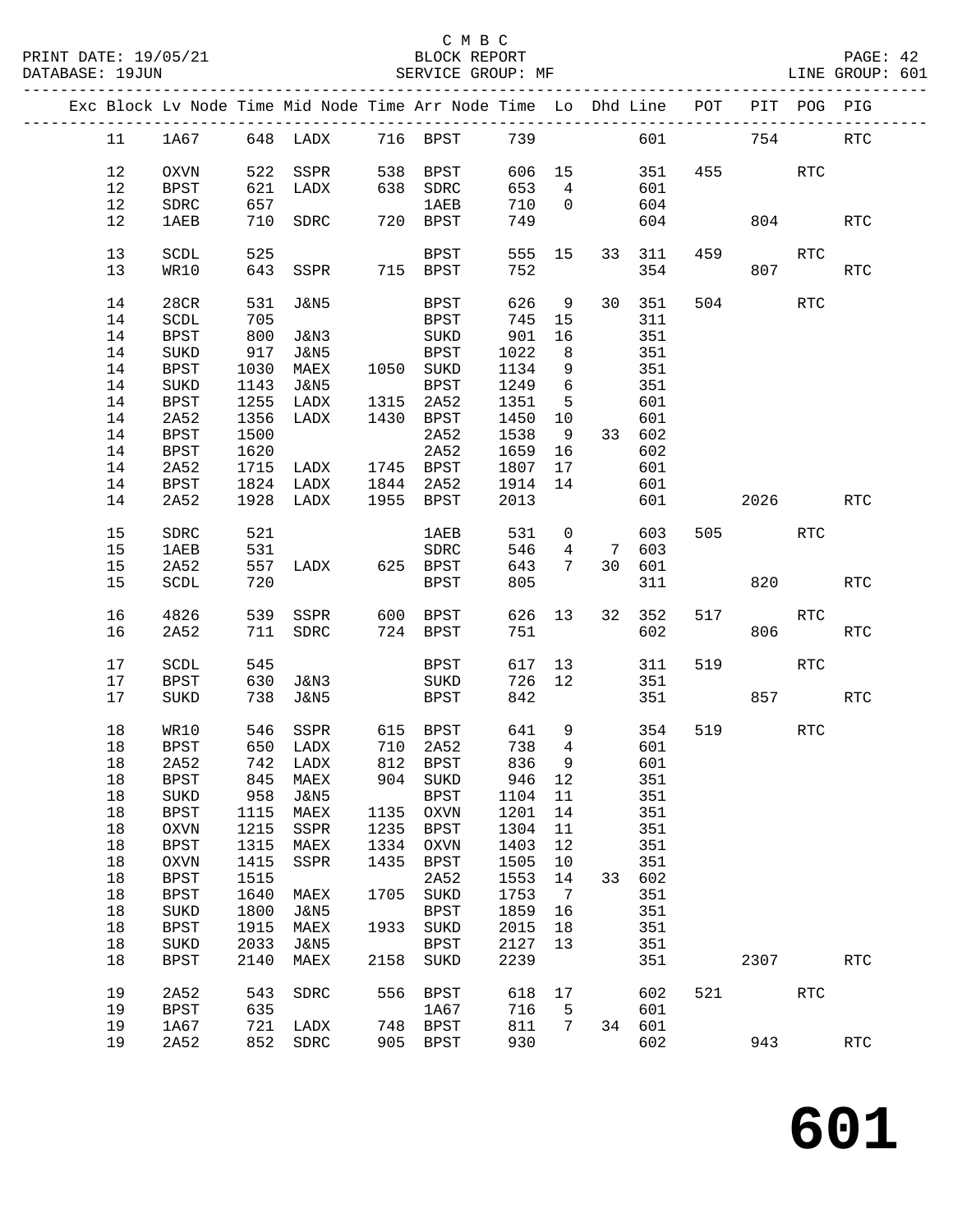|    |              |      |                                            |      | Exc Block Lv Node Time Mid Node Time Arr Node Time Lo Dhd Line POT PIT POG PIG |         |                 |        |         |     |                    |                      |            |
|----|--------------|------|--------------------------------------------|------|--------------------------------------------------------------------------------|---------|-----------------|--------|---------|-----|--------------------|----------------------|------------|
| 11 |              |      |                                            |      | 1A67 648 LADX 716 BPST 739                                                     |         |                 |        | 601 754 |     |                    |                      | <b>RTC</b> |
| 12 | OXVN         |      | 522 SSPR                                   |      | 538 BPST                                                                       |         |                 |        |         |     | 606 15 351 455 RTC |                      |            |
|    |              |      |                                            |      |                                                                                |         |                 |        |         |     |                    |                      |            |
| 12 | BPST         | 621  | LADX                                       |      | 638 SDRC                                                                       | 653     | $4\overline{4}$ |        | 601     |     |                    |                      |            |
| 12 | ${\tt SDRC}$ | 657  |                                            |      | 1AEB                                                                           | 710     | $\overline{0}$  |        | 604     |     |                    |                      |            |
| 12 | 1AEB         |      | 710 SDRC                                   |      | 720 BPST                                                                       | 749     |                 |        | 604     |     | 804                |                      | <b>RTC</b> |
| 13 | SCDL         | 525  |                                            |      | BPST                                                                           | 555 15  |                 |        | 33 311  |     | 459                | RTC                  |            |
| 13 | WR10         |      | 643 SSPR 715 BPST                          |      |                                                                                | 752     |                 |        | 354     |     | 807 — 100          |                      | RTC        |
| 14 | 28CR         |      | 531 J&N5                                   |      | BPST                                                                           | 626 9   |                 |        | 30 351  |     | 504                | RTC                  |            |
| 14 | SCDL         | 705  |                                            |      | BPST                                                                           | 745     | 15              |        | 311     |     |                    |                      |            |
| 14 | <b>BPST</b>  | 800  | J&N3                                       |      | SUKD                                                                           | 901     | 16              |        | 351     |     |                    |                      |            |
| 14 | SUKD         | 917  | J&N5                                       |      | <b>BPST</b>                                                                    | 1022    | 8 <sup>8</sup>  |        | 351     |     |                    |                      |            |
| 14 | BPST         | 1030 | MAEX                                       |      | 1050 SUKD                                                                      | 1134    | $\overline{9}$  |        | 351     |     |                    |                      |            |
| 14 |              |      |                                            |      |                                                                                | 1249    | $6\overline{6}$ |        |         |     |                    |                      |            |
|    | SUKD         | 1143 | <b>J&amp;N5</b>                            |      | BPST                                                                           |         |                 |        | 351     |     |                    |                      |            |
| 14 | BPST         |      | 1255 LADX 1315 2A52<br>1356 LADX 1430 BPST |      |                                                                                | 1351    | $5^{\circ}$     |        | 601     |     |                    |                      |            |
| 14 | 2A52         |      |                                            |      |                                                                                | 1450    | 10              |        | 601     |     |                    |                      |            |
| 14 | BPST         | 1500 |                                            |      | 2A52                                                                           | 1538    | 9               |        | 33 602  |     |                    |                      |            |
| 14 | BPST         | 1620 |                                            |      | 2A52                                                                           | 1659    | 16              |        | 602     |     |                    |                      |            |
| 14 | 2A52         | 1715 | LADX 1745 BPST                             |      |                                                                                | 1807    | 17              |        | 601     |     |                    |                      |            |
| 14 | <b>BPST</b>  |      | 1824 LADX                                  |      | 1844 2A52                                                                      | 1914    | 14              |        | 601     |     |                    |                      |            |
| 14 | 2A52         |      | 1928 LADX 1955 BPST                        |      |                                                                                | 2013    |                 |        | 601     |     | 2026               |                      | <b>RTC</b> |
| 15 | SDRC         | 521  |                                            |      | 1AEB                                                                           | 531     | $\overline{0}$  |        | 603     |     | 505                | RTC                  |            |
| 15 | 1AEB         |      |                                            |      |                                                                                | 546     |                 |        | 4 7 603 |     |                    |                      |            |
| 15 | 2A52         |      |                                            |      |                                                                                | 643     | $7\phantom{0}$  |        | 30 601  |     |                    |                      |            |
| 15 | SCDL         | 720  |                                            |      | BPST                                                                           | 805     |                 |        | 311     |     | 820                |                      | <b>RTC</b> |
|    |              |      |                                            |      |                                                                                |         |                 |        |         |     |                    |                      |            |
| 16 | 4826         |      | 539 SSPR                                   |      | 600 BPST                                                                       | 626 13  |                 |        | 32 352  | 517 |                    | $\operatorname{RTC}$ |            |
| 16 | 2A52         |      | 711 SDRC                                   |      | 724 BPST                                                                       | 751     |                 |        | 602     |     | 806                |                      | <b>RTC</b> |
|    |              |      |                                            |      |                                                                                |         |                 |        |         |     |                    |                      |            |
| 17 | SCDL         | 545  |                                            |      | BPST                                                                           | 617 13  |                 |        | 311     | 519 |                    | <b>RTC</b>           |            |
| 17 | BPST         |      | 630 J&N3                                   |      | SUKD                                                                           | 726 12  |                 |        | 351     |     |                    |                      |            |
| 17 | SUKD         |      | 738 J&N5                                   |      | BPST                                                                           | 842     |                 |        | 351     |     |                    | 857 RTC              |            |
| 18 | WR10         |      | 546 SSPR 615 BPST                          |      |                                                                                | 641     | 9               |        | 354     |     | 519                | RTC                  |            |
| 18 | BPST         |      | 650 LADX 710 2A52<br>742 LADX 812 BPST     |      |                                                                                | 738     | $\overline{4}$  |        | 601     |     |                    |                      |            |
| 18 | 2A52         |      |                                            |      |                                                                                | 836     | 9               |        | 601     |     |                    |                      |            |
|    |              |      | 18 BPST 845 MAEX                           |      | 904 SUKD                                                                       |         |                 | 946 12 | 351     |     |                    |                      |            |
| 18 | <b>SUKD</b>  | 958  | J&N5                                       |      | <b>BPST</b>                                                                    | 1104 11 |                 |        | 351     |     |                    |                      |            |
| 18 | <b>BPST</b>  | 1115 | MAEX                                       |      | 1135 OXVN                                                                      | 1201    | 14              |        | 351     |     |                    |                      |            |
| 18 | OXVN         | 1215 | SSPR                                       | 1235 | BPST                                                                           | 1304    | 11              |        | 351     |     |                    |                      |            |
|    |              |      |                                            |      |                                                                                |         |                 |        |         |     |                    |                      |            |
| 18 | <b>BPST</b>  | 1315 | MAEX                                       | 1334 | OXVN                                                                           | 1403    | 12              |        | 351     |     |                    |                      |            |
| 18 | OXVN         | 1415 | SSPR                                       | 1435 | <b>BPST</b>                                                                    | 1505    | $10 \,$         |        | 351     |     |                    |                      |            |
| 18 | <b>BPST</b>  | 1515 |                                            |      | 2A52                                                                           | 1553    | 14              | 33     | 602     |     |                    |                      |            |
| 18 | <b>BPST</b>  | 1640 | MAEX                                       | 1705 | SUKD                                                                           | 1753    | $\overline{7}$  |        | 351     |     |                    |                      |            |
| 18 | $\rm SUKD$   | 1800 | J&N5                                       |      | <b>BPST</b>                                                                    | 1859    | 16              |        | 351     |     |                    |                      |            |
| 18 | BPST         | 1915 | MAEX                                       | 1933 | $\rm SUKD$                                                                     | 2015    | 18              |        | 351     |     |                    |                      |            |
| 18 | $\rm SUKD$   | 2033 | J&N5                                       |      | <b>BPST</b>                                                                    | 2127    | 13              |        | 351     |     |                    |                      |            |
| 18 | <b>BPST</b>  | 2140 | MAEX                                       | 2158 | SUKD                                                                           | 2239    |                 |        | 351     |     | 2307               |                      | <b>RTC</b> |
| 19 | 2A52         | 543  | SDRC                                       | 556  | BPST                                                                           | 618     | 17              |        | 602     |     | 521 72             | $\operatorname{RTC}$ |            |
| 19 | BPST         | 635  |                                            |      | 1A67                                                                           | 716     | 5               |        | 601     |     |                    |                      |            |
| 19 | 1A67         | 721  | LADX                                       |      | 748 BPST                                                                       | 811     | 7               |        | 34 601  |     |                    |                      |            |
| 19 | 2A52         |      | 852 SDRC                                   |      | 905 BPST                                                                       | 930     |                 |        | 602     |     | 943                |                      | <b>RTC</b> |
|    |              |      |                                            |      |                                                                                |         |                 |        |         |     |                    |                      |            |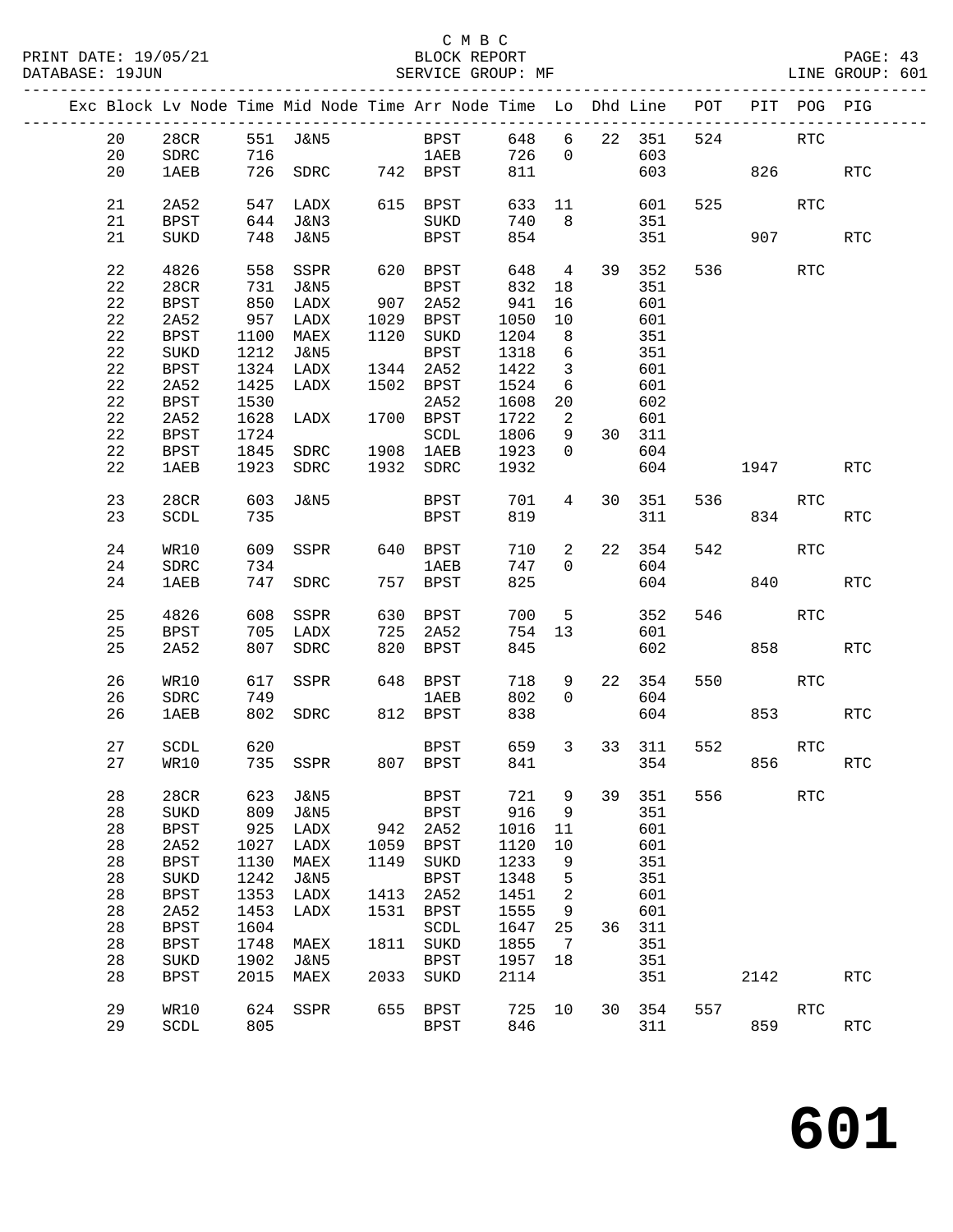|  |              |                       |            | Exc Block Lv Node Time Mid Node Time Arr Node Time Lo Dhd Line |             |                     |             |                          |        |                     |     | POT PIT POG PIG |            |                      |
|--|--------------|-----------------------|------------|----------------------------------------------------------------|-------------|---------------------|-------------|--------------------------|--------|---------------------|-----|-----------------|------------|----------------------|
|  | 20<br>20     | 28CR<br>SDRC          |            | 551 J&N5<br>716                                                |             | BPST<br>1AEB        | 726         | $\overline{0}$           |        | 648 6 22 351<br>603 | 524 |                 | RTC        |                      |
|  | 20           | <b>1AEB</b>           |            | 726 SDRC 742 BPST                                              |             |                     | 811         |                          |        | 603                 |     | 826             |            | RTC                  |
|  |              |                       |            |                                                                |             |                     |             |                          |        |                     |     |                 |            |                      |
|  | 21           | 2A52                  |            | 547 LADX 615 BPST                                              |             |                     |             |                          | 633 11 | 601                 |     | 525             | RTC        |                      |
|  | 21           | BPST                  |            | 644 J&N3                                                       |             | SUKD                | 740         | 8 <sup>8</sup>           |        | 351                 |     |                 |            |                      |
|  | 21           | SUKD                  |            | 748 J&N5                                                       |             | BPST                | 854         |                          |        | 351                 |     |                 | 907 — 100  | <b>RTC</b>           |
|  | 22           | 4826                  |            | 558 SSPR                                                       |             | 620 BPST            | 648         | $4\overline{4}$          |        | 39 352              |     | 536 700         | RTC        |                      |
|  | 22           | 28CR                  |            | 731 J&N5                                                       |             | BPST                | 832         | 18                       |        | 351                 |     |                 |            |                      |
|  | 22           | <b>BPST</b>           |            | 850 LADX                                                       |             | 907 2A52            | 941         | 16                       |        | 601                 |     |                 |            |                      |
|  | 22           | 2A52                  | 957        | LADX                                                           |             | 1029 BPST           | 1050        | 10                       |        | 601                 |     |                 |            |                      |
|  | 22           | BPST                  | 1100       | MAEX                                                           |             | 1120 SUKD           | 1204        | 8 <sup>8</sup>           |        | 351                 |     |                 |            |                      |
|  | 22           | $\rm SUKD$            |            | 1212 J&N5                                                      |             | BPST                | 1318        | $6\overline{6}$          |        | 351                 |     |                 |            |                      |
|  | 22           | BPST                  |            | 1324 LADX                                                      |             | 1344 2A52           | 1422        | $\overline{\mathbf{3}}$  |        | 601                 |     |                 |            |                      |
|  | $2\sqrt{2}$  | 2A52                  | 1425       | LADX                                                           |             | 1502 BPST           | 1524        | 6                        |        | 601                 |     |                 |            |                      |
|  | 22           | <b>BPST</b>           | 1530       |                                                                |             | 2A52                | 1608        | 20                       |        | 602                 |     |                 |            |                      |
|  | 22           | 2A52                  | 1628       | LADX                                                           |             | 1700 BPST           | 1722        | $\overline{\phantom{a}}$ |        | 601                 |     |                 |            |                      |
|  | 22           | BPST                  | 1724       |                                                                |             | SCDL                | 1806        | 9                        |        | 30 311              |     |                 |            |                      |
|  | 22           | BPST                  |            | 1845 SDRC 1908 1AEB                                            |             |                     | 1923        | $\overline{0}$           |        | 604                 |     |                 |            |                      |
|  | 22           | 1AEB                  |            | 1923 SDRC                                                      |             | 1932 SDRC           | 1932        |                          |        | 604                 |     | 1947            |            | <b>RTC</b>           |
|  | 23           | 28CR                  |            | 603 J&N5                                                       |             | BPST                | 701         | 4                        | 30     | 351                 |     | 536 70          | RTC        |                      |
|  | 23           | SCDL                  | 735        |                                                                |             | BPST                | 819         |                          |        | 311                 |     | 834             |            | <b>RTC</b>           |
|  |              |                       |            |                                                                |             |                     |             |                          |        |                     |     |                 |            |                      |
|  | 24           | WR10                  | 609        | SSPR                                                           |             | 640 BPST            | 710         | $\overline{a}$           |        | 22 354              | 542 |                 | RTC        |                      |
|  | 24           | ${\tt SDRC}$          | 734        |                                                                |             | 1 AE B              | 747         | $\mathbf 0$              |        | 604                 |     |                 |            |                      |
|  | 24           | 1AEB                  |            | 747 SDRC                                                       |             | 757 BPST            | 825         |                          |        | 604                 |     | 840             |            | $\operatorname{RTC}$ |
|  | 25           | 4826                  | 608        | SSPR                                                           |             | 630 BPST            | 700         | 5 <sup>5</sup>           |        | 352                 |     | 546             | RTC        |                      |
|  | 25           | BPST                  |            | 705 LADX                                                       |             | 725 2A52            | 754         | 13                       |        | 601                 |     |                 |            |                      |
|  | 25           | 2A52                  |            | 807 SDRC                                                       |             | 820 BPST            | 845         |                          |        | 602                 |     | 858             |            | <b>RTC</b>           |
|  |              |                       |            |                                                                |             |                     |             |                          |        |                     |     |                 |            |                      |
|  | 26           | WR10                  |            | 617 SSPR                                                       |             | 648 BPST            | 718         | 9                        |        | 22 354              | 550 |                 | RTC        |                      |
|  | 26           | SDRC                  | 749        |                                                                |             | 1 AE B              | 802         | $\mathbf 0$              |        | 604                 |     |                 |            |                      |
|  | 26           | 1AEB                  |            | 802 SDRC                                                       |             | 812 BPST            | 838         |                          |        | 604                 |     | 853             |            | <b>RTC</b>           |
|  | 27           | SCDL                  | 620        |                                                                |             | BPST                | 659         | $3^{\circ}$              |        | 33 311              | 552 |                 | RTC        |                      |
|  | 27           | WR10                  |            | 735 SSPR 807 BPST                                              |             |                     | 841         |                          |        |                     | 354 | 856             |            | RTC                  |
|  |              |                       |            |                                                                |             |                     |             |                          |        |                     |     |                 |            |                      |
|  | 28           | 28CR                  | 623        | <b>J&amp;N5</b>                                                |             | <b>BPST</b>         | 721         | 9                        | 39     | 351                 | 556 |                 | <b>RTC</b> |                      |
|  | $2\,8$<br>28 | SUKD                  | 809<br>925 | <b>J&amp;N5</b><br>LADX                                        |             | <b>BPST</b><br>2A52 | 916<br>1016 | 9                        |        | 351<br>601          |     |                 |            |                      |
|  | 28           | $_{\rm BPST}$<br>2A52 | 1027       | LADX                                                           | 942<br>1059 | <b>BPST</b>         | 1120        | 11<br>$10$               |        | 601                 |     |                 |            |                      |
|  | 28           | <b>BPST</b>           | 1130       | MAEX                                                           | 1149        | SUKD                | 1233        | 9                        |        | 351                 |     |                 |            |                      |
|  | 28           | SUKD                  | 1242       | <b>J&amp;N5</b>                                                |             | <b>BPST</b>         | 1348        | 5                        |        | 351                 |     |                 |            |                      |
|  | 28           | <b>BPST</b>           | 1353       | LADX                                                           | 1413        | 2A52                | 1451        | $\sqrt{2}$               |        | 601                 |     |                 |            |                      |
|  | 28           | 2A52                  | 1453       | LADX                                                           | 1531        | <b>BPST</b>         | 1555        | 9                        |        | 601                 |     |                 |            |                      |
|  | 28           | <b>BPST</b>           | 1604       |                                                                |             | SCDL                | 1647        | 25                       | 36     | 311                 |     |                 |            |                      |
|  | 28           | <b>BPST</b>           | 1748       | MAEX                                                           | 1811        | SUKD                | 1855        | 7                        |        | 351                 |     |                 |            |                      |
|  | 28           | $\rm SUKD$            | 1902       | J&N5                                                           |             | <b>BPST</b>         | 1957        | 18                       |        | 351                 |     |                 |            |                      |
|  | 28           | <b>BPST</b>           | 2015       | MAEX                                                           | 2033        | SUKD                | 2114        |                          |        | 351                 |     | 2142            |            | RTC                  |
|  |              |                       |            |                                                                |             |                     |             |                          |        |                     |     |                 |            |                      |
|  | 29           | WR10                  | 624        | SSPR                                                           | 655         | <b>BPST</b>         | 725         | 10                       | 30     | 354                 | 557 |                 | <b>RTC</b> |                      |
|  | 29           | SCDL                  | 805        |                                                                |             | <b>BPST</b>         | 846         |                          |        | 311                 |     | 859             |            | RTC                  |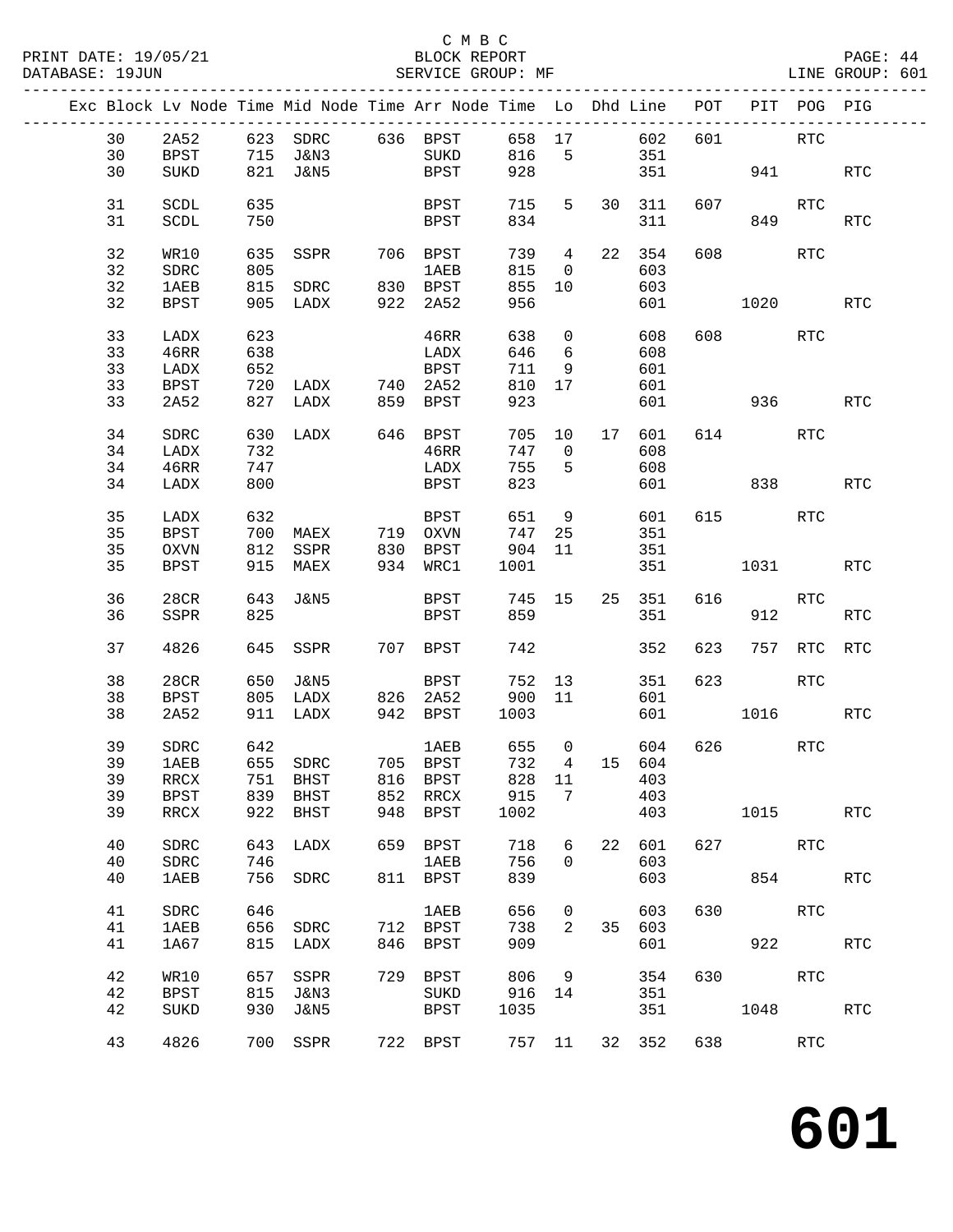#### C M B C<br>BLOCK REPORT SERVICE GROUP: MF

| Exc Block Lv Node Time Mid Node Time Arr Node Time Lo Dhd Line POT PIT POG PIG |             |     |                   |     |                      |        |                         |    |        |     |           |            |                      |
|--------------------------------------------------------------------------------|-------------|-----|-------------------|-----|----------------------|--------|-------------------------|----|--------|-----|-----------|------------|----------------------|
| 30                                                                             | 2A52        |     |                   |     | 623 SDRC 636 BPST    | 658 17 |                         |    | 602    | 601 |           | <b>RTC</b> |                      |
| 30                                                                             | BPST        |     | 715 J&N3          |     | SUKD                 | 816    | $5^{\circ}$             |    | 351    |     |           |            |                      |
| 30                                                                             | SUKD        |     | 821 J&N5          |     | BPST                 | 928    |                         |    | 351    |     |           | 941 941 12 | $\operatorname{RTC}$ |
|                                                                                |             |     |                   |     |                      |        |                         |    |        |     |           |            |                      |
| 31                                                                             | SCDL        | 635 |                   |     | BPST                 | 715    | 5                       |    | 30 311 | 607 |           | RTC        |                      |
|                                                                                |             |     |                   |     |                      |        |                         |    |        |     |           |            |                      |
| 31                                                                             | SCDL        | 750 |                   |     | BPST                 | 834    |                         |    | 311    |     | 849       |            | RTC                  |
|                                                                                |             |     |                   |     |                      |        |                         |    |        |     |           |            |                      |
| 32                                                                             | WR10        | 635 | SSPR              |     | 706 BPST             | 739 4  |                         |    | 22 354 | 608 |           | RTC        |                      |
| 32                                                                             | SDRC        | 805 |                   |     | 1 AE B               | 815    | $\overline{0}$          |    | 603    |     |           |            |                      |
| 32                                                                             | 1AEB        |     | 815 SDRC 830 BPST |     |                      | 855    | 10                      |    | 603    |     |           |            |                      |
| 32                                                                             | BPST        |     | 905 LADX          | 922 | 2A52                 | 956    |                         |    | 601    |     | 1020      |            | RTC                  |
|                                                                                |             |     |                   |     |                      |        |                         |    |        |     |           |            |                      |
| 33                                                                             | LADX        | 623 |                   |     | 46RR                 | 638    | $\overline{0}$          |    | 608    |     | 608 RTC   |            |                      |
| 33                                                                             | 46RR        | 638 |                   |     | LADX                 | 646    | 6                       |    | 608    |     |           |            |                      |
|                                                                                |             |     |                   |     |                      |        |                         |    |        |     |           |            |                      |
| 33                                                                             | LADX        | 652 |                   |     | BPST                 | 711    | 9                       |    | 601    |     |           |            |                      |
| 33                                                                             | BPST        | 720 | LADX              |     | 740 2A52             | 810    | 17                      |    | 601    |     |           |            |                      |
| 33                                                                             | 2A52        |     | 827 LADX          |     | 859 BPST             | 923    |                         |    | 601    |     |           | 936 1990   | RTC                  |
|                                                                                |             |     |                   |     |                      |        |                         |    |        |     |           |            |                      |
| 34                                                                             | SDRC        |     | 630 LADX          |     | 646 BPST             |        | 705 10                  | 17 | 601    |     | 614       | RTC        |                      |
| 34                                                                             | LADX        | 732 |                   |     | 46RR                 | 747    | $\overline{\mathbf{0}}$ |    | 608    |     |           |            |                      |
| 34                                                                             | 46RR        | 747 |                   |     | LADX                 | 755    | 5                       |    | 608    |     |           |            |                      |
| 34                                                                             | LADX        | 800 |                   |     | <b>BPST</b>          | 823    |                         |    | 601    |     | 838       |            | <b>RTC</b>           |
|                                                                                |             |     |                   |     |                      |        |                         |    |        |     |           |            |                      |
| 35                                                                             | LADX        | 632 |                   |     | BPST                 | 651    | 9                       |    | 601    |     | 615 — 10  | <b>RTC</b> |                      |
|                                                                                |             |     |                   |     |                      |        |                         |    |        |     |           |            |                      |
| 35                                                                             | <b>BPST</b> | 700 | MAEX 719 OXVN     |     |                      | 747    | 25                      |    | 351    |     |           |            |                      |
| 35                                                                             | OXVN        |     | 812 SSPR          |     | 830 BPST<br>934 WRC1 | 904 11 |                         |    | 351    |     |           |            |                      |
| 35                                                                             | BPST        |     | 915 MAEX          |     |                      | 1001   |                         |    | 351    |     | 1031 \    |            | RTC                  |
|                                                                                |             |     |                   |     |                      |        |                         |    |        |     |           |            |                      |
| 36                                                                             | 28CR        | 643 | J&N5              |     | BPST 745 15          |        |                         |    | 25 351 | 616 |           | RTC        |                      |
| 36                                                                             | SSPR        | 825 |                   |     | BPST                 | 859    |                         |    | 351    |     | 912       |            | <b>RTC</b>           |
|                                                                                |             |     |                   |     |                      |        |                         |    |        |     |           |            |                      |
| 37                                                                             | 4826        |     | 645 SSPR          |     | 707 BPST             | 742    |                         |    | 352    | 623 |           | 757 RTC    | <b>RTC</b>           |
|                                                                                |             |     |                   |     |                      |        |                         |    |        |     |           |            |                      |
| 38                                                                             | 28CR        | 650 | J&N5              |     | BPST                 | 752 13 |                         |    | 351    | 623 |           | RTC        |                      |
| 38                                                                             | BPST        |     | 805 LADX          |     | $826$ $2A52$         | 900 11 |                         |    | 601    |     |           |            |                      |
| 38                                                                             | 2A52        |     | 911 LADX          |     | 942 BPST             | 1003   |                         |    | 601    |     | 1016      |            | RTC                  |
|                                                                                |             |     |                   |     |                      |        |                         |    |        |     |           |            |                      |
| 39                                                                             | SDRC        | 642 |                   |     | 1 AE B               | 655    | $\overline{0}$          |    | 604    |     | 626 70    | RTC        |                      |
| 39                                                                             | 1AEB        |     | 655 SDRC          |     | 705 BPST             | 732    | $4\overline{4}$         |    | 15 604 |     |           |            |                      |
|                                                                                |             |     |                   |     |                      |        |                         |    |        |     |           |            |                      |
| 39                                                                             | RRCX        |     | 751 BHST          |     | 816 BPST 828 11 403  |        |                         |    |        |     |           |            |                      |
| 39                                                                             | <b>BPST</b> | 839 | BHST              | 852 | RRCX                 | 915    | 7                       |    | 403    |     |           |            |                      |
| 39                                                                             | RRCX        | 922 | BHST              | 948 | BPST                 | 1002   |                         |    | 403    |     | 1015      |            | <b>RTC</b>           |
|                                                                                |             |     |                   |     |                      |        |                         |    |        |     |           |            |                      |
| 40                                                                             | SDRC        | 643 | LADX              |     | 659 BPST             | 718    | 6                       | 22 | 601    |     | 627 — 100 | RTC        |                      |
| 40                                                                             | SDRC        | 746 |                   |     | 1AEB                 | 756    | $\mathbf 0$             |    | 603    |     |           |            |                      |
| 40                                                                             | <b>1AEB</b> | 756 | SDRC              |     | 811 BPST             | 839    |                         |    | 603    |     |           | 854        | RTC                  |
|                                                                                |             |     |                   |     |                      |        |                         |    |        |     |           |            |                      |
| 41                                                                             | SDRC        | 646 |                   |     | 1AEB                 | 656    | $\mathbf 0$             |    | 603    | 630 |           | <b>RTC</b> |                      |
| 41                                                                             | 1AEB        | 656 | SDRC              |     | 712 BPST             | 738    | 2                       | 35 | 603    |     |           |            |                      |
|                                                                                |             |     |                   |     | 846 BPST             |        |                         |    |        |     |           | 922        |                      |
| 41                                                                             | 1A67        | 815 | LADX              |     |                      | 909    |                         |    | 601    |     |           |            | <b>RTC</b>           |
|                                                                                |             |     |                   |     |                      |        |                         |    |        |     |           |            |                      |
| 42                                                                             | WR10        | 657 | SSPR              |     | 729 BPST             | 806    | 9                       |    | 354    |     | 630       | RTC        |                      |
| 42                                                                             | <b>BPST</b> | 815 | J&N3              |     | SUKD                 | 916    | 14                      |    | 351    |     |           |            |                      |
| 42                                                                             | SUKD        | 930 | J&N5              |     | BPST                 | 1035   |                         |    | 351    |     | 1048      |            | <b>RTC</b>           |
|                                                                                |             |     |                   |     |                      |        |                         |    |        |     |           |            |                      |
| 43                                                                             | 4826        |     | 700 SSPR          |     | 722 BPST             | 757 11 |                         |    | 32 352 | 638 |           | <b>RTC</b> |                      |
|                                                                                |             |     |                   |     |                      |        |                         |    |        |     |           |            |                      |

**601**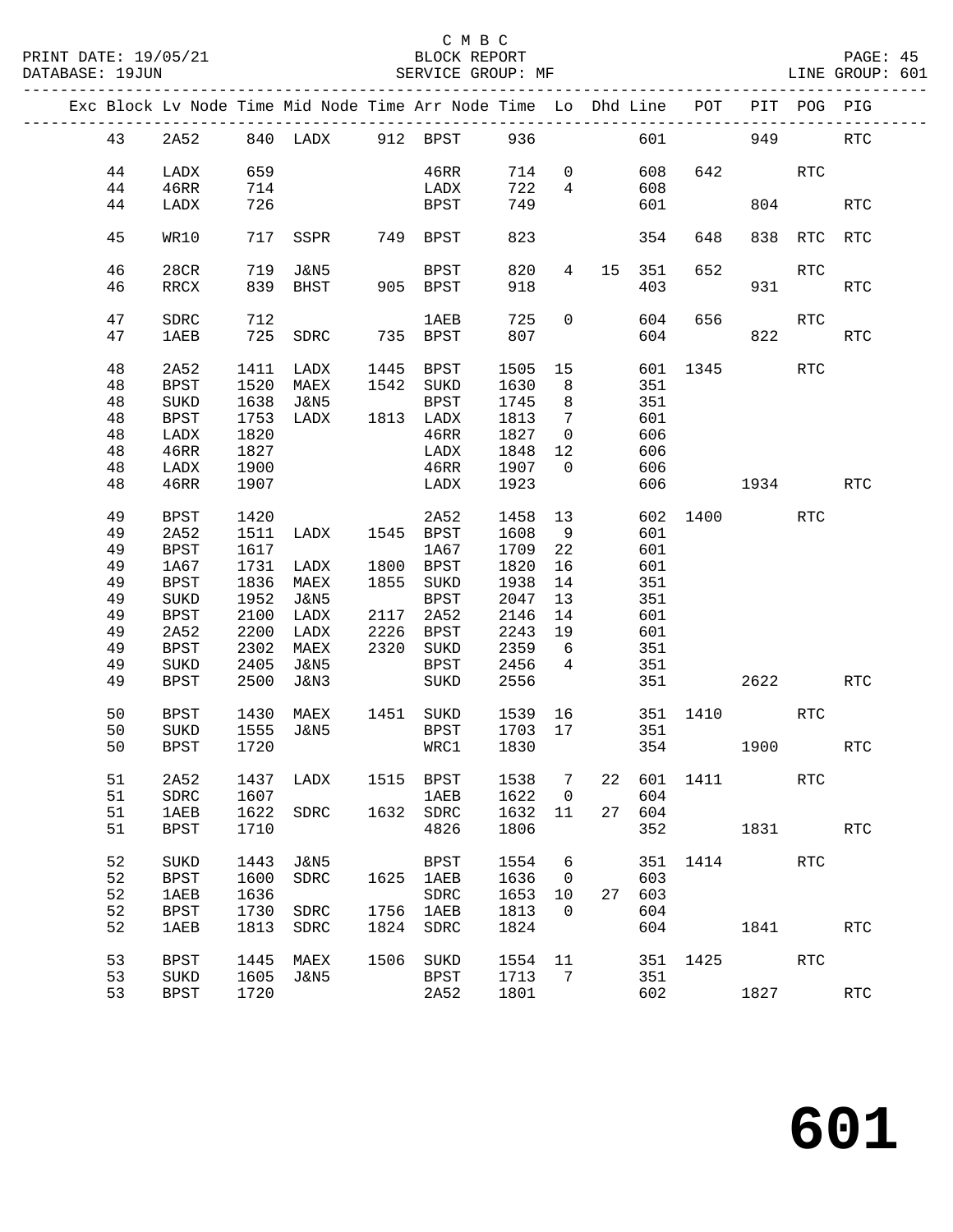|  |    |             |      | Exc Block Lv Node Time Mid Node Time Arr Node Time Lo Dhd Line POT PIT POG PIG |      |              |             |                 |                                 |        |          |          |         |                      |
|--|----|-------------|------|--------------------------------------------------------------------------------|------|--------------|-------------|-----------------|---------------------------------|--------|----------|----------|---------|----------------------|
|  | 43 |             |      | 2A52 840 LADX 912 BPST 936 601 949                                             |      |              |             |                 |                                 |        |          |          |         | <b>RTC</b>           |
|  | 44 | LADX        | 659  |                                                                                |      | 46RR         |             |                 | 714 0                           | 608    |          | 642 RTC  |         |                      |
|  | 44 | 46RR        | 714  |                                                                                |      | LADX         | 722         |                 | $4\overline{ }$                 | 608    |          |          |         |                      |
|  | 44 | LADX        | 726  |                                                                                |      | BPST         | 749         |                 |                                 | 601    |          | 804      |         | <b>RTC</b>           |
|  |    |             |      |                                                                                |      |              |             |                 |                                 |        |          |          |         |                      |
|  | 45 | WR10        |      | 717 SSPR 749 BPST                                                              |      |              | 823         |                 |                                 | 354    | 648      |          | 838 RTC | <b>RTC</b>           |
|  | 46 | 28CR        | 719  | J&N5                                                                           |      | BPST         | 820         | $4\degree$      |                                 | 15 351 | 652      |          | RTC     |                      |
|  | 46 | RRCX        |      | 839 BHST                                                                       |      | 905 BPST     | 918         |                 |                                 | 403    |          | 931 — 10 |         | RTC                  |
|  |    |             |      |                                                                                |      |              |             |                 |                                 |        |          |          |         |                      |
|  | 47 | SDRC        | 712  |                                                                                |      | 1 AE B       | 725         |                 | $\overline{0}$                  | 604    | 656      |          | RTC     |                      |
|  | 47 | 1AEB        |      | 725 SDRC 735 BPST                                                              |      |              | 807         |                 |                                 |        | 604      | 822      |         | RTC                  |
|  | 48 | 2A52        |      | 1411 LADX                                                                      |      | 1445 BPST    | 1505        |                 | 15 (1)                          |        | 601 1345 |          | RTC     |                      |
|  | 48 | <b>BPST</b> | 1520 | MAEX                                                                           |      | 1542 SUKD    | 1630        | 8 <sup>8</sup>  |                                 | 351    |          |          |         |                      |
|  | 48 | SUKD        |      | 1638 J&N5                                                                      |      | BPST         | 1745        | 8 <sup>8</sup>  |                                 | 351    |          |          |         |                      |
|  | 48 | <b>BPST</b> |      | 1753 LADX 1813 LADX                                                            |      |              | 1813        | $7\overline{ }$ |                                 | 601    |          |          |         |                      |
|  | 48 | LADX        | 1820 |                                                                                |      | 46RR         | 1827        | $\overline{0}$  |                                 | 606    |          |          |         |                      |
|  | 48 | 46RR        | 1827 |                                                                                |      | LADX         | 1848        | 12              |                                 | 606    |          |          |         |                      |
|  | 48 |             | 1900 |                                                                                |      | 46RR         | 1907        | $\overline{0}$  |                                 | 606    |          |          |         |                      |
|  |    | LADX        |      |                                                                                |      | LADX         |             |                 |                                 |        |          |          |         |                      |
|  | 48 | 46RR        | 1907 |                                                                                |      |              | 1923        |                 |                                 |        | 606 1934 |          |         | <b>RTC</b>           |
|  | 49 | <b>BPST</b> | 1420 |                                                                                |      | 2A52         | 1458        |                 | 13 and $\overline{\phantom{a}}$ |        | 602 1400 |          | RTC     |                      |
|  | 49 | 2A52        | 1511 | LADX 1545 BPST                                                                 |      |              | 1608        | $\overline{9}$  |                                 | 601    |          |          |         |                      |
|  | 49 | <b>BPST</b> | 1617 |                                                                                |      | 1A67         | 1709        | 22              |                                 | 601    |          |          |         |                      |
|  | 49 | 1A67        |      | 1731 LADX                                                                      |      | 1800 BPST    | 1820        | 16              |                                 | 601    |          |          |         |                      |
|  | 49 | <b>BPST</b> |      | 1836 MAEX                                                                      |      | 1855 SUKD    | 1938        | 14              |                                 | 351    |          |          |         |                      |
|  | 49 | $\rm SUKD$  |      | 1952 J&N5                                                                      |      | BPST         | 2047        | 13              |                                 | 351    |          |          |         |                      |
|  | 49 | <b>BPST</b> | 2100 | LADX                                                                           |      | 2117 2A52    | 2146        | 14              |                                 | 601    |          |          |         |                      |
|  | 49 | 2A52        | 2200 | LADX                                                                           |      | 2226 BPST    | 2243        | 19              |                                 | 601    |          |          |         |                      |
|  | 49 | <b>BPST</b> |      | 2302 MAEX                                                                      |      | 2320 SUKD    | 2359        | 6               |                                 | 351    |          |          |         |                      |
|  | 49 | SUKD        | 2405 | J&N5                                                                           |      | BPST         | 2456        | $\overline{4}$  |                                 | 351    |          |          |         |                      |
|  | 49 | <b>BPST</b> | 2500 | J&N3                                                                           |      | SUKD         | 2556        |                 |                                 |        | 351 7    | 2622     |         | <b>RTC</b>           |
|  |    |             |      |                                                                                |      |              |             |                 |                                 |        |          |          |         |                      |
|  | 50 | BPST        |      | 1430 MAEX 1451 SUKD 1539 16 351 1410 RTC                                       |      |              |             |                 |                                 |        |          |          |         |                      |
|  | 50 | SUKD        |      | 1555 J&N5                                                                      |      | BPST         | 1703 17 351 |                 |                                 |        |          |          |         |                      |
|  | 50 | <b>BPST</b> | 1720 |                                                                                |      | WRC1         | 1830        |                 |                                 |        | 354 1900 |          |         | RTC                  |
|  |    |             |      |                                                                                |      |              |             |                 |                                 |        |          |          |         |                      |
|  | 51 | 2A52        |      | 1437 LADX 1515 BPST 1538 7 22 601 1411 RTC                                     |      |              |             |                 |                                 |        |          |          |         |                      |
|  | 51 | SDRC        | 1607 |                                                                                |      | 1AEB         | 1622        | $\mathbf 0$     |                                 | 604    |          |          |         |                      |
|  | 51 | <b>1AEB</b> | 1622 | SDRC                                                                           | 1632 | ${\tt SDRC}$ | 1632        | 11              |                                 | 27 604 |          |          |         |                      |
|  | 51 | <b>BPST</b> | 1710 |                                                                                |      | 4826         | 1806        |                 |                                 | 352    |          | 1831 189 |         | <b>RTC</b>           |
|  | 52 | SUKD        | 1443 | J&N5                                                                           |      | BPST         | 1554        | - 6             |                                 | 351    | 1414     |          | RTC     |                      |
|  | 52 | <b>BPST</b> | 1600 | SDRC                                                                           | 1625 | 1AEB         | 1636        | $\overline{0}$  |                                 | 603    |          |          |         |                      |
|  | 52 | <b>1AEB</b> | 1636 |                                                                                |      | SDRC         | 1653        | 10              | 27                              | 603    |          |          |         |                      |
|  | 52 |             | 1730 |                                                                                | 1756 |              | 1813        | $\overline{0}$  |                                 | 604    |          |          |         |                      |
|  |    | <b>BPST</b> |      | SDRC                                                                           |      | 1AEB         |             |                 |                                 |        |          |          |         |                      |
|  | 52 | <b>1AEB</b> | 1813 | SDRC                                                                           | 1824 | SDRC         | 1824        |                 |                                 | 604    |          | 1841     |         | <b>RTC</b>           |
|  | 53 | <b>BPST</b> | 1445 | MAEX                                                                           | 1506 | SUKD         | 1554        | 11              |                                 |        | 351 1425 |          | RTC     |                      |
|  | 53 | SUKD        | 1605 | J&N5                                                                           |      | BPST         | 1713        | $\overline{7}$  |                                 | 351    |          |          |         |                      |
|  | 53 | <b>BPST</b> | 1720 |                                                                                |      | 2A52         | 1801        |                 |                                 | 602    |          | 1827     |         | $\operatorname{RTC}$ |
|  |    |             |      |                                                                                |      |              |             |                 |                                 |        |          |          |         |                      |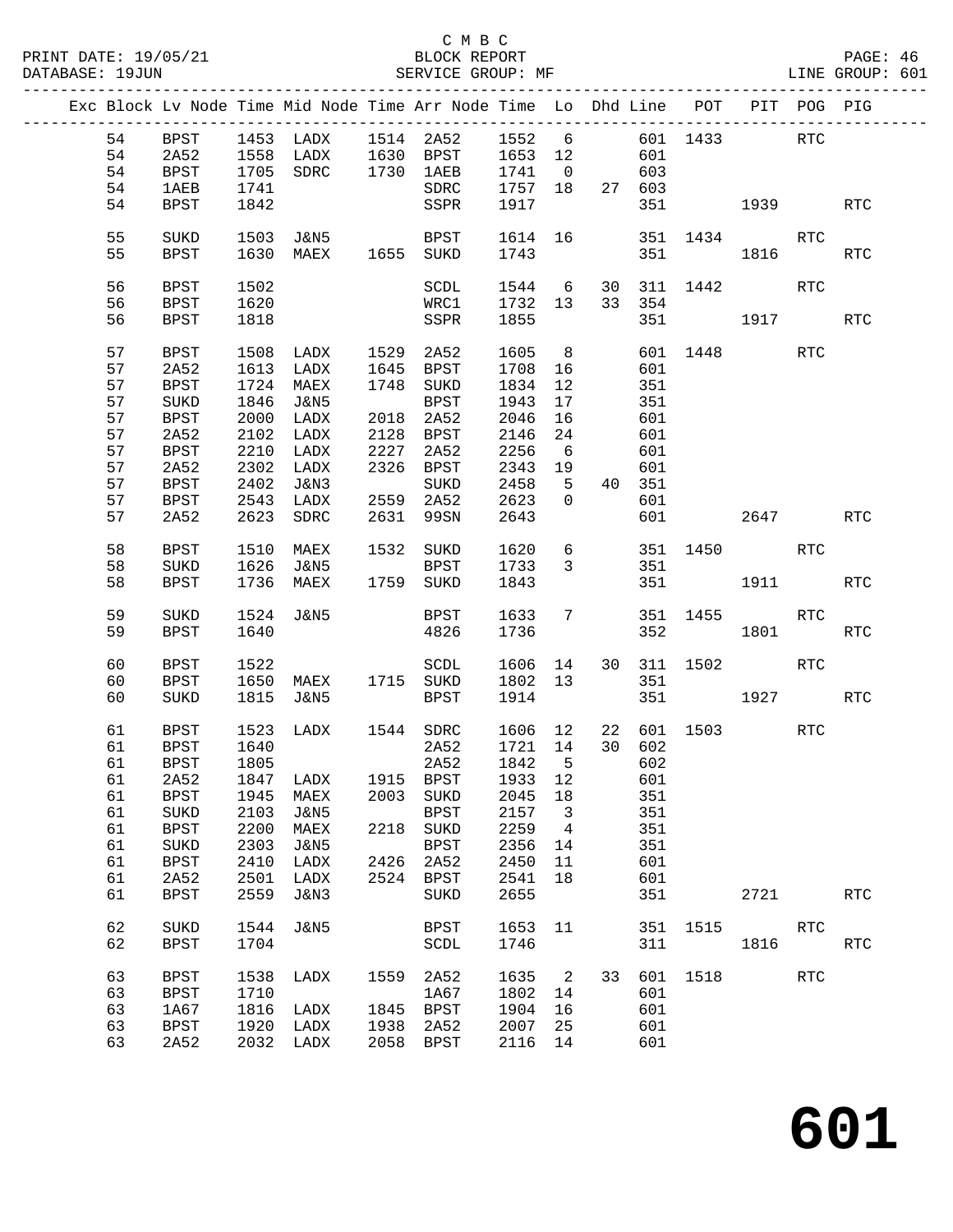|  |    |              |      |                     |             | Exc Block Lv Node Time Mid Node Time Arr Node Time Lo Dhd Line POT PIT POG PIG |                |                            |                 |        |             |                    |            |            |
|--|----|--------------|------|---------------------|-------------|--------------------------------------------------------------------------------|----------------|----------------------------|-----------------|--------|-------------|--------------------|------------|------------|
|  | 54 | BPST         |      |                     |             | 1453 LADX 1514 2A52 1552 6 601 1433 RTC                                        |                |                            |                 |        |             |                    |            |            |
|  | 54 | 2A52         |      |                     |             | 1558 LADX 1630 BPST 1653 12                                                    |                |                            |                 | 601    |             |                    |            |            |
|  |    |              |      |                     |             |                                                                                |                |                            |                 |        |             |                    |            |            |
|  | 54 | <b>BPST</b>  |      | 1705 SDRC 1730 1AEB |             |                                                                                | 1741           |                            |                 | 0 603  |             |                    |            |            |
|  | 54 | <b>1AEB</b>  | 1741 |                     |             | SDRC                                                                           | 1757 18 27 603 |                            |                 |        |             |                    |            |            |
|  | 54 | <b>BPST</b>  | 1842 |                     |             | SSPR                                                                           | 1917           |                            |                 |        |             | 351 1939           |            | <b>RTC</b> |
|  | 55 | SUKD         | 1503 |                     |             | J&N5 BPST 1614 16 351 1434                                                     |                |                            |                 |        |             |                    | RTC        |            |
|  |    |              |      |                     |             |                                                                                |                |                            |                 |        |             |                    |            |            |
|  | 55 | BPST         |      | 1630 MAEX           |             | 1655 SUKD                                                                      | 1743           |                            |                 |        | 351 1816    |                    |            | <b>RTC</b> |
|  | 56 | BPST         | 1502 |                     |             | SCDL                                                                           |                |                            |                 |        |             | 1544 6 30 311 1442 | RTC        |            |
|  | 56 | BPST         | 1620 |                     |             | WRC1 1732 13                                                                   |                |                            |                 | 33 354 |             |                    |            |            |
|  |    |              |      |                     |             |                                                                                |                |                            |                 |        |             |                    |            |            |
|  | 56 | <b>BPST</b>  | 1818 |                     |             | SSPR                                                                           | 1855           |                            |                 |        |             | 351 1917           |            | <b>RTC</b> |
|  | 57 | BPST         | 1508 | LADX                |             | 1529 2A52                                                                      | 1605           | 8 <sup>8</sup>             |                 |        |             | 601 1448           | RTC        |            |
|  | 57 | 2A52         |      | 1613 LADX           |             | 1645 BPST                                                                      | 1708           | 16                         |                 | 601    |             |                    |            |            |
|  |    |              |      |                     |             |                                                                                |                |                            |                 |        |             |                    |            |            |
|  | 57 | <b>BPST</b>  | 1724 | MAEX                |             | 1748 SUKD                                                                      | 1834           | 12                         |                 | 351    |             |                    |            |            |
|  | 57 | ${\tt SUKD}$ | 1846 | J&N5                |             | BPST                                                                           | 1943           | 17                         |                 | 351    |             |                    |            |            |
|  | 57 | BPST         |      | 2000 LADX           | $rac{1}{2}$ | 2018 2A52                                                                      | 2046           | 16                         |                 | 601    |             |                    |            |            |
|  | 57 | 2A52         |      | 2102 LADX           |             | 2128 BPST                                                                      | 2146           | 24                         |                 | 601    |             |                    |            |            |
|  | 57 | BPST         |      | 2210 LADX           | 2227        | 2A52                                                                           | 2256           | 6                          |                 | 601    |             |                    |            |            |
|  | 57 | 2A52         |      | 2302 LADX           |             | 2326 BPST                                                                      | 2343           | 19                         |                 | 601    |             |                    |            |            |
|  |    |              |      |                     |             |                                                                                |                |                            |                 |        |             |                    |            |            |
|  | 57 | <b>BPST</b>  |      | 2402 J&N3           |             | SUKD                                                                           | 2458           | $5^{\circ}$                |                 | 40 351 |             |                    |            |            |
|  | 57 | <b>BPST</b>  |      | 2543 LADX           |             | 2559 2A52                                                                      | 2623           | $\overline{0}$             |                 | 601    |             |                    |            |            |
|  | 57 | 2A52         |      | 2623 SDRC           | 2631        | 99SN                                                                           | 2643           |                            |                 | 601    |             | 2647               |            | <b>RTC</b> |
|  | 58 | BPST         |      |                     |             | 1510 MAEX 1532 SUKD 1620                                                       |                |                            | $6\overline{6}$ |        |             | 351 1450 RTC       |            |            |
|  |    |              |      |                     |             |                                                                                |                |                            |                 |        |             |                    |            |            |
|  | 58 | SUKD         |      | 1626 J&N5           |             | BPST                                                                           | 1733           | $\overline{3}$             |                 | 351    |             |                    |            |            |
|  | 58 | <b>BPST</b>  |      | 1736 MAEX           |             | 1759 SUKD                                                                      | 1843           |                            |                 |        |             | 351 1911           |            | RTC        |
|  | 59 | SUKD         |      | 1524 J&N5           |             | BPST                                                                           | 1633           | $7\phantom{.0}$            |                 |        |             | 351 1455           | RTC        |            |
|  | 59 | <b>BPST</b>  | 1640 |                     |             | 4826                                                                           | 1736           |                            |                 |        | 352         | 1801               |            | <b>RTC</b> |
|  |    |              |      |                     |             |                                                                                |                |                            |                 |        |             |                    |            |            |
|  | 60 | BPST         | 1522 |                     |             | SCDL                                                                           | 1606 14        |                            |                 |        | 30 311 1502 |                    | RTC        |            |
|  | 60 | <b>BPST</b>  |      | 1650 MAEX           |             | 1715 SUKD                                                                      | 1802 13        |                            |                 | 351    |             |                    |            |            |
|  | 60 | SUKD         |      | 1815 J&N5           |             | BPST                                                                           | 1914           |                            |                 |        |             | 351 1927 RTC       |            |            |
|  |    |              |      |                     |             |                                                                                |                |                            |                 |        |             |                    |            |            |
|  | 61 | BPST         | 1523 | LADX                |             | 1544 SDRC                                                                      | 1606 12        |                            |                 |        |             | 22 601 1503        | RTC        |            |
|  | 61 | BPST         | 1640 |                     |             | 2A52                                                                           | 1721 14        |                            |                 | 30 602 |             |                    |            |            |
|  | 61 | <b>BPST</b>  | 1805 |                     |             | 2A52                                                                           | 1842           | $5^{\circ}$                |                 | 602    |             |                    |            |            |
|  |    |              |      |                     |             | 61  2A52  1847  LADX  1915  BPST  1933  12  601                                |                |                            |                 |        |             |                    |            |            |
|  |    |              |      |                     |             |                                                                                |                |                            |                 |        |             |                    |            |            |
|  | 61 | BPST         | 1945 | MAEX                |             | 2003 SUKD                                                                      | 2045 18        |                            |                 | 351    |             |                    |            |            |
|  | 61 | SUKD         | 2103 | J&N5                |             | BPST                                                                           | 2157           | $\overline{\mathbf{3}}$    |                 | 351    |             |                    |            |            |
|  | 61 | <b>BPST</b>  | 2200 | MAEX                |             | 2218 SUKD                                                                      | 2259           | $\overline{4}$             |                 | 351    |             |                    |            |            |
|  | 61 | SUKD         | 2303 | J&N5                |             | BPST                                                                           | 2356           | 14                         |                 | 351    |             |                    |            |            |
|  | 61 | <b>BPST</b>  | 2410 | LADX                | 2426        | 2A52                                                                           | 2450           | 11                         |                 | 601    |             |                    |            |            |
|  | 61 | 2A52         | 2501 | LADX                |             | 2524 BPST                                                                      | 2541           | 18                         |                 | 601    |             |                    |            |            |
|  |    |              |      |                     |             |                                                                                |                |                            |                 |        |             |                    |            |            |
|  | 61 | <b>BPST</b>  | 2559 | J&N3                |             | SUKD                                                                           | 2655           |                            |                 | 351    |             | 2721               |            | <b>RTC</b> |
|  | 62 | SUKD         | 1544 | J&N5                |             | BPST                                                                           | 1653 11        |                            |                 |        |             | 351 1515           | RTC        |            |
|  |    |              |      |                     |             |                                                                                |                |                            |                 |        |             |                    |            |            |
|  | 62 | <b>BPST</b>  | 1704 |                     |             | SCDL                                                                           | 1746           |                            |                 | 311    |             | 1816               |            | <b>RTC</b> |
|  | 63 | <b>BPST</b>  | 1538 | LADX                | 1559        | 2A52                                                                           | 1635           | $\overline{\phantom{a}}^2$ | 33              |        |             | 601 1518           | <b>RTC</b> |            |
|  |    |              |      |                     |             |                                                                                |                |                            |                 |        |             |                    |            |            |
|  | 63 | BPST         | 1710 |                     |             | 1A67                                                                           | 1802           | 14                         |                 | 601    |             |                    |            |            |
|  | 63 | 1A67         | 1816 | LADX                |             | 1845 BPST                                                                      | 1904           | 16                         |                 | 601    |             |                    |            |            |
|  | 63 | BPST         | 1920 | LADX                | 1938        | 2A52                                                                           | 2007           | 25                         |                 | 601    |             |                    |            |            |
|  | 63 | 2A52         |      | 2032 LADX           |             | 2058 BPST                                                                      | 2116 14        |                            |                 | 601    |             |                    |            |            |
|  |    |              |      |                     |             |                                                                                |                |                            |                 |        |             |                    |            |            |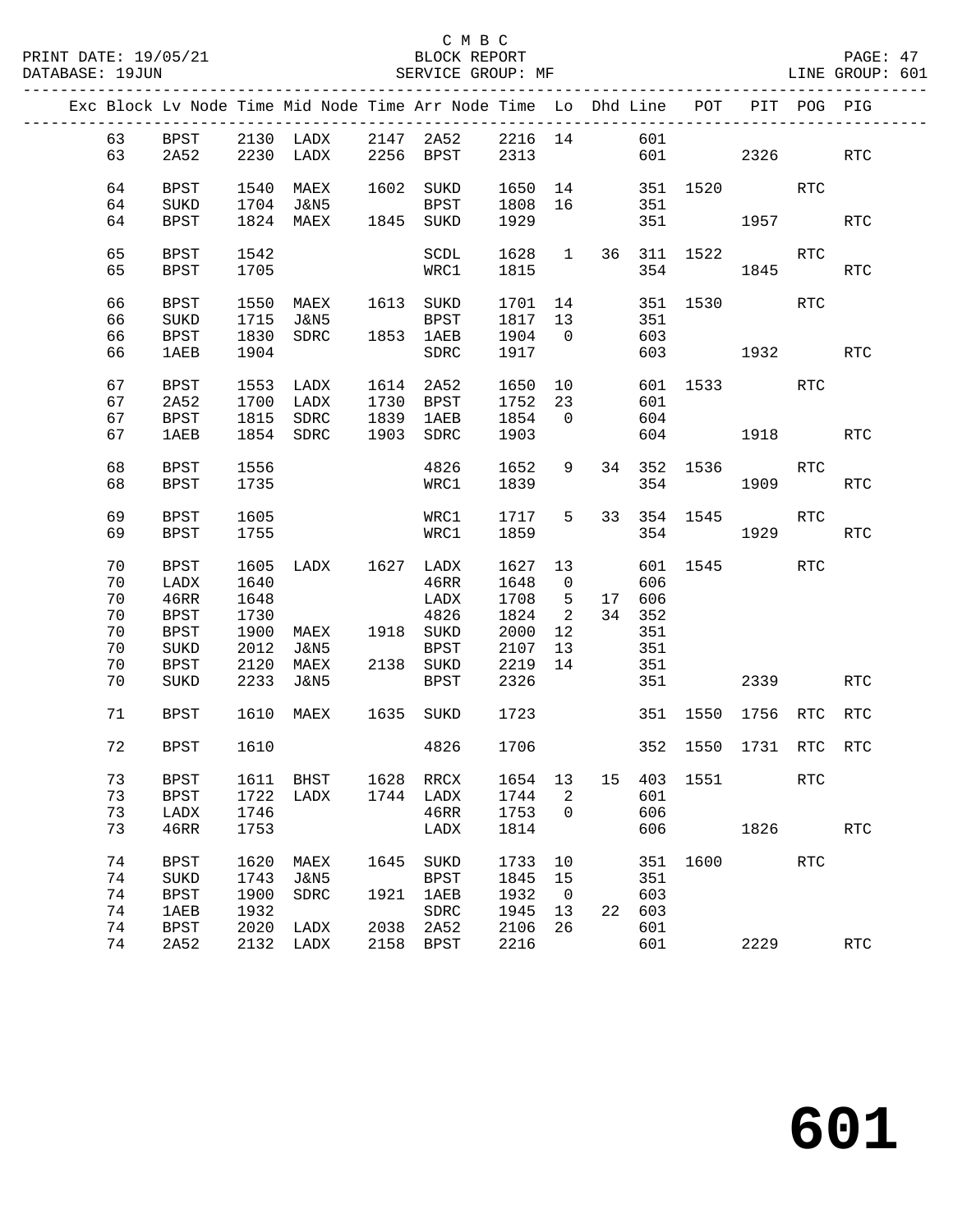|  |    |             |      |                                            |      | Exc Block Lv Node Time Mid Node Time Arr Node Time Lo Dhd Line POT PIT POG PIG                        |              |                         |    |        |                        |                                                                                                            |            |                      |
|--|----|-------------|------|--------------------------------------------|------|-------------------------------------------------------------------------------------------------------|--------------|-------------------------|----|--------|------------------------|------------------------------------------------------------------------------------------------------------|------------|----------------------|
|  | 63 |             |      |                                            |      |                                                                                                       |              |                         |    |        |                        |                                                                                                            |            |                      |
|  |    |             |      |                                            |      | BPST 2130 LADX 2147 2A52 2216 14 601<br>2A52 2230 LADX 2256 BPST 2313 601<br>2230 LADX 2256 BPST 2313 |              |                         |    |        | 601 2326               |                                                                                                            |            |                      |
|  | 63 | 2A52        |      |                                            |      |                                                                                                       |              |                         |    |        |                        |                                                                                                            |            | RTC                  |
|  |    |             |      |                                            |      |                                                                                                       |              |                         |    |        |                        |                                                                                                            |            |                      |
|  | 64 | BPST        | 1540 | MAEX                                       |      | 1602 SUKD                                                                                             |              |                         |    |        | 1650 14 351 1520 RTC   |                                                                                                            |            |                      |
|  | 64 | SUKD        |      | 1704 J&N5 BPST<br>1824 MAEX 1845 SUKD      |      | BPST                                                                                                  | 1808 16      |                         |    | 351    |                        |                                                                                                            |            |                      |
|  | 64 | BPST        |      |                                            |      |                                                                                                       | 1929         |                         |    |        | 351                    | 1957 1990                                                                                                  |            | <b>RTC</b>           |
|  |    |             |      |                                            |      |                                                                                                       |              |                         |    |        |                        |                                                                                                            |            |                      |
|  | 65 | BPST        | 1542 |                                            |      | SCDL                                                                                                  |              |                         |    |        | 1628  1  36  311  1522 |                                                                                                            | RTC        |                      |
|  | 65 | <b>BPST</b> | 1705 |                                            |      | WRC1                                                                                                  | 1815         |                         |    |        | 354 1845               |                                                                                                            |            | RTC                  |
|  |    |             |      |                                            |      |                                                                                                       |              |                         |    |        |                        |                                                                                                            |            |                      |
|  | 66 | BPST        |      |                                            |      | 1550 MAEX 1613 SUKD                                                                                   | 1701 14      |                         |    |        | 351 1530               |                                                                                                            | RTC        |                      |
|  | 66 | SUKD        | 1715 | <b>J&amp;N5</b>                            |      | BPST                                                                                                  | 1817 13      |                         |    | 351    |                        |                                                                                                            |            |                      |
|  | 66 | BPST        | 1830 | SDRC 1853 1AEB                             |      |                                                                                                       | 1904 0       |                         |    | 603    |                        |                                                                                                            |            |                      |
|  | 66 | 1AEB        | 1904 |                                            |      | SDRC                                                                                                  | 1917         |                         |    |        | 603 1932               |                                                                                                            |            | RTC                  |
|  |    |             |      |                                            |      |                                                                                                       |              |                         |    |        |                        |                                                                                                            |            |                      |
|  | 67 | BPST        |      | 1553 LADX 1614                             |      | 2A52                                                                                                  | 1650 10      |                         |    |        | 601 1533               |                                                                                                            | RTC        |                      |
|  | 67 | 2A52        |      |                                            |      |                                                                                                       | 1752         | 23                      |    | 601    |                        |                                                                                                            |            |                      |
|  | 67 | BPST        |      | 1700 LADX 1730 BPST<br>1815 SDRC 1839 1AEB |      |                                                                                                       | 1854 0       |                         |    | 604    |                        |                                                                                                            |            |                      |
|  | 67 | 1AEB        |      | 1854 SDRC                                  |      | 1903 SDRC                                                                                             | 1903         |                         |    |        | 604 1918 RTC           |                                                                                                            |            |                      |
|  |    |             |      |                                            |      |                                                                                                       |              |                         |    |        |                        |                                                                                                            |            |                      |
|  | 68 | BPST        | 1556 |                                            |      | 4826                                                                                                  | 1652         | 9                       |    |        | 34 352 1536            |                                                                                                            | RTC        |                      |
|  | 68 | BPST        | 1735 |                                            |      | WRC1                                                                                                  | 1839         |                         |    | 354    |                        | 1909 — 1909 — 1909 — 1909 — 1909 — 1909 — 1909 — 1909 — 1909 — 1909 — 1909 — 1909 — 1909 — 1909 — 1909 — 1 |            | <b>RTC</b>           |
|  |    |             |      |                                            |      |                                                                                                       |              |                         |    |        |                        |                                                                                                            |            |                      |
|  | 69 | <b>BPST</b> | 1605 |                                            |      | WRC1                                                                                                  | 1717         | 5                       |    |        | 33 354 1545            |                                                                                                            | <b>RTC</b> |                      |
|  | 69 | <b>BPST</b> | 1755 |                                            |      | WRC1                                                                                                  | 1859         |                         |    |        | 354                    | 1929                                                                                                       |            | RTC                  |
|  |    |             |      |                                            |      |                                                                                                       |              |                         |    |        |                        |                                                                                                            |            |                      |
|  |    |             |      |                                            |      |                                                                                                       |              |                         |    |        |                        |                                                                                                            |            |                      |
|  | 70 | BPST        |      | 1605 LADX 1627 LADX                        |      |                                                                                                       | 1627 13      |                         |    |        | 601 1545               |                                                                                                            | RTC        |                      |
|  | 70 | LADX        | 1640 |                                            |      | 46RR                                                                                                  | 1648         | $\overline{0}$          |    | 606    |                        |                                                                                                            |            |                      |
|  | 70 | 46RR        | 1648 |                                            |      | LADX                                                                                                  | 1708         | $5^{\circ}$             |    | 17 606 |                        |                                                                                                            |            |                      |
|  | 70 | BPST        | 1730 |                                            |      | 4826                                                                                                  | 1824         | $\overline{\mathbf{c}}$ |    | 34 352 |                        |                                                                                                            |            |                      |
|  | 70 | <b>BPST</b> | 1900 | MAEX 1918 SUKD                             |      |                                                                                                       | 2000         | 12                      |    | 351    |                        |                                                                                                            |            |                      |
|  | 70 | SUKD        | 2012 | J&N5                                       |      | BPST                                                                                                  | 2107         | 13                      |    | 351    |                        |                                                                                                            |            |                      |
|  | 70 | BPST        | 2120 | MAEX                                       |      | 2138 SUKD                                                                                             | 2219         | 14                      |    | 351    |                        |                                                                                                            |            |                      |
|  | 70 | SUKD        | 2233 | J&N5                                       |      | BPST                                                                                                  | 2326         |                         |    | 351    |                        | 2339                                                                                                       |            | RTC                  |
|  |    |             |      |                                            |      |                                                                                                       |              |                         |    |        |                        |                                                                                                            |            |                      |
|  | 71 | BPST        |      |                                            |      | 1610 MAEX 1635 SUKD                                                                                   | 1723         |                         |    |        | 351 1550 1756 RTC      |                                                                                                            |            | <b>RTC</b>           |
|  |    |             |      |                                            |      |                                                                                                       |              |                         |    |        |                        |                                                                                                            |            |                      |
|  | 72 | BPST        | 1610 |                                            |      | 4826                                                                                                  | 1706         |                         |    |        | 352 1550 1731 RTC RTC  |                                                                                                            |            |                      |
|  |    |             |      |                                            |      |                                                                                                       |              |                         |    |        |                        |                                                                                                            |            |                      |
|  | 73 |             |      |                                            |      | BPST 1611 BHST 1628 RRCX 1654 13 15 403 1551                                                          |              |                         |    |        |                        |                                                                                                            | <b>RTC</b> |                      |
|  | 73 | <b>BPST</b> | 1722 | LADX                                       |      | 1744 LADX                                                                                             | 1744         | 2                       |    | 601    |                        |                                                                                                            |            |                      |
|  | 73 | LADX        | 1746 |                                            |      | 46RR                                                                                                  | 1753         | $\overline{0}$          |    | 606    |                        |                                                                                                            |            |                      |
|  | 73 | 46RR        | 1753 |                                            |      | LADX                                                                                                  | 1814         |                         |    | 606    |                        | 1826                                                                                                       |            | RTC                  |
|  |    |             |      |                                            |      |                                                                                                       |              |                         |    |        |                        |                                                                                                            |            |                      |
|  | 74 | <b>BPST</b> | 1620 | MAEX                                       | 1645 | SUKD                                                                                                  | 1733         | 10                      |    | 351    | 1600                   |                                                                                                            | <b>RTC</b> |                      |
|  | 74 | SUKD        | 1743 | J&N5                                       |      | <b>BPST</b>                                                                                           | 1845         | 15                      |    | 351    |                        |                                                                                                            |            |                      |
|  | 74 | <b>BPST</b> | 1900 | SDRC                                       |      | 1921 1AEB                                                                                             | 1932         | $\overline{0}$          |    | 603    |                        |                                                                                                            |            |                      |
|  | 74 | <b>1AEB</b> | 1932 |                                            |      | SDRC                                                                                                  | 1945         | 13                      | 22 | 603    |                        |                                                                                                            |            |                      |
|  | 74 |             | 2020 |                                            | 2038 |                                                                                                       |              | 26                      |    | 601    |                        |                                                                                                            |            |                      |
|  |    | BPST        |      | LADX                                       |      | 2A52                                                                                                  | 2106<br>2216 |                         |    |        |                        |                                                                                                            |            |                      |
|  | 74 | 2A52        | 2132 | LADX                                       |      | 2158 BPST                                                                                             |              |                         |    | 601    |                        | 2229                                                                                                       |            | $\operatorname{RTC}$ |
|  |    |             |      |                                            |      |                                                                                                       |              |                         |    |        |                        |                                                                                                            |            |                      |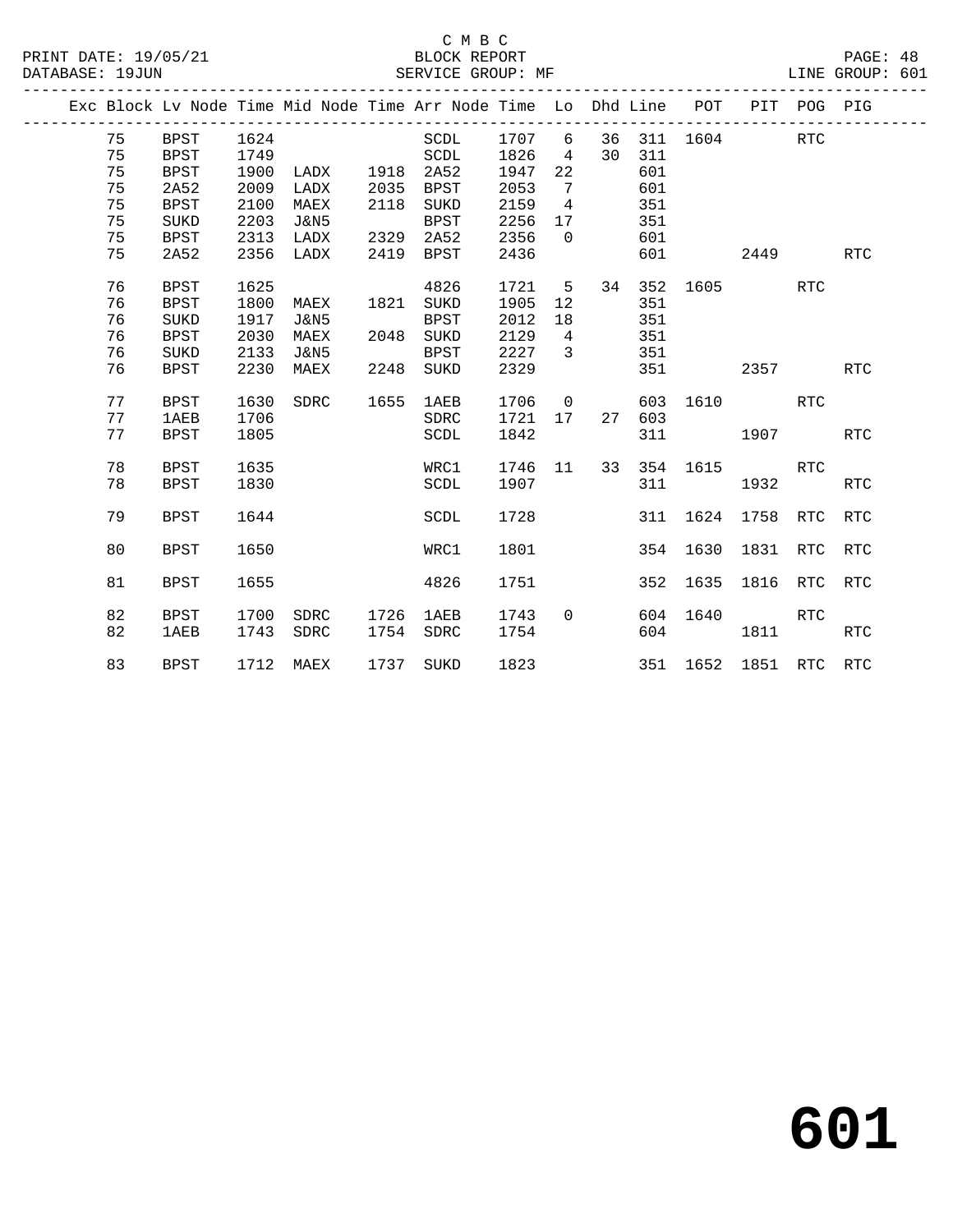|  |          |                            |              |                 |              | Exc Block Lv Node Time Mid Node Time Arr Node Time Lo Dhd Line POT |              |                   |    |            |          | PIT      | POG PIG    |            |
|--|----------|----------------------------|--------------|-----------------|--------------|--------------------------------------------------------------------|--------------|-------------------|----|------------|----------|----------|------------|------------|
|  | 75       | BPST                       | 1624         |                 |              | SCDL                                                               | 1707         | 6                 | 36 | 311        |          | 1604     | <b>RTC</b> |            |
|  | 75       | <b>BPST</b>                | 1749         |                 |              | SCDL                                                               | 1826         | 4                 | 30 | 311        |          |          |            |            |
|  | 75       | <b>BPST</b>                | 1900         | LADX            | 1918         | 2A52                                                               | 1947         | 22                |    | 601        |          |          |            |            |
|  | 75       | 2A52                       | 2009         | LADX            | 2035         | <b>BPST</b>                                                        | 2053         | 7                 |    | 601        |          |          |            |            |
|  | 75       | <b>BPST</b>                | 2100         | MAEX            | 2118         | SUKD                                                               | 2159         | 4                 |    | 351        |          |          |            |            |
|  | 75       | <b>SUKD</b>                | 2203         | <b>J&amp;N5</b> |              | <b>BPST</b>                                                        | 2256         | 17                |    | 351        |          |          |            |            |
|  | 75       | <b>BPST</b>                | 2313         | LADX            | 2329         | 2A52                                                               | 2356         | $\Omega$          |    | 601        |          |          |            |            |
|  | 75       | 2A52                       | 2356         | LADX            | 2419         | <b>BPST</b>                                                        | 2436         |                   |    | 601        |          | 2449     |            | <b>RTC</b> |
|  | 76       | <b>BPST</b>                | 1625         |                 |              | 4826                                                               | 1721         | 5                 | 34 | 352        | 1605     |          | <b>RTC</b> |            |
|  | 76       | <b>BPST</b>                | 1800         | MAEX            | 1821         | SUKD                                                               | 1905         | $12 \overline{ }$ |    | 351        |          |          |            |            |
|  | 76       | <b>SUKD</b>                | 1917         | J&N5            |              | <b>BPST</b>                                                        | 2012         | 18                |    | 351        |          |          |            |            |
|  | 76       | <b>BPST</b>                | 2030         | MAEX            | 2048         | SUKD                                                               | 2129         | $\overline{4}$    |    | 351        |          |          |            |            |
|  | 76       | SUKD                       | 2133         | J&N5            |              | <b>BPST</b>                                                        | 2227         | $\overline{3}$    |    | 351        |          |          |            |            |
|  | 76       | <b>BPST</b>                | 2230         | MAEX            | 2248         | SUKD                                                               | 2329         |                   |    | 351        |          | 2357     |            | <b>RTC</b> |
|  | 77       | <b>BPST</b>                | 1630         | SDRC            | 1655         | <b>1AEB</b>                                                        | 1706         | $\overline{0}$    |    | 603        | 1610     |          | <b>RTC</b> |            |
|  | 77       | 1AEB                       | 1706         |                 |              | <b>SDRC</b>                                                        | 1721         | 17                | 27 | 603        |          |          |            |            |
|  | 77       | <b>BPST</b>                | 1805         |                 |              | SCDL                                                               | 1842         |                   |    | 311        |          | 1907     |            | <b>RTC</b> |
|  | 78       | <b>BPST</b>                | 1635         |                 |              | WRC1                                                               | 1746         | 11                | 33 | 354        | 1615     |          | RTC        |            |
|  | 78       | <b>BPST</b>                | 1830         |                 |              | SCDL                                                               | 1907         |                   |    | 311        |          | 1932     |            | <b>RTC</b> |
|  | 79       | <b>BPST</b>                | 1644         |                 |              | SCDL                                                               | 1728         |                   |    | 311        | 1624     | 1758     | RTC        | <b>RTC</b> |
|  | 80       | <b>BPST</b>                | 1650         |                 |              | WRC1                                                               | 1801         |                   |    | 354        | 1630     | 1831     | <b>RTC</b> | <b>RTC</b> |
|  | 81       | <b>BPST</b>                | 1655         |                 |              | 4826                                                               | 1751         |                   |    | 352        | 1635     | 1816     | RTC        | RTC        |
|  | 82<br>82 | <b>BPST</b><br><b>1AEB</b> | 1700<br>1743 | SDRC<br>SDRC    | 1726<br>1754 | 1AEB<br>SDRC                                                       | 1743<br>1754 | $\Omega$          |    | 604<br>604 | 1640     | 1811     | <b>RTC</b> | RTC        |
|  | 83       | <b>BPST</b>                | 1712         | MAEX            | 1737         | SUKD                                                               | 1823         |                   |    |            | 351 1652 | 1851 RTC |            | RTC        |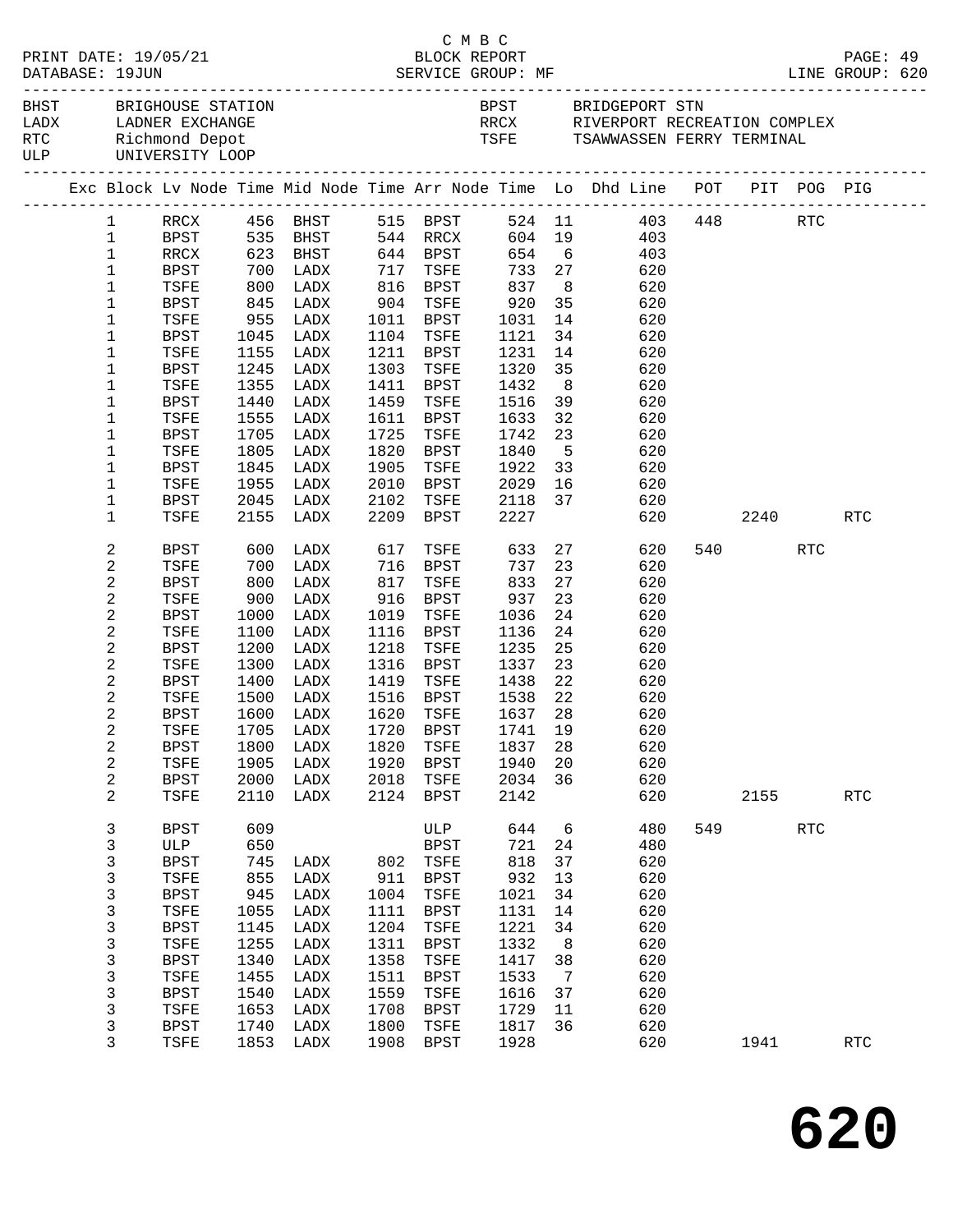|                                      |                        |                        |                      |            |                   |      | C M B C                |                                |                |                                                                                |     |      |     |            |  |
|--------------------------------------|------------------------|------------------------|----------------------|------------|-------------------|------|------------------------|--------------------------------|----------------|--------------------------------------------------------------------------------|-----|------|-----|------------|--|
| BLOCK REPORT<br>PRINT DATE: 19/05/21 |                        |                        |                      |            |                   |      |                        |                                |                |                                                                                |     |      |     | PAGE: 49   |  |
| DATABASE: 19JUN                      |                        |                        |                      |            |                   |      |                        |                                |                |                                                                                |     |      |     |            |  |
|                                      | BHST BRIGHOUSE STATION |                        |                      |            |                   |      |                        |                                |                | BPST BRIDGEPORT STN                                                            |     |      |     |            |  |
|                                      |                        |                        | LADX LADNER EXCHANGE |            |                   |      |                        |                                |                | RRCX RIVERPORT RECREATION COMPLEX                                              |     |      |     |            |  |
|                                      | RTC Richmond Depot     |                        |                      |            |                   |      |                        | TSFE TSAWWASSEN FERRY TERMINAL |                |                                                                                |     |      |     |            |  |
|                                      |                        |                        | ULP UNIVERSITY LOOP  |            |                   |      |                        |                                |                |                                                                                |     |      |     |            |  |
|                                      |                        |                        |                      |            |                   |      |                        |                                |                | Exc Block Lv Node Time Mid Node Time Arr Node Time Lo Dhd Line POT PIT POG PIG |     |      |     |            |  |
|                                      |                        | $1 \quad \blacksquare$ |                      |            |                   |      |                        |                                |                |                                                                                |     |      |     |            |  |
|                                      |                        | $\mathbf{1}$           |                      |            |                   |      |                        |                                |                | RRCX 456 BHST 515 BPST 524 11 403 448 RTC<br>BPST 535 BHST 544 RRCX 604 19 403 |     |      |     |            |  |
|                                      |                        | $\mathbf{1}$           | RRCX                 |            | 623 BHST 644 BPST |      |                        |                                |                | 654 6<br>403                                                                   |     |      |     |            |  |
|                                      |                        | $\mathbf{1}$           | BPST                 | 700        | LADX              | 717  | TSFE                   | 733 27                         |                | 620                                                                            |     |      |     |            |  |
|                                      |                        | $\mathbf{1}$           | TSFE                 | 800<br>845 | LADX              |      |                        |                                | 8 <sup>8</sup> |                                                                                |     |      |     |            |  |
|                                      |                        | $\mathbf{1}$           | BPST                 |            | LADX              |      | 816 BPST<br>904 TSFE   | 837<br>920                     | 35             | 620<br>620                                                                     |     |      |     |            |  |
|                                      |                        | 1                      | TSFE                 |            | 955 LADX          |      | 1011 BPST              | 1031                           | 14             | 620                                                                            |     |      |     |            |  |
|                                      |                        | $\mathbf 1$            | BPST                 | 1045       | LADX              |      | 1104 TSFE              | 1121                           | 34             | 620                                                                            |     |      |     |            |  |
|                                      |                        | $\mathbf 1$            | TSFE                 |            | 1155 LADX         | 1211 | BPST                   | 1231                           | 14             | 620                                                                            |     |      |     |            |  |
|                                      |                        | 1                      | BPST                 | 1245       | LADX              |      | 1303 TSFE              | 1320                           | 35             | 620                                                                            |     |      |     |            |  |
|                                      |                        | 1                      | TSFE                 | 1355       | LADX              | 1411 | BPST                   | 1432                           | 8 <sup>8</sup> | 620                                                                            |     |      |     |            |  |
|                                      |                        | 1                      | BPST                 | 1440       | LADX              | 1459 | TSFE                   | 1516                           | 39             | 620                                                                            |     |      |     |            |  |
|                                      |                        | 1                      | TSFE                 | 1555       | LADX              | 1611 | BPST                   | 1633                           | 32             | 620                                                                            |     |      |     |            |  |
|                                      |                        | 1                      | BPST                 | 1705       | LADX              | 1725 | TSFE                   | 1742                           | 23             | 620                                                                            |     |      |     |            |  |
|                                      |                        | 1                      | TSFE                 | 1805       | LADX              | 1820 | BPST                   | 1840                           | 5 <sup>5</sup> | 620                                                                            |     |      |     |            |  |
|                                      |                        | 1                      | <b>BPST</b>          | 1845       | LADX              | 1905 | TSFE                   | 1922                           | 33             | 620                                                                            |     |      |     |            |  |
|                                      |                        | $\mathbf 1$            | TSFE                 | 1955       | LADX              | 2010 | BPST                   | 2029                           | 16             | 620                                                                            |     |      |     |            |  |
|                                      |                        | 1                      | BPST                 |            | 2045 LADX         | 2102 | TSFE                   | 2029 16<br>2118 37<br>2227     |                | 620                                                                            |     |      |     |            |  |
|                                      |                        | $\mathbf{1}$           | TSFE                 |            | 2155 LADX         |      | 2209 BPST              |                                |                | 620                                                                            |     | 2240 |     | RTC        |  |
|                                      |                        | 2                      | BPST                 | 600        | LADX              | 617  | TSFE                   | 633 27                         |                | 620                                                                            |     | 540  | RTC |            |  |
|                                      |                        | 2                      | TSFE                 | 700<br>800 | LADX              |      | $716$ BPST<br>817 Terr | 737                            | 23             | 620                                                                            |     |      |     |            |  |
|                                      |                        | 2                      | BPST                 |            | LADX              | 817  | TSFE                   | 833                            | 27             | 620                                                                            |     |      |     |            |  |
|                                      |                        | 2                      | TSFE                 | 900        | LADX              | 916  | BPST                   | 937                            | 23             | 620                                                                            |     |      |     |            |  |
|                                      |                        | 2                      | BPST                 | 1000       | LADX              | 1019 | TSFE                   | 1036                           | 24             | 620                                                                            |     |      |     |            |  |
|                                      |                        | 2                      | TSFE                 | 1100       | LADX              | 1116 | BPST                   | 1136                           | 24             | 620                                                                            |     |      |     |            |  |
|                                      |                        | 2                      | BPST                 | 1200       | LADX              | 1218 | TSFE                   | 1235                           | 25             | 620                                                                            |     |      |     |            |  |
|                                      |                        | 2                      | TSFE                 | 1300       | LADX              | 1316 | BPST                   | 1337                           | 23             | 620                                                                            |     |      |     |            |  |
|                                      |                        | 2                      | BPST                 | 1400       | LADX              |      | 1419 TSFE              | 1438                           | 22             | 620                                                                            |     |      |     |            |  |
|                                      |                        | 2<br>2                 | TSFE<br><b>BPST</b>  | 1500       | LADX              |      | 1516 BPST              | 1538 22<br>1637 28             |                | 620                                                                            |     |      |     |            |  |
|                                      |                        |                        |                      |            | 1600 LADX         |      | 1620 TSFE              |                                |                | 620<br>TSFE 1705 LADX 1720 BPST 1741 19 620                                    |     |      |     |            |  |
|                                      |                        | 2                      | BPST                 | 1800       | LADX              | 1820 | TSFE                   | 1837                           | 28             | 620                                                                            |     |      |     |            |  |
|                                      |                        | 2                      | TSFE                 | 1905       | LADX              | 1920 | <b>BPST</b>            | 1940                           | 20             | 620                                                                            |     |      |     |            |  |
|                                      |                        | 2                      | <b>BPST</b>          | 2000       | LADX              | 2018 | TSFE                   | 2034                           | 36             | 620                                                                            |     |      |     |            |  |
|                                      |                        | 2                      | TSFE                 | 2110       | LADX              | 2124 | BPST                   | 2142                           |                | 620                                                                            |     | 2155 |     | <b>RTC</b> |  |
|                                      |                        | 3                      | <b>BPST</b>          | 609        |                   |      | ULP                    | 644                            | 6              | 480                                                                            | 549 |      | RTC |            |  |
|                                      |                        | 3                      | ULP                  | 650        |                   |      | BPST                   | 721                            | 24             | 480                                                                            |     |      |     |            |  |
|                                      |                        | 3                      | <b>BPST</b>          | 745        | LADX              |      | 802 TSFE               | 818                            | 37             | 620                                                                            |     |      |     |            |  |
|                                      |                        | 3                      | TSFE                 | 855        | LADX              | 911  | BPST                   | 932                            | 13             | 620                                                                            |     |      |     |            |  |
|                                      |                        | 3                      | <b>BPST</b>          | 945        | LADX              | 1004 | TSFE                   | 1021                           | 34             | 620                                                                            |     |      |     |            |  |
|                                      |                        | 3                      | TSFE                 | 1055       | LADX              | 1111 | <b>BPST</b>            | 1131                           | 14             | 620                                                                            |     |      |     |            |  |
|                                      |                        | 3                      | <b>BPST</b>          | 1145       | LADX              | 1204 | TSFE                   | 1221                           | 34             | 620                                                                            |     |      |     |            |  |
|                                      |                        | 3                      | TSFE                 | 1255       | LADX              | 1311 | BPST                   | 1332                           | 8 <sup>8</sup> | 620                                                                            |     |      |     |            |  |
|                                      |                        | 3                      | <b>BPST</b>          | 1340       | LADX              | 1358 | TSFE                   | 1417                           | 38             | 620                                                                            |     |      |     |            |  |
|                                      |                        | $\mathsf{3}$           | TSFE                 | 1455       | LADX              | 1511 | <b>BPST</b>            | 1533                           | $\overline{7}$ | 620                                                                            |     |      |     |            |  |
|                                      |                        | 3                      | <b>BPST</b>          | 1540       | LADX              | 1559 | TSFE                   | 1616                           | 37             | 620                                                                            |     |      |     |            |  |
|                                      |                        | 3                      | TSFE                 | 1653       | LADX              | 1708 | BPST                   | 1729                           | 11             | 620                                                                            |     |      |     |            |  |
|                                      |                        | 3                      | <b>BPST</b>          | 1740       | LADX              | 1800 | TSFE                   | 1817                           | 36             | 620                                                                            |     |      |     |            |  |
|                                      |                        | 3                      | TSFE                 | 1853       | LADX              | 1908 | BPST                   | 1928                           |                | 620                                                                            |     | 1941 |     | RTC        |  |